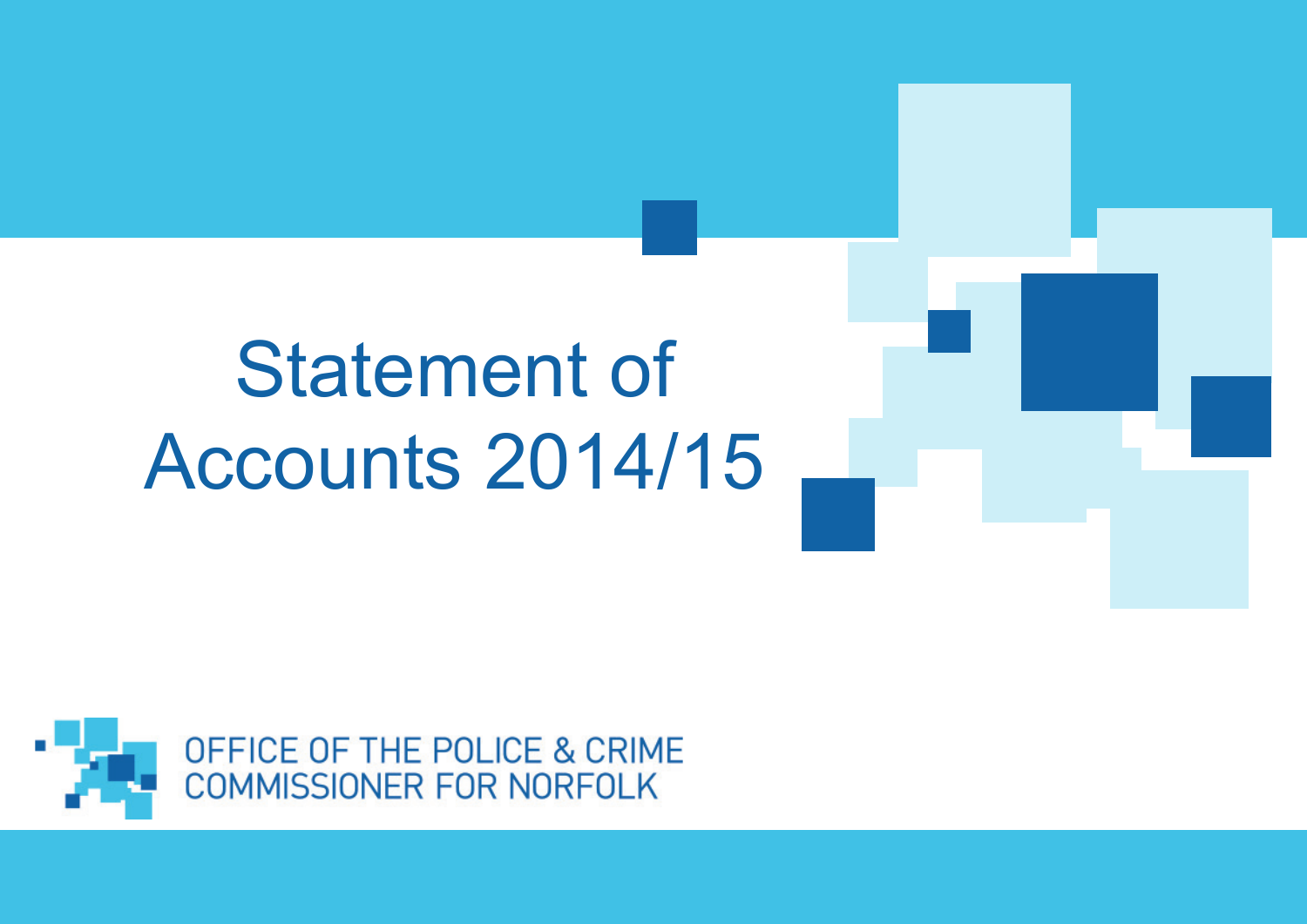# Statement of Accounts 2014/15

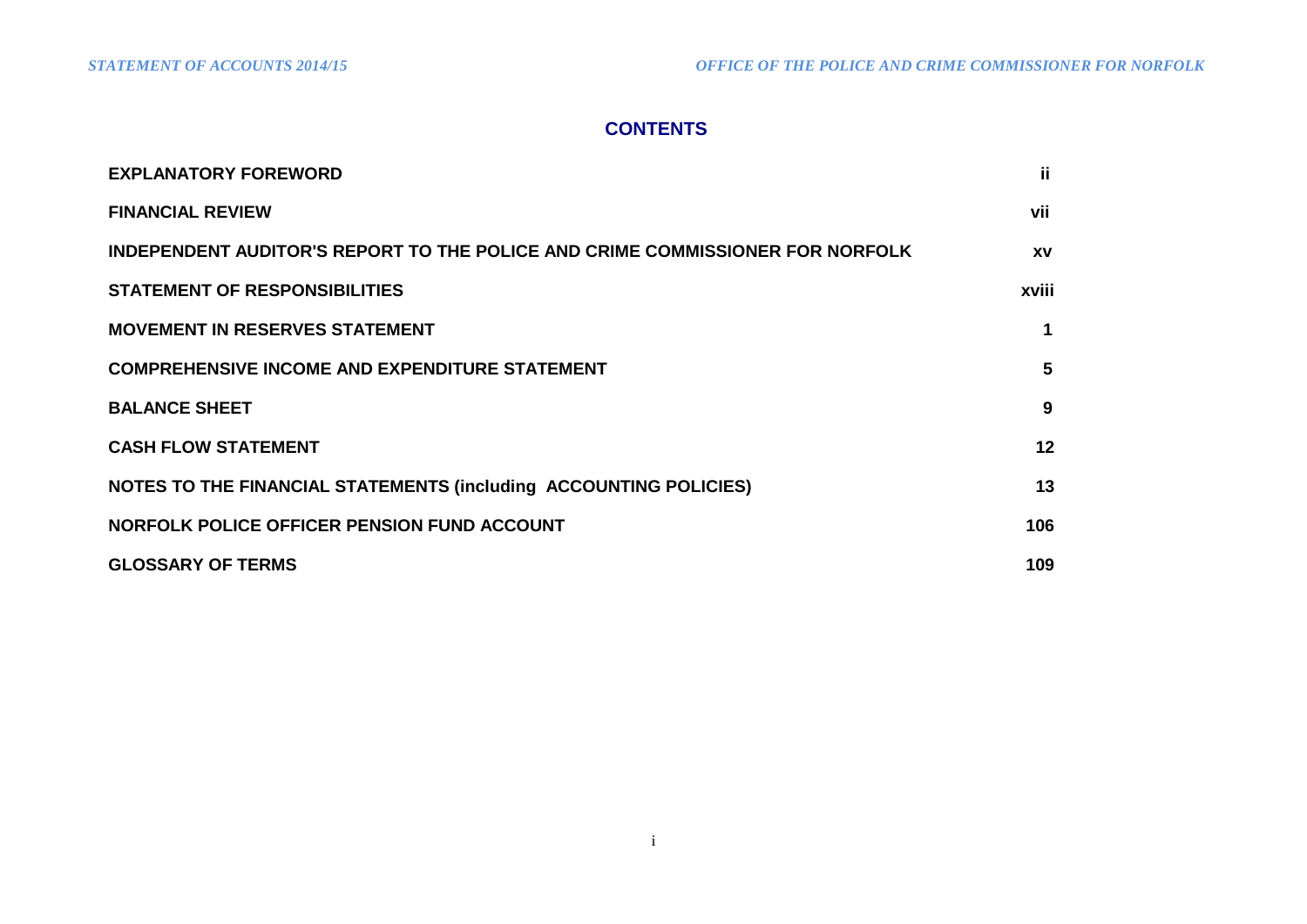# **CONTENTS**

| <b>EXPLANATORY FOREWORD</b>                                                   | ji.       |
|-------------------------------------------------------------------------------|-----------|
| <b>FINANCIAL REVIEW</b>                                                       | vii       |
| INDEPENDENT AUDITOR'S REPORT TO THE POLICE AND CRIME COMMISSIONER FOR NORFOLK | <b>XV</b> |
| <b>STATEMENT OF RESPONSIBILITIES</b>                                          | xviii     |
| <b>MOVEMENT IN RESERVES STATEMENT</b>                                         | 1         |
| <b>COMPREHENSIVE INCOME AND EXPENDITURE STATEMENT</b>                         | 5         |
| <b>BALANCE SHEET</b>                                                          | 9         |
| <b>CASH FLOW STATEMENT</b>                                                    | 12        |
| NOTES TO THE FINANCIAL STATEMENTS (including ACCOUNTING POLICIES)             | 13        |
| NORFOLK POLICE OFFICER PENSION FUND ACCOUNT                                   | 106       |
| <b>GLOSSARY OF TERMS</b>                                                      | 109       |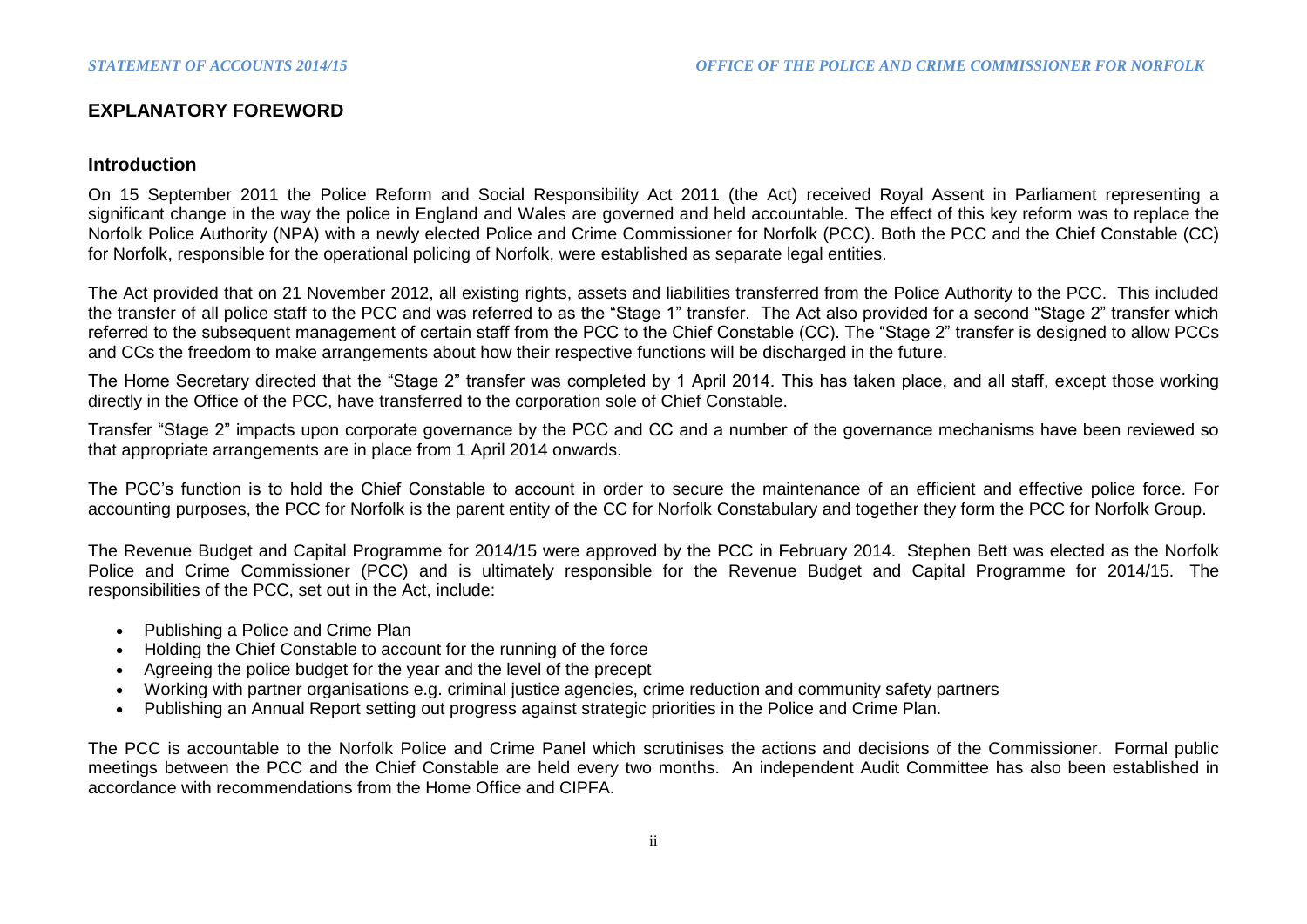# **EXPLANATORY FOREWORD**

#### **Introduction**

On 15 September 2011 the Police Reform and Social Responsibility Act 2011 (the Act) received Royal Assent in Parliament representing a significant change in the way the police in England and Wales are governed and held accountable. The effect of this key reform was to replace the Norfolk Police Authority (NPA) with a newly elected Police and Crime Commissioner for Norfolk (PCC). Both the PCC and the Chief Constable (CC) for Norfolk, responsible for the operational policing of Norfolk, were established as separate legal entities.

The Act provided that on 21 November 2012, all existing rights, assets and liabilities transferred from the Police Authority to the PCC. This included the transfer of all police staff to the PCC and was referred to as the "Stage 1" transfer. The Act also provided for a second "Stage 2" transfer which referred to the subsequent management of certain staff from the PCC to the Chief Constable (CC). The "Stage 2" transfer is designed to allow PCCs and CCs the freedom to make arrangements about how their respective functions will be discharged in the future.

The Home Secretary directed that the "Stage 2" transfer was completed by 1 April 2014. This has taken place, and all staff, except those working directly in the Office of the PCC, have transferred to the corporation sole of Chief Constable.

Transfer "Stage 2" impacts upon corporate governance by the PCC and CC and a number of the governance mechanisms have been reviewed so that appropriate arrangements are in place from 1 April 2014 onwards.

The PCC's function is to hold the Chief Constable to account in order to secure the maintenance of an efficient and effective police force. For accounting purposes, the PCC for Norfolk is the parent entity of the CC for Norfolk Constabulary and together they form the PCC for Norfolk Group.

The Revenue Budget and Capital Programme for 2014/15 were approved by the PCC in February 2014. Stephen Bett was elected as the Norfolk Police and Crime Commissioner (PCC) and is ultimately responsible for the Revenue Budget and Capital Programme for 2014/15. The responsibilities of the PCC, set out in the Act, include:

- Publishing a Police and Crime Plan
- Holding the Chief Constable to account for the running of the force
- Agreeing the police budget for the year and the level of the precept
- Working with partner organisations e.g. criminal justice agencies, crime reduction and community safety partners
- Publishing an Annual Report setting out progress against strategic priorities in the Police and Crime Plan.

The PCC is accountable to the Norfolk Police and Crime Panel which scrutinises the actions and decisions of the Commissioner. Formal public meetings between the PCC and the Chief Constable are held every two months. An independent Audit Committee has also been established in accordance with recommendations from the Home Office and CIPFA.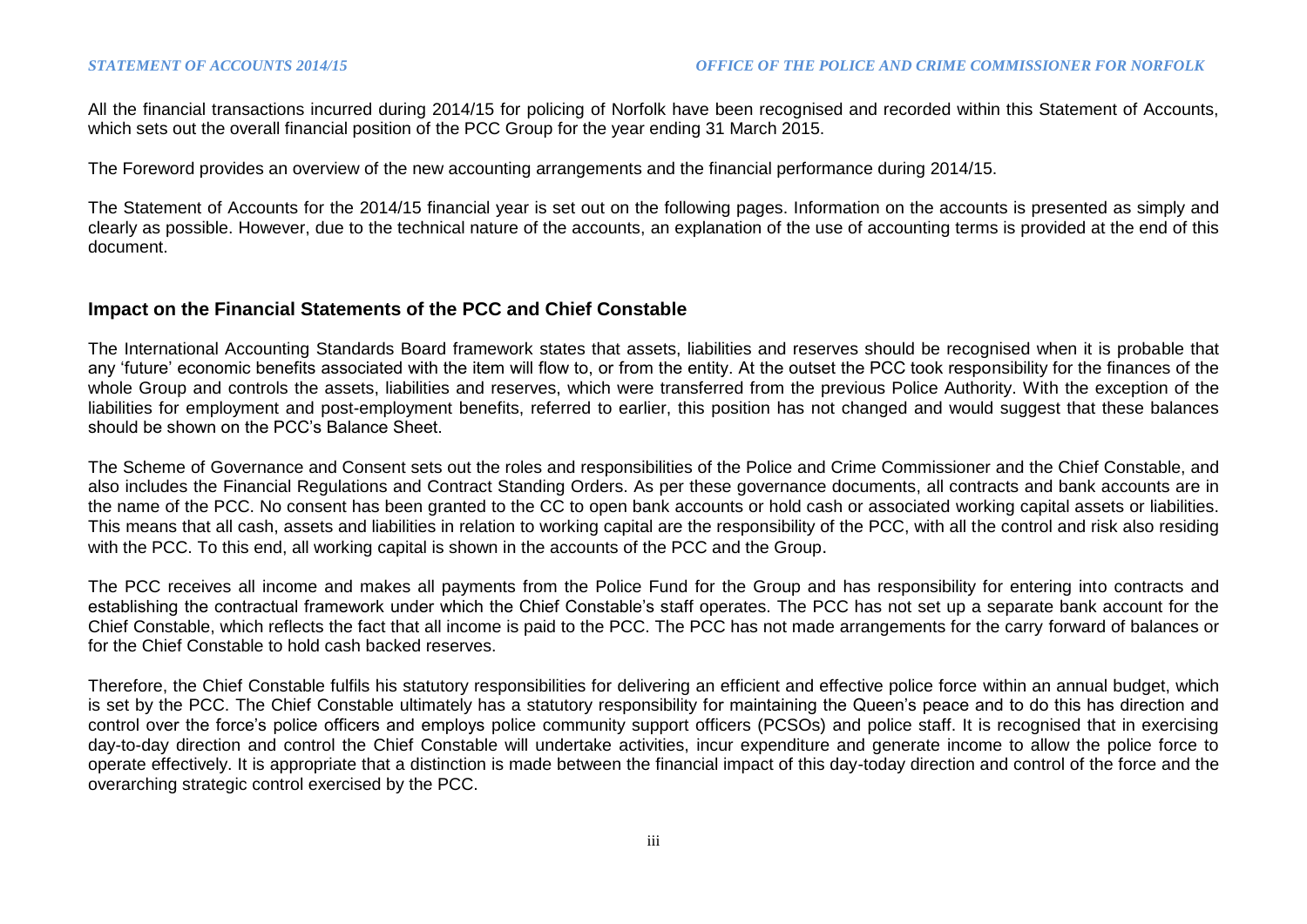All the financial transactions incurred during 2014/15 for policing of Norfolk have been recognised and recorded within this Statement of Accounts, which sets out the overall financial position of the PCC Group for the year ending 31 March 2015.

The Foreword provides an overview of the new accounting arrangements and the financial performance during 2014/15.

The Statement of Accounts for the 2014/15 financial year is set out on the following pages. Information on the accounts is presented as simply and clearly as possible. However, due to the technical nature of the accounts, an explanation of the use of accounting terms is provided at the end of this document.

#### **Impact on the Financial Statements of the PCC and Chief Constable**

The International Accounting Standards Board framework states that assets, liabilities and reserves should be recognised when it is probable that any 'future' economic benefits associated with the item will flow to, or from the entity. At the outset the PCC took responsibility for the finances of the whole Group and controls the assets, liabilities and reserves, which were transferred from the previous Police Authority. With the exception of the liabilities for employment and post-employment benefits, referred to earlier, this position has not changed and would suggest that these balances should be shown on the PCC's Balance Sheet.

The Scheme of Governance and Consent sets out the roles and responsibilities of the Police and Crime Commissioner and the Chief Constable, and also includes the Financial Regulations and Contract Standing Orders. As per these governance documents, all contracts and bank accounts are in the name of the PCC. No consent has been granted to the CC to open bank accounts or hold cash or associated working capital assets or liabilities. This means that all cash, assets and liabilities in relation to working capital are the responsibility of the PCC, with all the control and risk also residing with the PCC. To this end, all working capital is shown in the accounts of the PCC and the Group.

The PCC receives all income and makes all payments from the Police Fund for the Group and has responsibility for entering into contracts and establishing the contractual framework under which the Chief Constable's staff operates. The PCC has not set up a separate bank account for the Chief Constable, which reflects the fact that all income is paid to the PCC. The PCC has not made arrangements for the carry forward of balances or for the Chief Constable to hold cash backed reserves.

Therefore, the Chief Constable fulfils his statutory responsibilities for delivering an efficient and effective police force within an annual budget, which is set by the PCC. The Chief Constable ultimately has a statutory responsibility for maintaining the Queen's peace and to do this has direction and control over the force's police officers and employs police community support officers (PCSOs) and police staff. It is recognised that in exercising day-to-day direction and control the Chief Constable will undertake activities, incur expenditure and generate income to allow the police force to operate effectively. It is appropriate that a distinction is made between the financial impact of this day-today direction and control of the force and the overarching strategic control exercised by the PCC.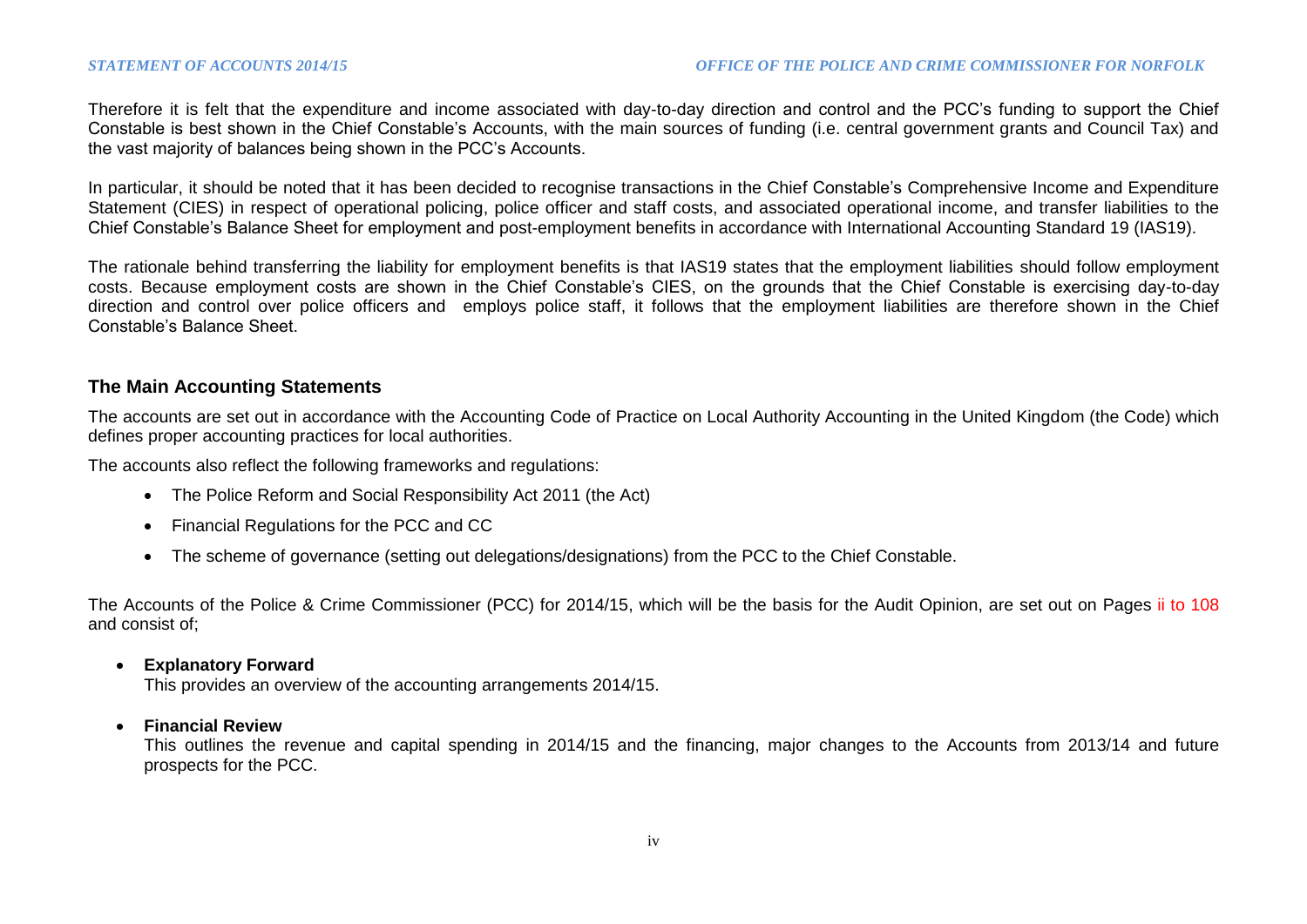Therefore it is felt that the expenditure and income associated with day-to-day direction and control and the PCC's funding to support the Chief Constable is best shown in the Chief Constable's Accounts, with the main sources of funding (i.e. central government grants and Council Tax) and the vast majority of balances being shown in the PCC's Accounts.

In particular, it should be noted that it has been decided to recognise transactions in the Chief Constable's Comprehensive Income and Expenditure Statement (CIES) in respect of operational policing, police officer and staff costs, and associated operational income, and transfer liabilities to the Chief Constable's Balance Sheet for employment and post-employment benefits in accordance with International Accounting Standard 19 (IAS19).

The rationale behind transferring the liability for employment benefits is that IAS19 states that the employment liabilities should follow employment costs. Because employment costs are shown in the Chief Constable's CIES, on the grounds that the Chief Constable is exercising day-to-day direction and control over police officers and employs police staff, it follows that the employment liabilities are therefore shown in the Chief Constable's Balance Sheet.

## **The Main Accounting Statements**

The accounts are set out in accordance with the Accounting Code of Practice on Local Authority Accounting in the United Kingdom (the Code) which defines proper accounting practices for local authorities.

The accounts also reflect the following frameworks and regulations:

- The Police Reform and Social Responsibility Act 2011 (the Act)
- Financial Regulations for the PCC and CC
- The scheme of governance (setting out delegations/designations) from the PCC to the Chief Constable.

The Accounts of the Police & Crime Commissioner (PCC) for 2014/15, which will be the basis for the Audit Opinion, are set out on Pages ii to 108 and consist of;

#### **Explanatory Forward**

This provides an overview of the accounting arrangements 2014/15.

#### **Financial Review**

This outlines the revenue and capital spending in 2014/15 and the financing, major changes to the Accounts from 2013/14 and future prospects for the PCC.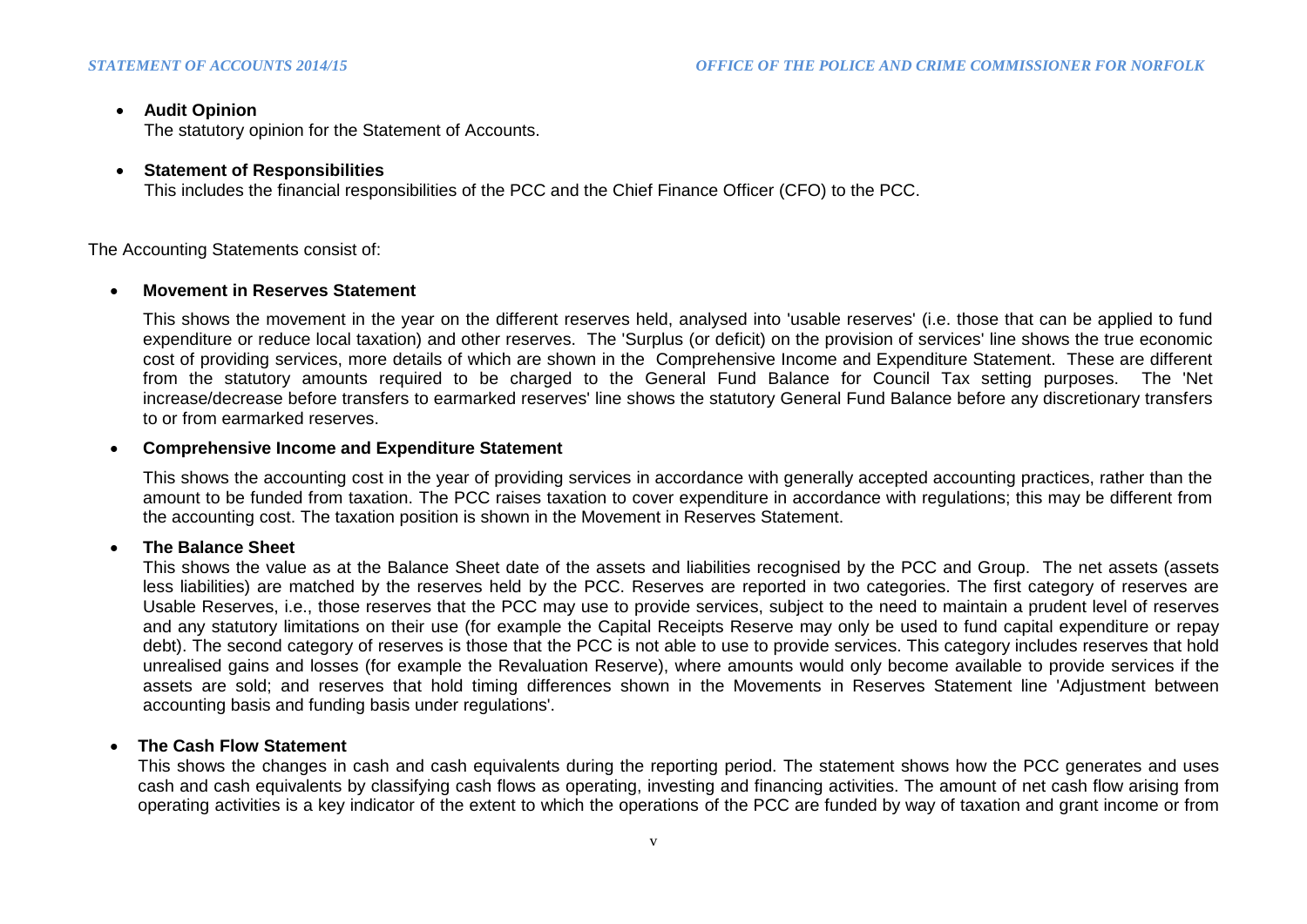## **Audit Opinion**

The statutory opinion for the Statement of Accounts.

## **Statement of Responsibilities**

This includes the financial responsibilities of the PCC and the Chief Finance Officer (CFO) to the PCC.

The Accounting Statements consist of:

## **Movement in Reserves Statement**

This shows the movement in the year on the different reserves held, analysed into 'usable reserves' (i.e. those that can be applied to fund expenditure or reduce local taxation) and other reserves. The 'Surplus (or deficit) on the provision of services' line shows the true economic cost of providing services, more details of which are shown in the Comprehensive Income and Expenditure Statement. These are different from the statutory amounts required to be charged to the General Fund Balance for Council Tax setting purposes. The 'Net increase/decrease before transfers to earmarked reserves' line shows the statutory General Fund Balance before any discretionary transfers to or from earmarked reserves.

## **Comprehensive Income and Expenditure Statement**

This shows the accounting cost in the year of providing services in accordance with generally accepted accounting practices, rather than the amount to be funded from taxation. The PCC raises taxation to cover expenditure in accordance with regulations; this may be different from the accounting cost. The taxation position is shown in the Movement in Reserves Statement.

## **The Balance Sheet**

This shows the value as at the Balance Sheet date of the assets and liabilities recognised by the PCC and Group. The net assets (assets less liabilities) are matched by the reserves held by the PCC. Reserves are reported in two categories. The first category of reserves are Usable Reserves, i.e., those reserves that the PCC may use to provide services, subject to the need to maintain a prudent level of reserves and any statutory limitations on their use (for example the Capital Receipts Reserve may only be used to fund capital expenditure or repay debt). The second category of reserves is those that the PCC is not able to use to provide services. This category includes reserves that hold unrealised gains and losses (for example the Revaluation Reserve), where amounts would only become available to provide services if the assets are sold; and reserves that hold timing differences shown in the Movements in Reserves Statement line 'Adjustment between accounting basis and funding basis under regulations'.

## **The Cash Flow Statement**

This shows the changes in cash and cash equivalents during the reporting period. The statement shows how the PCC generates and uses cash and cash equivalents by classifying cash flows as operating, investing and financing activities. The amount of net cash flow arising from operating activities is a key indicator of the extent to which the operations of the PCC are funded by way of taxation and grant income or from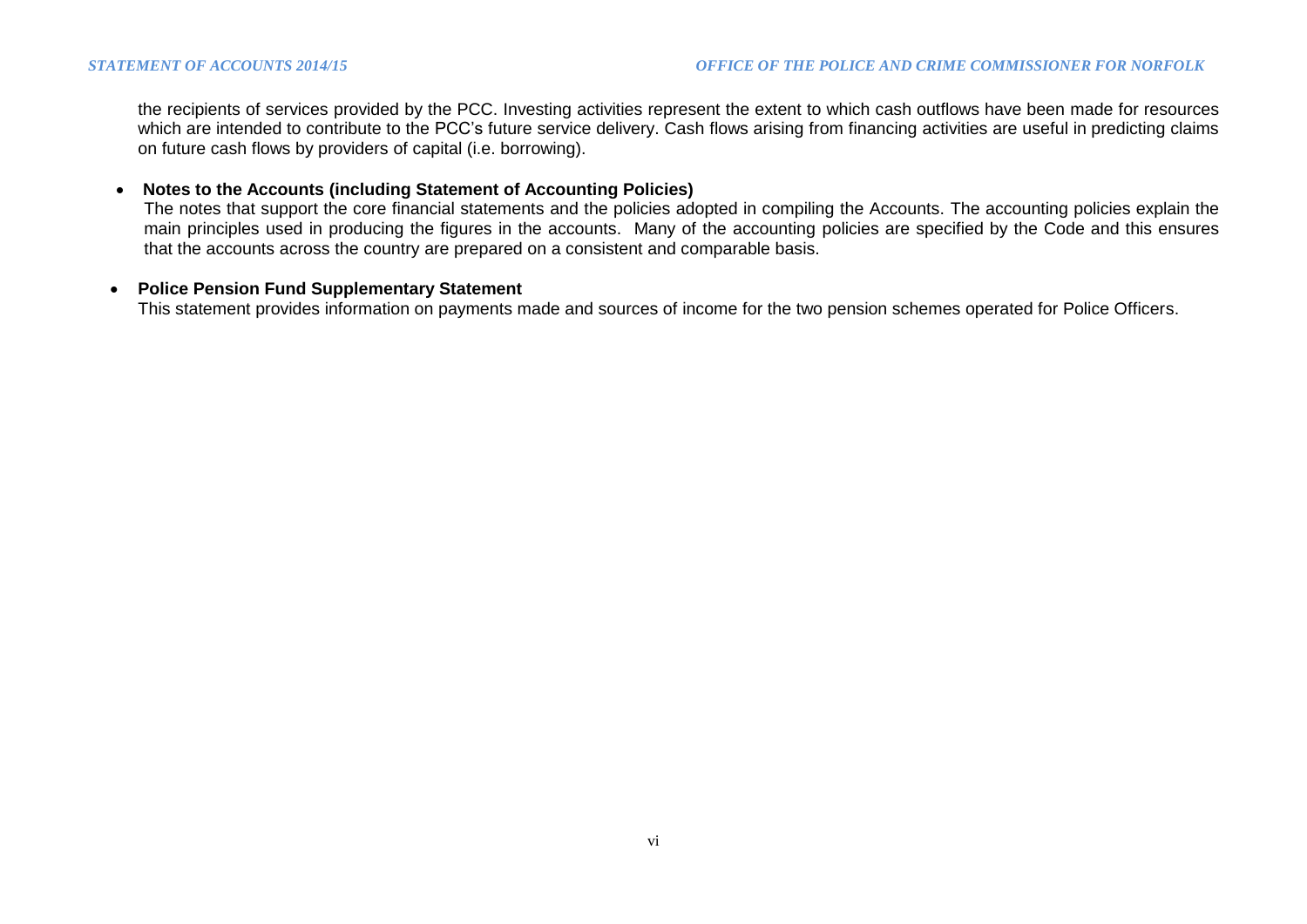the recipients of services provided by the PCC. Investing activities represent the extent to which cash outflows have been made for resources which are intended to contribute to the PCC's future service delivery. Cash flows arising from financing activities are useful in predicting claims on future cash flows by providers of capital (i.e. borrowing).

#### **Notes to the Accounts (including Statement of Accounting Policies)**

The notes that support the core financial statements and the policies adopted in compiling the Accounts. The accounting policies explain the main principles used in producing the figures in the accounts. Many of the accounting policies are specified by the Code and this ensures that the accounts across the country are prepared on a consistent and comparable basis.

#### **Police Pension Fund Supplementary Statement**

This statement provides information on payments made and sources of income for the two pension schemes operated for Police Officers.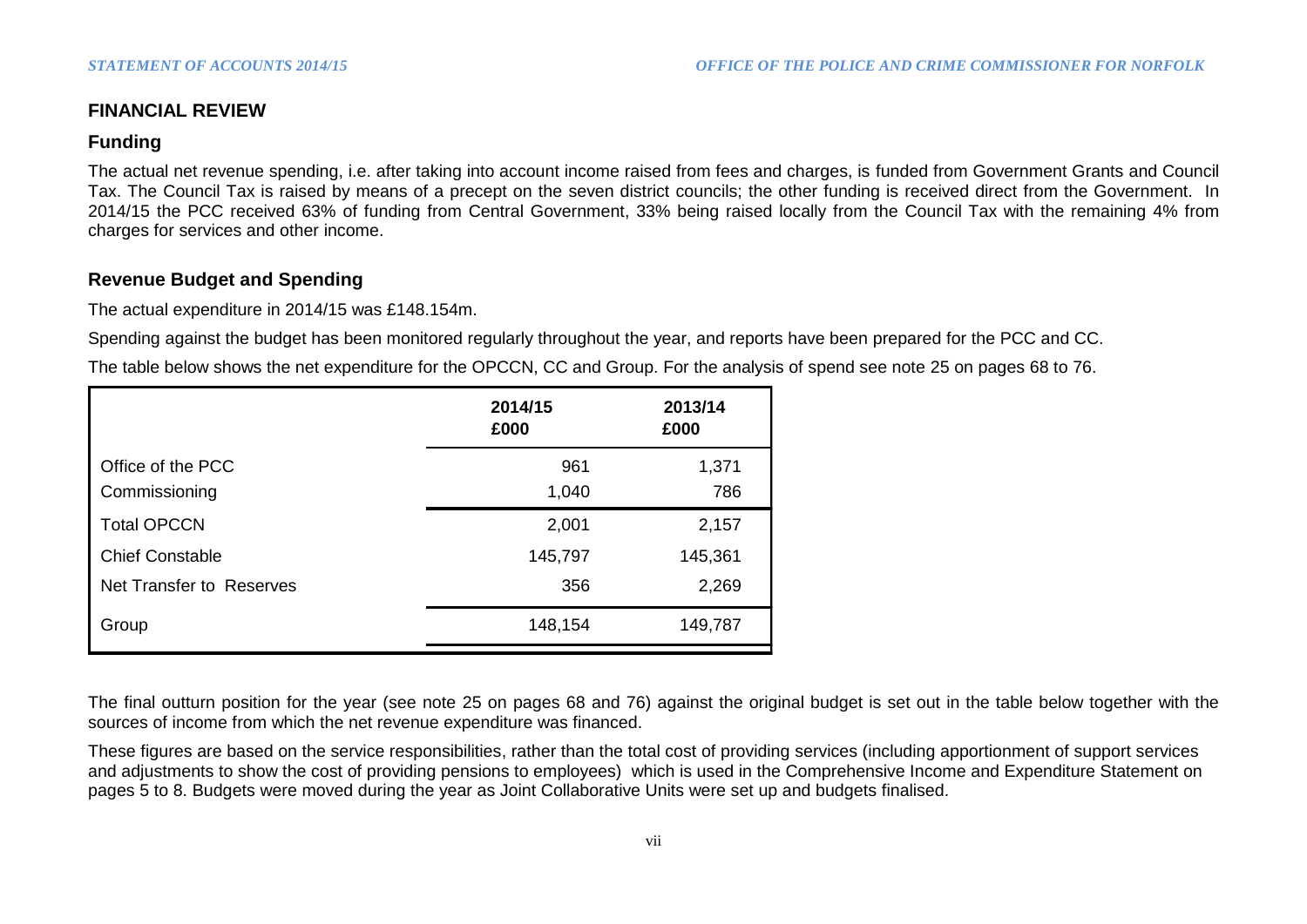## **FINANCIAL REVIEW**

## **Funding**

The actual net revenue spending, i.e. after taking into account income raised from fees and charges, is funded from Government Grants and Council Tax. The Council Tax is raised by means of a precept on the seven district councils; the other funding is received direct from the Government. In 2014/15 the PCC received 63% of funding from Central Government, 33% being raised locally from the Council Tax with the remaining 4% from charges for services and other income.

# **Revenue Budget and Spending**

The actual expenditure in 2014/15 was £148.154m.

Spending against the budget has been monitored regularly throughout the year, and reports have been prepared for the PCC and CC.

The table below shows the net expenditure for the OPCCN, CC and Group. For the analysis of spend see note 25 on pages 68 to 76.

|                          | 2014/15<br>£000 | 2013/14<br>£000 |
|--------------------------|-----------------|-----------------|
| Office of the PCC        | 961             | 1,371           |
| Commissioning            | 1,040           | 786             |
| <b>Total OPCCN</b>       | 2,001           | 2,157           |
| <b>Chief Constable</b>   | 145,797         | 145,361         |
| Net Transfer to Reserves | 356             | 2,269           |
| Group                    | 148,154         | 149,787         |

The final outturn position for the year (see note 25 on pages 68 and 76) against the original budget is set out in the table below together with the sources of income from which the net revenue expenditure was financed.

These figures are based on the service responsibilities, rather than the total cost of providing services (including apportionment of support services and adjustments to show the cost of providing pensions to employees) which is used in the Comprehensive Income and Expenditure Statement on pages 5 to 8. Budgets were moved during the year as Joint Collaborative Units were set up and budgets finalised.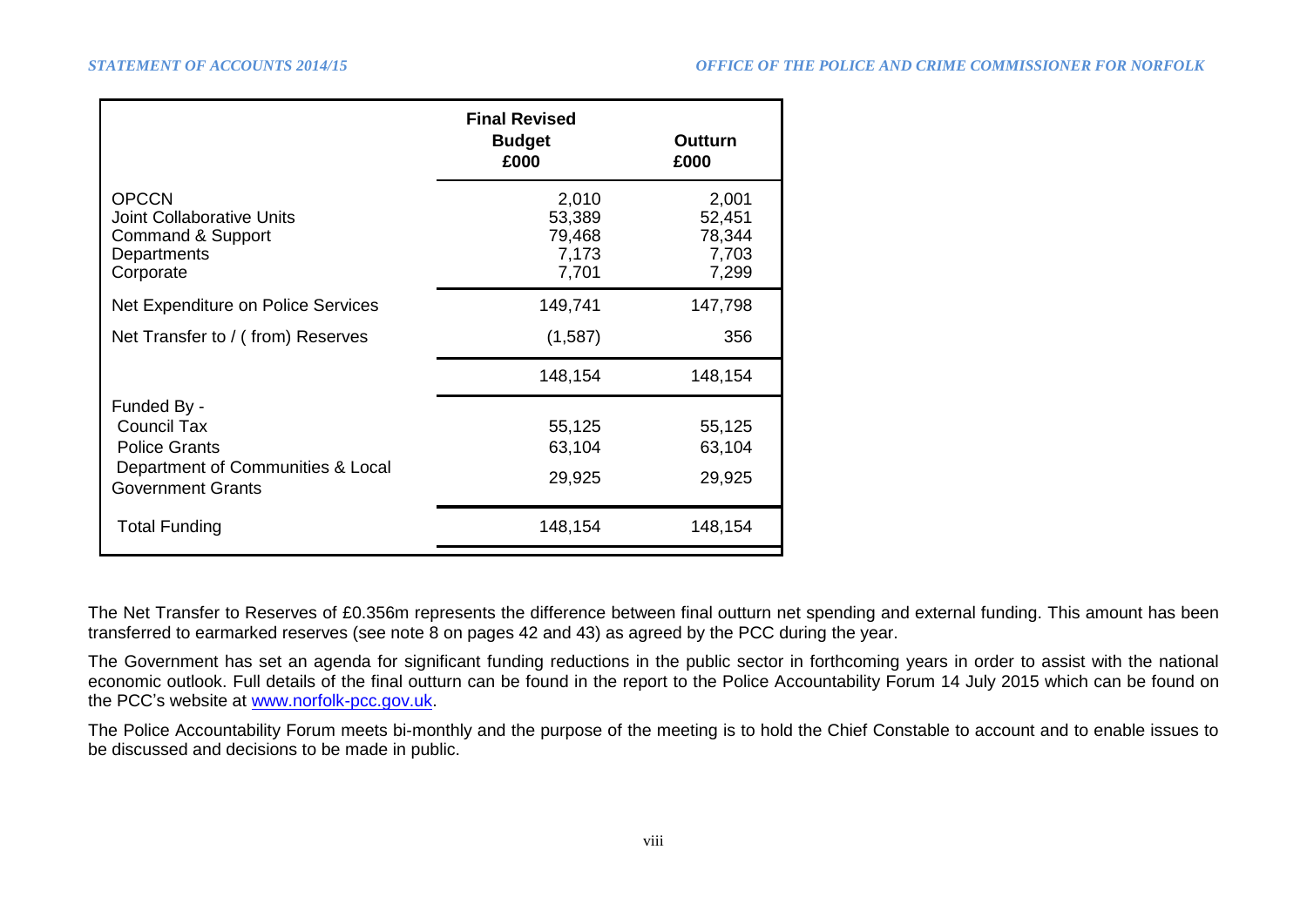|                                                                                                                     | <b>Final Revised</b><br><b>Budget</b><br>£000 | <b>Outturn</b><br>£000                      |
|---------------------------------------------------------------------------------------------------------------------|-----------------------------------------------|---------------------------------------------|
| <b>OPCCN</b><br><b>Joint Collaborative Units</b><br>Command & Support<br>Departments<br>Corporate                   | 2,010<br>53,389<br>79,468<br>7,173<br>7,701   | 2,001<br>52,451<br>78,344<br>7,703<br>7,299 |
| Net Expenditure on Police Services                                                                                  | 149,741                                       | 147,798                                     |
| Net Transfer to / (from) Reserves                                                                                   | (1,587)                                       | 356                                         |
|                                                                                                                     | 148,154                                       | 148,154                                     |
| Funded By -<br>Council Tax<br><b>Police Grants</b><br>Department of Communities & Local<br><b>Government Grants</b> | 55,125<br>63,104<br>29,925                    | 55,125<br>63,104<br>29,925                  |
| <b>Total Funding</b>                                                                                                | 148,154                                       | 148,154                                     |

The Net Transfer to Reserves of £0.356m represents the difference between final outturn net spending and external funding. This amount has been transferred to earmarked reserves (see note 8 on pages 42 and 43) as agreed by the PCC during the year.

The Government has set an agenda for significant funding reductions in the public sector in forthcoming years in order to assist with the national economic outlook. Full details of the final outturn can be found in the report to the Police Accountability Forum 14 July 2015 which can be found on the PCC's website at [www.norfolk-pcc.gov.uk.](http://www.norfolk-pcc.gov.uk/)

The Police Accountability Forum meets bi-monthly and the purpose of the meeting is to hold the Chief Constable to account and to enable issues to be discussed and decisions to be made in public.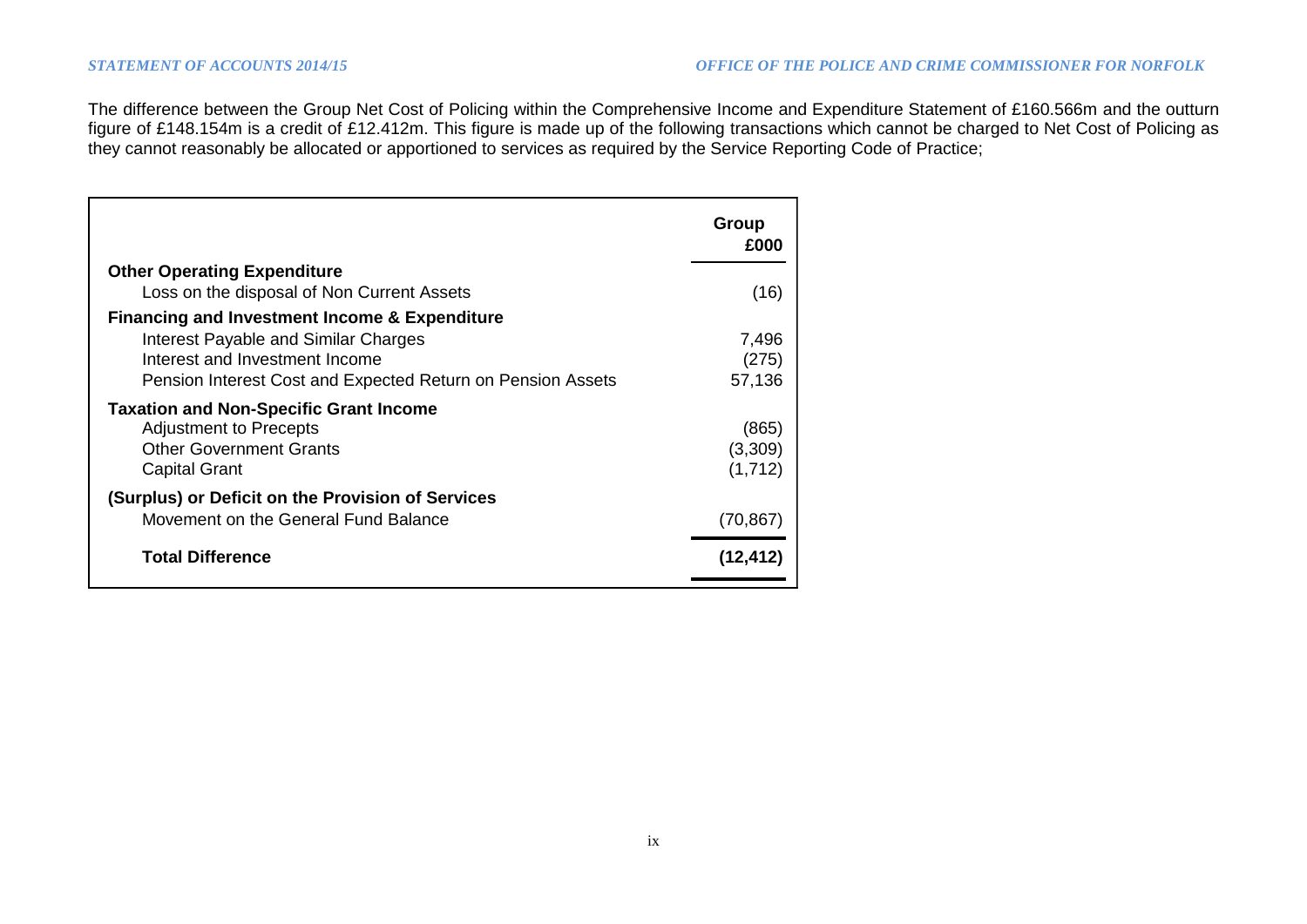The difference between the Group Net Cost of Policing within the Comprehensive Income and Expenditure Statement of £160.566m and the outturn figure of £148.154m is a credit of £12.412m. This figure is made up of the following transactions which cannot be charged to Net Cost of Policing as they cannot reasonably be allocated or apportioned to services as required by the Service Reporting Code of Practice;

|                                                             | Group<br>£000 |
|-------------------------------------------------------------|---------------|
| <b>Other Operating Expenditure</b>                          |               |
| Loss on the disposal of Non Current Assets                  | (16)          |
| <b>Financing and Investment Income &amp; Expenditure</b>    |               |
| Interest Payable and Similar Charges                        | 7,496         |
| Interest and Investment Income                              | (275)         |
| Pension Interest Cost and Expected Return on Pension Assets | 57,136        |
| <b>Taxation and Non-Specific Grant Income</b>               |               |
| <b>Adjustment to Precepts</b>                               | (865)         |
| <b>Other Government Grants</b>                              | (3,309)       |
| <b>Capital Grant</b>                                        | (1,712)       |
| (Surplus) or Deficit on the Provision of Services           |               |
| Movement on the General Fund Balance                        | (70, 867)     |
| <b>Total Difference</b>                                     | (12,412       |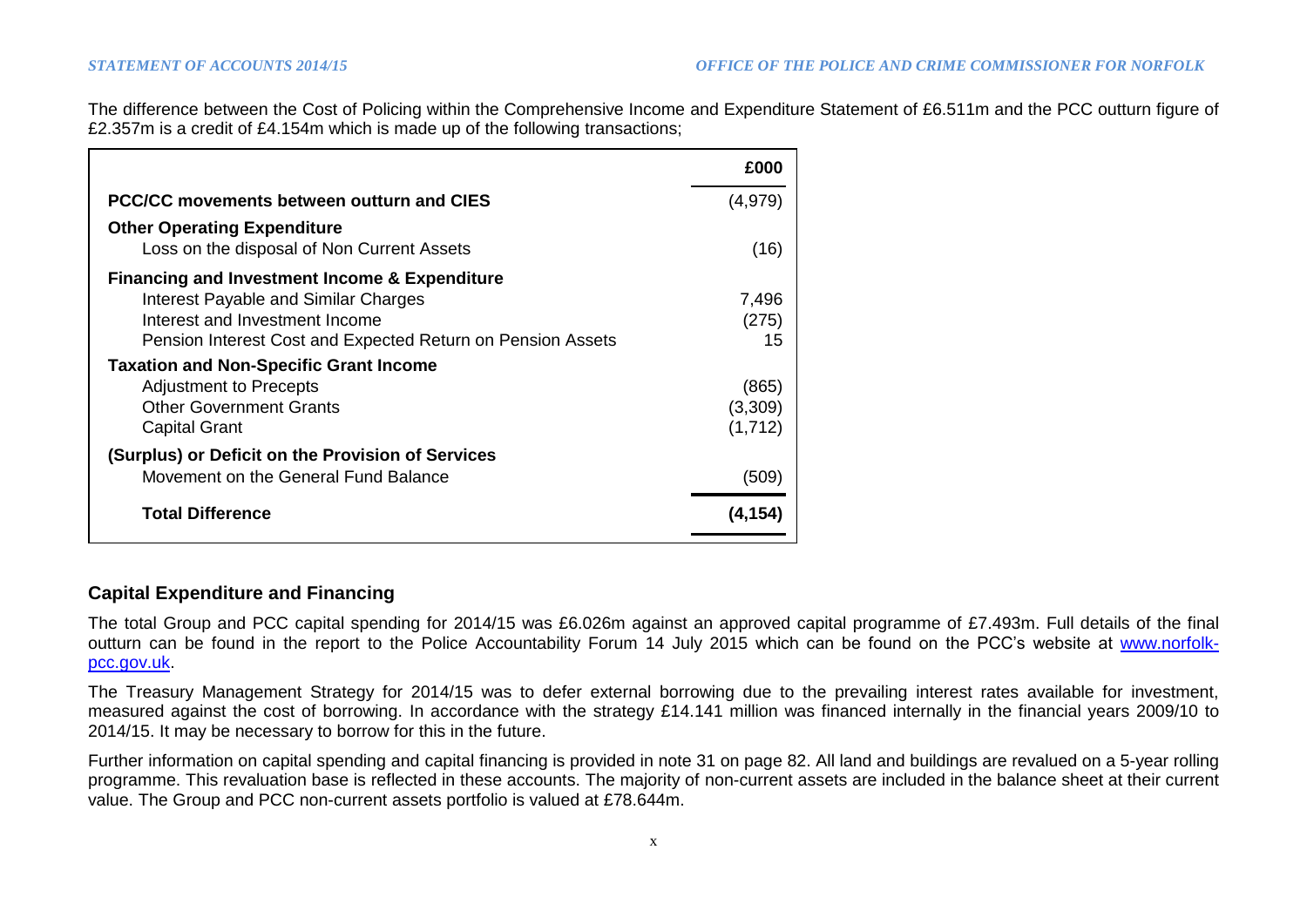The difference between the Cost of Policing within the Comprehensive Income and Expenditure Statement of £6.511m and the PCC outturn figure of £2.357m is a credit of £4.154m which is made up of the following transactions;

|                                                                                  | £000     |
|----------------------------------------------------------------------------------|----------|
| PCC/CC movements between outturn and CIES                                        | (4, 979) |
| <b>Other Operating Expenditure</b><br>Loss on the disposal of Non Current Assets | (16)     |
| <b>Financing and Investment Income &amp; Expenditure</b>                         |          |
| Interest Payable and Similar Charges                                             | 7,496    |
| Interest and Investment Income                                                   | (275)    |
| Pension Interest Cost and Expected Return on Pension Assets                      | 15       |
| <b>Taxation and Non-Specific Grant Income</b>                                    |          |
| <b>Adjustment to Precepts</b>                                                    | (865)    |
| <b>Other Government Grants</b>                                                   | (3,309)  |
| <b>Capital Grant</b>                                                             | (1,712)  |
| (Surplus) or Deficit on the Provision of Services                                |          |
| Movement on the General Fund Balance                                             | (509)    |
| <b>Total Difference</b>                                                          | (4,154   |

## **Capital Expenditure and Financing**

The total Group and PCC capital spending for 2014/15 was £6.026m against an approved capital programme of £7.493m. Full details of the final outturn can be found in the report to the Police Accountability Forum 14 July 2015 which can be found on the PCC's website at [www.norfolk](http://www.norfolk-pcc.gov.uk/)[pcc.gov.uk.](http://www.norfolk-pcc.gov.uk/)

The Treasury Management Strategy for 2014/15 was to defer external borrowing due to the prevailing interest rates available for investment, measured against the cost of borrowing. In accordance with the strategy £14.141 million was financed internally in the financial years 2009/10 to 2014/15. It may be necessary to borrow for this in the future.

Further information on capital spending and capital financing is provided in note 31 on page 82. All land and buildings are revalued on a 5-year rolling programme. This revaluation base is reflected in these accounts. The majority of non-current assets are included in the balance sheet at their current value. The Group and PCC non-current assets portfolio is valued at £78.644m.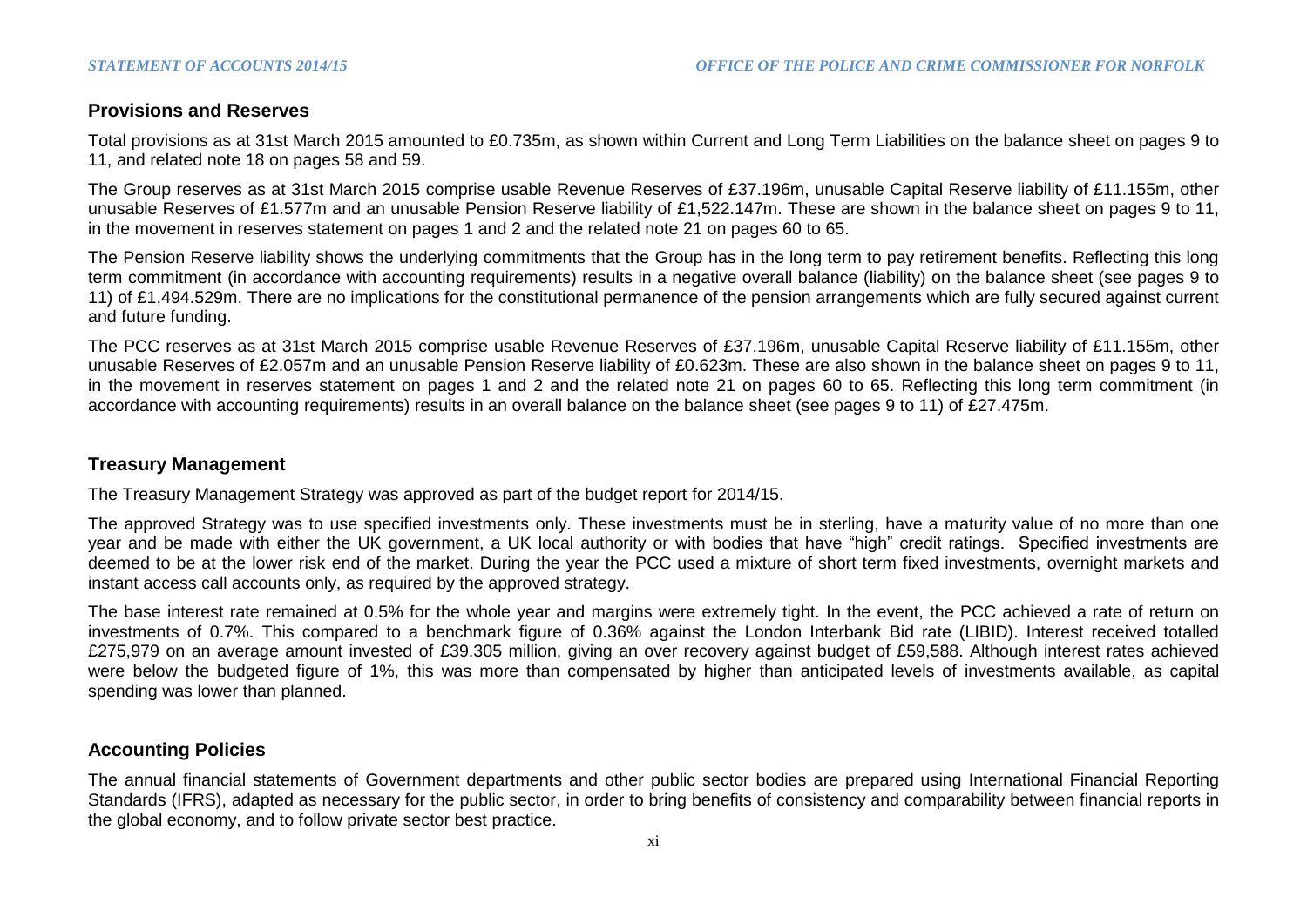## **Provisions and Reserves**

Total provisions as at 31st March 2015 amounted to £0.735m, as shown within Current and Long Term Liabilities on the balance sheet on pages 9 to 11, and related note 18 on pages 58 and 59.

The Group reserves as at 31st March 2015 comprise usable Revenue Reserves of £37.196m, unusable Capital Reserve liability of £11.155m, other unusable Reserves of £1.577m and an unusable Pension Reserve liability of £1,522.147m. These are shown in the balance sheet on pages 9 to 11, in the movement in reserves statement on pages 1 and 2 and the related note 21 on pages 60 to 65.

The Pension Reserve liability shows the underlying commitments that the Group has in the long term to pay retirement benefits. Reflecting this long term commitment (in accordance with accounting requirements) results in a negative overall balance (liability) on the balance sheet (see pages 9 to 11) of £1,494.529m. There are no implications for the constitutional permanence of the pension arrangements which are fully secured against current and future funding.

The PCC reserves as at 31st March 2015 comprise usable Revenue Reserves of £37.196m, unusable Capital Reserve liability of £11.155m, other unusable Reserves of £2.057m and an unusable Pension Reserve liability of £0.623m. These are also shown in the balance sheet on pages 9 to 11, in the movement in reserves statement on pages 1 and 2 and the related note 21 on pages 60 to 65. Reflecting this long term commitment (in accordance with accounting requirements) results in an overall balance on the balance sheet (see pages 9 to 11) of £27.475m.

## **Treasury Management**

The Treasury Management Strategy was approved as part of the budget report for 2014/15.

The approved Strategy was to use specified investments only. These investments must be in sterling, have a maturity value of no more than one year and be made with either the UK government, a UK local authority or with bodies that have "high" credit ratings. Specified investments are deemed to be at the lower risk end of the market. During the year the PCC used a mixture of short term fixed investments, overnight markets and instant access call accounts only, as required by the approved strategy.

The base interest rate remained at 0.5% for the whole year and margins were extremely tight. In the event, the PCC achieved a rate of return on investments of 0.7%. This compared to a benchmark figure of 0.36% against the London Interbank Bid rate (LIBID). Interest received totalled £275,979 on an average amount invested of £39.305 million, giving an over recovery against budget of £59,588. Although interest rates achieved were below the budgeted figure of 1%, this was more than compensated by higher than anticipated levels of investments available, as capital spending was lower than planned.

## **Accounting Policies**

The annual financial statements of Government departments and other public sector bodies are prepared using International Financial Reporting Standards (IFRS), adapted as necessary for the public sector, in order to bring benefits of consistency and comparability between financial reports in the global economy, and to follow private sector best practice.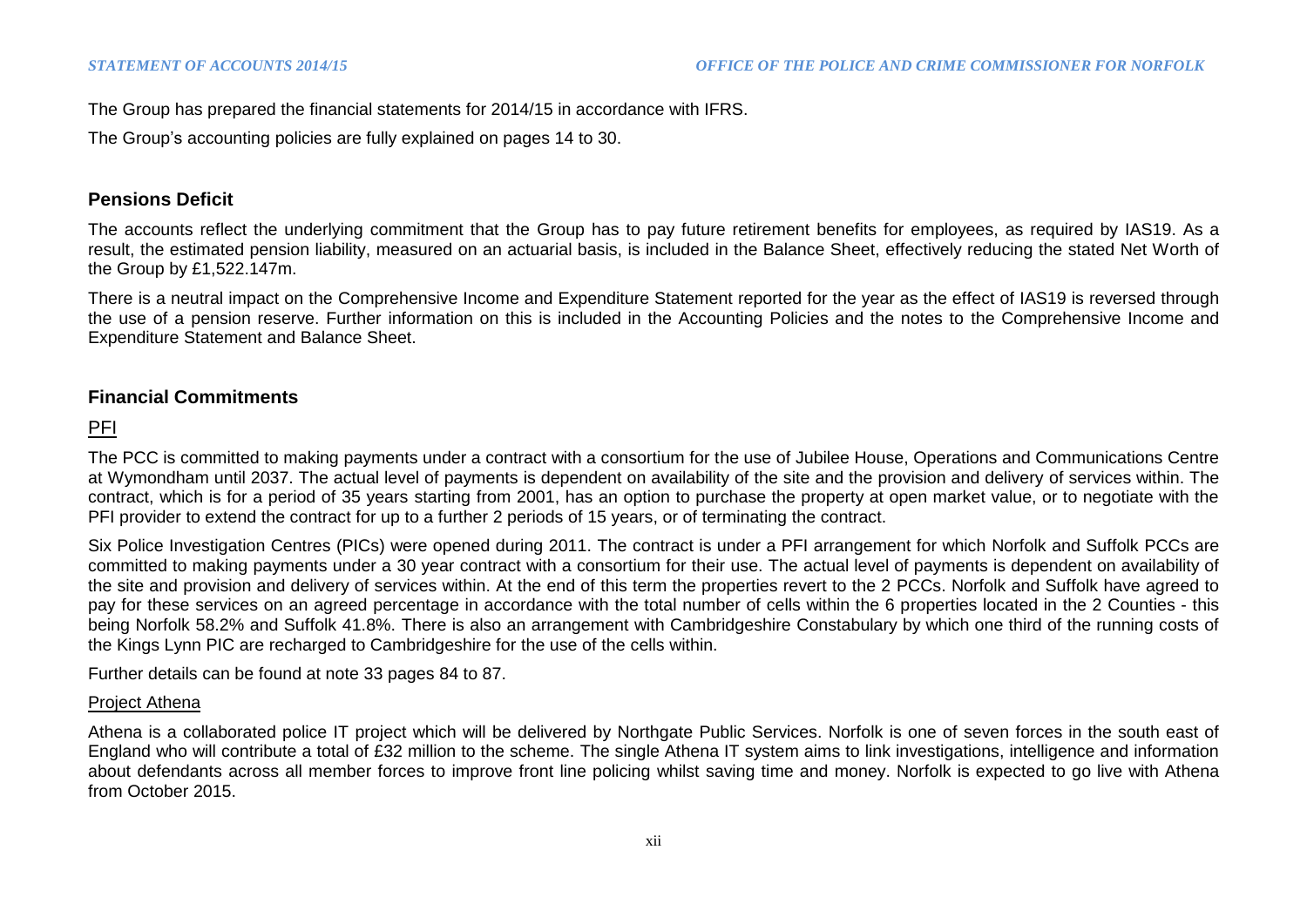The Group has prepared the financial statements for 2014/15 in accordance with IFRS.

The Group's accounting policies are fully explained on pages 14 to 30.

## **Pensions Deficit**

The accounts reflect the underlying commitment that the Group has to pay future retirement benefits for employees, as required by IAS19. As a result, the estimated pension liability, measured on an actuarial basis, is included in the Balance Sheet, effectively reducing the stated Net Worth of the Group by £1,522.147m.

There is a neutral impact on the Comprehensive Income and Expenditure Statement reported for the year as the effect of IAS19 is reversed through the use of a pension reserve. Further information on this is included in the Accounting Policies and the notes to the Comprehensive Income and Expenditure Statement and Balance Sheet.

# **Financial Commitments**

# PFI

The PCC is committed to making payments under a contract with a consortium for the use of Jubilee House, Operations and Communications Centre at Wymondham until 2037. The actual level of payments is dependent on availability of the site and the provision and delivery of services within. The contract, which is for a period of 35 years starting from 2001, has an option to purchase the property at open market value, or to negotiate with the PFI provider to extend the contract for up to a further 2 periods of 15 years, or of terminating the contract.

Six Police Investigation Centres (PICs) were opened during 2011. The contract is under a PFI arrangement for which Norfolk and Suffolk PCCs are committed to making payments under a 30 year contract with a consortium for their use. The actual level of payments is dependent on availability of the site and provision and delivery of services within. At the end of this term the properties revert to the 2 PCCs. Norfolk and Suffolk have agreed to pay for these services on an agreed percentage in accordance with the total number of cells within the 6 properties located in the 2 Counties - this being Norfolk 58.2% and Suffolk 41.8%. There is also an arrangement with Cambridgeshire Constabulary by which one third of the running costs of the Kings Lynn PIC are recharged to Cambridgeshire for the use of the cells within.

Further details can be found at note 33 pages 84 to 87.

#### Project Athena

Athena is a collaborated police IT project which will be delivered by Northgate Public Services. Norfolk is one of seven forces in the south east of England who will contribute a total of £32 million to the scheme. The single Athena IT system aims to link investigations, intelligence and information about defendants across all member forces to improve front line policing whilst saving time and money. Norfolk is expected to go live with Athena from October 2015.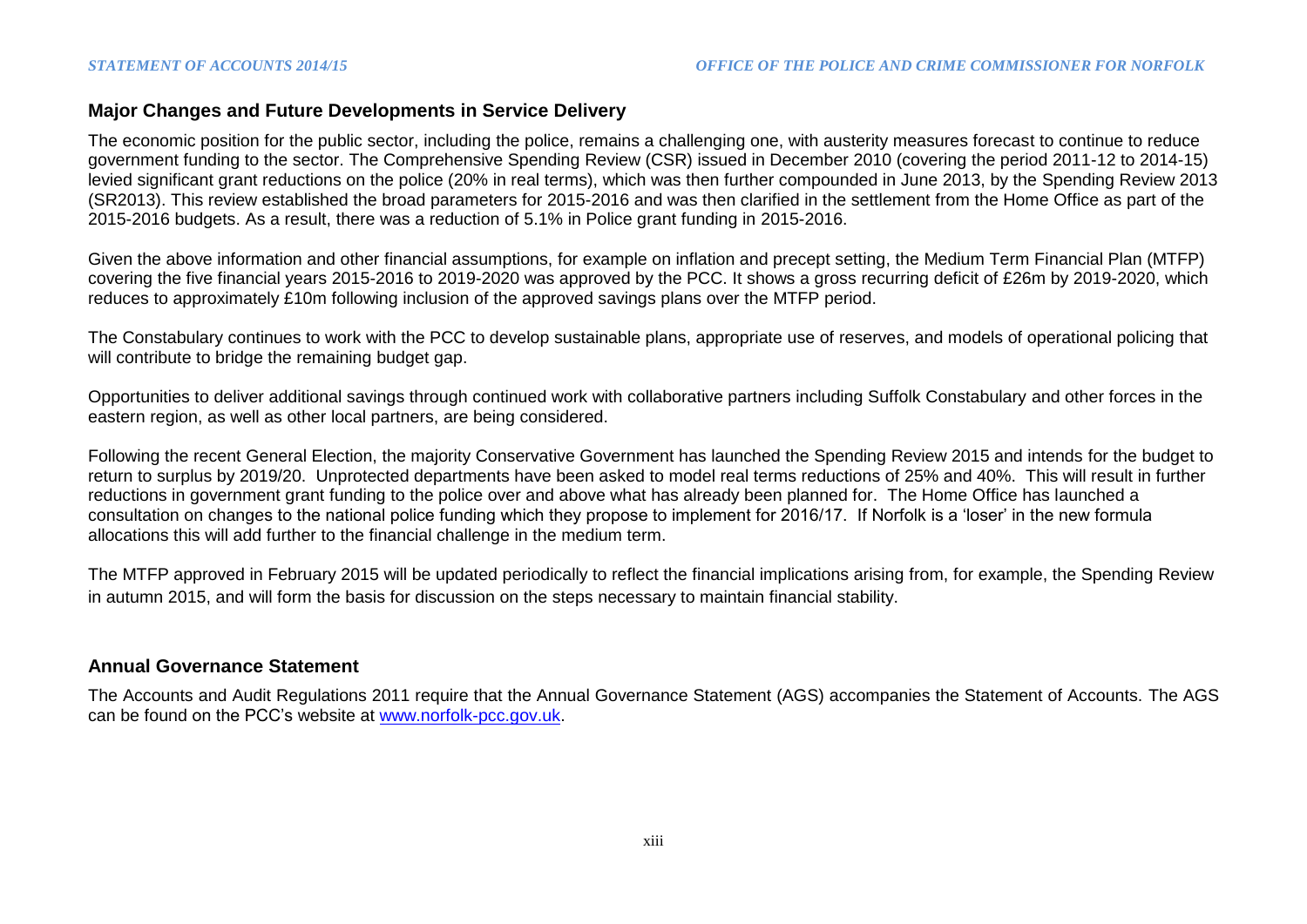## **Major Changes and Future Developments in Service Delivery**

The economic position for the public sector, including the police, remains a challenging one, with austerity measures forecast to continue to reduce government funding to the sector. The Comprehensive Spending Review (CSR) issued in December 2010 (covering the period 2011-12 to 2014-15) levied significant grant reductions on the police (20% in real terms), which was then further compounded in June 2013, by the Spending Review 2013 (SR2013). This review established the broad parameters for 2015-2016 and was then clarified in the settlement from the Home Office as part of the 2015-2016 budgets. As a result, there was a reduction of 5.1% in Police grant funding in 2015-2016.

Given the above information and other financial assumptions, for example on inflation and precept setting, the Medium Term Financial Plan (MTFP) covering the five financial years 2015-2016 to 2019-2020 was approved by the PCC. It shows a gross recurring deficit of £26m by 2019-2020, which reduces to approximately £10m following inclusion of the approved savings plans over the MTFP period.

The Constabulary continues to work with the PCC to develop sustainable plans, appropriate use of reserves, and models of operational policing that will contribute to bridge the remaining budget gap.

Opportunities to deliver additional savings through continued work with collaborative partners including Suffolk Constabulary and other forces in the eastern region, as well as other local partners, are being considered.

Following the recent General Election, the majority Conservative Government has launched the Spending Review 2015 and intends for the budget to return to surplus by 2019/20. Unprotected departments have been asked to model real terms reductions of 25% and 40%. This will result in further reductions in government grant funding to the police over and above what has already been planned for. The Home Office has launched a consultation on changes to the national police funding which they propose to implement for 2016/17. If Norfolk is a 'loser' in the new formula allocations this will add further to the financial challenge in the medium term.

The MTFP approved in February 2015 will be updated periodically to reflect the financial implications arising from, for example, the Spending Review in autumn 2015, and will form the basis for discussion on the steps necessary to maintain financial stability.

#### **Annual Governance Statement**

The Accounts and Audit Regulations 2011 require that the Annual Governance Statement (AGS) accompanies the Statement of Accounts. The AGS can be found on the PCC's website at [www.norfolk-pcc.gov.uk.](http://www.norfolk-pcc.gov.uk/)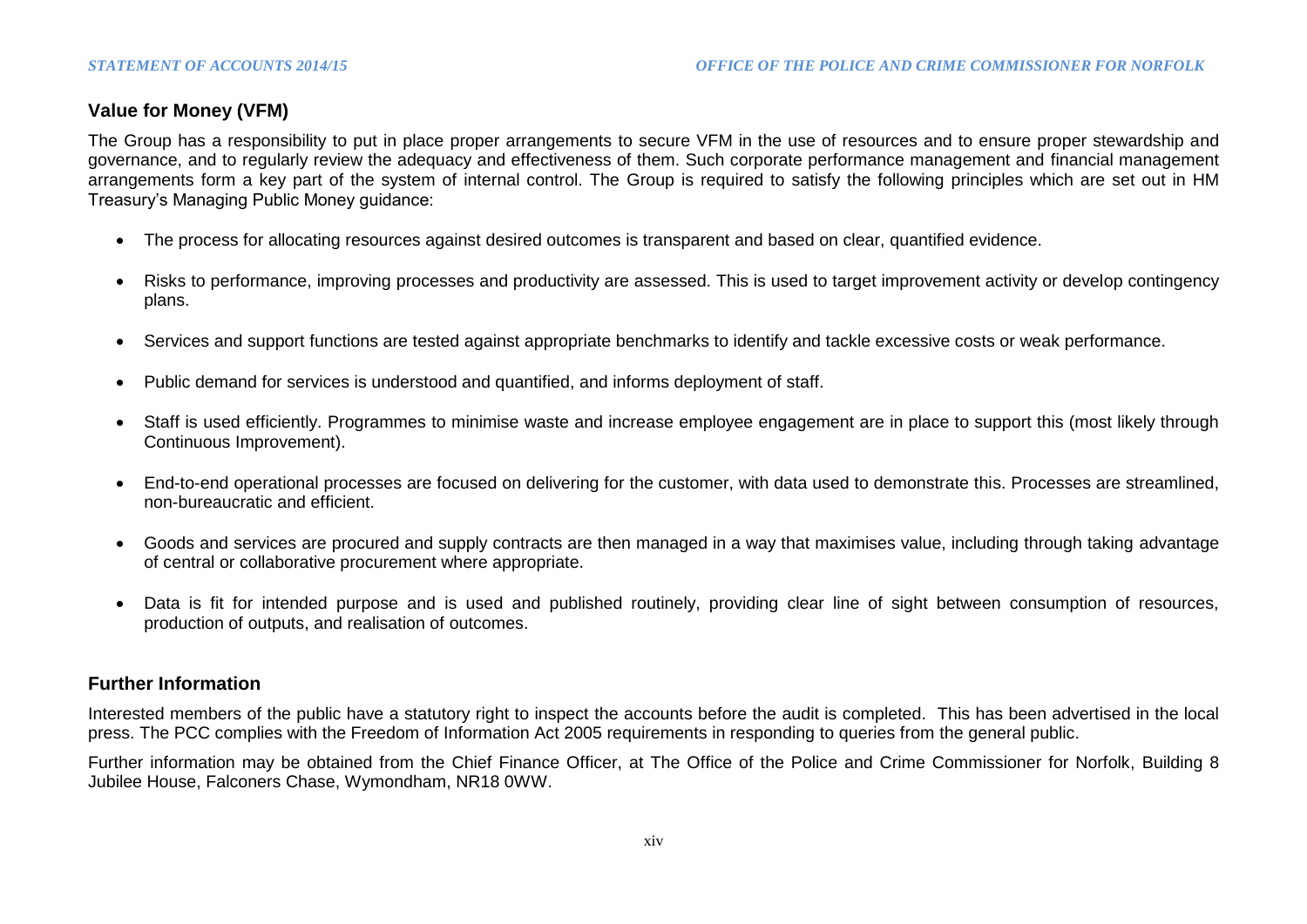# **Value for Money (VFM)**

The Group has a responsibility to put in place proper arrangements to secure VFM in the use of resources and to ensure proper stewardship and governance, and to regularly review the adequacy and effectiveness of them. Such corporate performance management and financial management arrangements form a key part of the system of internal control. The Group is required to satisfy the following principles which are set out in HM Treasury's Managing Public Money guidance:

- The process for allocating resources against desired outcomes is transparent and based on clear, quantified evidence.
- Risks to performance, improving processes and productivity are assessed. This is used to target improvement activity or develop contingency plans.
- Services and support functions are tested against appropriate benchmarks to identify and tackle excessive costs or weak performance.
- Public demand for services is understood and quantified, and informs deployment of staff.
- Staff is used efficiently. Programmes to minimise waste and increase employee engagement are in place to support this (most likely through Continuous Improvement).
- End-to-end operational processes are focused on delivering for the customer, with data used to demonstrate this. Processes are streamlined, non-bureaucratic and efficient.
- Goods and services are procured and supply contracts are then managed in a way that maximises value, including through taking advantage of central or collaborative procurement where appropriate.
- Data is fit for intended purpose and is used and published routinely, providing clear line of sight between consumption of resources, production of outputs, and realisation of outcomes.

## **Further Information**

Interested members of the public have a statutory right to inspect the accounts before the audit is completed. This has been advertised in the local press. The PCC complies with the Freedom of Information Act 2005 requirements in responding to queries from the general public.

Further information may be obtained from the Chief Finance Officer, at The Office of the Police and Crime Commissioner for Norfolk, Building 8 Jubilee House, Falconers Chase, Wymondham, NR18 0WW.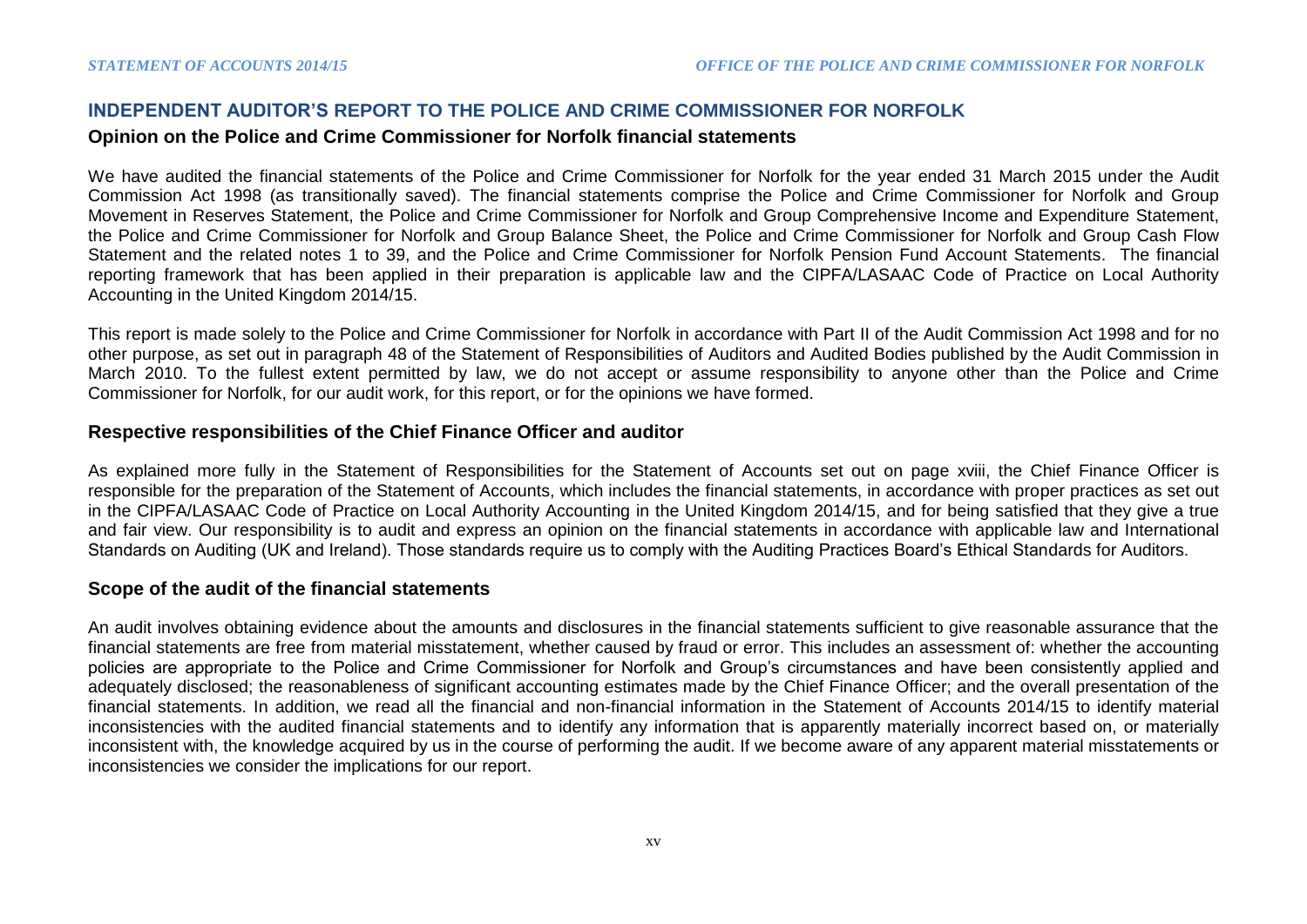## **INDEPENDENT AUDITOR'S REPORT TO THE POLICE AND CRIME COMMISSIONER FOR NORFOLK**

#### **Opinion on the Police and Crime Commissioner for Norfolk financial statements**

We have audited the financial statements of the Police and Crime Commissioner for Norfolk for the year ended 31 March 2015 under the Audit Commission Act 1998 (as transitionally saved). The financial statements comprise the Police and Crime Commissioner for Norfolk and Group Movement in Reserves Statement, the Police and Crime Commissioner for Norfolk and Group Comprehensive Income and Expenditure Statement, the Police and Crime Commissioner for Norfolk and Group Balance Sheet, the Police and Crime Commissioner for Norfolk and Group Cash Flow Statement and the related notes 1 to 39, and the Police and Crime Commissioner for Norfolk Pension Fund Account Statements. The financial reporting framework that has been applied in their preparation is applicable law and the CIPFA/LASAAC Code of Practice on Local Authority Accounting in the United Kingdom 2014/15.

This report is made solely to the Police and Crime Commissioner for Norfolk in accordance with Part II of the Audit Commission Act 1998 and for no other purpose, as set out in paragraph 48 of the Statement of Responsibilities of Auditors and Audited Bodies published by the Audit Commission in March 2010. To the fullest extent permitted by law, we do not accept or assume responsibility to anyone other than the Police and Crime Commissioner for Norfolk, for our audit work, for this report, or for the opinions we have formed.

## **Respective responsibilities of the Chief Finance Officer and auditor**

As explained more fully in the Statement of Responsibilities for the Statement of Accounts set out on page xviii, the Chief Finance Officer is responsible for the preparation of the Statement of Accounts, which includes the financial statements, in accordance with proper practices as set out in the CIPFA/LASAAC Code of Practice on Local Authority Accounting in the United Kingdom 2014/15, and for being satisfied that they give a true and fair view. Our responsibility is to audit and express an opinion on the financial statements in accordance with applicable law and International Standards on Auditing (UK and Ireland). Those standards require us to comply with the Auditing Practices Board's Ethical Standards for Auditors.

## **Scope of the audit of the financial statements**

An audit involves obtaining evidence about the amounts and disclosures in the financial statements sufficient to give reasonable assurance that the financial statements are free from material misstatement, whether caused by fraud or error. This includes an assessment of: whether the accounting policies are appropriate to the Police and Crime Commissioner for Norfolk and Group's circumstances and have been consistently applied and adequately disclosed; the reasonableness of significant accounting estimates made by the Chief Finance Officer; and the overall presentation of the financial statements. In addition, we read all the financial and non-financial information in the Statement of Accounts 2014/15 to identify material inconsistencies with the audited financial statements and to identify any information that is apparently materially incorrect based on, or materially inconsistent with, the knowledge acquired by us in the course of performing the audit. If we become aware of any apparent material misstatements or inconsistencies we consider the implications for our report.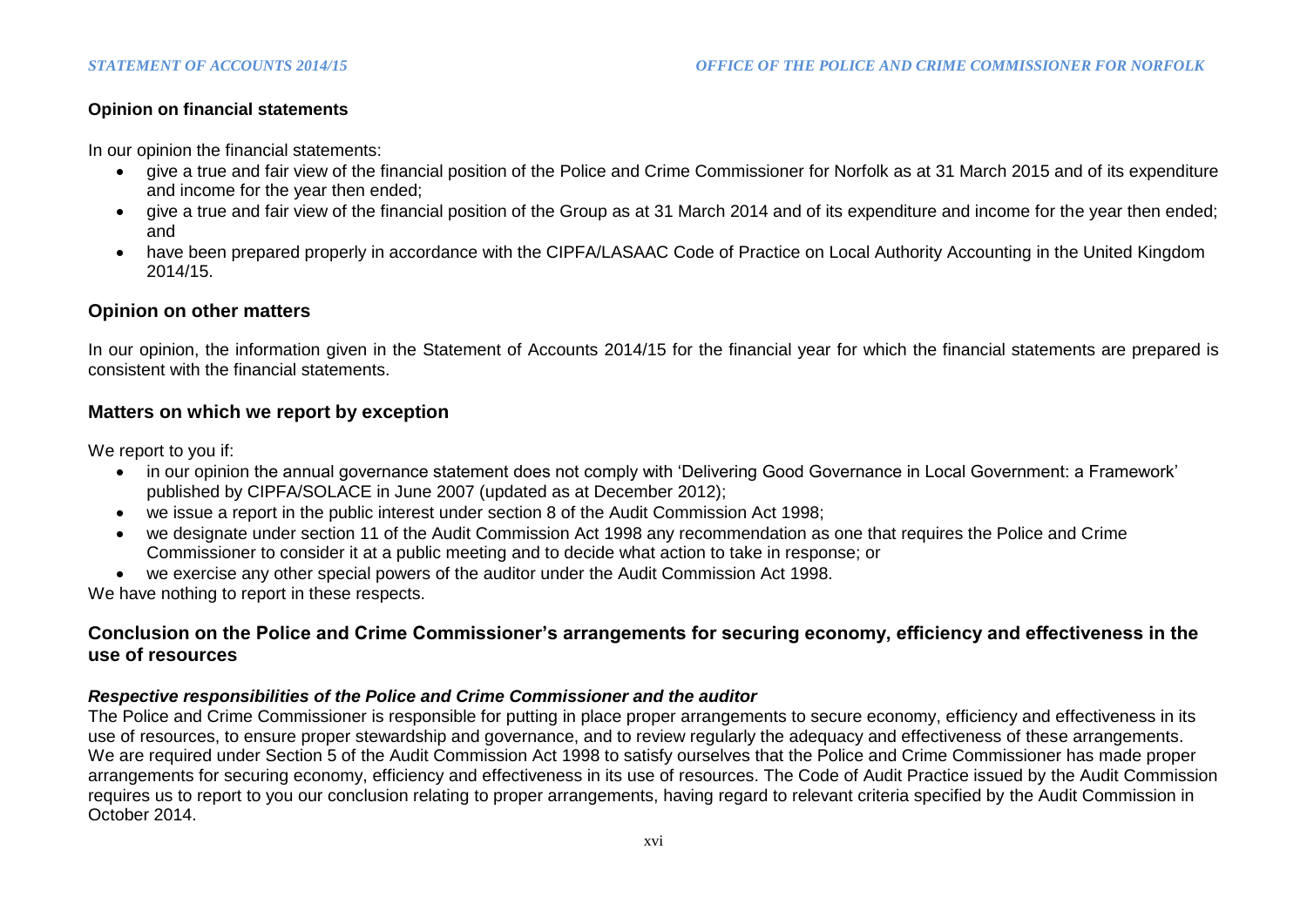## **Opinion on financial statements**

In our opinion the financial statements:

- give a true and fair view of the financial position of the Police and Crime Commissioner for Norfolk as at 31 March 2015 and of its expenditure and income for the year then ended;
- give a true and fair view of the financial position of the Group as at 31 March 2014 and of its expenditure and income for the year then ended; and
- have been prepared properly in accordance with the CIPFA/LASAAC Code of Practice on Local Authority Accounting in the United Kingdom 2014/15.

# **Opinion on other matters**

In our opinion, the information given in the Statement of Accounts 2014/15 for the financial year for which the financial statements are prepared is consistent with the financial statements.

## **Matters on which we report by exception**

We report to you if:

- in our opinion the annual governance statement does not comply with 'Delivering Good Governance in Local Government: a Framework' published by CIPFA/SOLACE in June 2007 (updated as at December 2012);
- we issue a report in the public interest under section 8 of the Audit Commission Act 1998;
- we designate under section 11 of the Audit Commission Act 1998 any recommendation as one that requires the Police and Crime Commissioner to consider it at a public meeting and to decide what action to take in response; or
- we exercise any other special powers of the auditor under the Audit Commission Act 1998.

We have nothing to report in these respects.

# **Conclusion on the Police and Crime Commissioner's arrangements for securing economy, efficiency and effectiveness in the use of resources**

## *Respective responsibilities of the Police and Crime Commissioner and the auditor*

The Police and Crime Commissioner is responsible for putting in place proper arrangements to secure economy, efficiency and effectiveness in its use of resources, to ensure proper stewardship and governance, and to review regularly the adequacy and effectiveness of these arrangements. We are required under Section 5 of the Audit Commission Act 1998 to satisfy ourselves that the Police and Crime Commissioner has made proper arrangements for securing economy, efficiency and effectiveness in its use of resources. The Code of Audit Practice issued by the Audit Commission requires us to report to you our conclusion relating to proper arrangements, having regard to relevant criteria specified by the Audit Commission in October 2014.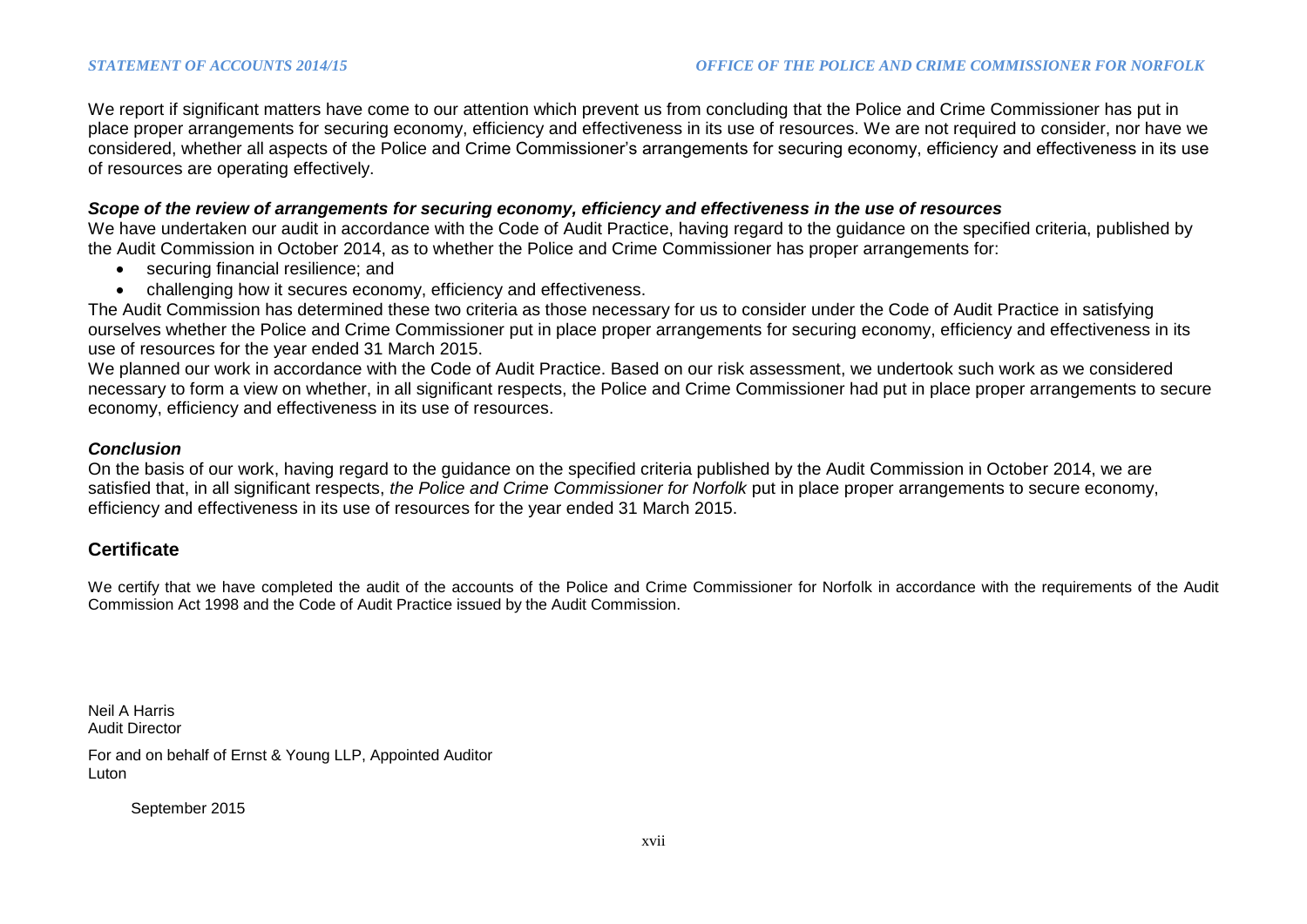We report if significant matters have come to our attention which prevent us from concluding that the Police and Crime Commissioner has put in place proper arrangements for securing economy, efficiency and effectiveness in its use of resources. We are not required to consider, nor have we considered, whether all aspects of the Police and Crime Commissioner's arrangements for securing economy, efficiency and effectiveness in its use of resources are operating effectively.

#### *Scope of the review of arrangements for securing economy, efficiency and effectiveness in the use of resources*

We have undertaken our audit in accordance with the Code of Audit Practice, having regard to the guidance on the specified criteria, published by the Audit Commission in October 2014, as to whether the Police and Crime Commissioner has proper arrangements for:

- securing financial resilience; and
- challenging how it secures economy, efficiency and effectiveness.

The Audit Commission has determined these two criteria as those necessary for us to consider under the Code of Audit Practice in satisfying ourselves whether the Police and Crime Commissioner put in place proper arrangements for securing economy, efficiency and effectiveness in its use of resources for the year ended 31 March 2015.

We planned our work in accordance with the Code of Audit Practice. Based on our risk assessment, we undertook such work as we considered necessary to form a view on whether, in all significant respects, the Police and Crime Commissioner had put in place proper arrangements to secure economy, efficiency and effectiveness in its use of resources.

#### *Conclusion*

On the basis of our work, having regard to the guidance on the specified criteria published by the Audit Commission in October 2014, we are satisfied that, in all significant respects, *the Police and Crime Commissioner for Norfolk* put in place proper arrangements to secure economy, efficiency and effectiveness in its use of resources for the year ended 31 March 2015.

## **Certificate**

We certify that we have completed the audit of the accounts of the Police and Crime Commissioner for Norfolk in accordance with the requirements of the Audit Commission Act 1998 and the Code of Audit Practice issued by the Audit Commission.

Neil A Harris Audit Director

For and on behalf of Ernst & Young LLP, Appointed Auditor Luton

September 2015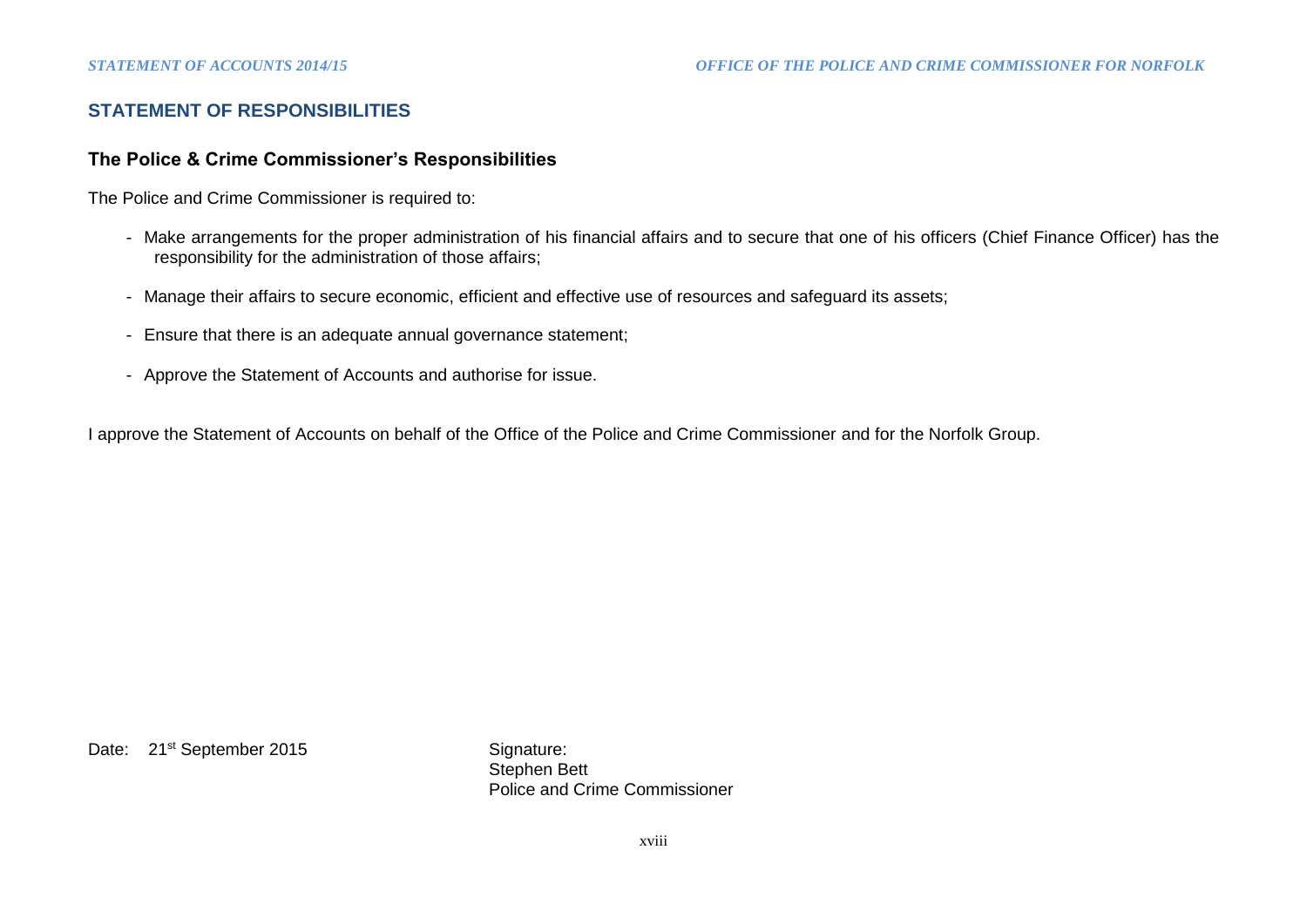# **STATEMENT OF RESPONSIBILITIES**

#### **The Police & Crime Commissioner's Responsibilities**

The Police and Crime Commissioner is required to:

- Make arrangements for the proper administration of his financial affairs and to secure that one of his officers (Chief Finance Officer) has the responsibility for the administration of those affairs;
- Manage their affairs to secure economic, efficient and effective use of resources and safeguard its assets;
- Ensure that there is an adequate annual governance statement;
- Approve the Statement of Accounts and authorise for issue.

I approve the Statement of Accounts on behalf of the Office of the Police and Crime Commissioner and for the Norfolk Group.

Date: 21<sup>st</sup> September 2015 Signature:

Stephen Bett Police and Crime Commissioner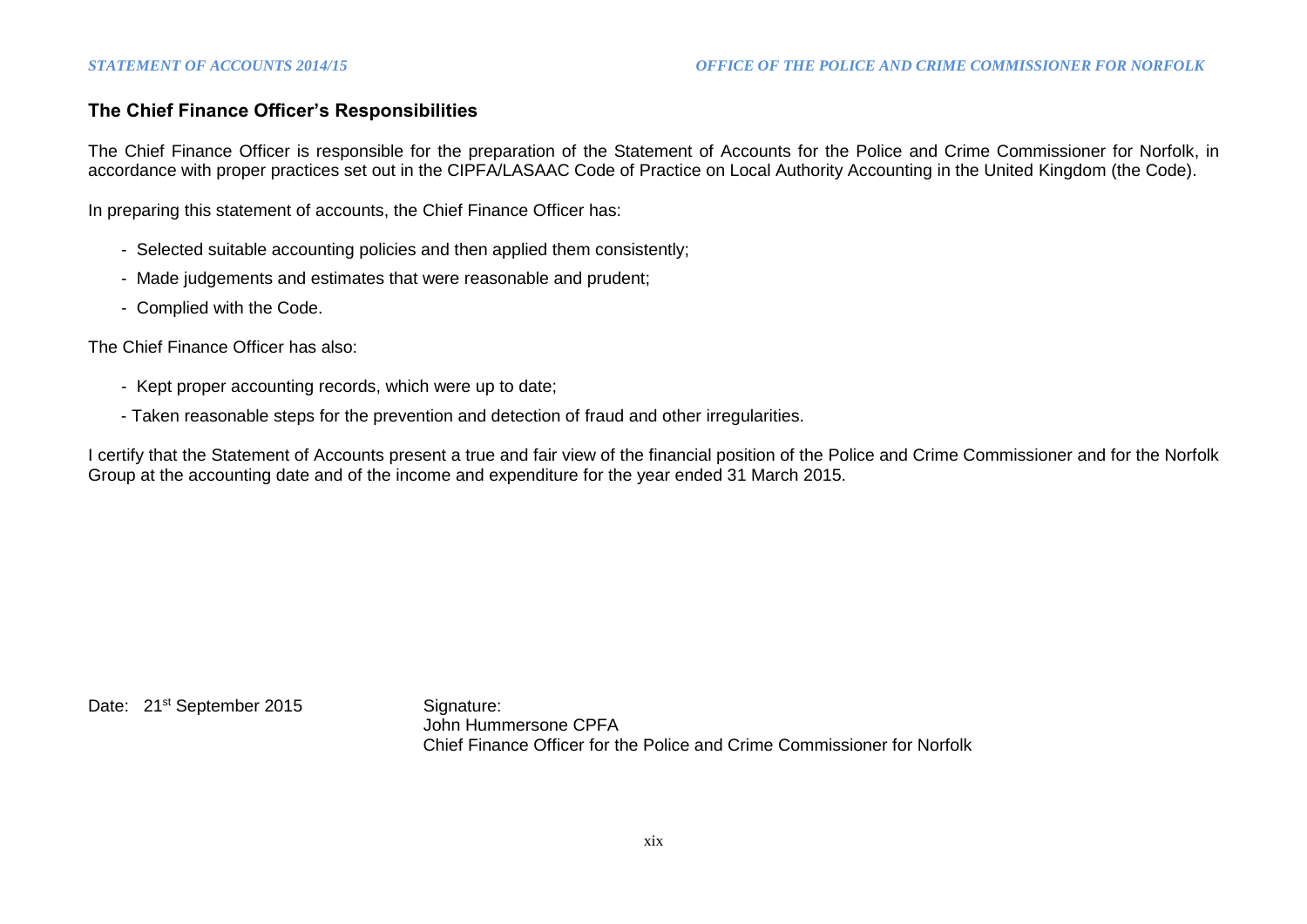## **The Chief Finance Officer's Responsibilities**

The Chief Finance Officer is responsible for the preparation of the Statement of Accounts for the Police and Crime Commissioner for Norfolk, in accordance with proper practices set out in the CIPFA/LASAAC Code of Practice on Local Authority Accounting in the United Kingdom (the Code).

In preparing this statement of accounts, the Chief Finance Officer has:

- Selected suitable accounting policies and then applied them consistently;
- Made judgements and estimates that were reasonable and prudent;
- Complied with the Code.

The Chief Finance Officer has also:

- Kept proper accounting records, which were up to date;
- Taken reasonable steps for the prevention and detection of fraud and other irregularities.

I certify that the Statement of Accounts present a true and fair view of the financial position of the Police and Crime Commissioner and for the Norfolk Group at the accounting date and of the income and expenditure for the year ended 31 March 2015.

Date: 21<sup>st</sup> September 2015 Signature:

John Hummersone CPFA Chief Finance Officer for the Police and Crime Commissioner for Norfolk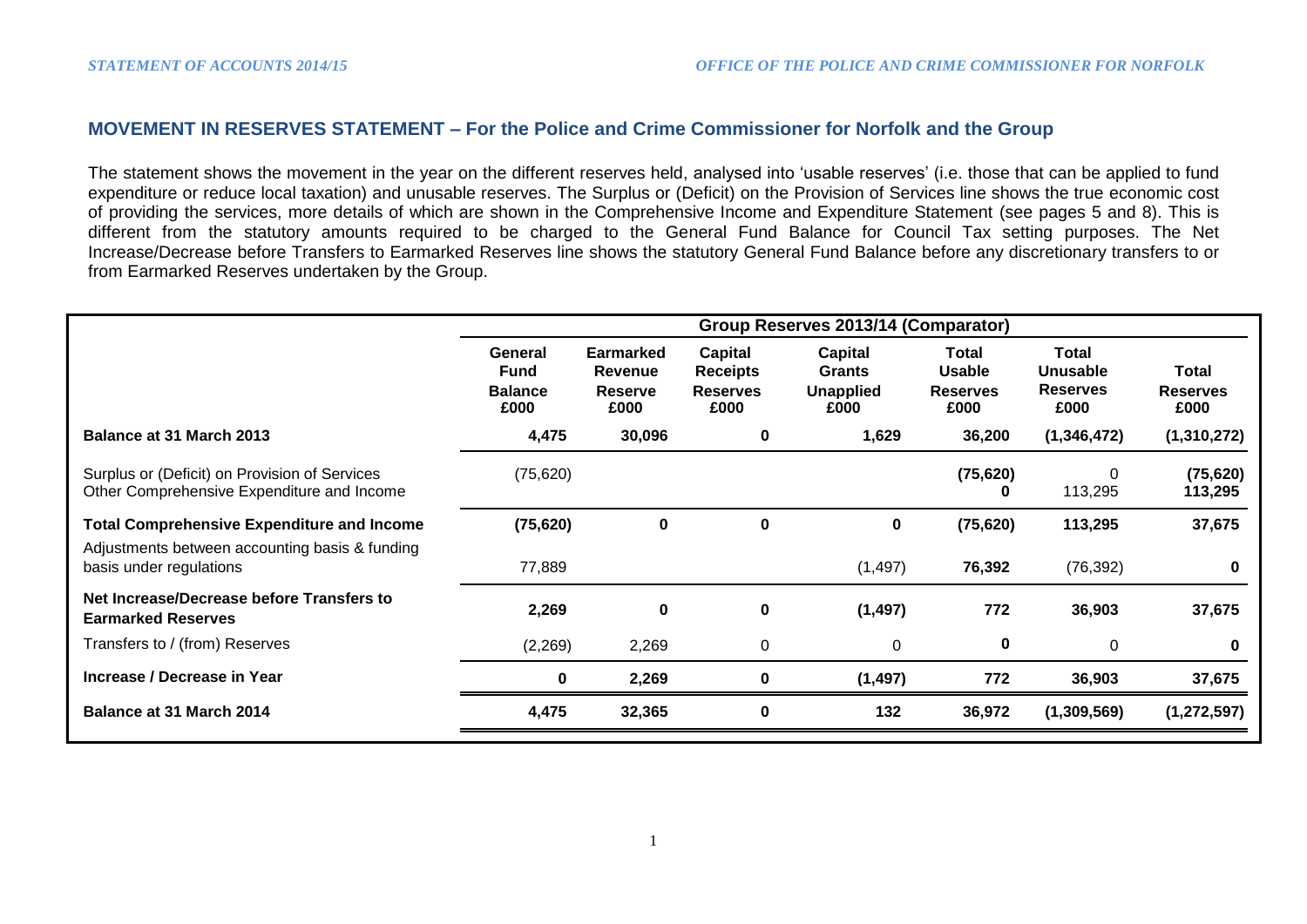## **MOVEMENT IN RESERVES STATEMENT – For the Police and Crime Commissioner for Norfolk and the Group**

The statement shows the movement in the year on the different reserves held, analysed into 'usable reserves' (i.e. those that can be applied to fund expenditure or reduce local taxation) and unusable reserves. The Surplus or (Deficit) on the Provision of Services line shows the true economic cost of providing the services, more details of which are shown in the Comprehensive Income and Expenditure Statement (see pages 5 and 8). This is different from the statutory amounts required to be charged to the General Fund Balance for Council Tax setting purposes. The Net Increase/Decrease before Transfers to Earmarked Reserves line shows the statutory General Fund Balance before any discretionary transfers to or from Earmarked Reserves undertaken by the Group.

|                                                                                             | Group Reserves 2013/14 (Comparator)              |                                                              |                                                       |                                                      |                                                   |                                              |                                  |  |
|---------------------------------------------------------------------------------------------|--------------------------------------------------|--------------------------------------------------------------|-------------------------------------------------------|------------------------------------------------------|---------------------------------------------------|----------------------------------------------|----------------------------------|--|
|                                                                                             | General<br><b>Fund</b><br><b>Balance</b><br>£000 | <b>Earmarked</b><br><b>Revenue</b><br><b>Reserve</b><br>£000 | Capital<br><b>Receipts</b><br><b>Reserves</b><br>£000 | Capital<br><b>Grants</b><br><b>Unapplied</b><br>£000 | Total<br><b>Usable</b><br><b>Reserves</b><br>£000 | Total<br>Unusable<br><b>Reserves</b><br>£000 | Total<br><b>Reserves</b><br>£000 |  |
| Balance at 31 March 2013                                                                    | 4,475                                            | 30,096                                                       | 0                                                     | 1,629                                                | 36,200                                            | (1,346,472)                                  | (1,310,272)                      |  |
| Surplus or (Deficit) on Provision of Services<br>Other Comprehensive Expenditure and Income | (75, 620)                                        |                                                              |                                                       |                                                      | (75, 620)<br>0                                    | 0<br>113,295                                 | (75, 620)<br>113,295             |  |
| <b>Total Comprehensive Expenditure and Income</b>                                           | (75, 620)                                        | $\mathbf 0$                                                  | 0                                                     | $\mathbf 0$                                          | (75, 620)                                         | 113,295                                      | 37,675                           |  |
| Adjustments between accounting basis & funding<br>basis under regulations                   | 77,889                                           |                                                              |                                                       | (1, 497)                                             | 76,392                                            | (76, 392)                                    | 0                                |  |
| Net Increase/Decrease before Transfers to<br><b>Earmarked Reserves</b>                      | 2,269                                            | $\mathbf 0$                                                  | 0                                                     | (1, 497)                                             | 772                                               | 36,903                                       | 37,675                           |  |
| Transfers to / (from) Reserves                                                              | (2, 269)                                         | 2,269                                                        | 0                                                     | 0                                                    | 0                                                 | 0                                            | 0                                |  |
| Increase / Decrease in Year                                                                 | $\mathbf 0$                                      | 2,269                                                        | 0                                                     | (1, 497)                                             | 772                                               | 36,903                                       | 37,675                           |  |
| <b>Balance at 31 March 2014</b>                                                             | 4,475                                            | 32,365                                                       | 0                                                     | 132                                                  | 36,972                                            | (1,309,569)                                  | (1, 272, 597)                    |  |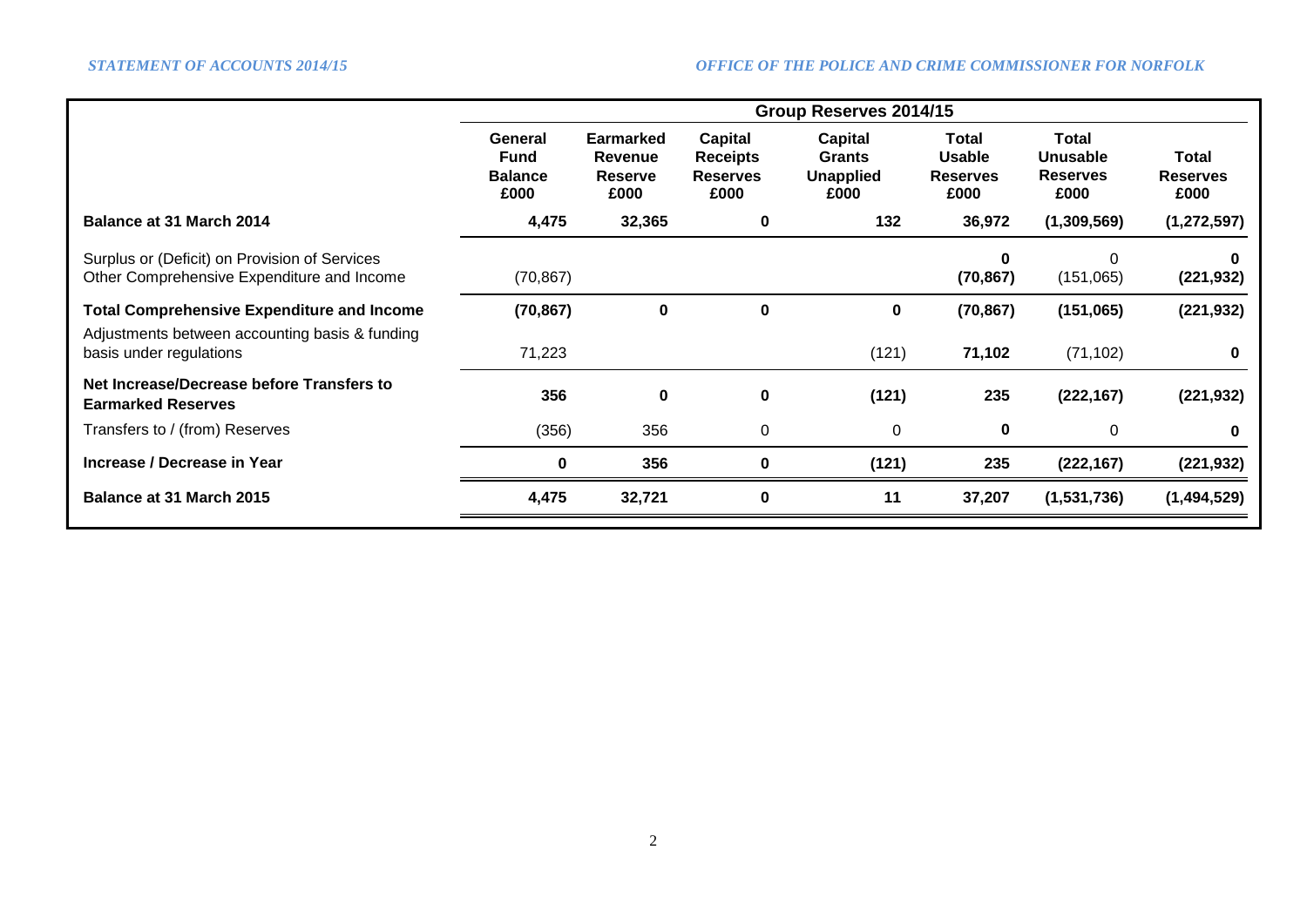|                                                                                             | Group Reserves 2014/15                           |                                                       |                                                       |                                               |                                                   |                                                     |                                  |  |  |
|---------------------------------------------------------------------------------------------|--------------------------------------------------|-------------------------------------------------------|-------------------------------------------------------|-----------------------------------------------|---------------------------------------------------|-----------------------------------------------------|----------------------------------|--|--|
|                                                                                             | General<br><b>Fund</b><br><b>Balance</b><br>£000 | <b>Earmarked</b><br>Revenue<br><b>Reserve</b><br>£000 | Capital<br><b>Receipts</b><br><b>Reserves</b><br>£000 | Capital<br>Grants<br><b>Unapplied</b><br>£000 | Total<br><b>Usable</b><br><b>Reserves</b><br>£000 | Total<br><b>Unusable</b><br><b>Reserves</b><br>£000 | Total<br><b>Reserves</b><br>£000 |  |  |
| Balance at 31 March 2014                                                                    | 4,475                                            | 32,365                                                | 0                                                     | 132                                           | 36,972                                            | (1,309,569)                                         | (1, 272, 597)                    |  |  |
| Surplus or (Deficit) on Provision of Services<br>Other Comprehensive Expenditure and Income | (70, 867)                                        |                                                       |                                                       |                                               | ŋ<br>(70, 867)                                    | $\Omega$<br>(151,065)                               | (221, 932)                       |  |  |
| <b>Total Comprehensive Expenditure and Income</b>                                           | (70, 867)                                        | $\bf{0}$                                              | 0                                                     | 0                                             | (70, 867)                                         | (151,065)                                           | (221, 932)                       |  |  |
| Adjustments between accounting basis & funding<br>basis under regulations                   | 71,223                                           |                                                       |                                                       | (121)                                         | 71,102                                            | (71, 102)                                           | 0                                |  |  |
| Net Increase/Decrease before Transfers to<br><b>Earmarked Reserves</b>                      | 356                                              | $\mathbf 0$                                           | 0                                                     | (121)                                         | 235                                               | (222, 167)                                          | (221, 932)                       |  |  |
| Transfers to / (from) Reserves                                                              | (356)                                            | 356                                                   | $\mathbf 0$                                           | 0                                             | 0                                                 | 0                                                   |                                  |  |  |
| Increase / Decrease in Year                                                                 | 0                                                | 356                                                   | 0                                                     | (121)                                         | 235                                               | (222, 167)                                          | (221, 932)                       |  |  |
| Balance at 31 March 2015                                                                    | 4,475                                            | 32,721                                                | 0                                                     | 11                                            | 37,207                                            | (1,531,736)                                         | (1,494,529)                      |  |  |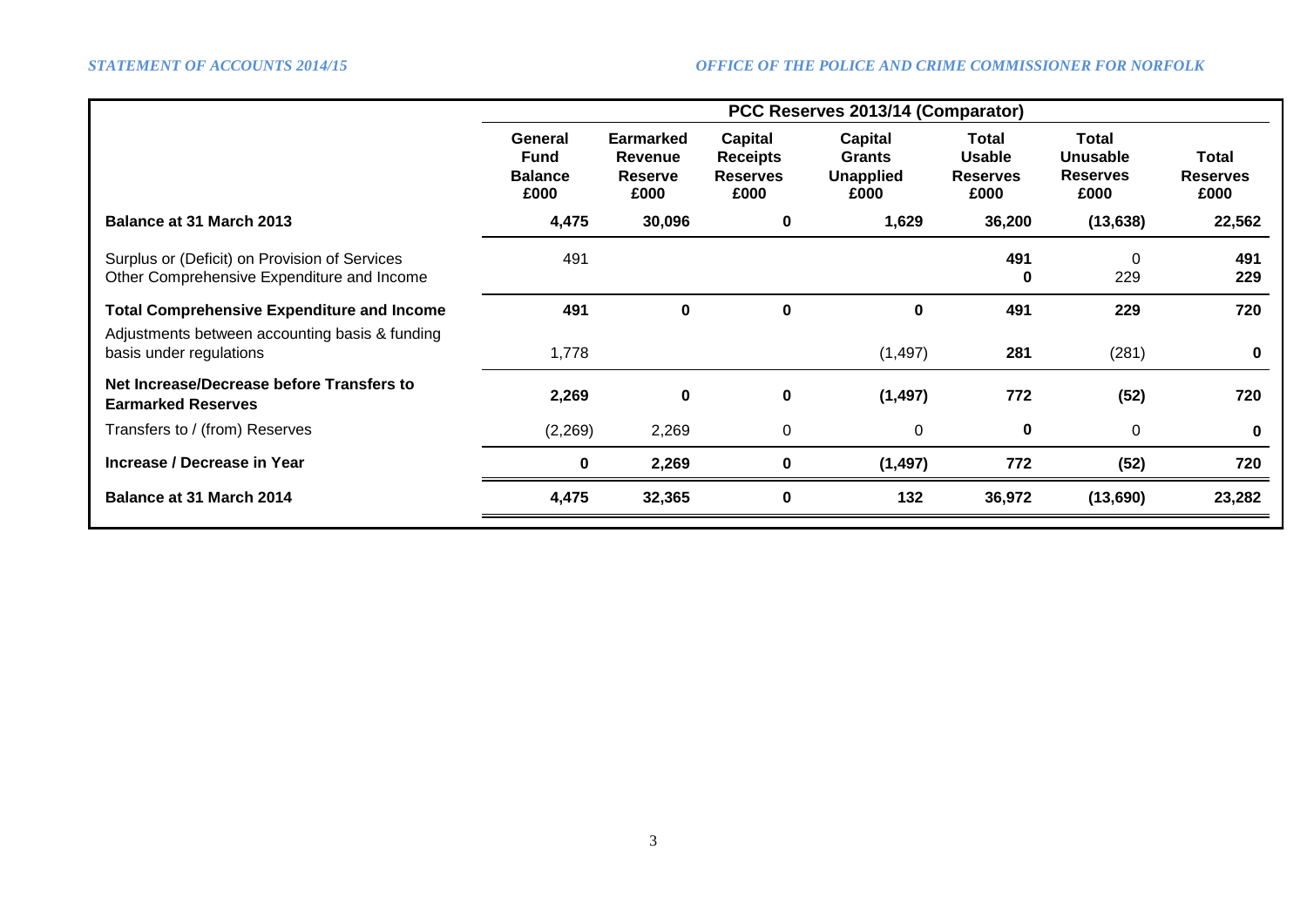|                                                                                             | PCC Reserves 2013/14 (Comparator)                |                                                |                                                              |                                                             |                                                   |                                                            |                                  |  |  |
|---------------------------------------------------------------------------------------------|--------------------------------------------------|------------------------------------------------|--------------------------------------------------------------|-------------------------------------------------------------|---------------------------------------------------|------------------------------------------------------------|----------------------------------|--|--|
|                                                                                             | General<br><b>Fund</b><br><b>Balance</b><br>£000 | Earmarked<br>Revenue<br><b>Reserve</b><br>£000 | <b>Capital</b><br><b>Receipts</b><br><b>Reserves</b><br>£000 | <b>Capital</b><br><b>Grants</b><br><b>Unapplied</b><br>£000 | Total<br><b>Usable</b><br><b>Reserves</b><br>£000 | <b>Total</b><br><b>Unusable</b><br><b>Reserves</b><br>£000 | Total<br><b>Reserves</b><br>£000 |  |  |
| <b>Balance at 31 March 2013</b>                                                             | 4,475                                            | 30,096                                         | 0                                                            | 1,629                                                       | 36,200                                            | (13, 638)                                                  | 22,562                           |  |  |
| Surplus or (Deficit) on Provision of Services<br>Other Comprehensive Expenditure and Income | 491                                              |                                                |                                                              |                                                             | 491<br>0                                          | $\Omega$<br>229                                            | 491<br>229                       |  |  |
| <b>Total Comprehensive Expenditure and Income</b>                                           | 491                                              | 0                                              | $\bf{0}$                                                     | 0                                                           | 491                                               | 229                                                        | 720                              |  |  |
| Adjustments between accounting basis & funding<br>basis under regulations                   | 1,778                                            |                                                |                                                              | (1, 497)                                                    | 281                                               | (281)                                                      | $\bf{0}$                         |  |  |
| Net Increase/Decrease before Transfers to<br><b>Earmarked Reserves</b>                      | 2,269                                            | 0                                              | $\mathbf 0$                                                  | (1, 497)                                                    | 772                                               | (52)                                                       | 720                              |  |  |
| Transfers to / (from) Reserves                                                              | (2,269)                                          | 2,269                                          | $\mathbf 0$                                                  | 0                                                           | 0                                                 | $\mathbf 0$                                                | $\bf{0}$                         |  |  |
| Increase / Decrease in Year                                                                 | 0                                                | 2,269                                          | $\mathbf 0$                                                  | (1, 497)                                                    | 772                                               | (52)                                                       | 720                              |  |  |
| Balance at 31 March 2014                                                                    | 4,475                                            | 32,365                                         | $\mathbf 0$                                                  | 132                                                         | 36,972                                            | (13,690)                                                   | 23,282                           |  |  |
|                                                                                             |                                                  |                                                |                                                              |                                                             |                                                   |                                                            |                                  |  |  |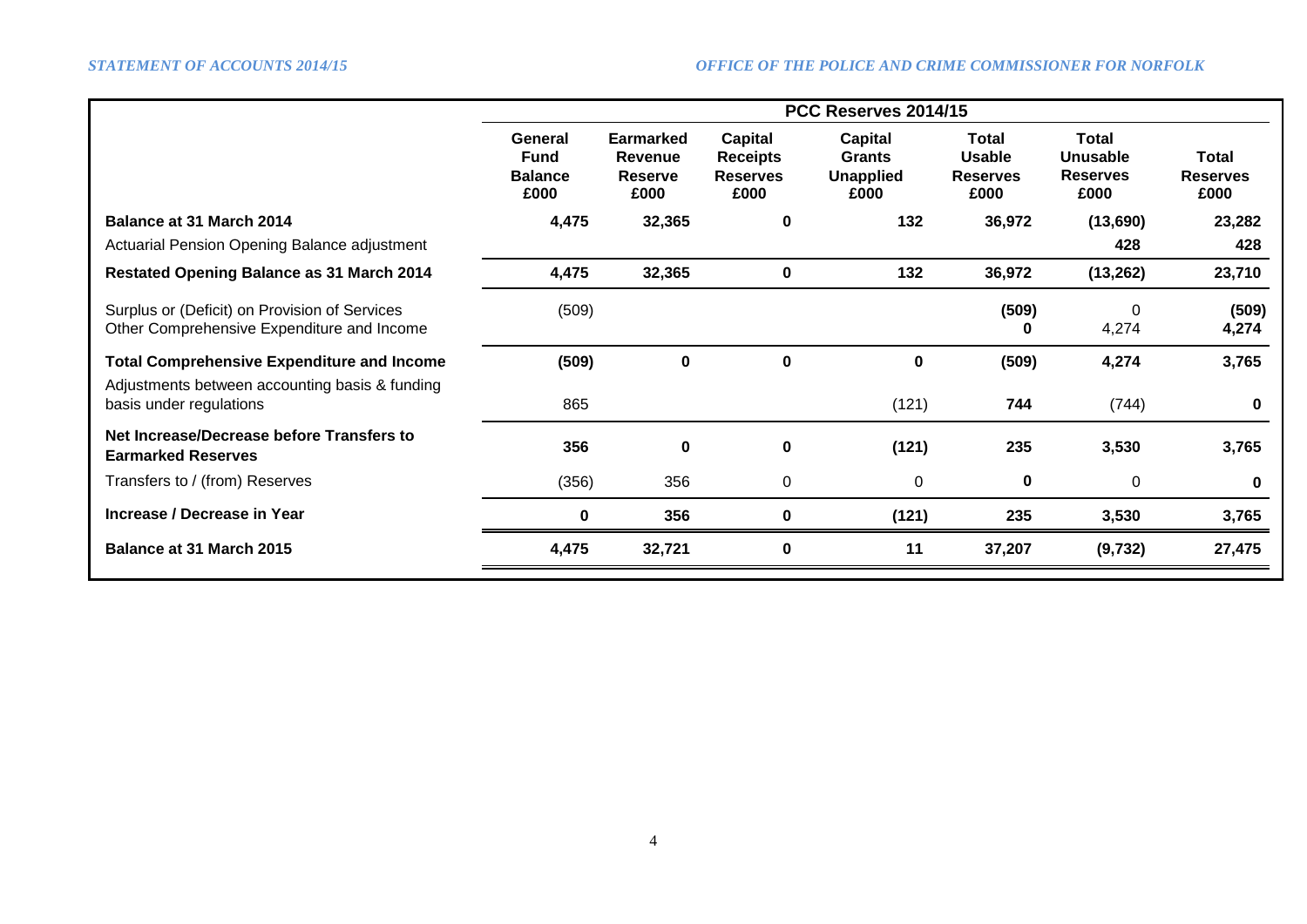|                                                                                             | PCC Reserves 2014/15                             |                                                              |                                                              |                                                      |                                                          |                                                     |                                         |  |  |
|---------------------------------------------------------------------------------------------|--------------------------------------------------|--------------------------------------------------------------|--------------------------------------------------------------|------------------------------------------------------|----------------------------------------------------------|-----------------------------------------------------|-----------------------------------------|--|--|
|                                                                                             | General<br><b>Fund</b><br><b>Balance</b><br>£000 | <b>Earmarked</b><br><b>Revenue</b><br><b>Reserve</b><br>£000 | <b>Capital</b><br><b>Receipts</b><br><b>Reserves</b><br>£000 | <b>Capital</b><br>Grants<br><b>Unapplied</b><br>£000 | <b>Total</b><br><b>Usable</b><br><b>Reserves</b><br>£000 | Total<br><b>Unusable</b><br><b>Reserves</b><br>£000 | <b>Total</b><br><b>Reserves</b><br>£000 |  |  |
| <b>Balance at 31 March 2014</b>                                                             | 4,475                                            | 32,365                                                       | 0                                                            | 132                                                  | 36,972                                                   | (13,690)                                            | 23,282                                  |  |  |
| Actuarial Pension Opening Balance adjustment                                                |                                                  |                                                              |                                                              |                                                      |                                                          | 428                                                 | 428                                     |  |  |
| <b>Restated Opening Balance as 31 March 2014</b>                                            | 4,475                                            | 32,365                                                       | $\mathbf 0$                                                  | 132                                                  | 36,972                                                   | (13, 262)                                           | 23,710                                  |  |  |
| Surplus or (Deficit) on Provision of Services<br>Other Comprehensive Expenditure and Income | (509)                                            |                                                              |                                                              |                                                      | (509)<br>0                                               | 0<br>4,274                                          | (509)<br>4,274                          |  |  |
| <b>Total Comprehensive Expenditure and Income</b>                                           | (509)                                            | 0                                                            | $\mathbf 0$                                                  | 0                                                    | (509)                                                    | 4,274                                               | 3,765                                   |  |  |
| Adjustments between accounting basis & funding<br>basis under regulations                   | 865                                              |                                                              |                                                              | (121)                                                | 744                                                      | (744)                                               | $\bf{0}$                                |  |  |
| Net Increase/Decrease before Transfers to<br><b>Earmarked Reserves</b>                      | 356                                              | 0                                                            | $\bf{0}$                                                     | (121)                                                | 235                                                      | 3,530                                               | 3,765                                   |  |  |
| Transfers to / (from) Reserves                                                              | (356)                                            | 356                                                          | $\mathbf 0$                                                  | 0                                                    | 0                                                        | 0                                                   | $\bf{0}$                                |  |  |
| Increase / Decrease in Year                                                                 | 0                                                | 356                                                          | 0                                                            | (121)                                                | 235                                                      | 3,530                                               | 3,765                                   |  |  |
| Balance at 31 March 2015                                                                    | 4,475                                            | 32,721                                                       | $\bf{0}$                                                     | 11                                                   | 37,207                                                   | (9, 732)                                            | 27,475                                  |  |  |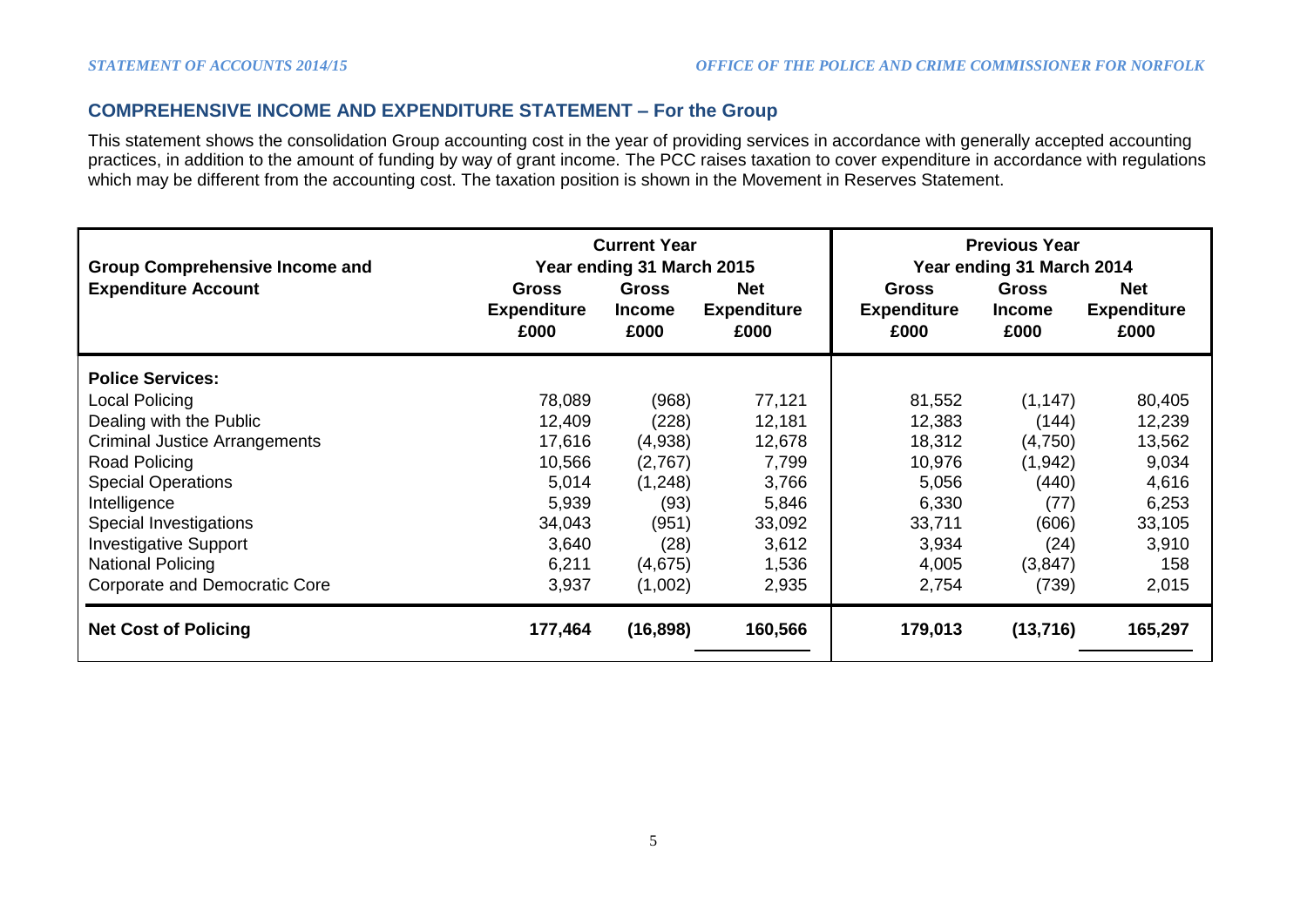## **COMPREHENSIVE INCOME AND EXPENDITURE STATEMENT – For the Group**

This statement shows the consolidation Group accounting cost in the year of providing services in accordance with generally accepted accounting practices, in addition to the amount of funding by way of grant income. The PCC raises taxation to cover expenditure in accordance with regulations which may be different from the accounting cost. The taxation position is shown in the Movement in Reserves Statement.

| <b>Group Comprehensive Income and</b> |                                            | <b>Current Year</b><br>Year ending 31 March 2015 |                                          | <b>Previous Year</b><br>Year ending 31 March 2014 |                                       |                                          |  |
|---------------------------------------|--------------------------------------------|--------------------------------------------------|------------------------------------------|---------------------------------------------------|---------------------------------------|------------------------------------------|--|
| <b>Expenditure Account</b>            | <b>Gross</b><br><b>Expenditure</b><br>£000 | <b>Gross</b><br><b>Income</b><br>£000            | <b>Net</b><br><b>Expenditure</b><br>£000 | <b>Gross</b><br><b>Expenditure</b><br>£000        | <b>Gross</b><br><b>Income</b><br>£000 | <b>Net</b><br><b>Expenditure</b><br>£000 |  |
| <b>Police Services:</b>               |                                            |                                                  |                                          |                                                   |                                       |                                          |  |
| Local Policing                        | 78,089                                     | (968)                                            | 77,121                                   | 81,552                                            | (1, 147)                              | 80,405                                   |  |
| Dealing with the Public               | 12,409                                     | (228)                                            | 12,181                                   | 12,383                                            | (144)                                 | 12,239                                   |  |
| <b>Criminal Justice Arrangements</b>  | 17,616                                     | (4,938)                                          | 12,678                                   | 18,312                                            | (4,750)                               | 13,562                                   |  |
| Road Policing                         | 10,566                                     | (2,767)                                          | 7,799                                    | 10,976                                            | (1, 942)                              | 9,034                                    |  |
| <b>Special Operations</b>             | 5,014                                      | (1,248)                                          | 3,766                                    | 5,056                                             | (440)                                 | 4,616                                    |  |
| Intelligence                          | 5,939                                      | (93)                                             | 5,846                                    | 6,330                                             | (77)                                  | 6,253                                    |  |
| Special Investigations                | 34,043                                     | (951)                                            | 33,092                                   | 33,711                                            | (606)                                 | 33,105                                   |  |
| <b>Investigative Support</b>          | 3,640                                      | (28)                                             | 3,612                                    | 3,934                                             | (24)                                  | 3,910                                    |  |
| <b>National Policing</b>              | 6,211                                      | (4,675)                                          | 1,536                                    | 4,005                                             | (3,847)                               | 158                                      |  |
| <b>Corporate and Democratic Core</b>  | 3,937                                      | (1,002)                                          | 2,935                                    | 2,754                                             | (739)                                 | 2,015                                    |  |
| <b>Net Cost of Policing</b>           | 177,464                                    | (16, 898)                                        | 160,566                                  | 179,013                                           | (13, 716)                             | 165,297                                  |  |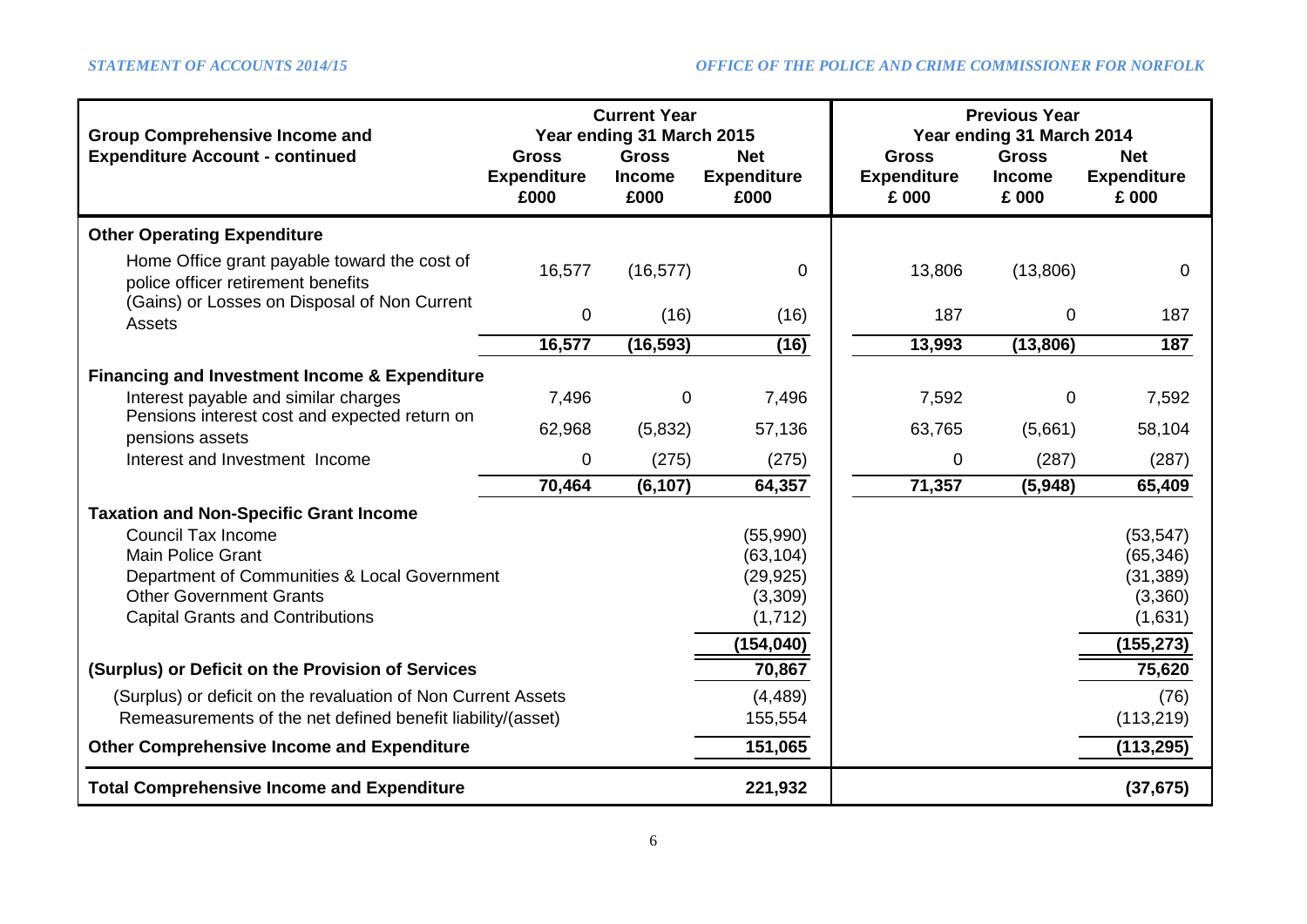| <b>Group Comprehensive Income and</b>                                              |                            | <b>Previous Year</b><br>Year ending 31 March 2014 |                            |                             |                        |                             |
|------------------------------------------------------------------------------------|----------------------------|---------------------------------------------------|----------------------------|-----------------------------|------------------------|-----------------------------|
| <b>Expenditure Account - continued</b>                                             | <b>Gross</b>               | Year ending 31 March 2015<br><b>Gross</b>         | <b>Net</b>                 | <b>Gross</b>                | <b>Gross</b>           | <b>Net</b>                  |
|                                                                                    | <b>Expenditure</b><br>£000 | <b>Income</b><br>£000                             | <b>Expenditure</b><br>£000 | <b>Expenditure</b><br>£ 000 | <b>Income</b><br>£ 000 | <b>Expenditure</b><br>£ 000 |
| <b>Other Operating Expenditure</b>                                                 |                            |                                                   |                            |                             |                        |                             |
| Home Office grant payable toward the cost of<br>police officer retirement benefits | 16,577                     | (16, 577)                                         | $\mathbf 0$                | 13,806                      | (13,806)               | 0                           |
| (Gains) or Losses on Disposal of Non Current<br><b>Assets</b>                      | $\pmb{0}$                  | (16)                                              | (16)                       | 187                         | $\mathbf 0$            | 187                         |
|                                                                                    | 16,577                     | (16, 593)                                         | (16)                       | 13,993                      | (13, 806)              | 187                         |
| <b>Financing and Investment Income &amp; Expenditure</b>                           |                            |                                                   |                            |                             |                        |                             |
| Interest payable and similar charges                                               | 7,496                      | 0                                                 | 7,496                      | 7,592                       | 0                      | 7,592                       |
| Pensions interest cost and expected return on<br>pensions assets                   | 62,968                     | (5,832)                                           | 57,136                     | 63,765                      | (5,661)                | 58,104                      |
| Interest and Investment Income                                                     | 0                          | (275)                                             | (275)                      | 0                           | (287)                  | (287)                       |
|                                                                                    | 70,464                     | (6, 107)                                          | 64,357                     | 71,357                      | (5,948)                | 65,409                      |
| <b>Taxation and Non-Specific Grant Income</b>                                      |                            |                                                   |                            |                             |                        |                             |
| <b>Council Tax Income</b>                                                          |                            |                                                   | (55,990)                   |                             |                        | (53, 547)                   |
| <b>Main Police Grant</b>                                                           |                            |                                                   | (63, 104)                  |                             |                        | (65, 346)                   |
| Department of Communities & Local Government                                       |                            |                                                   | (29, 925)                  |                             |                        | (31, 389)                   |
| <b>Other Government Grants</b>                                                     |                            |                                                   | (3,309)                    |                             |                        | (3,360)                     |
| <b>Capital Grants and Contributions</b>                                            |                            |                                                   | (1,712)                    |                             |                        | (1,631)                     |
|                                                                                    |                            |                                                   | (154, 040)                 |                             |                        | (155, 273)                  |
| (Surplus) or Deficit on the Provision of Services                                  |                            |                                                   | 70,867                     |                             |                        | 75,620                      |
| (Surplus) or deficit on the revaluation of Non Current Assets                      |                            |                                                   | (4, 489)                   |                             |                        | (76)                        |
| Remeasurements of the net defined benefit liability/(asset)                        |                            |                                                   | 155,554                    |                             |                        | (113, 219)                  |
| <b>Other Comprehensive Income and Expenditure</b>                                  |                            |                                                   | 151,065                    |                             |                        | (113, 295)                  |
| <b>Total Comprehensive Income and Expenditure</b>                                  |                            |                                                   | 221,932                    |                             |                        | (37, 675)                   |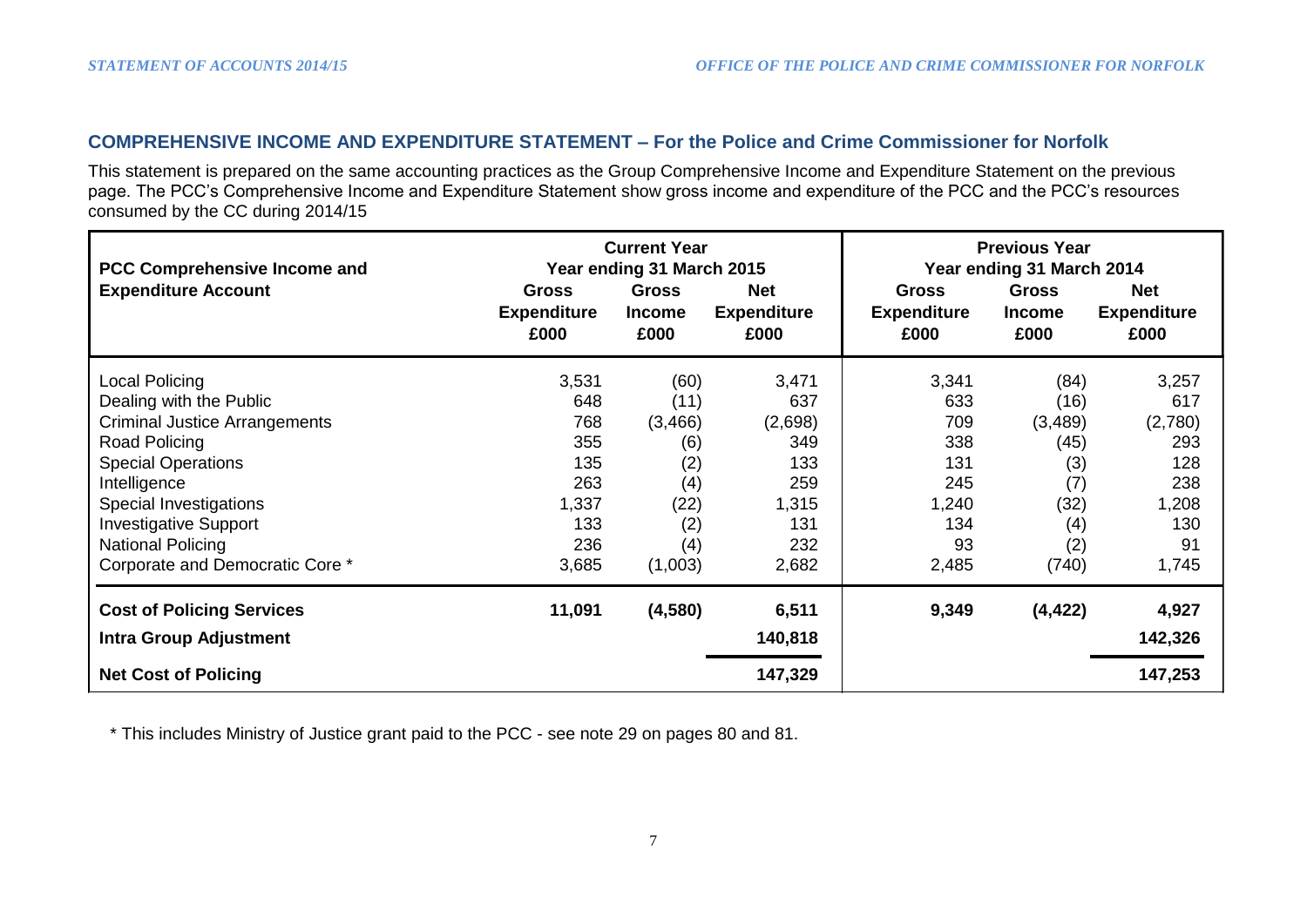# **COMPREHENSIVE INCOME AND EXPENDITURE STATEMENT – For the Police and Crime Commissioner for Norfolk**

This statement is prepared on the same accounting practices as the Group Comprehensive Income and Expenditure Statement on the previous page. The PCC's Comprehensive Income and Expenditure Statement show gross income and expenditure of the PCC and the PCC's resources consumed by the CC during 2014/15

| <b>PCC Comprehensive Income and</b> |                                            | <b>Current Year</b><br>Year ending 31 March 2015 |                                          | <b>Previous Year</b><br>Year ending 31 March 2014 |                                       |                                          |
|-------------------------------------|--------------------------------------------|--------------------------------------------------|------------------------------------------|---------------------------------------------------|---------------------------------------|------------------------------------------|
| <b>Expenditure Account</b>          | <b>Gross</b><br><b>Expenditure</b><br>£000 | <b>Gross</b><br><b>Income</b><br>£000            | <b>Net</b><br><b>Expenditure</b><br>£000 | <b>Gross</b><br><b>Expenditure</b><br>£000        | <b>Gross</b><br><b>Income</b><br>£000 | <b>Net</b><br><b>Expenditure</b><br>£000 |
| Local Policing                      | 3,531                                      | (60)                                             | 3,471                                    | 3,341                                             | (84)                                  | 3,257                                    |
| Dealing with the Public             | 648                                        | (11)                                             | 637                                      | 633                                               | (16)                                  | 617                                      |
| Criminal Justice Arrangements       | 768                                        | (3, 466)                                         | (2,698)                                  | 709                                               | (3, 489)                              | (2,780)                                  |
| Road Policing                       | 355                                        | (6)                                              | 349                                      | 338                                               | (45)                                  | 293                                      |
| <b>Special Operations</b>           | 135                                        | (2)                                              | 133                                      | 131                                               | (3)                                   | 128                                      |
| Intelligence                        | 263                                        | (4)                                              | 259                                      | 245                                               | (7)                                   | 238                                      |
| Special Investigations              | 1,337                                      | (22)                                             | 1,315                                    | 1,240                                             | (32)                                  | 1,208                                    |
| <b>Investigative Support</b>        | 133                                        | (2)                                              | 131                                      | 134                                               | (4)                                   | 130                                      |
| <b>National Policing</b>            | 236                                        | (4)                                              | 232                                      | 93                                                | (2)                                   | 91                                       |
| Corporate and Democratic Core *     | 3,685                                      | (1,003)                                          | 2,682                                    | 2,485                                             | (740)                                 | 1,745                                    |
| <b>Cost of Policing Services</b>    | 11,091                                     | (4,580)                                          | 6,511                                    | 9,349                                             | (4, 422)                              | 4,927                                    |
| <b>Intra Group Adjustment</b>       |                                            |                                                  | 140,818                                  |                                                   |                                       | 142,326                                  |
| <b>Net Cost of Policing</b>         |                                            |                                                  | 147,329                                  |                                                   |                                       | 147,253                                  |

\* This includes Ministry of Justice grant paid to the PCC - see note 29 on pages 80 and 81.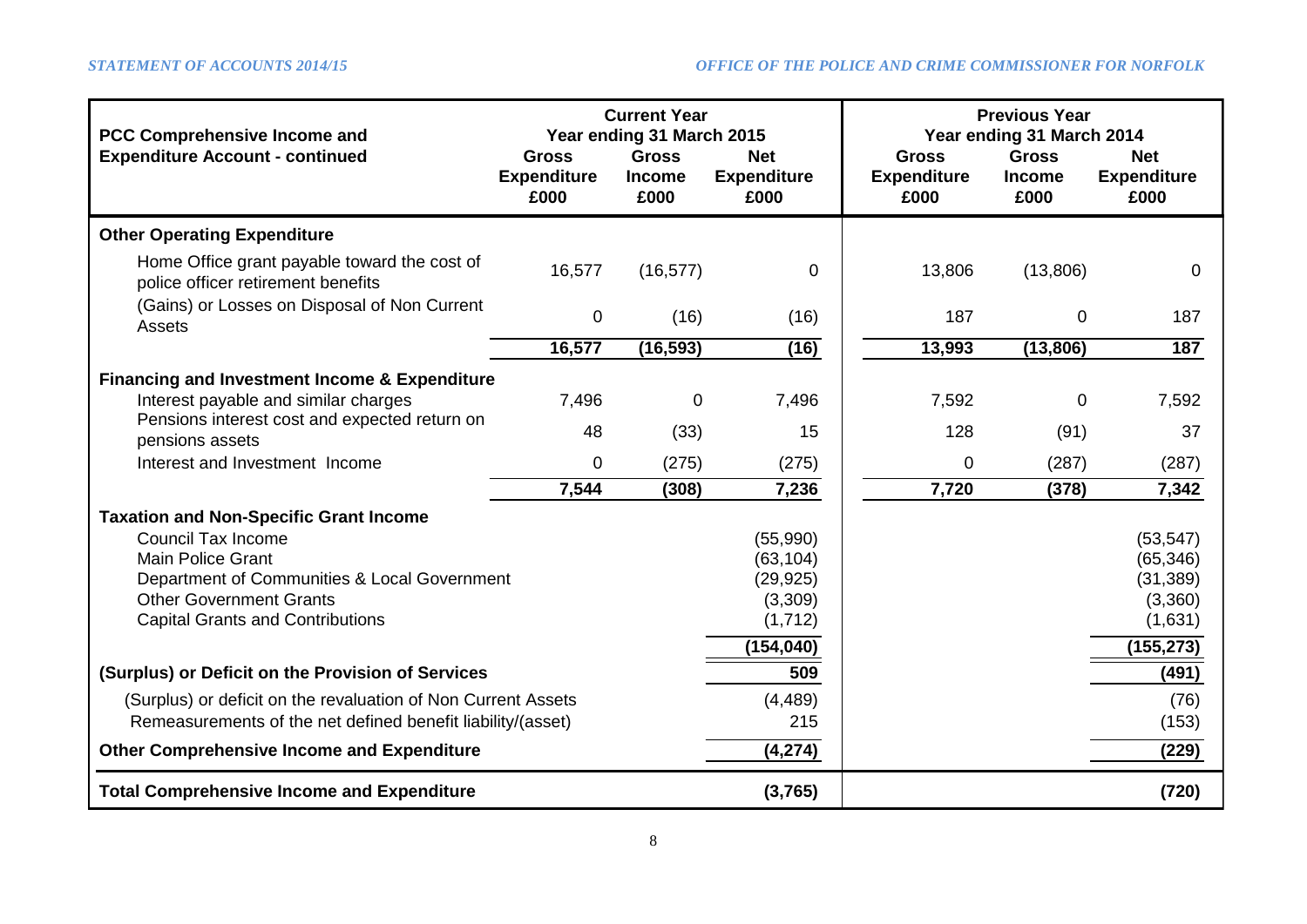| <b>PCC Comprehensive Income and</b>                                                | <b>Previous Year</b><br>Year ending 31 March 2014 |                                                                    |                                          |                                            |                                       |                                          |
|------------------------------------------------------------------------------------|---------------------------------------------------|--------------------------------------------------------------------|------------------------------------------|--------------------------------------------|---------------------------------------|------------------------------------------|
| <b>Expenditure Account - continued</b>                                             | <b>Gross</b><br><b>Expenditure</b><br>£000        | Year ending 31 March 2015<br><b>Gross</b><br><b>Income</b><br>£000 | <b>Net</b><br><b>Expenditure</b><br>£000 | <b>Gross</b><br><b>Expenditure</b><br>£000 | <b>Gross</b><br><b>Income</b><br>£000 | <b>Net</b><br><b>Expenditure</b><br>£000 |
| <b>Other Operating Expenditure</b>                                                 |                                                   |                                                                    |                                          |                                            |                                       |                                          |
| Home Office grant payable toward the cost of<br>police officer retirement benefits | 16,577                                            | (16, 577)                                                          | 0                                        | 13,806                                     | (13,806)                              | 0                                        |
| (Gains) or Losses on Disposal of Non Current<br>Assets                             | 0                                                 | (16)                                                               | (16)                                     | 187                                        | 0                                     | 187                                      |
|                                                                                    | 16,577                                            | (16, 593)                                                          | (16)                                     | 13,993                                     | (13,806)                              | 187                                      |
| <b>Financing and Investment Income &amp; Expenditure</b>                           |                                                   |                                                                    |                                          |                                            |                                       |                                          |
| Interest payable and similar charges                                               | 7,496                                             | $\pmb{0}$                                                          | 7,496                                    | 7,592                                      | 0                                     | 7,592                                    |
| Pensions interest cost and expected return on<br>pensions assets                   | 48                                                | (33)                                                               | 15                                       | 128                                        | (91)                                  | 37                                       |
| Interest and Investment Income                                                     | 0                                                 | (275)                                                              | (275)                                    | 0                                          | (287)                                 | (287)                                    |
|                                                                                    | 7,544                                             | (308)                                                              | 7,236                                    | 7,720                                      | (378)                                 | 7,342                                    |
| <b>Taxation and Non-Specific Grant Income</b>                                      |                                                   |                                                                    |                                          |                                            |                                       |                                          |
| <b>Council Tax Income</b>                                                          |                                                   |                                                                    | (55,990)                                 |                                            |                                       | (53, 547)                                |
| <b>Main Police Grant</b>                                                           |                                                   |                                                                    | (63, 104)                                |                                            |                                       | (65, 346)                                |
| Department of Communities & Local Government<br><b>Other Government Grants</b>     |                                                   |                                                                    | (29, 925)                                |                                            |                                       | (31, 389)                                |
| <b>Capital Grants and Contributions</b>                                            |                                                   |                                                                    | (3,309)<br>(1, 712)                      |                                            |                                       | (3,360)<br>(1,631)                       |
|                                                                                    |                                                   |                                                                    |                                          |                                            |                                       |                                          |
|                                                                                    |                                                   |                                                                    | (154, 040)                               |                                            |                                       | (155, 273)                               |
| (Surplus) or Deficit on the Provision of Services                                  | 509                                               |                                                                    |                                          | (491)                                      |                                       |                                          |
| (Surplus) or deficit on the revaluation of Non Current Assets                      | (4, 489)                                          |                                                                    |                                          | (76)                                       |                                       |                                          |
| Remeasurements of the net defined benefit liability/(asset)                        | 215                                               |                                                                    |                                          | (153)                                      |                                       |                                          |
| <b>Other Comprehensive Income and Expenditure</b>                                  |                                                   |                                                                    | (4, 274)                                 |                                            |                                       | (229)                                    |
| <b>Total Comprehensive Income and Expenditure</b>                                  |                                                   |                                                                    | (3,765)                                  |                                            |                                       | (720)                                    |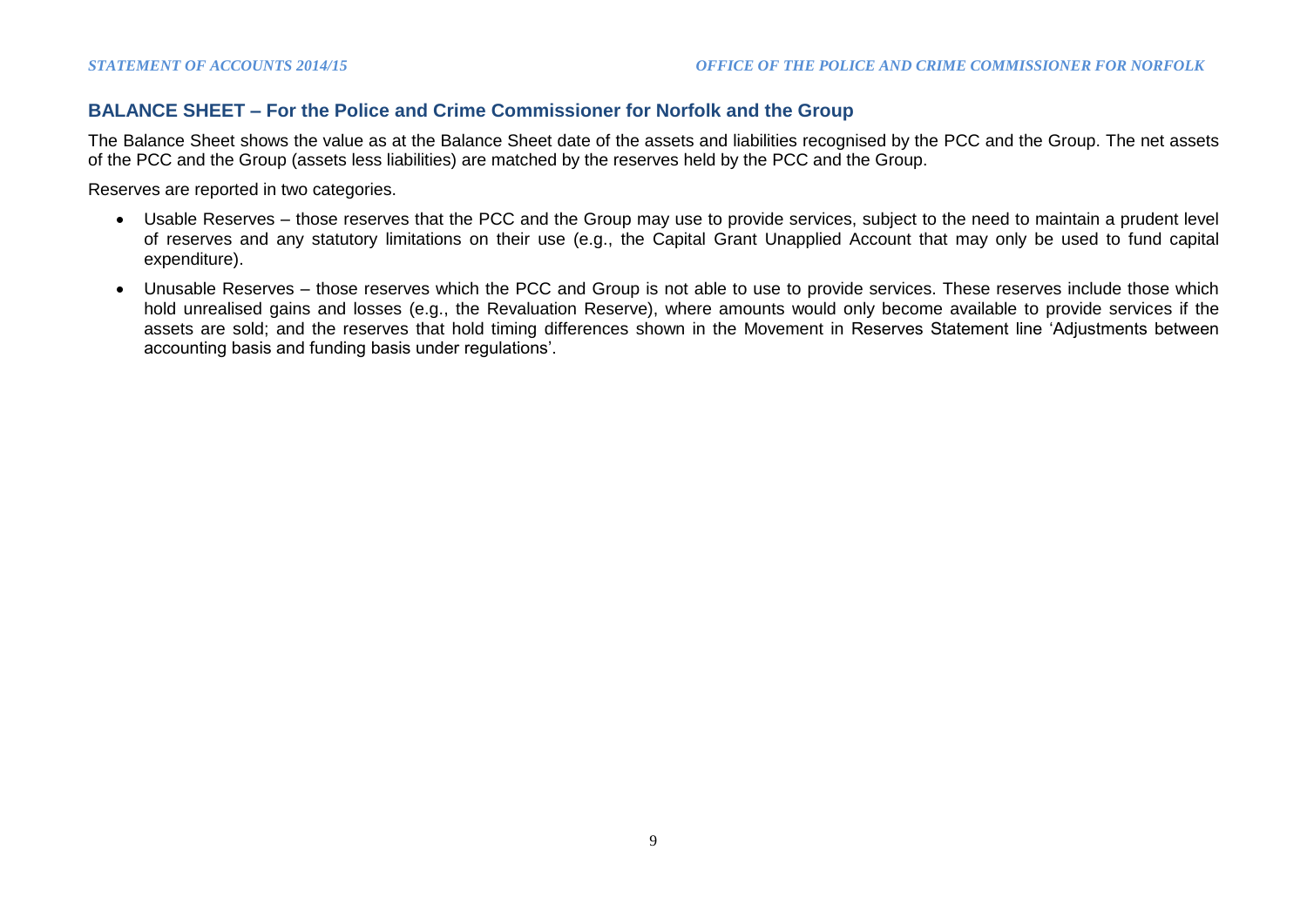# **BALANCE SHEET – For the Police and Crime Commissioner for Norfolk and the Group**

The Balance Sheet shows the value as at the Balance Sheet date of the assets and liabilities recognised by the PCC and the Group. The net assets of the PCC and the Group (assets less liabilities) are matched by the reserves held by the PCC and the Group.

Reserves are reported in two categories.

- Usable Reserves those reserves that the PCC and the Group may use to provide services, subject to the need to maintain a prudent level of reserves and any statutory limitations on their use (e.g., the Capital Grant Unapplied Account that may only be used to fund capital expenditure).
- Unusable Reserves those reserves which the PCC and Group is not able to use to provide services. These reserves include those which hold unrealised gains and losses (e.g., the Revaluation Reserve), where amounts would only become available to provide services if the assets are sold; and the reserves that hold timing differences shown in the Movement in Reserves Statement line 'Adjustments between accounting basis and funding basis under regulations'.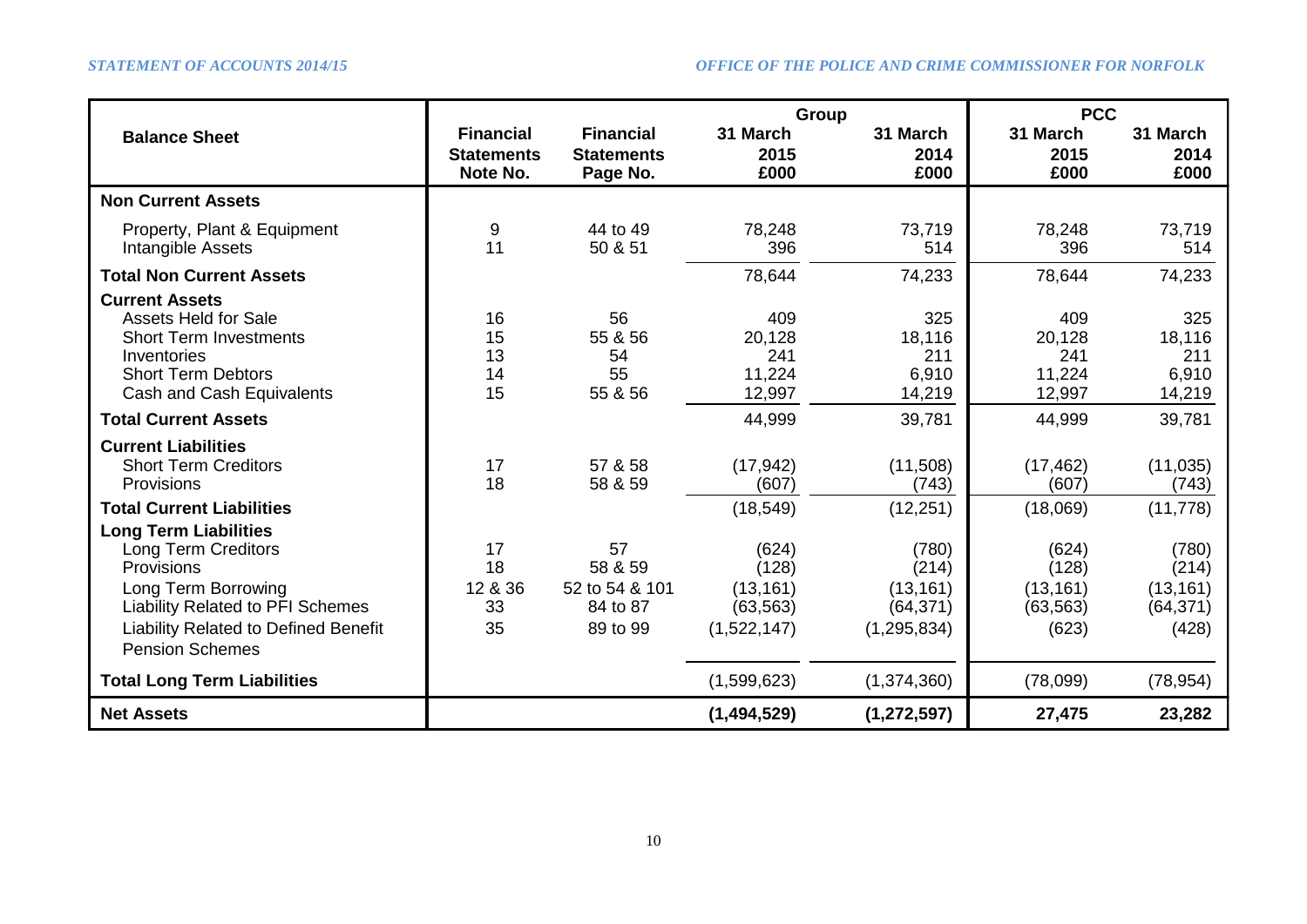|                                                                                                                                                                                                                     |                                 |                                                         | Group                                                   |                                                           | <b>PCC</b>                                        |                                                   |  |
|---------------------------------------------------------------------------------------------------------------------------------------------------------------------------------------------------------------------|---------------------------------|---------------------------------------------------------|---------------------------------------------------------|-----------------------------------------------------------|---------------------------------------------------|---------------------------------------------------|--|
| <b>Balance Sheet</b>                                                                                                                                                                                                | <b>Financial</b>                | <b>Financial</b>                                        | 31 March                                                | 31 March                                                  | 31 March                                          | 31 March                                          |  |
|                                                                                                                                                                                                                     | <b>Statements</b><br>Note No.   | <b>Statements</b><br>Page No.                           | 2015<br>£000                                            | 2014<br>£000                                              | 2015<br>£000                                      | 2014<br>£000                                      |  |
| <b>Non Current Assets</b>                                                                                                                                                                                           |                                 |                                                         |                                                         |                                                           |                                                   |                                                   |  |
| Property, Plant & Equipment<br>Intangible Assets                                                                                                                                                                    | 9<br>11                         | 44 to 49<br>50 & 51                                     | 78,248<br>396                                           | 73,719<br>514                                             | 78,248<br>396                                     | 73,719<br>514                                     |  |
| <b>Total Non Current Assets</b>                                                                                                                                                                                     |                                 |                                                         | 78,644                                                  | 74,233                                                    | 78,644                                            | 74,233                                            |  |
| <b>Current Assets</b><br><b>Assets Held for Sale</b><br><b>Short Term Investments</b><br>Inventories<br><b>Short Term Debtors</b><br>Cash and Cash Equivalents                                                      | 16<br>15<br>13<br>14<br>15      | 56<br>55 & 56<br>54<br>55<br>55 & 56                    | 409<br>20,128<br>241<br>11,224<br>12,997                | 325<br>18,116<br>211<br>6,910<br>14,219                   | 409<br>20,128<br>241<br>11,224<br>12,997          | 325<br>18,116<br>211<br>6,910<br>14,219           |  |
| <b>Total Current Assets</b>                                                                                                                                                                                         |                                 |                                                         | 44,999                                                  | 39,781                                                    | 44,999                                            | 39,781                                            |  |
| <b>Current Liabilities</b><br><b>Short Term Creditors</b><br>Provisions                                                                                                                                             | 17<br>18                        | 57 & 58<br>58 & 59                                      | (17, 942)<br>(607)                                      | (11,508)<br>(743)                                         | (17, 462)<br>(607)                                | (11, 035)<br>(743)                                |  |
| <b>Total Current Liabilities</b>                                                                                                                                                                                    |                                 |                                                         | (18, 549)                                               | (12, 251)                                                 | (18,069)                                          | (11, 778)                                         |  |
| <b>Long Term Liabilities</b><br><b>Long Term Creditors</b><br><b>Provisions</b><br>Long Term Borrowing<br><b>Liability Related to PFI Schemes</b><br>Liability Related to Defined Benefit<br><b>Pension Schemes</b> | 17<br>18<br>12 & 36<br>33<br>35 | 57<br>58 & 59<br>52 to 54 & 101<br>84 to 87<br>89 to 99 | (624)<br>(128)<br>(13, 161)<br>(63, 563)<br>(1,522,147) | (780)<br>(214)<br>(13, 161)<br>(64, 371)<br>(1, 295, 834) | (624)<br>(128)<br>(13, 161)<br>(63, 563)<br>(623) | (780)<br>(214)<br>(13, 161)<br>(64, 371)<br>(428) |  |
| <b>Total Long Term Liabilities</b>                                                                                                                                                                                  |                                 |                                                         | (1,599,623)                                             | (1,374,360)                                               | (78,099)                                          | (78, 954)                                         |  |
| <b>Net Assets</b>                                                                                                                                                                                                   |                                 |                                                         | (1,494,529)                                             | (1, 272, 597)                                             | 27,475                                            | 23,282                                            |  |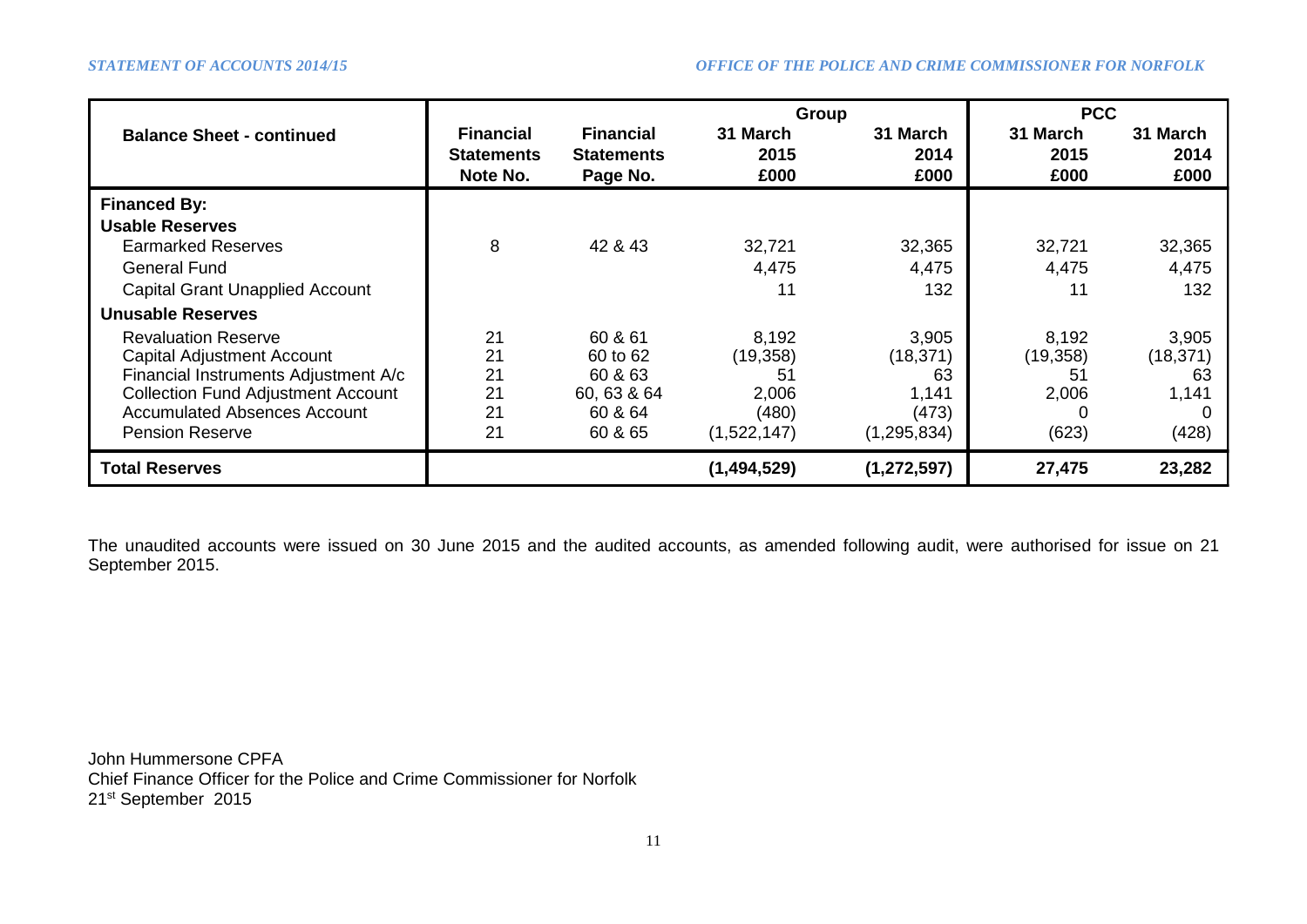|                                                                                                                                                                                                                       |                                                   |                                                                     | Group                                                     |                                                             | <b>PCC</b>                                 |                                            |  |
|-----------------------------------------------------------------------------------------------------------------------------------------------------------------------------------------------------------------------|---------------------------------------------------|---------------------------------------------------------------------|-----------------------------------------------------------|-------------------------------------------------------------|--------------------------------------------|--------------------------------------------|--|
| <b>Balance Sheet - continued</b>                                                                                                                                                                                      | <b>Financial</b><br><b>Statements</b><br>Note No. | <b>Financial</b><br><b>Statements</b><br>Page No.                   | 31 March<br>2015<br>£000                                  | 31 March<br>2014<br>£000                                    | 31 March<br>2015<br>£000                   | 31 March<br>2014<br>£000                   |  |
| <b>Financed By:</b><br><b>Usable Reserves</b>                                                                                                                                                                         |                                                   |                                                                     |                                                           |                                                             |                                            |                                            |  |
| <b>Earmarked Reserves</b>                                                                                                                                                                                             | 8                                                 | 42 & 43                                                             | 32,721                                                    | 32,365                                                      | 32,721                                     | 32,365                                     |  |
| General Fund                                                                                                                                                                                                          |                                                   |                                                                     | 4,475                                                     | 4,475                                                       | 4,475                                      | 4,475                                      |  |
| <b>Capital Grant Unapplied Account</b>                                                                                                                                                                                |                                                   |                                                                     | 11                                                        | 132                                                         | 11                                         | 132                                        |  |
| Unusable Reserves                                                                                                                                                                                                     |                                                   |                                                                     |                                                           |                                                             |                                            |                                            |  |
| <b>Revaluation Reserve</b><br><b>Capital Adjustment Account</b><br>Financial Instruments Adjustment A/c<br><b>Collection Fund Adjustment Account</b><br><b>Accumulated Absences Account</b><br><b>Pension Reserve</b> | 21<br>21<br>21<br>21<br>21<br>21                  | 60 & 61<br>60 to 62<br>60 & 63<br>60, 63 & 64<br>60 & 64<br>60 & 65 | 8,192<br>(19, 358)<br>51<br>2,006<br>(480)<br>(1,522,147) | 3,905<br>(18, 371)<br>63<br>1,141<br>(473)<br>(1, 295, 834) | 8,192<br>(19, 358)<br>51<br>2,006<br>(623) | 3,905<br>(18, 371)<br>63<br>1,141<br>(428) |  |
| <b>Total Reserves</b>                                                                                                                                                                                                 |                                                   |                                                                     | (1,494,529)                                               | (1, 272, 597)                                               | 27,475                                     | 23,282                                     |  |

The unaudited accounts were issued on 30 June 2015 and the audited accounts, as amended following audit, were authorised for issue on 21 September 2015.

John Hummersone CPFA Chief Finance Officer for the Police and Crime Commissioner for Norfolk 21st September 2015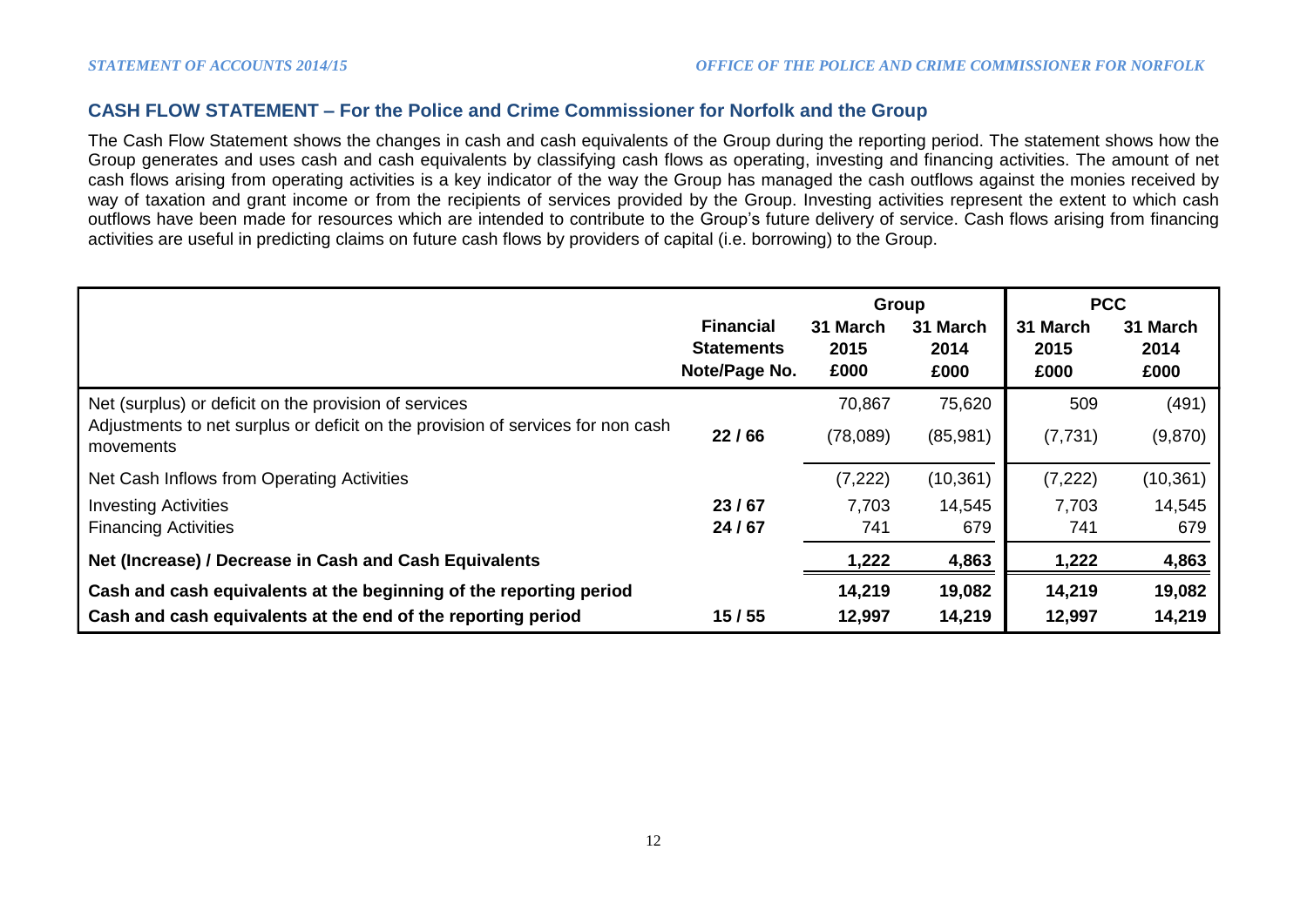# **CASH FLOW STATEMENT – For the Police and Crime Commissioner for Norfolk and the Group**

The Cash Flow Statement shows the changes in cash and cash equivalents of the Group during the reporting period. The statement shows how the Group generates and uses cash and cash equivalents by classifying cash flows as operating, investing and financing activities. The amount of net cash flows arising from operating activities is a key indicator of the way the Group has managed the cash outflows against the monies received by way of taxation and grant income or from the recipients of services provided by the Group. Investing activities represent the extent to which cash outflows have been made for resources which are intended to contribute to the Group's future delivery of service. Cash flows arising from financing activities are useful in predicting claims on future cash flows by providers of capital (i.e. borrowing) to the Group.

|                                                                                              |                                                        | Group                    |                          | <b>PCC</b>               |                          |
|----------------------------------------------------------------------------------------------|--------------------------------------------------------|--------------------------|--------------------------|--------------------------|--------------------------|
|                                                                                              | <b>Financial</b><br><b>Statements</b><br>Note/Page No. | 31 March<br>2015<br>£000 | 31 March<br>2014<br>£000 | 31 March<br>2015<br>£000 | 31 March<br>2014<br>£000 |
| Net (surplus) or deficit on the provision of services                                        |                                                        | 70,867                   | 75,620                   | 509                      | (491)                    |
| Adjustments to net surplus or deficit on the provision of services for non cash<br>movements | 22/66                                                  | (78,089)                 | (85,981)                 | (7, 731)                 | (9,870)                  |
| Net Cash Inflows from Operating Activities                                                   |                                                        | (7, 222)                 | (10, 361)                | (7, 222)                 | (10, 361)                |
| <b>Investing Activities</b>                                                                  | 23/67                                                  | 7,703                    | 14,545                   | 7,703                    | 14,545                   |
| <b>Financing Activities</b>                                                                  | 24/67                                                  | 741                      | 679                      | 741                      | 679                      |
| Net (Increase) / Decrease in Cash and Cash Equivalents                                       |                                                        | 1,222                    | 4,863                    | 1,222                    | 4,863                    |
| Cash and cash equivalents at the beginning of the reporting period                           |                                                        | 14,219                   | 19,082                   | 14,219                   | 19,082                   |
| Cash and cash equivalents at the end of the reporting period                                 | 15/55                                                  | 12,997                   | 14,219                   | 12,997                   | 14,219                   |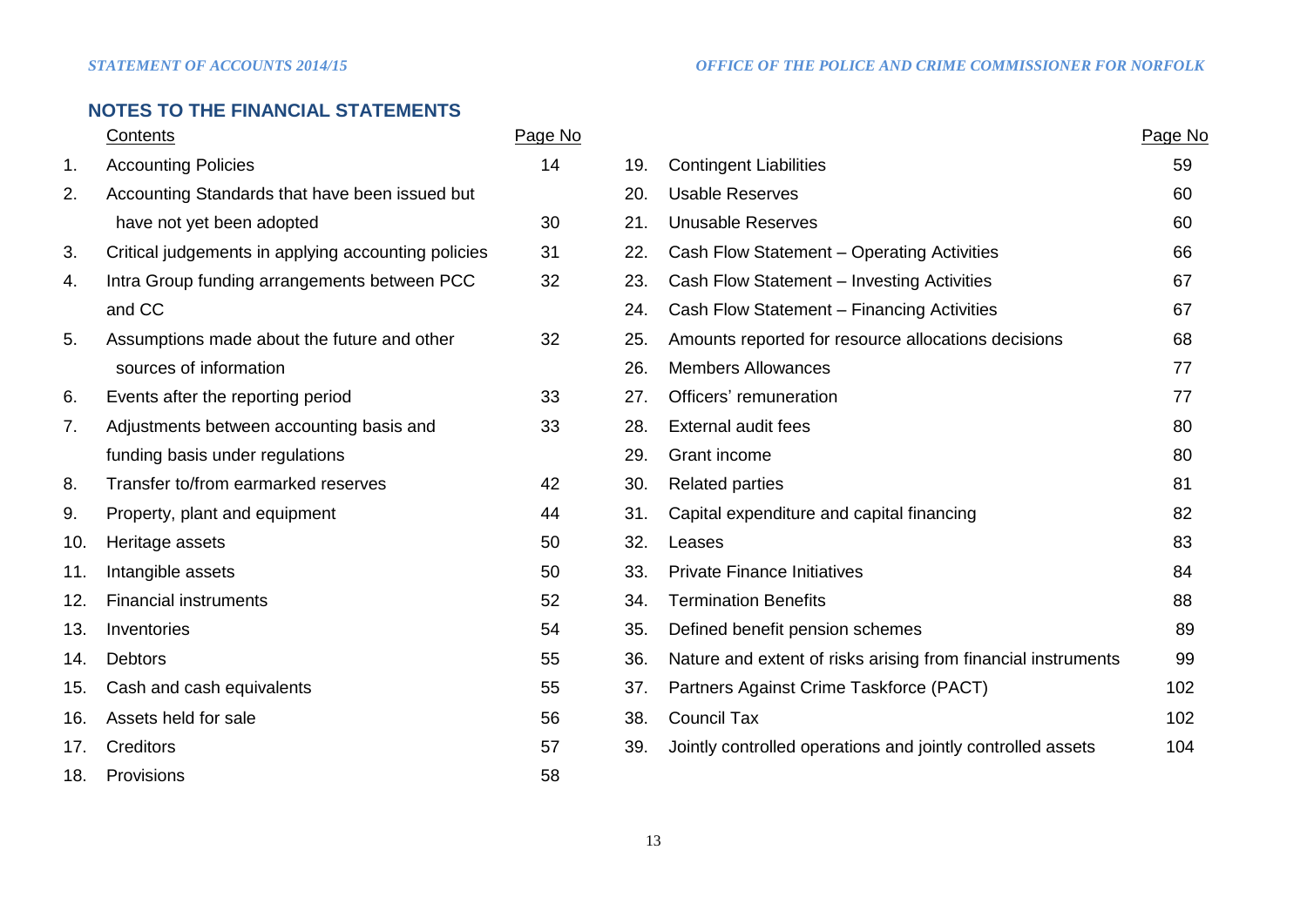# **NOTES TO THE FINANCIAL STATEMENTS**

|     | Contents                                            | Page No |     |                                                               | Page No |
|-----|-----------------------------------------------------|---------|-----|---------------------------------------------------------------|---------|
| 1.  | <b>Accounting Policies</b>                          | 14      | 19. | <b>Contingent Liabilities</b>                                 | 59      |
| 2.  | Accounting Standards that have been issued but      |         | 20. | <b>Usable Reserves</b>                                        | 60      |
|     | have not yet been adopted                           | 30      | 21. | <b>Unusable Reserves</b>                                      | 60      |
| 3.  | Critical judgements in applying accounting policies | 31      | 22. | Cash Flow Statement - Operating Activities                    | 66      |
| 4.  | Intra Group funding arrangements between PCC        | 32      | 23. | Cash Flow Statement - Investing Activities                    | 67      |
|     | and CC                                              |         | 24. | Cash Flow Statement - Financing Activities                    | 67      |
| 5.  | Assumptions made about the future and other         | 32      | 25. | Amounts reported for resource allocations decisions           | 68      |
|     | sources of information                              |         | 26. | <b>Members Allowances</b>                                     | 77      |
| 6.  | Events after the reporting period                   | 33      | 27. | Officers' remuneration                                        | 77      |
| 7.  | Adjustments between accounting basis and            | 33      | 28. | <b>External audit fees</b>                                    | 80      |
|     | funding basis under regulations                     |         | 29. | Grant income                                                  | 80      |
| 8.  | Transfer to/from earmarked reserves                 | 42      | 30. | <b>Related parties</b>                                        | 81      |
| 9.  | Property, plant and equipment                       | 44      | 31. | Capital expenditure and capital financing                     | 82      |
| 10. | Heritage assets                                     | 50      | 32. | Leases                                                        | 83      |
| 11. | Intangible assets                                   | 50      | 33. | <b>Private Finance Initiatives</b>                            | 84      |
| 12. | <b>Financial instruments</b>                        | 52      | 34. | <b>Termination Benefits</b>                                   | 88      |
| 13. | Inventories                                         | 54      | 35. | Defined benefit pension schemes                               | 89      |
| 14. | <b>Debtors</b>                                      | 55      | 36. | Nature and extent of risks arising from financial instruments | 99      |
| 15. | Cash and cash equivalents                           | 55      | 37. | Partners Against Crime Taskforce (PACT)                       | 102     |
| 16. | Assets held for sale                                | 56      | 38. | <b>Council Tax</b>                                            | 102     |
| 17. | Creditors                                           | 57      | 39. | Jointly controlled operations and jointly controlled assets   | 104     |
| 18. | Provisions                                          | 58      |     |                                                               |         |

|     | Contents                                            | Page No |     |                                                               | Page IV |
|-----|-----------------------------------------------------|---------|-----|---------------------------------------------------------------|---------|
| 1.  | <b>Accounting Policies</b>                          | 14      | 19. | <b>Contingent Liabilities</b>                                 | 59      |
| 2.  | Accounting Standards that have been issued but      |         | 20. | <b>Usable Reserves</b>                                        | 60      |
|     | have not yet been adopted                           | 30      | 21. | <b>Unusable Reserves</b>                                      | 60      |
| 3.  | Critical judgements in applying accounting policies | 31      | 22. | Cash Flow Statement - Operating Activities                    | 66      |
| 4.  | Intra Group funding arrangements between PCC        | 32      | 23. | Cash Flow Statement - Investing Activities                    | 67      |
|     | and CC                                              |         | 24. | Cash Flow Statement - Financing Activities                    | 67      |
| 5.  | Assumptions made about the future and other         | 32      | 25. | Amounts reported for resource allocations decisions           | 68      |
|     | sources of information                              |         | 26. | <b>Members Allowances</b>                                     | 77      |
| 6.  | Events after the reporting period                   | 33      | 27. | Officers' remuneration                                        | 77      |
| 7.  | Adjustments between accounting basis and            | 33      | 28. | <b>External audit fees</b>                                    | 80      |
|     | funding basis under regulations                     |         | 29. | Grant income                                                  | 80      |
| 8.  | Transfer to/from earmarked reserves                 | 42      | 30. | <b>Related parties</b>                                        | 81      |
| 9.  | Property, plant and equipment                       | 44      | 31. | Capital expenditure and capital financing                     | 82      |
| 10. | Heritage assets                                     | 50      | 32. | Leases                                                        | 83      |
| 11. | Intangible assets                                   | 50      | 33. | <b>Private Finance Initiatives</b>                            | 84      |
| 12. | <b>Financial instruments</b>                        | 52      | 34. | <b>Termination Benefits</b>                                   | 88      |
| 13. | Inventories                                         | 54      | 35. | Defined benefit pension schemes                               | 89      |
| 14. | <b>Debtors</b>                                      | 55      | 36. | Nature and extent of risks arising from financial instruments | 99      |
| 15. | Cash and cash equivalents                           | 55      | 37. | Partners Against Crime Taskforce (PACT)                       | 102     |
| 16. | Assets held for sale                                | 56      | 38. | <b>Council Tax</b>                                            | 102     |
| 17. | <b>Creditors</b>                                    | 57      | 39. | Jointly controlled operations and jointly controlled assets   | 104     |
|     |                                                     |         |     |                                                               |         |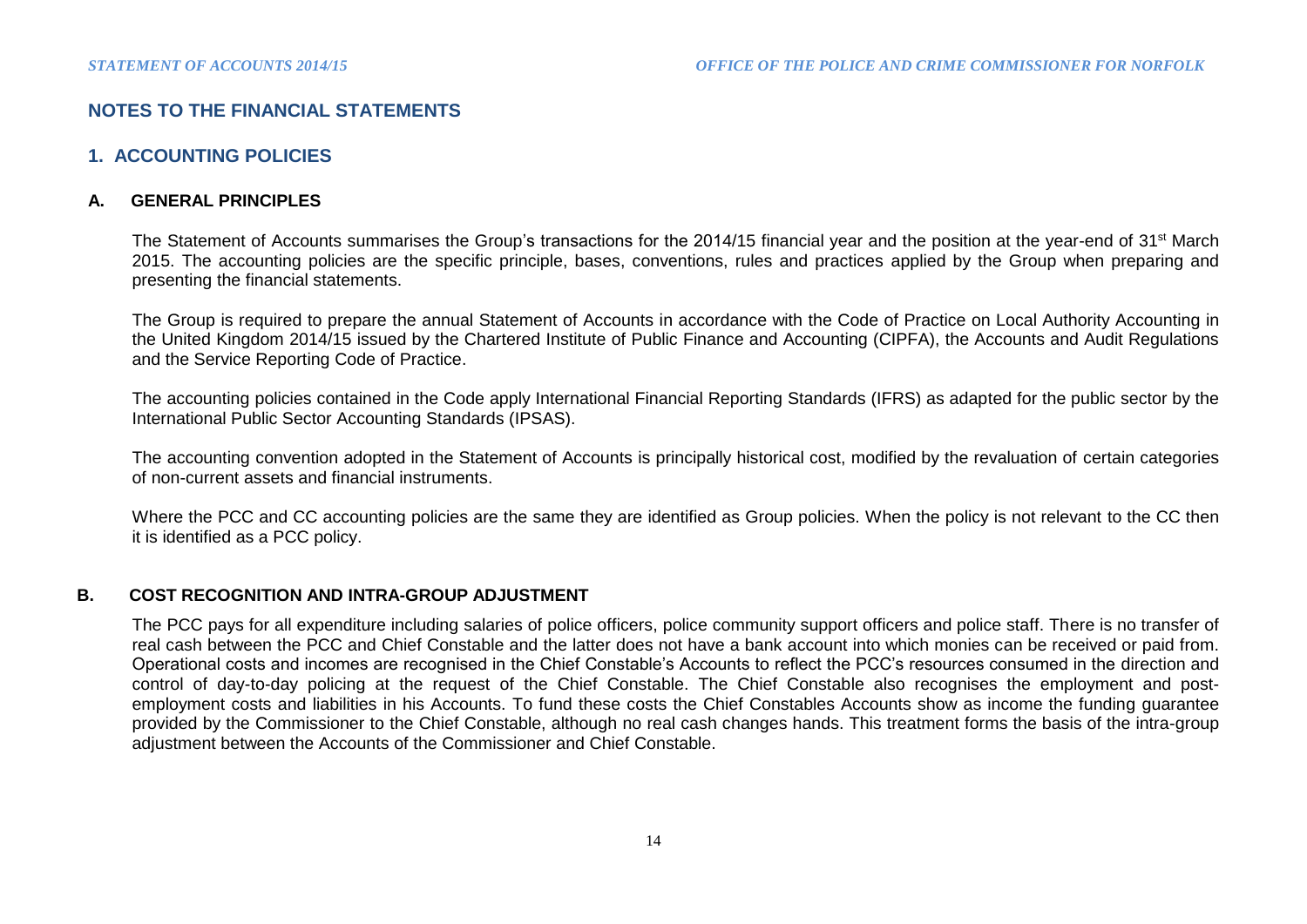# **NOTES TO THE FINANCIAL STATEMENTS**

## **1. ACCOUNTING POLICIES**

## **A. GENERAL PRINCIPLES**

The Statement of Accounts summarises the Group's transactions for the 2014/15 financial year and the position at the year-end of 31<sup>st</sup> March 2015. The accounting policies are the specific principle, bases, conventions, rules and practices applied by the Group when preparing and presenting the financial statements.

The Group is required to prepare the annual Statement of Accounts in accordance with the Code of Practice on Local Authority Accounting in the United Kingdom 2014/15 issued by the Chartered Institute of Public Finance and Accounting (CIPFA), the Accounts and Audit Regulations and the Service Reporting Code of Practice.

The accounting policies contained in the Code apply International Financial Reporting Standards (IFRS) as adapted for the public sector by the International Public Sector Accounting Standards (IPSAS).

The accounting convention adopted in the Statement of Accounts is principally historical cost, modified by the revaluation of certain categories of non-current assets and financial instruments.

Where the PCC and CC accounting policies are the same they are identified as Group policies. When the policy is not relevant to the CC then it is identified as a PCC policy.

## **B. COST RECOGNITION AND INTRA-GROUP ADJUSTMENT**

The PCC pays for all expenditure including salaries of police officers, police community support officers and police staff. There is no transfer of real cash between the PCC and Chief Constable and the latter does not have a bank account into which monies can be received or paid from. Operational costs and incomes are recognised in the Chief Constable's Accounts to reflect the PCC's resources consumed in the direction and control of day-to-day policing at the request of the Chief Constable. The Chief Constable also recognises the employment and postemployment costs and liabilities in his Accounts. To fund these costs the Chief Constables Accounts show as income the funding guarantee provided by the Commissioner to the Chief Constable, although no real cash changes hands. This treatment forms the basis of the intra-group adjustment between the Accounts of the Commissioner and Chief Constable.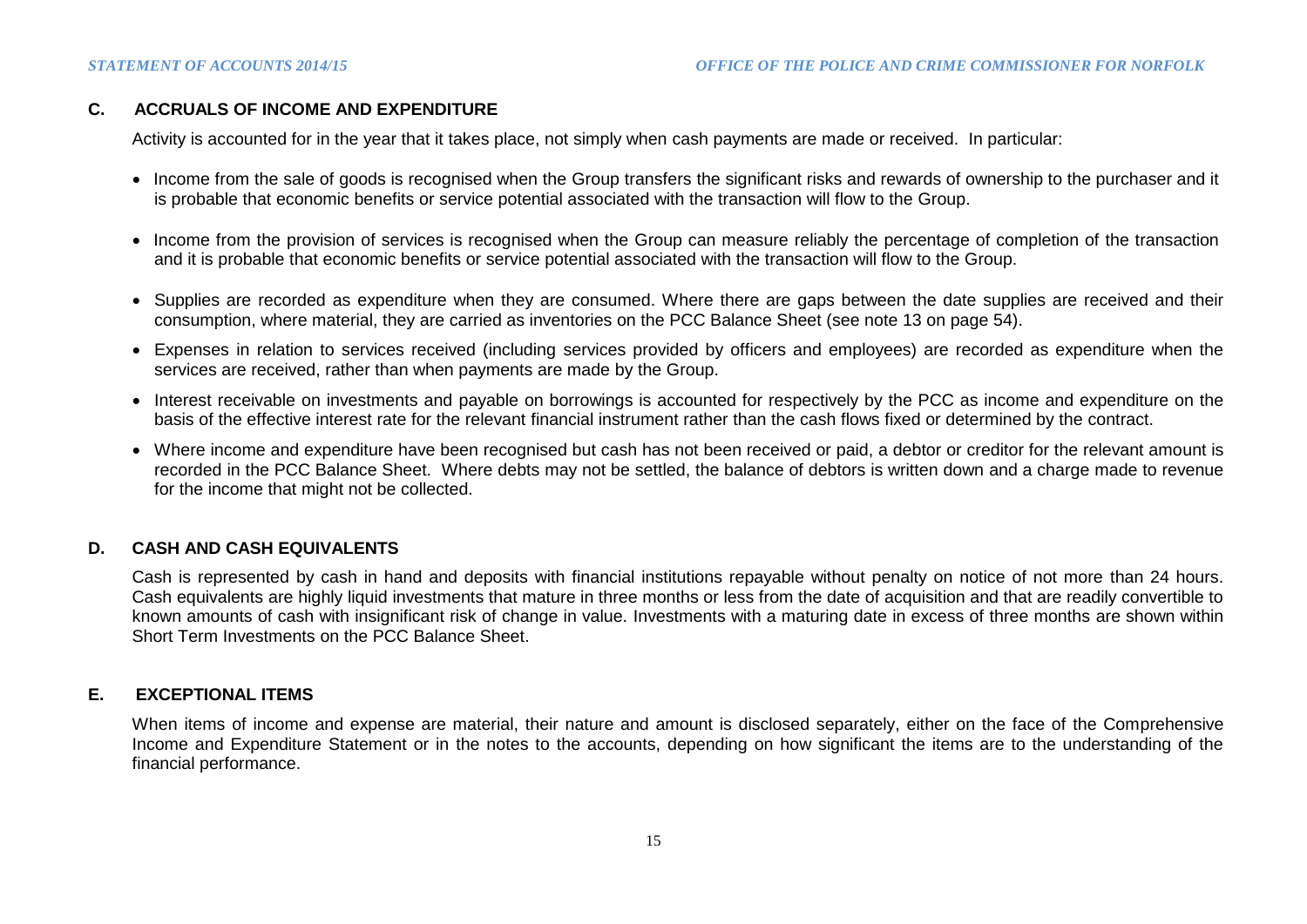## **C. ACCRUALS OF INCOME AND EXPENDITURE**

Activity is accounted for in the year that it takes place, not simply when cash payments are made or received. In particular:

- Income from the sale of goods is recognised when the Group transfers the significant risks and rewards of ownership to the purchaser and it is probable that economic benefits or service potential associated with the transaction will flow to the Group.
- Income from the provision of services is recognised when the Group can measure reliably the percentage of completion of the transaction and it is probable that economic benefits or service potential associated with the transaction will flow to the Group.
- Supplies are recorded as expenditure when they are consumed. Where there are gaps between the date supplies are received and their consumption, where material, they are carried as inventories on the PCC Balance Sheet (see note 13 on page 54).
- Expenses in relation to services received (including services provided by officers and employees) are recorded as expenditure when the services are received, rather than when payments are made by the Group.
- Interest receivable on investments and payable on borrowings is accounted for respectively by the PCC as income and expenditure on the basis of the effective interest rate for the relevant financial instrument rather than the cash flows fixed or determined by the contract.
- Where income and expenditure have been recognised but cash has not been received or paid, a debtor or creditor for the relevant amount is recorded in the PCC Balance Sheet. Where debts may not be settled, the balance of debtors is written down and a charge made to revenue for the income that might not be collected.

## **D. CASH AND CASH EQUIVALENTS**

Cash is represented by cash in hand and deposits with financial institutions repayable without penalty on notice of not more than 24 hours. Cash equivalents are highly liquid investments that mature in three months or less from the date of acquisition and that are readily convertible to known amounts of cash with insignificant risk of change in value. Investments with a maturing date in excess of three months are shown within Short Term Investments on the PCC Balance Sheet.

#### **E. EXCEPTIONAL ITEMS**

When items of income and expense are material, their nature and amount is disclosed separately, either on the face of the Comprehensive Income and Expenditure Statement or in the notes to the accounts, depending on how significant the items are to the understanding of the financial performance.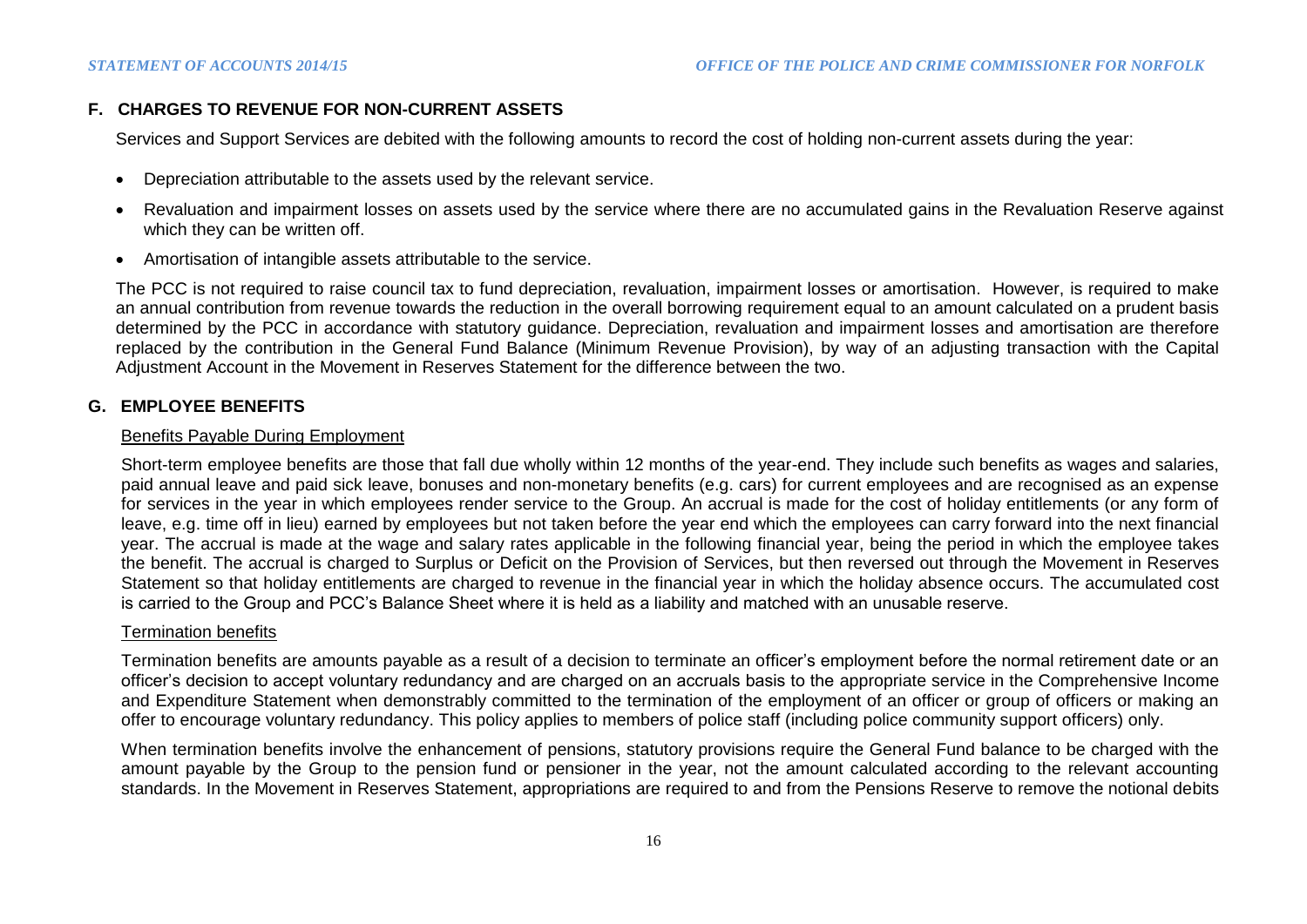# **F. CHARGES TO REVENUE FOR NON-CURRENT ASSETS**

Services and Support Services are debited with the following amounts to record the cost of holding non-current assets during the year:

- Depreciation attributable to the assets used by the relevant service.
- Revaluation and impairment losses on assets used by the service where there are no accumulated gains in the Revaluation Reserve against which they can be written off.
- Amortisation of intangible assets attributable to the service.

The PCC is not required to raise council tax to fund depreciation, revaluation, impairment losses or amortisation. However, is required to make an annual contribution from revenue towards the reduction in the overall borrowing requirement equal to an amount calculated on a prudent basis determined by the PCC in accordance with statutory guidance. Depreciation, revaluation and impairment losses and amortisation are therefore replaced by the contribution in the General Fund Balance (Minimum Revenue Provision), by way of an adjusting transaction with the Capital Adjustment Account in the Movement in Reserves Statement for the difference between the two.

## **G. EMPLOYEE BENEFITS**

#### Benefits Payable During Employment

Short-term employee benefits are those that fall due wholly within 12 months of the year-end. They include such benefits as wages and salaries, paid annual leave and paid sick leave, bonuses and non-monetary benefits (e.g. cars) for current employees and are recognised as an expense for services in the year in which employees render service to the Group. An accrual is made for the cost of holiday entitlements (or any form of leave, e.g. time off in lieu) earned by employees but not taken before the year end which the employees can carry forward into the next financial year. The accrual is made at the wage and salary rates applicable in the following financial year, being the period in which the employee takes the benefit. The accrual is charged to Surplus or Deficit on the Provision of Services, but then reversed out through the Movement in Reserves Statement so that holiday entitlements are charged to revenue in the financial year in which the holiday absence occurs. The accumulated cost is carried to the Group and PCC's Balance Sheet where it is held as a liability and matched with an unusable reserve.

#### Termination benefits

Termination benefits are amounts payable as a result of a decision to terminate an officer's employment before the normal retirement date or an officer's decision to accept voluntary redundancy and are charged on an accruals basis to the appropriate service in the Comprehensive Income and Expenditure Statement when demonstrably committed to the termination of the employment of an officer or group of officers or making an offer to encourage voluntary redundancy. This policy applies to members of police staff (including police community support officers) only.

When termination benefits involve the enhancement of pensions, statutory provisions require the General Fund balance to be charged with the amount payable by the Group to the pension fund or pensioner in the year, not the amount calculated according to the relevant accounting standards. In the Movement in Reserves Statement, appropriations are required to and from the Pensions Reserve to remove the notional debits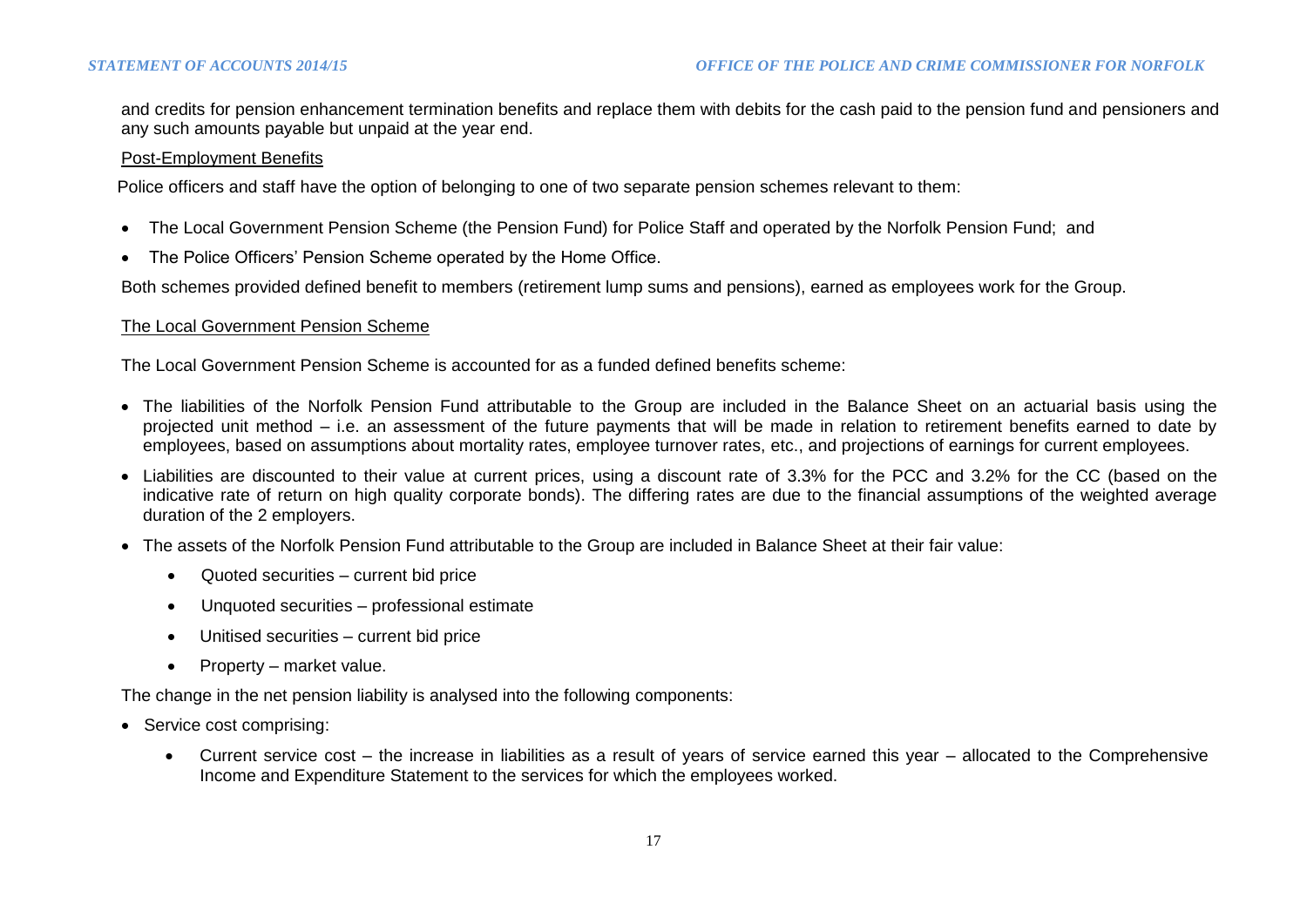and credits for pension enhancement termination benefits and replace them with debits for the cash paid to the pension fund and pensioners and any such amounts payable but unpaid at the year end.

#### Post-Employment Benefits

Police officers and staff have the option of belonging to one of two separate pension schemes relevant to them:

- The Local Government Pension Scheme (the Pension Fund) for Police Staff and operated by the Norfolk Pension Fund; and
- The Police Officers' Pension Scheme operated by the Home Office.

Both schemes provided defined benefit to members (retirement lump sums and pensions), earned as employees work for the Group.

#### The Local Government Pension Scheme

The Local Government Pension Scheme is accounted for as a funded defined benefits scheme:

- The liabilities of the Norfolk Pension Fund attributable to the Group are included in the Balance Sheet on an actuarial basis using the projected unit method – i.e. an assessment of the future payments that will be made in relation to retirement benefits earned to date by employees, based on assumptions about mortality rates, employee turnover rates, etc., and projections of earnings for current employees.
- Liabilities are discounted to their value at current prices, using a discount rate of 3.3% for the PCC and 3.2% for the CC (based on the indicative rate of return on high quality corporate bonds). The differing rates are due to the financial assumptions of the weighted average duration of the 2 employers.
- The assets of the Norfolk Pension Fund attributable to the Group are included in Balance Sheet at their fair value:
	- Quoted securities current bid price
	- Unquoted securities professional estimate
	- Unitised securities current bid price
	- Property market value.

The change in the net pension liability is analysed into the following components:

- Service cost comprising:
	- Current service cost the increase in liabilities as a result of years of service earned this year allocated to the Comprehensive Income and Expenditure Statement to the services for which the employees worked.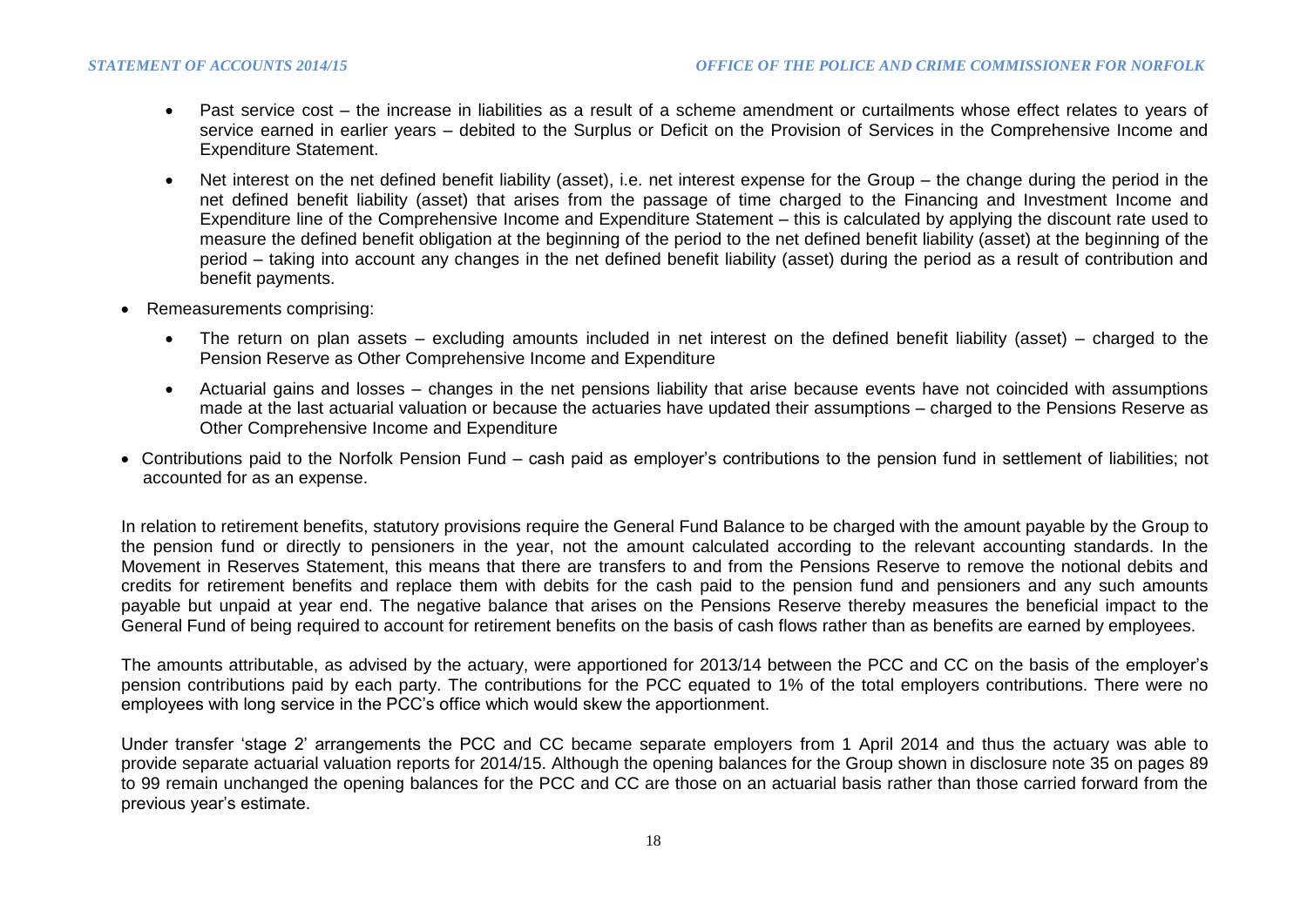- Past service cost the increase in liabilities as a result of a scheme amendment or curtailments whose effect relates to years of service earned in earlier years – debited to the Surplus or Deficit on the Provision of Services in the Comprehensive Income and Expenditure Statement.
- Net interest on the net defined benefit liability (asset), i.e. net interest expense for the Group the change during the period in the net defined benefit liability (asset) that arises from the passage of time charged to the Financing and Investment Income and Expenditure line of the Comprehensive Income and Expenditure Statement – this is calculated by applying the discount rate used to measure the defined benefit obligation at the beginning of the period to the net defined benefit liability (asset) at the beginning of the period – taking into account any changes in the net defined benefit liability (asset) during the period as a result of contribution and benefit payments.
- Remeasurements comprising:
	- The return on plan assets excluding amounts included in net interest on the defined benefit liability (asset) charged to the Pension Reserve as Other Comprehensive Income and Expenditure
	- Actuarial gains and losses changes in the net pensions liability that arise because events have not coincided with assumptions made at the last actuarial valuation or because the actuaries have updated their assumptions – charged to the Pensions Reserve as Other Comprehensive Income and Expenditure
- Contributions paid to the Norfolk Pension Fund cash paid as employer's contributions to the pension fund in settlement of liabilities; not accounted for as an expense.

In relation to retirement benefits, statutory provisions require the General Fund Balance to be charged with the amount payable by the Group to the pension fund or directly to pensioners in the year, not the amount calculated according to the relevant accounting standards. In the Movement in Reserves Statement, this means that there are transfers to and from the Pensions Reserve to remove the notional debits and credits for retirement benefits and replace them with debits for the cash paid to the pension fund and pensioners and any such amounts payable but unpaid at year end. The negative balance that arises on the Pensions Reserve thereby measures the beneficial impact to the General Fund of being required to account for retirement benefits on the basis of cash flows rather than as benefits are earned by employees.

The amounts attributable, as advised by the actuary, were apportioned for 2013/14 between the PCC and CC on the basis of the employer's pension contributions paid by each party. The contributions for the PCC equated to 1% of the total employers contributions. There were no employees with long service in the PCC's office which would skew the apportionment.

Under transfer 'stage 2' arrangements the PCC and CC became separate employers from 1 April 2014 and thus the actuary was able to provide separate actuarial valuation reports for 2014/15. Although the opening balances for the Group shown in disclosure note 35 on pages 89 to 99 remain unchanged the opening balances for the PCC and CC are those on an actuarial basis rather than those carried forward from the previous year's estimate.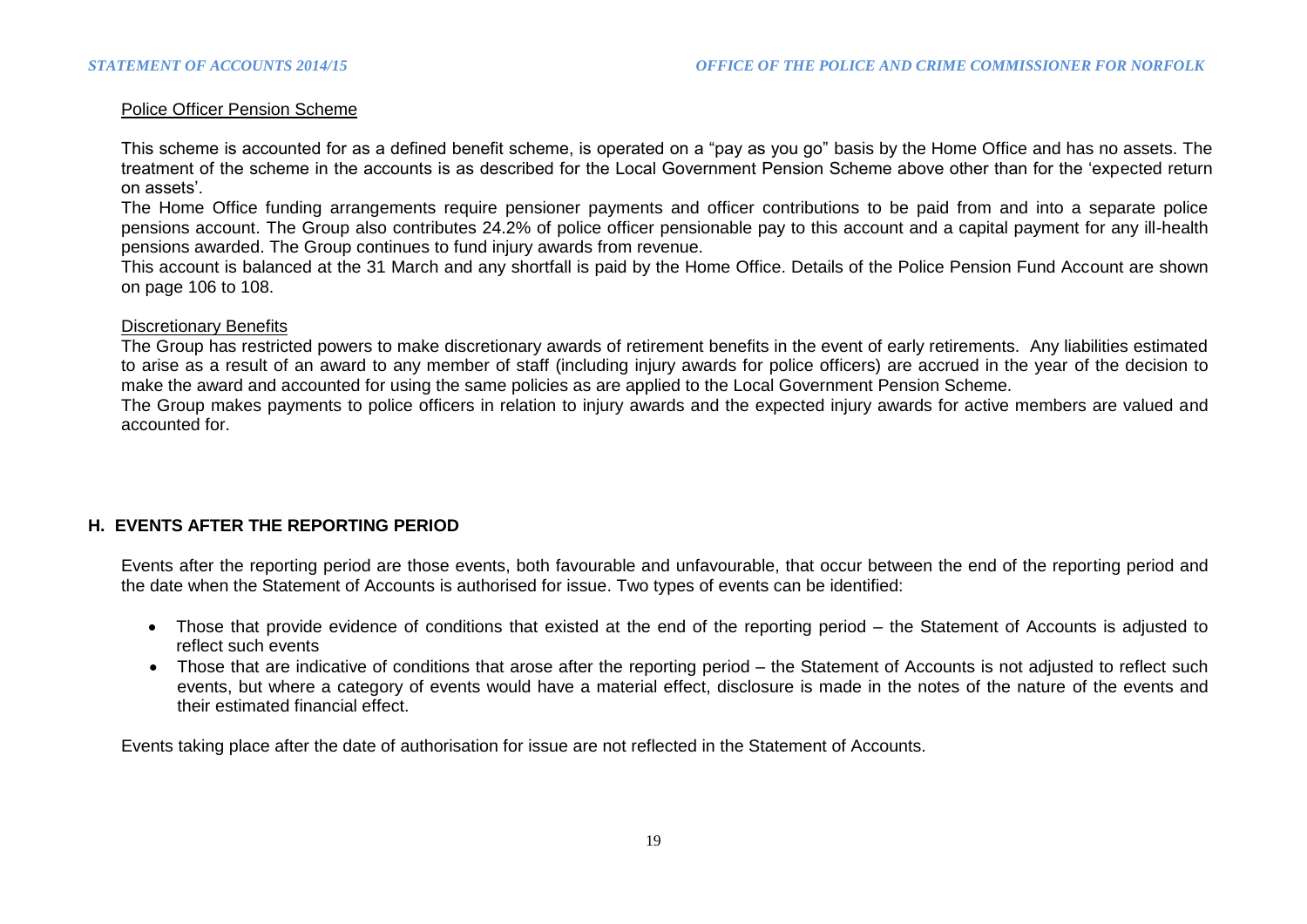### Police Officer Pension Scheme

This scheme is accounted for as a defined benefit scheme, is operated on a "pay as you go" basis by the Home Office and has no assets. The treatment of the scheme in the accounts is as described for the Local Government Pension Scheme above other than for the 'expected return on assets'.

The Home Office funding arrangements require pensioner payments and officer contributions to be paid from and into a separate police pensions account. The Group also contributes 24.2% of police officer pensionable pay to this account and a capital payment for any ill-health pensions awarded. The Group continues to fund injury awards from revenue.

This account is balanced at the 31 March and any shortfall is paid by the Home Office. Details of the Police Pension Fund Account are shown on page 106 to 108.

#### Discretionary Benefits

The Group has restricted powers to make discretionary awards of retirement benefits in the event of early retirements. Any liabilities estimated to arise as a result of an award to any member of staff (including injury awards for police officers) are accrued in the year of the decision to make the award and accounted for using the same policies as are applied to the Local Government Pension Scheme.

The Group makes payments to police officers in relation to injury awards and the expected injury awards for active members are valued and accounted for.

### **H. EVENTS AFTER THE REPORTING PERIOD**

Events after the reporting period are those events, both favourable and unfavourable, that occur between the end of the reporting period and the date when the Statement of Accounts is authorised for issue. Two types of events can be identified:

- Those that provide evidence of conditions that existed at the end of the reporting period the Statement of Accounts is adjusted to reflect such events
- Those that are indicative of conditions that arose after the reporting period the Statement of Accounts is not adjusted to reflect such events, but where a category of events would have a material effect, disclosure is made in the notes of the nature of the events and their estimated financial effect.

Events taking place after the date of authorisation for issue are not reflected in the Statement of Accounts.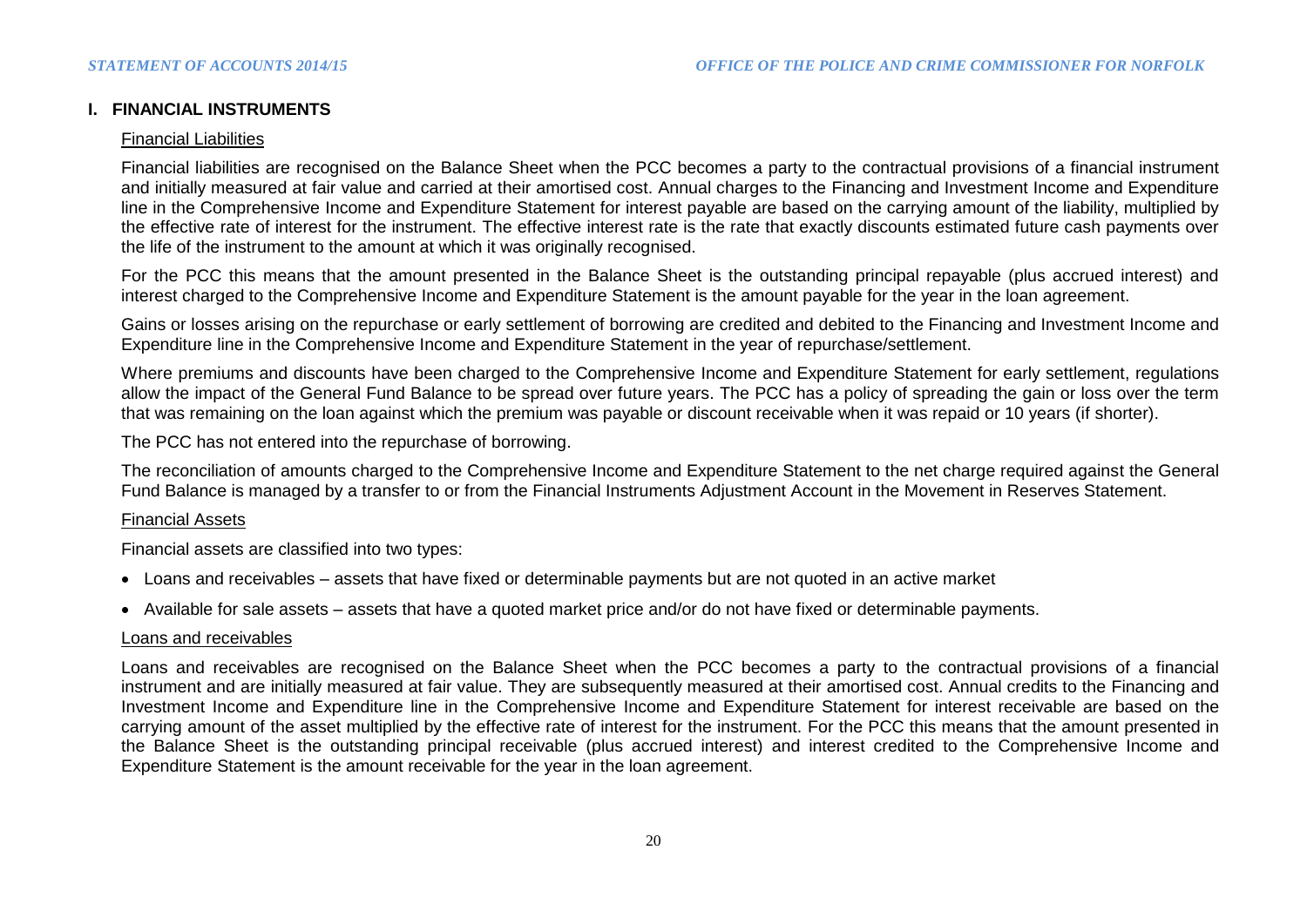### **I. FINANCIAL INSTRUMENTS**

#### Financial Liabilities

Financial liabilities are recognised on the Balance Sheet when the PCC becomes a party to the contractual provisions of a financial instrument and initially measured at fair value and carried at their amortised cost. Annual charges to the Financing and Investment Income and Expenditure line in the Comprehensive Income and Expenditure Statement for interest payable are based on the carrying amount of the liability, multiplied by the effective rate of interest for the instrument. The effective interest rate is the rate that exactly discounts estimated future cash payments over the life of the instrument to the amount at which it was originally recognised.

For the PCC this means that the amount presented in the Balance Sheet is the outstanding principal repayable (plus accrued interest) and interest charged to the Comprehensive Income and Expenditure Statement is the amount payable for the year in the loan agreement.

Gains or losses arising on the repurchase or early settlement of borrowing are credited and debited to the Financing and Investment Income and Expenditure line in the Comprehensive Income and Expenditure Statement in the year of repurchase/settlement.

Where premiums and discounts have been charged to the Comprehensive Income and Expenditure Statement for early settlement, regulations allow the impact of the General Fund Balance to be spread over future years. The PCC has a policy of spreading the gain or loss over the term that was remaining on the loan against which the premium was payable or discount receivable when it was repaid or 10 years (if shorter).

The PCC has not entered into the repurchase of borrowing.

The reconciliation of amounts charged to the Comprehensive Income and Expenditure Statement to the net charge required against the General Fund Balance is managed by a transfer to or from the Financial Instruments Adjustment Account in the Movement in Reserves Statement.

#### Financial Assets

Financial assets are classified into two types:

- Loans and receivables assets that have fixed or determinable payments but are not quoted in an active market
- Available for sale assets assets that have a quoted market price and/or do not have fixed or determinable payments.

### Loans and receivables

Loans and receivables are recognised on the Balance Sheet when the PCC becomes a party to the contractual provisions of a financial instrument and are initially measured at fair value. They are subsequently measured at their amortised cost. Annual credits to the Financing and Investment Income and Expenditure line in the Comprehensive Income and Expenditure Statement for interest receivable are based on the carrying amount of the asset multiplied by the effective rate of interest for the instrument. For the PCC this means that the amount presented in the Balance Sheet is the outstanding principal receivable (plus accrued interest) and interest credited to the Comprehensive Income and Expenditure Statement is the amount receivable for the year in the loan agreement.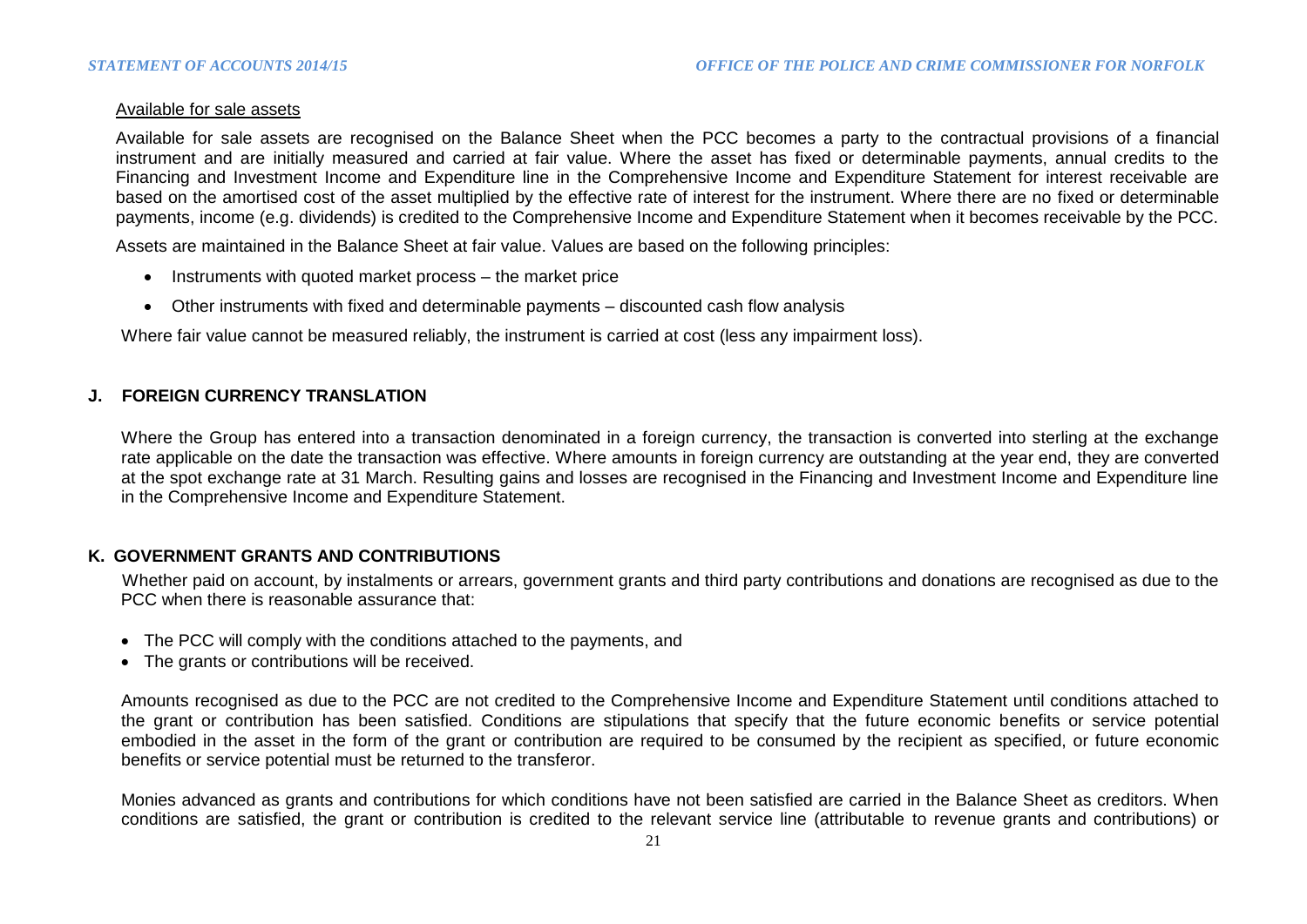### Available for sale assets

Available for sale assets are recognised on the Balance Sheet when the PCC becomes a party to the contractual provisions of a financial instrument and are initially measured and carried at fair value. Where the asset has fixed or determinable payments, annual credits to the Financing and Investment Income and Expenditure line in the Comprehensive Income and Expenditure Statement for interest receivable are based on the amortised cost of the asset multiplied by the effective rate of interest for the instrument. Where there are no fixed or determinable payments, income (e.g. dividends) is credited to the Comprehensive Income and Expenditure Statement when it becomes receivable by the PCC.

Assets are maintained in the Balance Sheet at fair value. Values are based on the following principles:

- Instruments with quoted market process the market price
- Other instruments with fixed and determinable payments discounted cash flow analysis

Where fair value cannot be measured reliably, the instrument is carried at cost (less any impairment loss).

### **J. FOREIGN CURRENCY TRANSLATION**

Where the Group has entered into a transaction denominated in a foreign currency, the transaction is converted into sterling at the exchange rate applicable on the date the transaction was effective. Where amounts in foreign currency are outstanding at the year end, they are converted at the spot exchange rate at 31 March. Resulting gains and losses are recognised in the Financing and Investment Income and Expenditure line in the Comprehensive Income and Expenditure Statement.

### **K. GOVERNMENT GRANTS AND CONTRIBUTIONS**

 Whether paid on account, by instalments or arrears, government grants and third party contributions and donations are recognised as due to the PCC when there is reasonable assurance that:

- The PCC will comply with the conditions attached to the payments, and
- The grants or contributions will be received.

Amounts recognised as due to the PCC are not credited to the Comprehensive Income and Expenditure Statement until conditions attached to the grant or contribution has been satisfied. Conditions are stipulations that specify that the future economic benefits or service potential embodied in the asset in the form of the grant or contribution are required to be consumed by the recipient as specified, or future economic benefits or service potential must be returned to the transferor.

Monies advanced as grants and contributions for which conditions have not been satisfied are carried in the Balance Sheet as creditors. When conditions are satisfied, the grant or contribution is credited to the relevant service line (attributable to revenue grants and contributions) or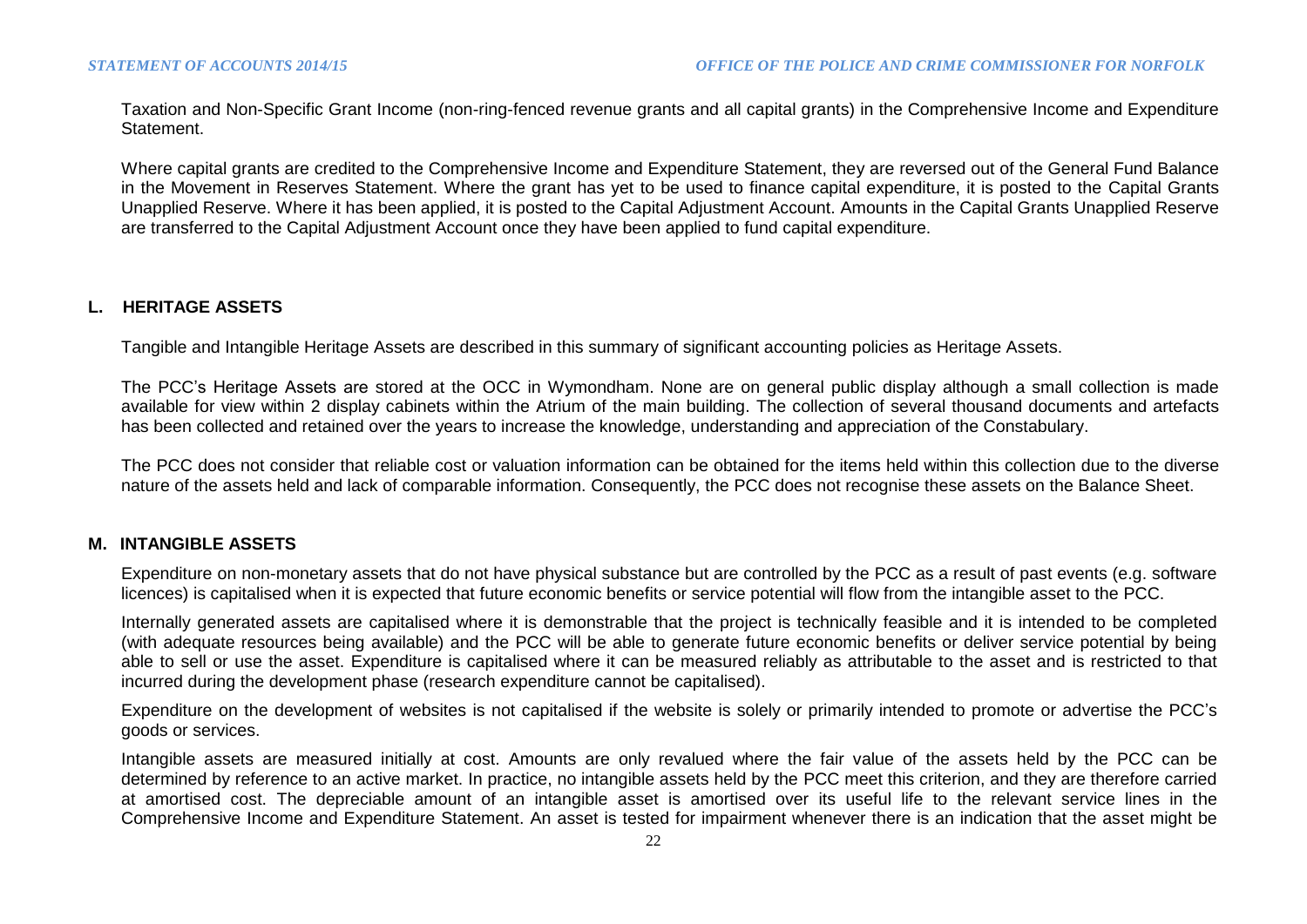Taxation and Non-Specific Grant Income (non-ring-fenced revenue grants and all capital grants) in the Comprehensive Income and Expenditure Statement.

Where capital grants are credited to the Comprehensive Income and Expenditure Statement, they are reversed out of the General Fund Balance in the Movement in Reserves Statement. Where the grant has yet to be used to finance capital expenditure, it is posted to the Capital Grants Unapplied Reserve. Where it has been applied, it is posted to the Capital Adjustment Account. Amounts in the Capital Grants Unapplied Reserve are transferred to the Capital Adjustment Account once they have been applied to fund capital expenditure.

#### **L. HERITAGE ASSETS**

Tangible and Intangible Heritage Assets are described in this summary of significant accounting policies as Heritage Assets.

The PCC's Heritage Assets are stored at the OCC in Wymondham. None are on general public display although a small collection is made available for view within 2 display cabinets within the Atrium of the main building. The collection of several thousand documents and artefacts has been collected and retained over the years to increase the knowledge, understanding and appreciation of the Constabulary.

The PCC does not consider that reliable cost or valuation information can be obtained for the items held within this collection due to the diverse nature of the assets held and lack of comparable information. Consequently, the PCC does not recognise these assets on the Balance Sheet.

#### **M. INTANGIBLE ASSETS**

Expenditure on non-monetary assets that do not have physical substance but are controlled by the PCC as a result of past events (e.g. software licences) is capitalised when it is expected that future economic benefits or service potential will flow from the intangible asset to the PCC.

Internally generated assets are capitalised where it is demonstrable that the project is technically feasible and it is intended to be completed (with adequate resources being available) and the PCC will be able to generate future economic benefits or deliver service potential by being able to sell or use the asset. Expenditure is capitalised where it can be measured reliably as attributable to the asset and is restricted to that incurred during the development phase (research expenditure cannot be capitalised).

Expenditure on the development of websites is not capitalised if the website is solely or primarily intended to promote or advertise the PCC's goods or services.

Intangible assets are measured initially at cost. Amounts are only revalued where the fair value of the assets held by the PCC can be determined by reference to an active market. In practice, no intangible assets held by the PCC meet this criterion, and they are therefore carried at amortised cost. The depreciable amount of an intangible asset is amortised over its useful life to the relevant service lines in the Comprehensive Income and Expenditure Statement. An asset is tested for impairment whenever there is an indication that the asset might be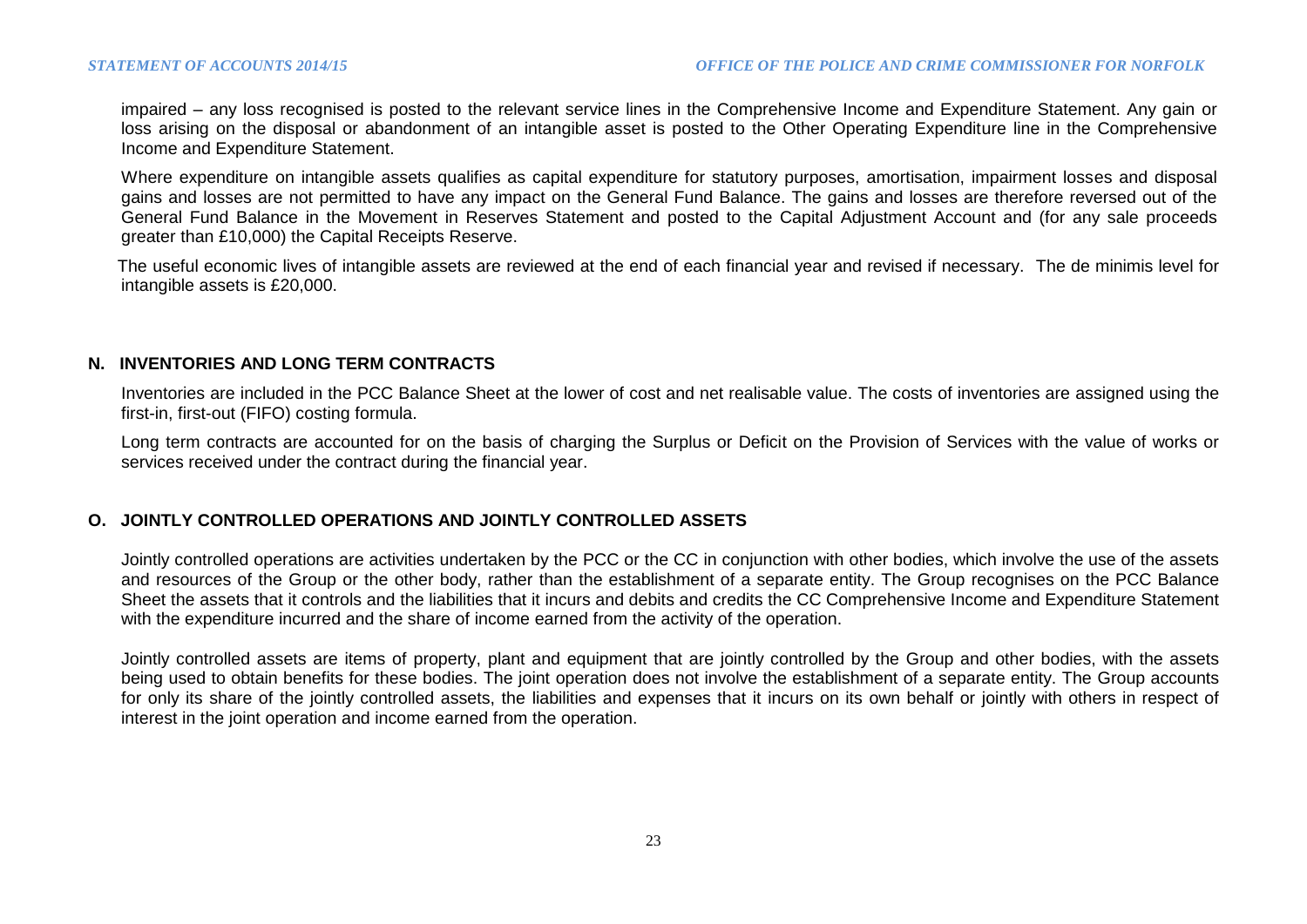impaired – any loss recognised is posted to the relevant service lines in the Comprehensive Income and Expenditure Statement. Any gain or loss arising on the disposal or abandonment of an intangible asset is posted to the Other Operating Expenditure line in the Comprehensive Income and Expenditure Statement.

Where expenditure on intangible assets qualifies as capital expenditure for statutory purposes, amortisation, impairment losses and disposal gains and losses are not permitted to have any impact on the General Fund Balance. The gains and losses are therefore reversed out of the General Fund Balance in the Movement in Reserves Statement and posted to the Capital Adjustment Account and (for any sale proceeds greater than £10,000) the Capital Receipts Reserve.

 The useful economic lives of intangible assets are reviewed at the end of each financial year and revised if necessary. The de minimis level for intangible assets is £20,000.

#### **N. INVENTORIES AND LONG TERM CONTRACTS**

Inventories are included in the PCC Balance Sheet at the lower of cost and net realisable value. The costs of inventories are assigned using the first-in, first-out (FIFO) costing formula.

Long term contracts are accounted for on the basis of charging the Surplus or Deficit on the Provision of Services with the value of works or services received under the contract during the financial year.

### **O. JOINTLY CONTROLLED OPERATIONS AND JOINTLY CONTROLLED ASSETS**

Jointly controlled operations are activities undertaken by the PCC or the CC in conjunction with other bodies, which involve the use of the assets and resources of the Group or the other body, rather than the establishment of a separate entity. The Group recognises on the PCC Balance Sheet the assets that it controls and the liabilities that it incurs and debits and credits the CC Comprehensive Income and Expenditure Statement with the expenditure incurred and the share of income earned from the activity of the operation.

Jointly controlled assets are items of property, plant and equipment that are jointly controlled by the Group and other bodies, with the assets being used to obtain benefits for these bodies. The joint operation does not involve the establishment of a separate entity. The Group accounts for only its share of the jointly controlled assets, the liabilities and expenses that it incurs on its own behalf or jointly with others in respect of interest in the joint operation and income earned from the operation.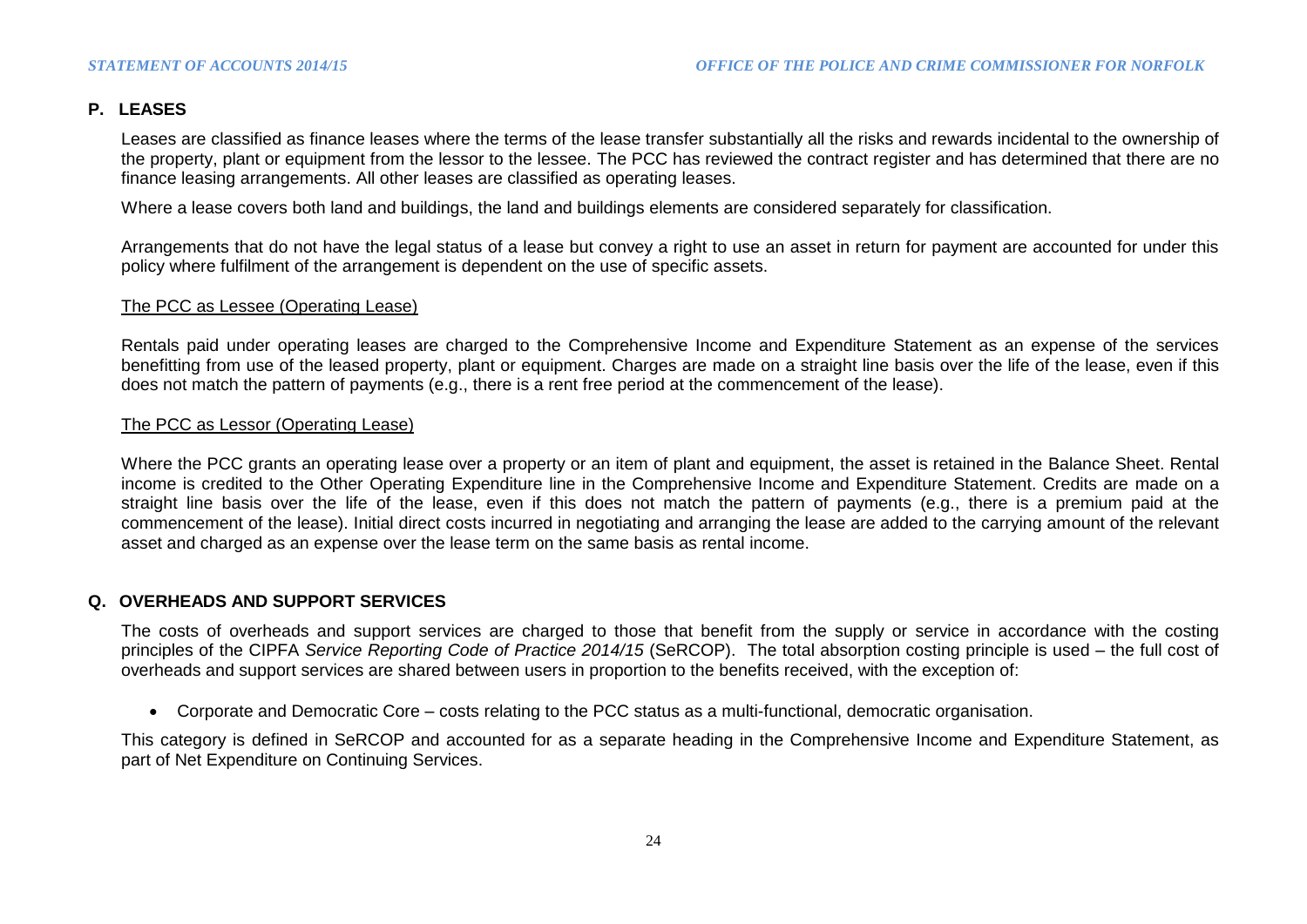### **P. LEASES**

Leases are classified as finance leases where the terms of the lease transfer substantially all the risks and rewards incidental to the ownership of the property, plant or equipment from the lessor to the lessee. The PCC has reviewed the contract register and has determined that there are no finance leasing arrangements. All other leases are classified as operating leases.

Where a lease covers both land and buildings, the land and buildings elements are considered separately for classification.

Arrangements that do not have the legal status of a lease but convey a right to use an asset in return for payment are accounted for under this policy where fulfilment of the arrangement is dependent on the use of specific assets.

#### The PCC as Lessee (Operating Lease)

Rentals paid under operating leases are charged to the Comprehensive Income and Expenditure Statement as an expense of the services benefitting from use of the leased property, plant or equipment. Charges are made on a straight line basis over the life of the lease, even if this does not match the pattern of payments (e.g., there is a rent free period at the commencement of the lease).

#### The PCC as Lessor (Operating Lease)

Where the PCC grants an operating lease over a property or an item of plant and equipment, the asset is retained in the Balance Sheet. Rental income is credited to the Other Operating Expenditure line in the Comprehensive Income and Expenditure Statement. Credits are made on a straight line basis over the life of the lease, even if this does not match the pattern of payments (e.g., there is a premium paid at the commencement of the lease). Initial direct costs incurred in negotiating and arranging the lease are added to the carrying amount of the relevant asset and charged as an expense over the lease term on the same basis as rental income.

### **Q. OVERHEADS AND SUPPORT SERVICES**

The costs of overheads and support services are charged to those that benefit from the supply or service in accordance with the costing principles of the CIPFA *Service Reporting Code of Practice 2014/15* (SeRCOP). The total absorption costing principle is used – the full cost of overheads and support services are shared between users in proportion to the benefits received, with the exception of:

Corporate and Democratic Core – costs relating to the PCC status as a multi-functional, democratic organisation.

This category is defined in SeRCOP and accounted for as a separate heading in the Comprehensive Income and Expenditure Statement, as part of Net Expenditure on Continuing Services.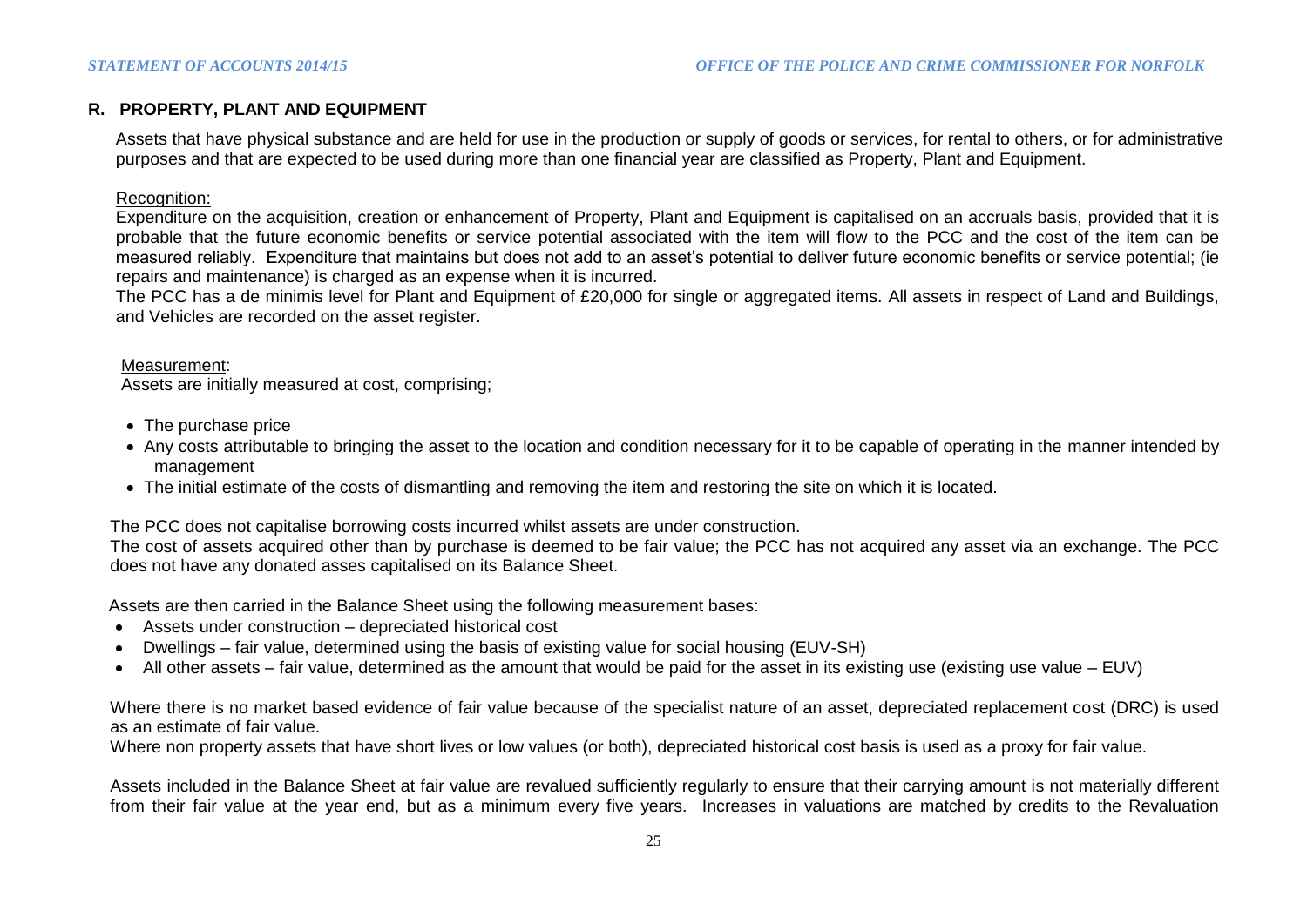### **R. PROPERTY, PLANT AND EQUIPMENT**

Assets that have physical substance and are held for use in the production or supply of goods or services, for rental to others, or for administrative purposes and that are expected to be used during more than one financial year are classified as Property, Plant and Equipment.

### Recognition:

Expenditure on the acquisition, creation or enhancement of Property, Plant and Equipment is capitalised on an accruals basis, provided that it is probable that the future economic benefits or service potential associated with the item will flow to the PCC and the cost of the item can be measured reliably. Expenditure that maintains but does not add to an asset's potential to deliver future economic benefits or service potential; (ie repairs and maintenance) is charged as an expense when it is incurred.

The PCC has a de minimis level for Plant and Equipment of £20,000 for single or aggregated items. All assets in respect of Land and Buildings, and Vehicles are recorded on the asset register.

#### Measurement:

Assets are initially measured at cost, comprising;

- The purchase price
- Any costs attributable to bringing the asset to the location and condition necessary for it to be capable of operating in the manner intended by management
- The initial estimate of the costs of dismantling and removing the item and restoring the site on which it is located.

The PCC does not capitalise borrowing costs incurred whilst assets are under construction.

The cost of assets acquired other than by purchase is deemed to be fair value; the PCC has not acquired any asset via an exchange. The PCC does not have any donated asses capitalised on its Balance Sheet.

Assets are then carried in the Balance Sheet using the following measurement bases:

- Assets under construction depreciated historical cost
- Dwellings fair value, determined using the basis of existing value for social housing (EUV-SH)
- All other assets fair value, determined as the amount that would be paid for the asset in its existing use (existing use value EUV)

Where there is no market based evidence of fair value because of the specialist nature of an asset, depreciated replacement cost (DRC) is used as an estimate of fair value.

Where non property assets that have short lives or low values (or both), depreciated historical cost basis is used as a proxy for fair value.

Assets included in the Balance Sheet at fair value are revalued sufficiently regularly to ensure that their carrying amount is not materially different from their fair value at the year end, but as a minimum every five years. Increases in valuations are matched by credits to the Revaluation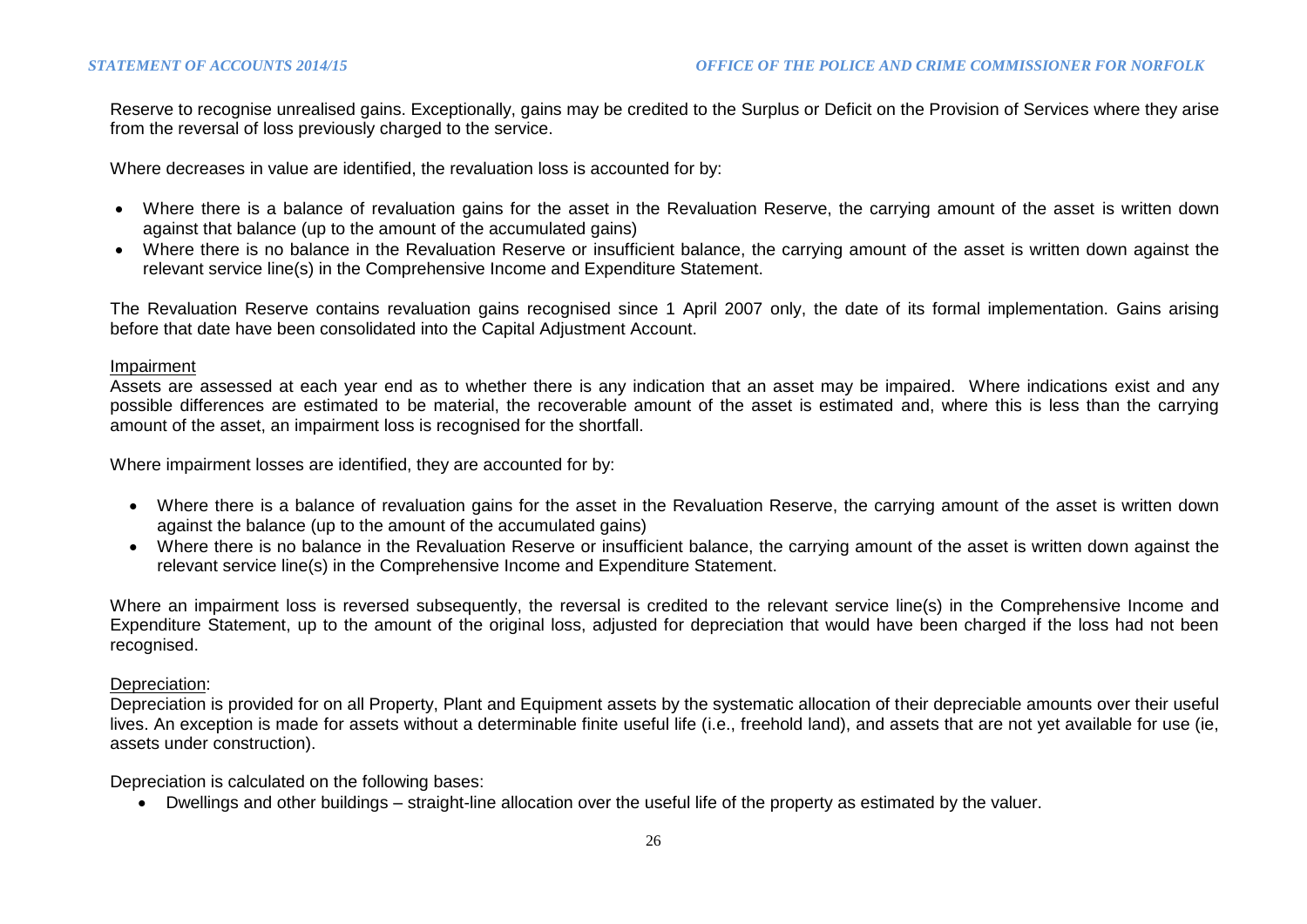Reserve to recognise unrealised gains. Exceptionally, gains may be credited to the Surplus or Deficit on the Provision of Services where they arise from the reversal of loss previously charged to the service.

Where decreases in value are identified, the revaluation loss is accounted for by:

- Where there is a balance of revaluation gains for the asset in the Revaluation Reserve, the carrying amount of the asset is written down against that balance (up to the amount of the accumulated gains)
- Where there is no balance in the Revaluation Reserve or insufficient balance, the carrying amount of the asset is written down against the relevant service line(s) in the Comprehensive Income and Expenditure Statement.

The Revaluation Reserve contains revaluation gains recognised since 1 April 2007 only, the date of its formal implementation. Gains arising before that date have been consolidated into the Capital Adjustment Account.

#### Impairment

Assets are assessed at each year end as to whether there is any indication that an asset may be impaired. Where indications exist and any possible differences are estimated to be material, the recoverable amount of the asset is estimated and, where this is less than the carrying amount of the asset, an impairment loss is recognised for the shortfall.

Where impairment losses are identified, they are accounted for by:

- Where there is a balance of revaluation gains for the asset in the Revaluation Reserve, the carrying amount of the asset is written down against the balance (up to the amount of the accumulated gains)
- Where there is no balance in the Revaluation Reserve or insufficient balance, the carrying amount of the asset is written down against the relevant service line(s) in the Comprehensive Income and Expenditure Statement.

Where an impairment loss is reversed subsequently, the reversal is credited to the relevant service line(s) in the Comprehensive Income and Expenditure Statement, up to the amount of the original loss, adjusted for depreciation that would have been charged if the loss had not been recognised.

#### Depreciation:

Depreciation is provided for on all Property, Plant and Equipment assets by the systematic allocation of their depreciable amounts over their useful lives. An exception is made for assets without a determinable finite useful life (i.e., freehold land), and assets that are not yet available for use (ie, assets under construction).

Depreciation is calculated on the following bases:

Dwellings and other buildings – straight-line allocation over the useful life of the property as estimated by the valuer.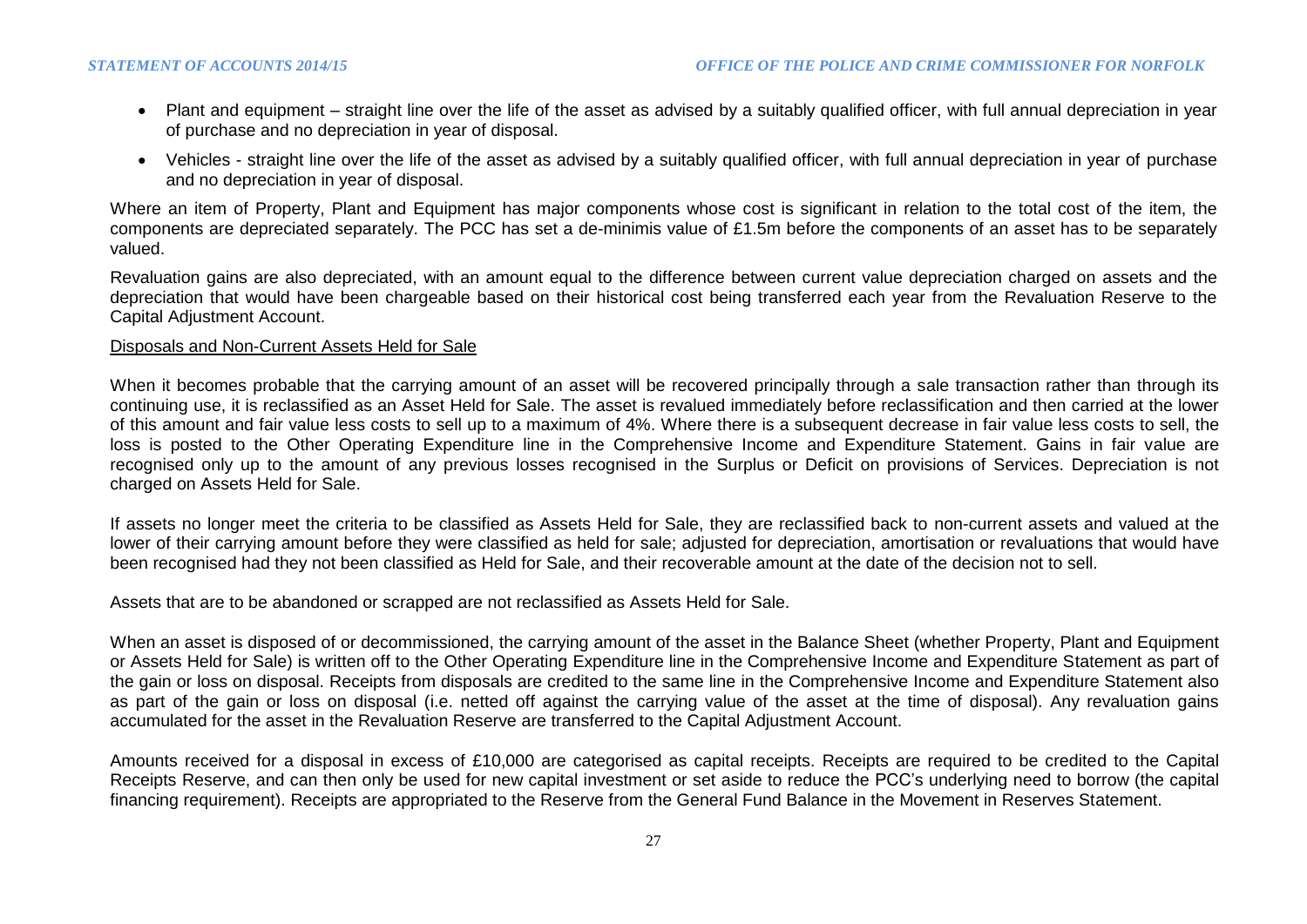- Plant and equipment straight line over the life of the asset as advised by a suitably qualified officer, with full annual depreciation in year of purchase and no depreciation in year of disposal.
- Vehicles straight line over the life of the asset as advised by a suitably qualified officer, with full annual depreciation in year of purchase and no depreciation in year of disposal.

Where an item of Property, Plant and Equipment has major components whose cost is significant in relation to the total cost of the item, the components are depreciated separately. The PCC has set a de-minimis value of £1.5m before the components of an asset has to be separately valued.

Revaluation gains are also depreciated, with an amount equal to the difference between current value depreciation charged on assets and the depreciation that would have been chargeable based on their historical cost being transferred each year from the Revaluation Reserve to the Capital Adjustment Account.

#### Disposals and Non-Current Assets Held for Sale

When it becomes probable that the carrying amount of an asset will be recovered principally through a sale transaction rather than through its continuing use, it is reclassified as an Asset Held for Sale. The asset is revalued immediately before reclassification and then carried at the lower of this amount and fair value less costs to sell up to a maximum of 4%. Where there is a subsequent decrease in fair value less costs to sell, the loss is posted to the Other Operating Expenditure line in the Comprehensive Income and Expenditure Statement. Gains in fair value are recognised only up to the amount of any previous losses recognised in the Surplus or Deficit on provisions of Services. Depreciation is not charged on Assets Held for Sale.

If assets no longer meet the criteria to be classified as Assets Held for Sale, they are reclassified back to non-current assets and valued at the lower of their carrying amount before they were classified as held for sale; adjusted for depreciation, amortisation or revaluations that would have been recognised had they not been classified as Held for Sale, and their recoverable amount at the date of the decision not to sell.

Assets that are to be abandoned or scrapped are not reclassified as Assets Held for Sale.

When an asset is disposed of or decommissioned, the carrying amount of the asset in the Balance Sheet (whether Property, Plant and Equipment or Assets Held for Sale) is written off to the Other Operating Expenditure line in the Comprehensive Income and Expenditure Statement as part of the gain or loss on disposal. Receipts from disposals are credited to the same line in the Comprehensive Income and Expenditure Statement also as part of the gain or loss on disposal (i.e. netted off against the carrying value of the asset at the time of disposal). Any revaluation gains accumulated for the asset in the Revaluation Reserve are transferred to the Capital Adjustment Account.

Amounts received for a disposal in excess of £10,000 are categorised as capital receipts. Receipts are required to be credited to the Capital Receipts Reserve, and can then only be used for new capital investment or set aside to reduce the PCC's underlying need to borrow (the capital financing requirement). Receipts are appropriated to the Reserve from the General Fund Balance in the Movement in Reserves Statement.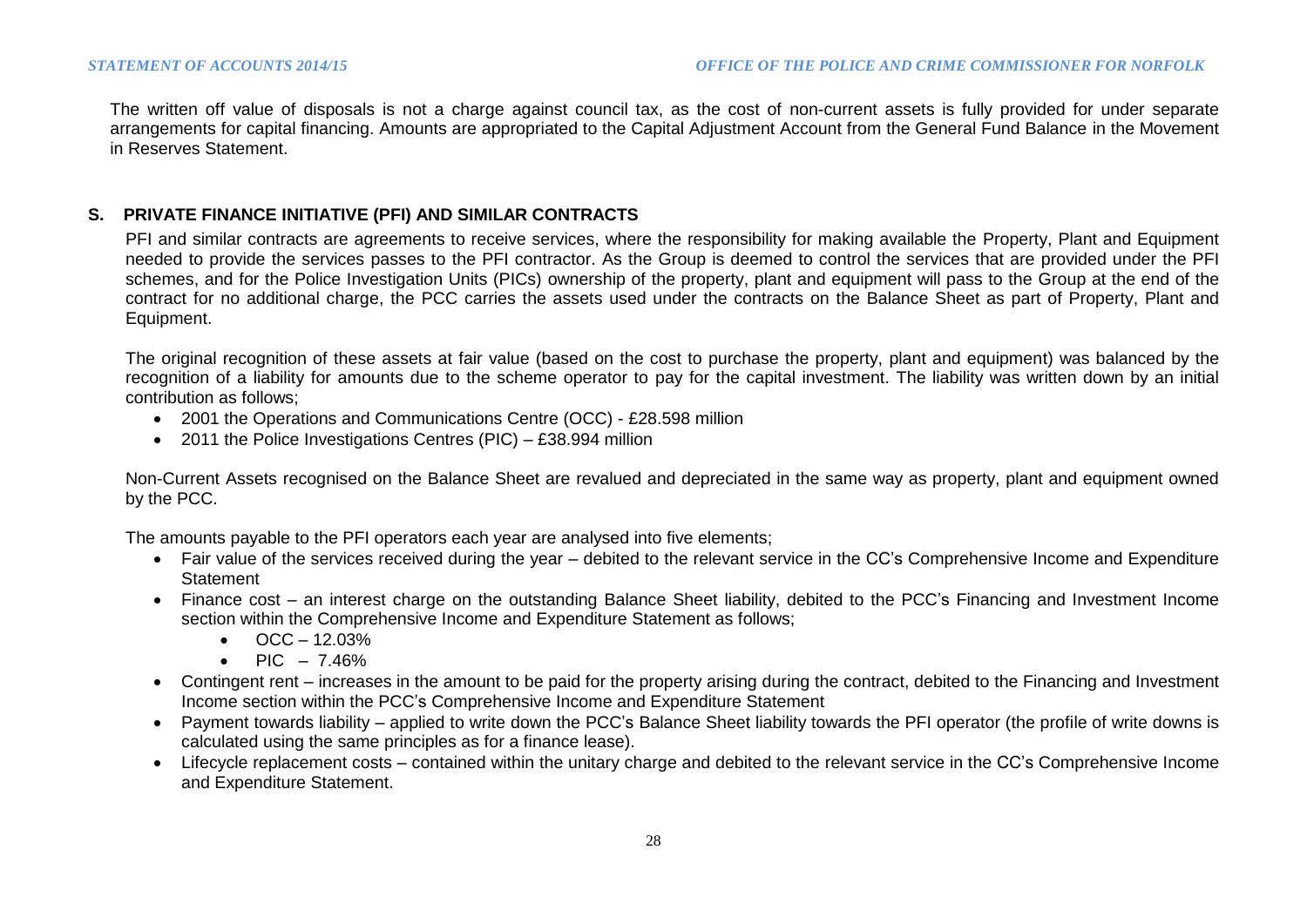The written off value of disposals is not a charge against council tax, as the cost of non-current assets is fully provided for under separate arrangements for capital financing. Amounts are appropriated to the Capital Adjustment Account from the General Fund Balance in the Movement in Reserves Statement.

### **S. PRIVATE FINANCE INITIATIVE (PFI) AND SIMILAR CONTRACTS**

PFI and similar contracts are agreements to receive services, where the responsibility for making available the Property, Plant and Equipment needed to provide the services passes to the PFI contractor. As the Group is deemed to control the services that are provided under the PFI schemes, and for the Police Investigation Units (PICs) ownership of the property, plant and equipment will pass to the Group at the end of the contract for no additional charge, the PCC carries the assets used under the contracts on the Balance Sheet as part of Property, Plant and Equipment.

The original recognition of these assets at fair value (based on the cost to purchase the property, plant and equipment) was balanced by the recognition of a liability for amounts due to the scheme operator to pay for the capital investment. The liability was written down by an initial contribution as follows;

- 2001 the Operations and Communications Centre (OCC) £28.598 million
- 2011 the Police Investigations Centres (PIC) £38.994 million

Non-Current Assets recognised on the Balance Sheet are revalued and depreciated in the same way as property, plant and equipment owned by the PCC.

The amounts payable to the PFI operators each year are analysed into five elements;

- Fair value of the services received during the year debited to the relevant service in the CC's Comprehensive Income and Expenditure **Statement**
- Finance cost an interest charge on the outstanding Balance Sheet liability, debited to the PCC's Financing and Investment Income section within the Comprehensive Income and Expenditure Statement as follows;
	- $\bullet$  OCC 12.03%
	- $\text{PIC} 7.46\%$
- Contingent rent increases in the amount to be paid for the property arising during the contract, debited to the Financing and Investment Income section within the PCC's Comprehensive Income and Expenditure Statement
- Payment towards liability applied to write down the PCC's Balance Sheet liability towards the PFI operator (the profile of write downs is calculated using the same principles as for a finance lease).
- Lifecycle replacement costs contained within the unitary charge and debited to the relevant service in the CC's Comprehensive Income and Expenditure Statement.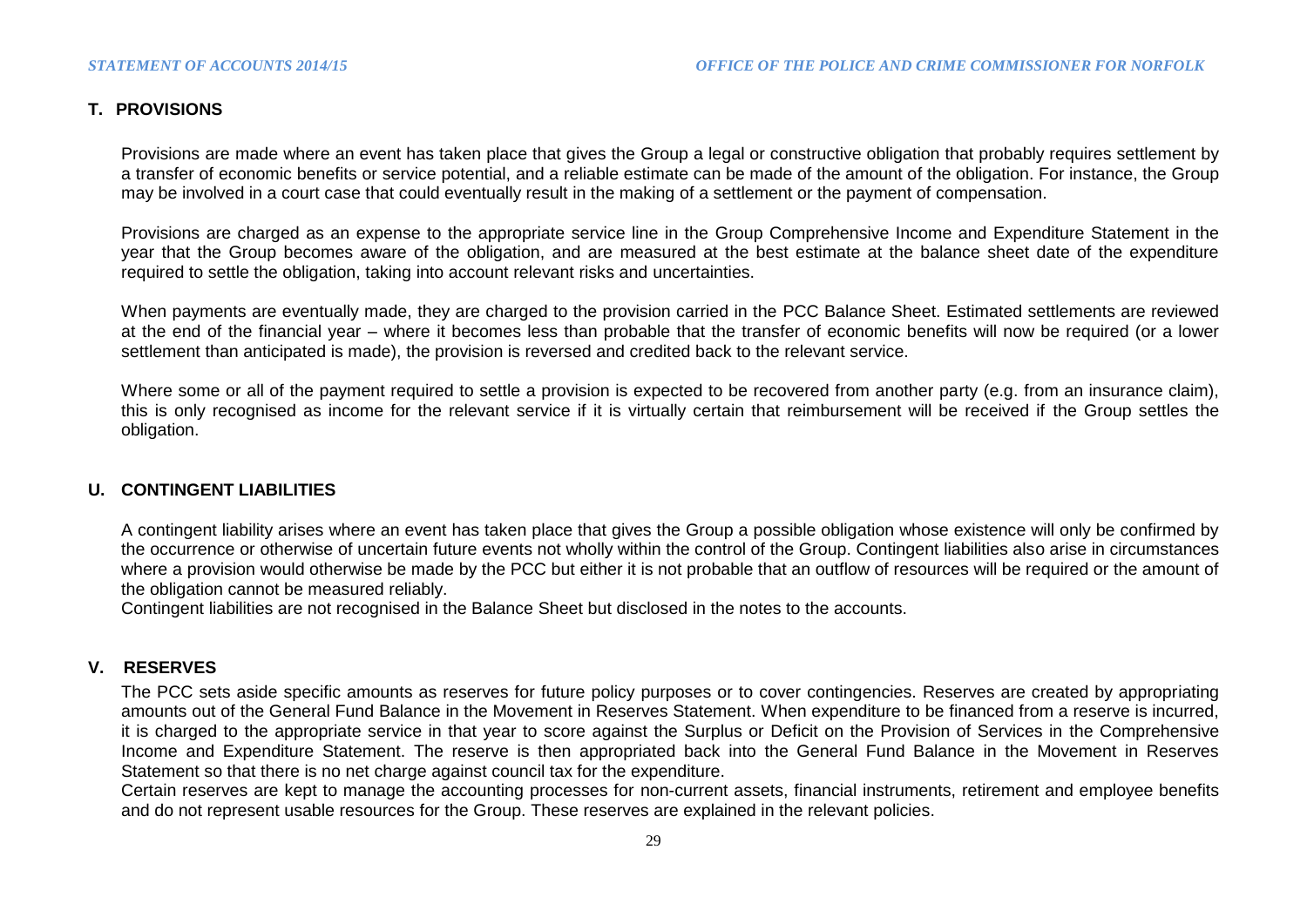### **T. PROVISIONS**

Provisions are made where an event has taken place that gives the Group a legal or constructive obligation that probably requires settlement by a transfer of economic benefits or service potential, and a reliable estimate can be made of the amount of the obligation. For instance, the Group may be involved in a court case that could eventually result in the making of a settlement or the payment of compensation.

Provisions are charged as an expense to the appropriate service line in the Group Comprehensive Income and Expenditure Statement in the year that the Group becomes aware of the obligation, and are measured at the best estimate at the balance sheet date of the expenditure required to settle the obligation, taking into account relevant risks and uncertainties.

When payments are eventually made, they are charged to the provision carried in the PCC Balance Sheet. Estimated settlements are reviewed at the end of the financial year – where it becomes less than probable that the transfer of economic benefits will now be required (or a lower settlement than anticipated is made), the provision is reversed and credited back to the relevant service.

Where some or all of the payment required to settle a provision is expected to be recovered from another party (e.g. from an insurance claim), this is only recognised as income for the relevant service if it is virtually certain that reimbursement will be received if the Group settles the obligation.

### **U. CONTINGENT LIABILITIES**

A contingent liability arises where an event has taken place that gives the Group a possible obligation whose existence will only be confirmed by the occurrence or otherwise of uncertain future events not wholly within the control of the Group. Contingent liabilities also arise in circumstances where a provision would otherwise be made by the PCC but either it is not probable that an outflow of resources will be required or the amount of the obligation cannot be measured reliably.

Contingent liabilities are not recognised in the Balance Sheet but disclosed in the notes to the accounts.

### **V. RESERVES**

The PCC sets aside specific amounts as reserves for future policy purposes or to cover contingencies. Reserves are created by appropriating amounts out of the General Fund Balance in the Movement in Reserves Statement. When expenditure to be financed from a reserve is incurred, it is charged to the appropriate service in that year to score against the Surplus or Deficit on the Provision of Services in the Comprehensive Income and Expenditure Statement. The reserve is then appropriated back into the General Fund Balance in the Movement in Reserves Statement so that there is no net charge against council tax for the expenditure.

Certain reserves are kept to manage the accounting processes for non-current assets, financial instruments, retirement and employee benefits and do not represent usable resources for the Group. These reserves are explained in the relevant policies.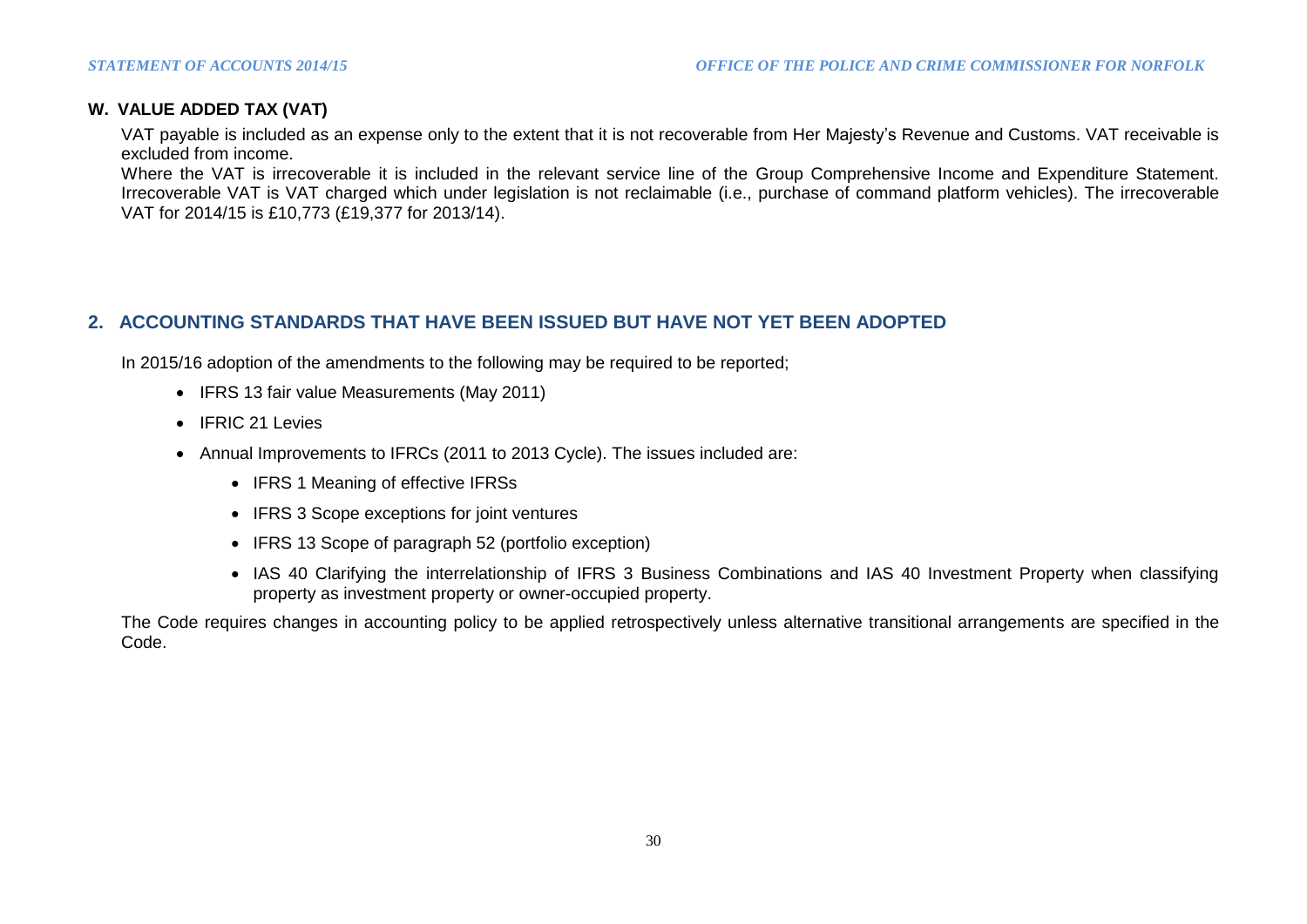### **W. VALUE ADDED TAX (VAT)**

VAT payable is included as an expense only to the extent that it is not recoverable from Her Majesty's Revenue and Customs. VAT receivable is excluded from income.

Where the VAT is irrecoverable it is included in the relevant service line of the Group Comprehensive Income and Expenditure Statement. Irrecoverable VAT is VAT charged which under legislation is not reclaimable (i.e., purchase of command platform vehicles). The irrecoverable VAT for 2014/15 is £10,773 (£19,377 for 2013/14).

### **2. ACCOUNTING STANDARDS THAT HAVE BEEN ISSUED BUT HAVE NOT YET BEEN ADOPTED**

In 2015/16 adoption of the amendments to the following may be required to be reported;

- IFRS 13 fair value Measurements (May 2011)
- IFRIC 21 Levies
- Annual Improvements to IFRCs (2011 to 2013 Cycle). The issues included are:
	- IFRS 1 Meaning of effective IFRSs
	- IFRS 3 Scope exceptions for joint ventures
	- IFRS 13 Scope of paragraph 52 (portfolio exception)
	- IAS 40 Clarifying the interrelationship of IFRS 3 Business Combinations and IAS 40 Investment Property when classifying property as investment property or owner-occupied property.

The Code requires changes in accounting policy to be applied retrospectively unless alternative transitional arrangements are specified in the Code.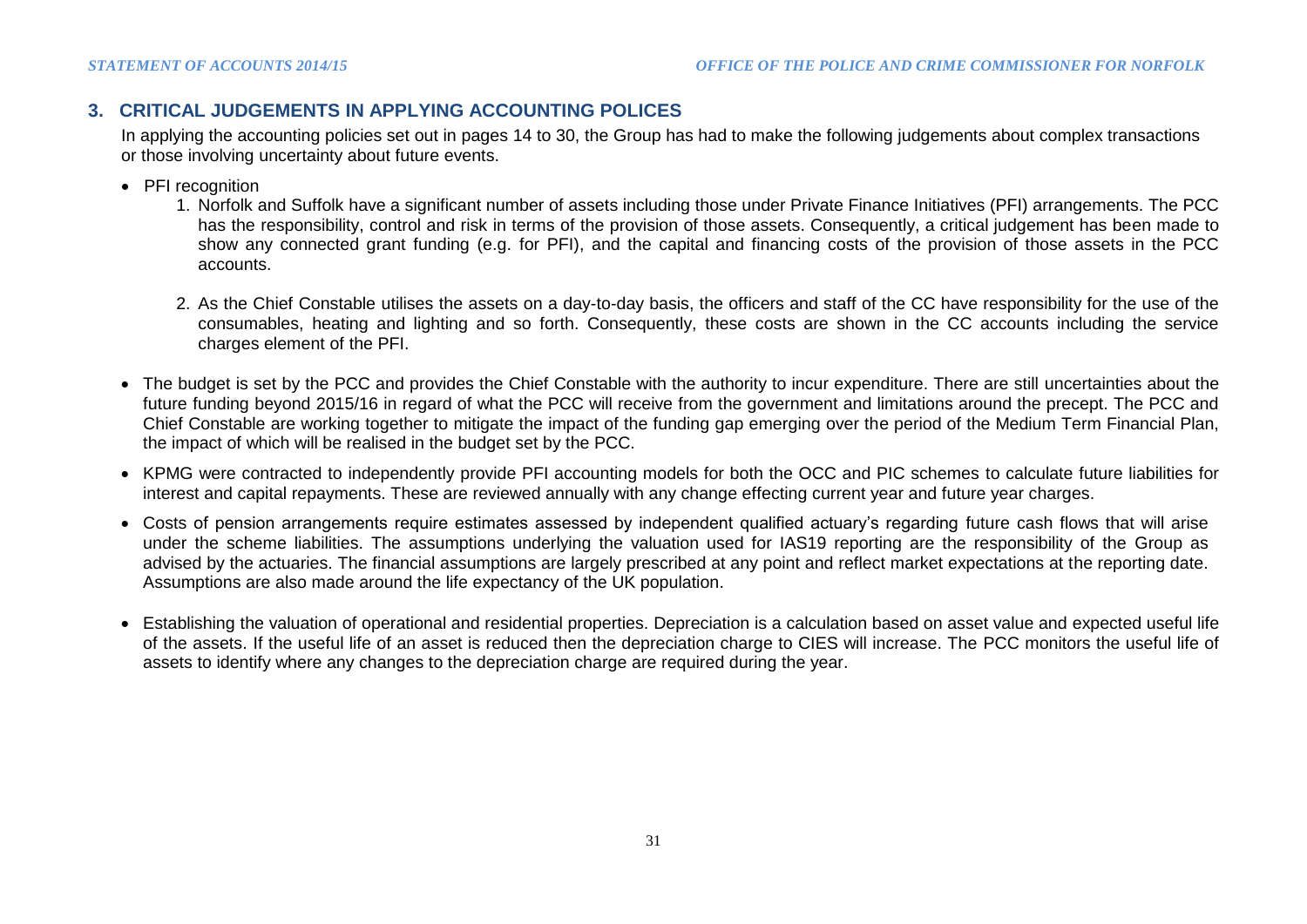### **3. CRITICAL JUDGEMENTS IN APPLYING ACCOUNTING POLICES**

In applying the accounting policies set out in pages 14 to 30, the Group has had to make the following judgements about complex transactions or those involving uncertainty about future events.

- PFI recognition
	- 1. Norfolk and Suffolk have a significant number of assets including those under Private Finance Initiatives (PFI) arrangements. The PCC has the responsibility, control and risk in terms of the provision of those assets. Consequently, a critical judgement has been made to show any connected grant funding (e.g. for PFI), and the capital and financing costs of the provision of those assets in the PCC accounts.
	- 2. As the Chief Constable utilises the assets on a day-to-day basis, the officers and staff of the CC have responsibility for the use of the consumables, heating and lighting and so forth. Consequently, these costs are shown in the CC accounts including the service charges element of the PFI.
- The budget is set by the PCC and provides the Chief Constable with the authority to incur expenditure. There are still uncertainties about the future funding beyond 2015/16 in regard of what the PCC will receive from the government and limitations around the precept. The PCC and Chief Constable are working together to mitigate the impact of the funding gap emerging over the period of the Medium Term Financial Plan, the impact of which will be realised in the budget set by the PCC.
- KPMG were contracted to independently provide PFI accounting models for both the OCC and PIC schemes to calculate future liabilities for interest and capital repayments. These are reviewed annually with any change effecting current year and future year charges.
- Costs of pension arrangements require estimates assessed by independent qualified actuary's regarding future cash flows that will arise under the scheme liabilities. The assumptions underlying the valuation used for IAS19 reporting are the responsibility of the Group as advised by the actuaries. The financial assumptions are largely prescribed at any point and reflect market expectations at the reporting date. Assumptions are also made around the life expectancy of the UK population.
- Establishing the valuation of operational and residential properties. Depreciation is a calculation based on asset value and expected useful life of the assets. If the useful life of an asset is reduced then the depreciation charge to CIES will increase. The PCC monitors the useful life of assets to identify where any changes to the depreciation charge are required during the year.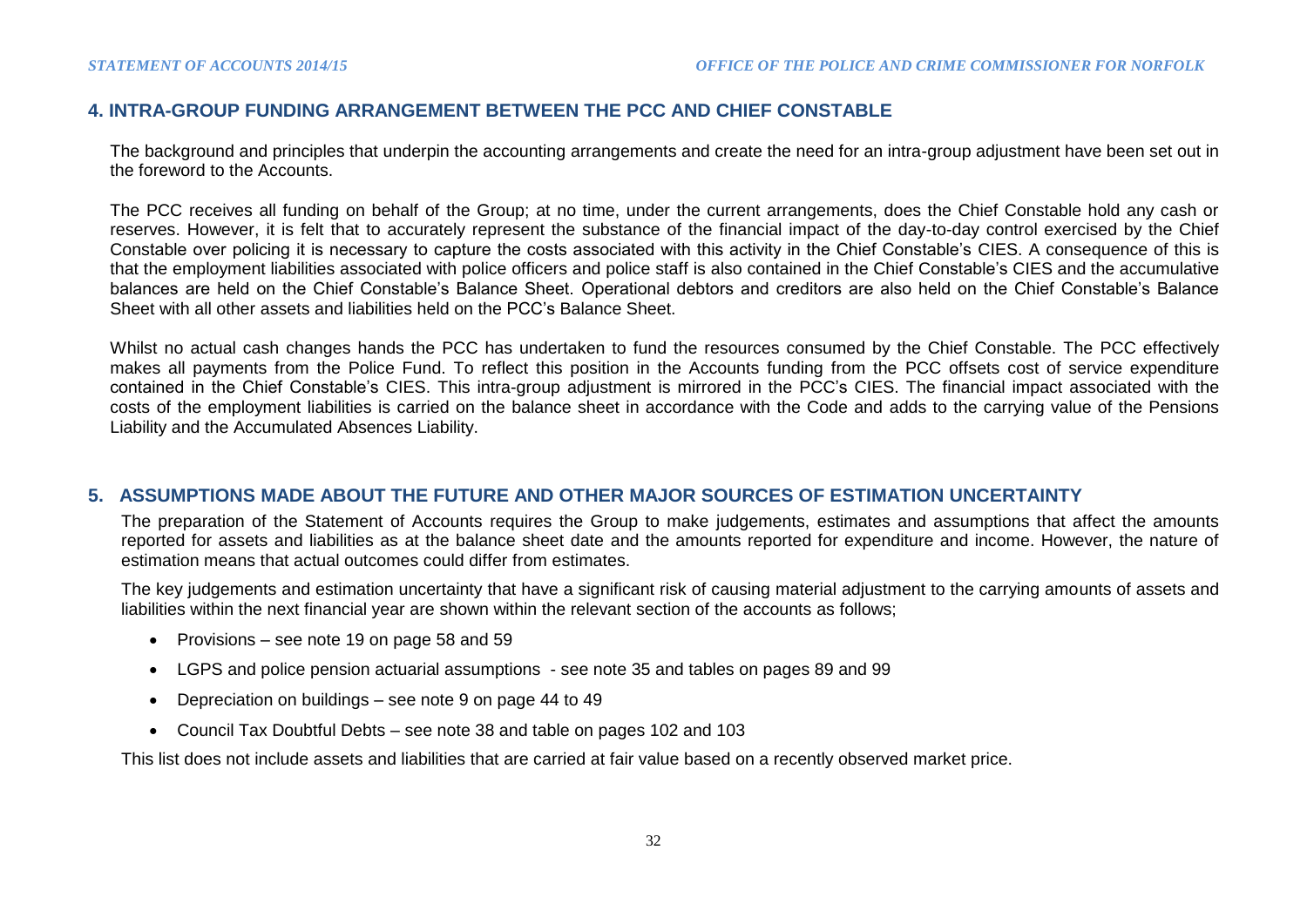### **4. INTRA-GROUP FUNDING ARRANGEMENT BETWEEN THE PCC AND CHIEF CONSTABLE**

The background and principles that underpin the accounting arrangements and create the need for an intra-group adjustment have been set out in the foreword to the Accounts.

The PCC receives all funding on behalf of the Group; at no time, under the current arrangements, does the Chief Constable hold any cash or reserves. However, it is felt that to accurately represent the substance of the financial impact of the day-to-day control exercised by the Chief Constable over policing it is necessary to capture the costs associated with this activity in the Chief Constable's CIES. A consequence of this is that the employment liabilities associated with police officers and police staff is also contained in the Chief Constable's CIES and the accumulative balances are held on the Chief Constable's Balance Sheet. Operational debtors and creditors are also held on the Chief Constable's Balance Sheet with all other assets and liabilities held on the PCC's Balance Sheet.

Whilst no actual cash changes hands the PCC has undertaken to fund the resources consumed by the Chief Constable. The PCC effectively makes all payments from the Police Fund. To reflect this position in the Accounts funding from the PCC offsets cost of service expenditure contained in the Chief Constable's CIES. This intra-group adjustment is mirrored in the PCC's CIES. The financial impact associated with the costs of the employment liabilities is carried on the balance sheet in accordance with the Code and adds to the carrying value of the Pensions Liability and the Accumulated Absences Liability.

### **5. ASSUMPTIONS MADE ABOUT THE FUTURE AND OTHER MAJOR SOURCES OF ESTIMATION UNCERTAINTY**

The preparation of the Statement of Accounts requires the Group to make judgements, estimates and assumptions that affect the amounts reported for assets and liabilities as at the balance sheet date and the amounts reported for expenditure and income. However, the nature of estimation means that actual outcomes could differ from estimates.

The key judgements and estimation uncertainty that have a significant risk of causing material adjustment to the carrying amounts of assets and liabilities within the next financial year are shown within the relevant section of the accounts as follows;

- Provisions see note 19 on page 58 and 59
- LGPS and police pension actuarial assumptions see note 35 and tables on pages 89 and 99
- Depreciation on buildings see note 9 on page 44 to 49
- Council Tax Doubtful Debts see note 38 and table on pages 102 and 103

This list does not include assets and liabilities that are carried at fair value based on a recently observed market price.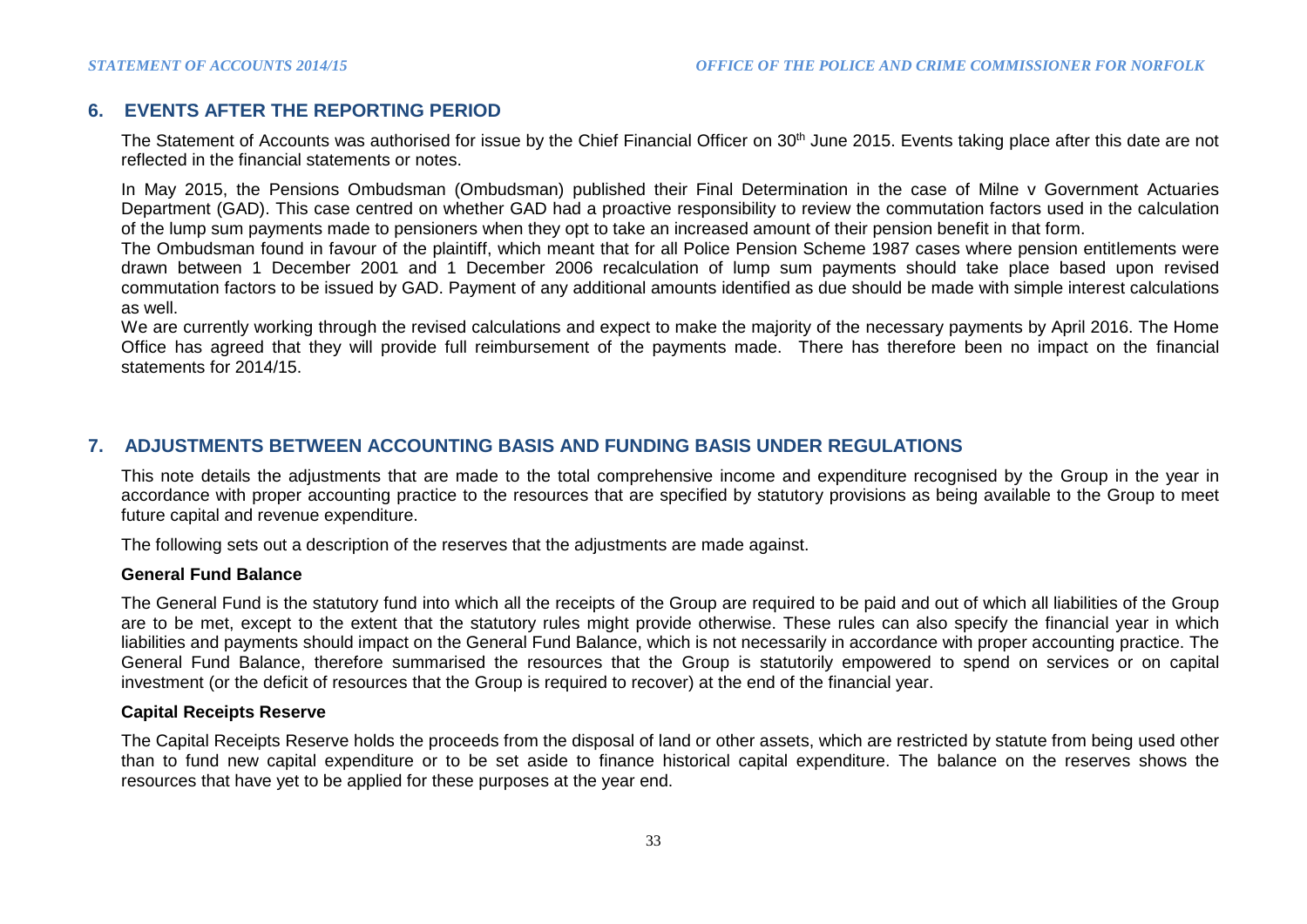### **6. EVENTS AFTER THE REPORTING PERIOD**

The Statement of Accounts was authorised for issue by the Chief Financial Officer on 30<sup>th</sup> June 2015. Events taking place after this date are not reflected in the financial statements or notes.

In May 2015, the Pensions Ombudsman (Ombudsman) published their Final Determination in the case of Milne v Government Actuaries Department (GAD). This case centred on whether GAD had a proactive responsibility to review the commutation factors used in the calculation of the lump sum payments made to pensioners when they opt to take an increased amount of their pension benefit in that form.

The Ombudsman found in favour of the plaintiff, which meant that for all Police Pension Scheme 1987 cases where pension entitlements were drawn between 1 December 2001 and 1 December 2006 recalculation of lump sum payments should take place based upon revised commutation factors to be issued by GAD. Payment of any additional amounts identified as due should be made with simple interest calculations as well.

We are currently working through the revised calculations and expect to make the majority of the necessary payments by April 2016. The Home Office has agreed that they will provide full reimbursement of the payments made. There has therefore been no impact on the financial statements for 2014/15.

### **7. ADJUSTMENTS BETWEEN ACCOUNTING BASIS AND FUNDING BASIS UNDER REGULATIONS**

This note details the adjustments that are made to the total comprehensive income and expenditure recognised by the Group in the year in accordance with proper accounting practice to the resources that are specified by statutory provisions as being available to the Group to meet future capital and revenue expenditure.

The following sets out a description of the reserves that the adjustments are made against.

### **General Fund Balance**

The General Fund is the statutory fund into which all the receipts of the Group are required to be paid and out of which all liabilities of the Group are to be met, except to the extent that the statutory rules might provide otherwise. These rules can also specify the financial year in which liabilities and payments should impact on the General Fund Balance, which is not necessarily in accordance with proper accounting practice. The General Fund Balance, therefore summarised the resources that the Group is statutorily empowered to spend on services or on capital investment (or the deficit of resources that the Group is required to recover) at the end of the financial year.

#### **Capital Receipts Reserve**

The Capital Receipts Reserve holds the proceeds from the disposal of land or other assets, which are restricted by statute from being used other than to fund new capital expenditure or to be set aside to finance historical capital expenditure. The balance on the reserves shows the resources that have yet to be applied for these purposes at the year end.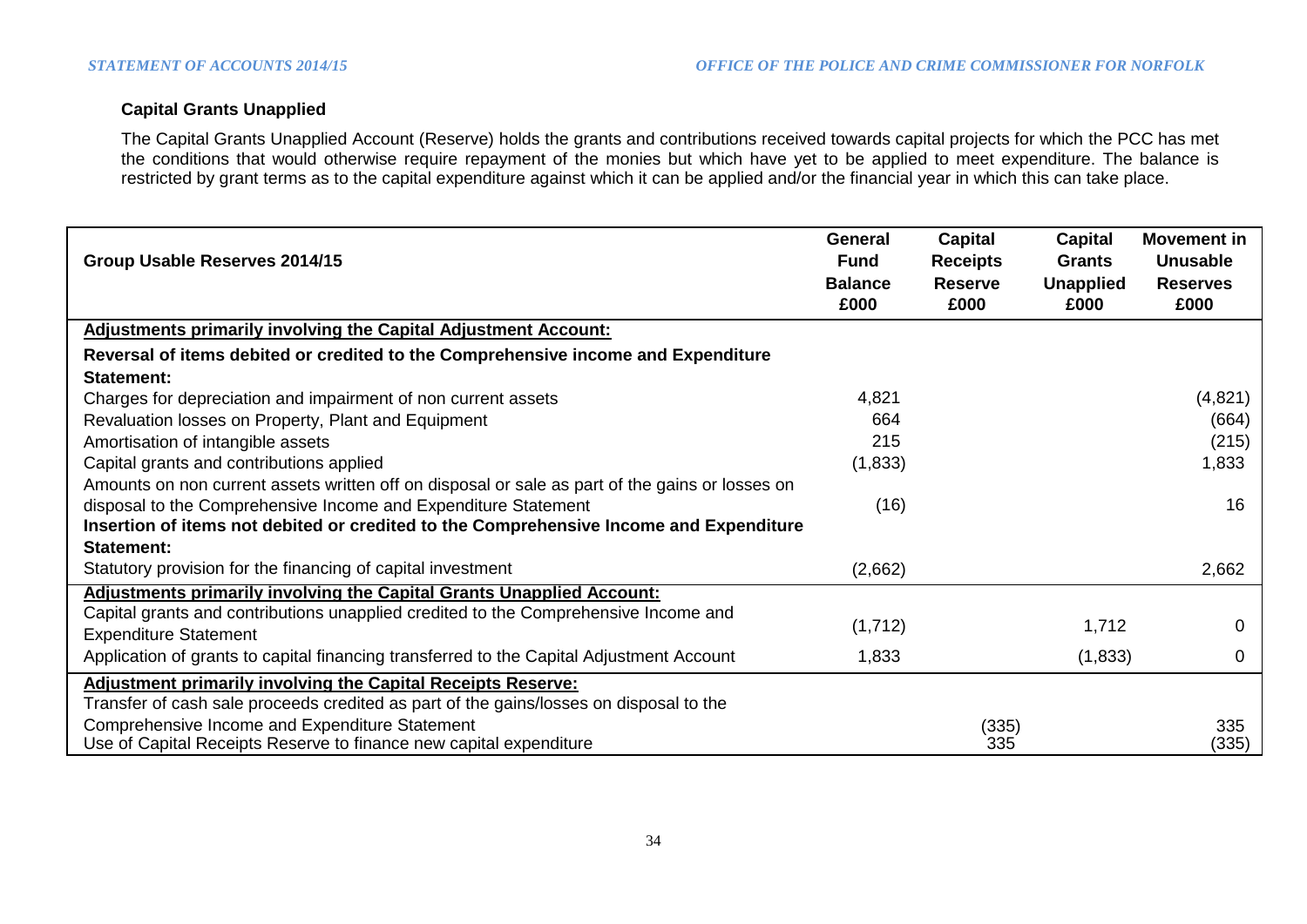### **Capital Grants Unapplied**

The Capital Grants Unapplied Account (Reserve) holds the grants and contributions received towards capital projects for which the PCC has met the conditions that would otherwise require repayment of the monies but which have yet to be applied to meet expenditure. The balance is restricted by grant terms as to the capital expenditure against which it can be applied and/or the financial year in which this can take place.

| Group Usable Reserves 2014/15                                                                   | General<br><b>Fund</b><br><b>Balance</b><br>£000 | <b>Capital</b><br><b>Receipts</b><br><b>Reserve</b><br>£000 | Capital<br><b>Grants</b><br><b>Unapplied</b><br>£000 | Movement in<br><b>Unusable</b><br><b>Reserves</b><br>£000 |
|-------------------------------------------------------------------------------------------------|--------------------------------------------------|-------------------------------------------------------------|------------------------------------------------------|-----------------------------------------------------------|
| <b>Adjustments primarily involving the Capital Adjustment Account:</b>                          |                                                  |                                                             |                                                      |                                                           |
| Reversal of items debited or credited to the Comprehensive income and Expenditure               |                                                  |                                                             |                                                      |                                                           |
| Statement:                                                                                      |                                                  |                                                             |                                                      |                                                           |
| Charges for depreciation and impairment of non current assets                                   | 4,821                                            |                                                             |                                                      | (4,821)                                                   |
| Revaluation losses on Property, Plant and Equipment                                             | 664                                              |                                                             |                                                      | (664)                                                     |
| Amortisation of intangible assets                                                               | 215                                              |                                                             |                                                      | (215)                                                     |
| Capital grants and contributions applied                                                        | (1,833)                                          |                                                             |                                                      | 1,833                                                     |
| Amounts on non current assets written off on disposal or sale as part of the gains or losses on |                                                  |                                                             |                                                      |                                                           |
| disposal to the Comprehensive Income and Expenditure Statement                                  | (16)                                             |                                                             |                                                      | 16                                                        |
| Insertion of items not debited or credited to the Comprehensive Income and Expenditure          |                                                  |                                                             |                                                      |                                                           |
| Statement:                                                                                      |                                                  |                                                             |                                                      |                                                           |
| Statutory provision for the financing of capital investment                                     | (2,662)                                          |                                                             |                                                      | 2,662                                                     |
| Adjustments primarily involving the Capital Grants Unapplied Account:                           |                                                  |                                                             |                                                      |                                                           |
| Capital grants and contributions unapplied credited to the Comprehensive Income and             | (1,712)                                          |                                                             | 1,712                                                | $\mathbf 0$                                               |
| <b>Expenditure Statement</b>                                                                    |                                                  |                                                             |                                                      |                                                           |
| Application of grants to capital financing transferred to the Capital Adjustment Account        | 1,833                                            |                                                             | (1,833)                                              | 0                                                         |
| <b>Adjustment primarily involving the Capital Receipts Reserve:</b>                             |                                                  |                                                             |                                                      |                                                           |
| Transfer of cash sale proceeds credited as part of the gains/losses on disposal to the          |                                                  |                                                             |                                                      |                                                           |
| Comprehensive Income and Expenditure Statement                                                  |                                                  | (335)                                                       |                                                      | 335                                                       |
| Use of Capital Receipts Reserve to finance new capital expenditure                              |                                                  | 335                                                         |                                                      | (335)                                                     |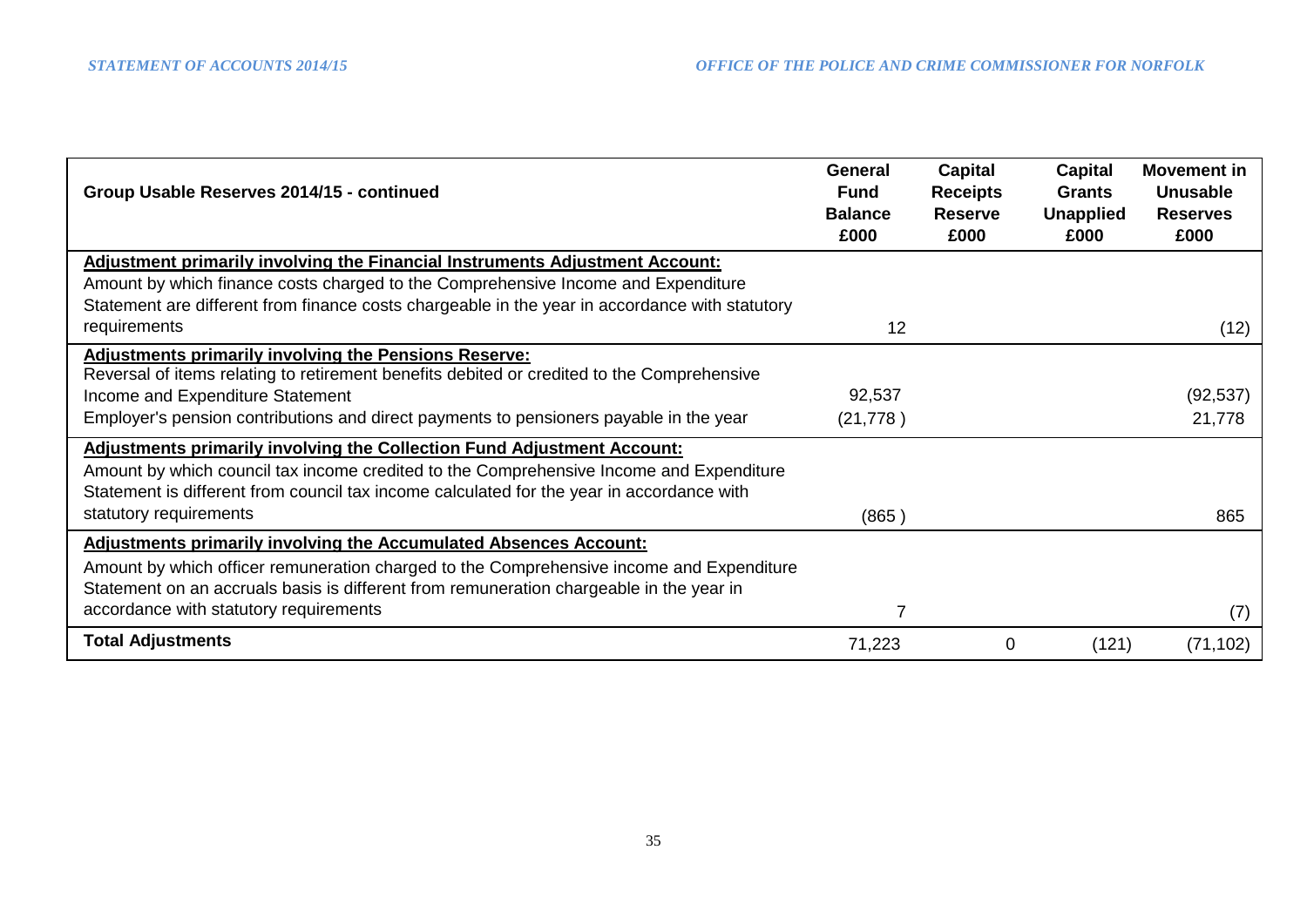| Group Usable Reserves 2014/15 - continued                                                                                                                                                                                                                              | <b>General</b><br><b>Fund</b><br><b>Balance</b><br>£000 | Capital<br><b>Receipts</b><br><b>Reserve</b><br>£000 | Capital<br><b>Grants</b><br><b>Unapplied</b><br>£000 | <b>Movement in</b><br><b>Unusable</b><br><b>Reserves</b><br>£000 |
|------------------------------------------------------------------------------------------------------------------------------------------------------------------------------------------------------------------------------------------------------------------------|---------------------------------------------------------|------------------------------------------------------|------------------------------------------------------|------------------------------------------------------------------|
| <b>Adjustment primarily involving the Financial Instruments Adjustment Account:</b>                                                                                                                                                                                    |                                                         |                                                      |                                                      |                                                                  |
| Amount by which finance costs charged to the Comprehensive Income and Expenditure                                                                                                                                                                                      |                                                         |                                                      |                                                      |                                                                  |
| Statement are different from finance costs chargeable in the year in accordance with statutory<br>requirements                                                                                                                                                         | 12                                                      |                                                      |                                                      | (12)                                                             |
| <b>Adjustments primarily involving the Pensions Reserve:</b><br>Reversal of items relating to retirement benefits debited or credited to the Comprehensive                                                                                                             |                                                         |                                                      |                                                      |                                                                  |
| Income and Expenditure Statement                                                                                                                                                                                                                                       | 92,537                                                  |                                                      |                                                      | (92, 537)                                                        |
| Employer's pension contributions and direct payments to pensioners payable in the year                                                                                                                                                                                 | (21, 778)                                               |                                                      |                                                      | 21,778                                                           |
| <b>Adjustments primarily involving the Collection Fund Adjustment Account:</b><br>Amount by which council tax income credited to the Comprehensive Income and Expenditure<br>Statement is different from council tax income calculated for the year in accordance with |                                                         |                                                      |                                                      |                                                                  |
| statutory requirements                                                                                                                                                                                                                                                 | (865)                                                   |                                                      |                                                      | 865                                                              |
| <b>Adjustments primarily involving the Accumulated Absences Account:</b>                                                                                                                                                                                               |                                                         |                                                      |                                                      |                                                                  |
| Amount by which officer remuneration charged to the Comprehensive income and Expenditure<br>Statement on an accruals basis is different from remuneration chargeable in the year in                                                                                    |                                                         |                                                      |                                                      |                                                                  |
| accordance with statutory requirements                                                                                                                                                                                                                                 | 7                                                       |                                                      |                                                      | (7)                                                              |
| <b>Total Adjustments</b>                                                                                                                                                                                                                                               | 71,223                                                  | 0                                                    | (121)                                                | (71, 102)                                                        |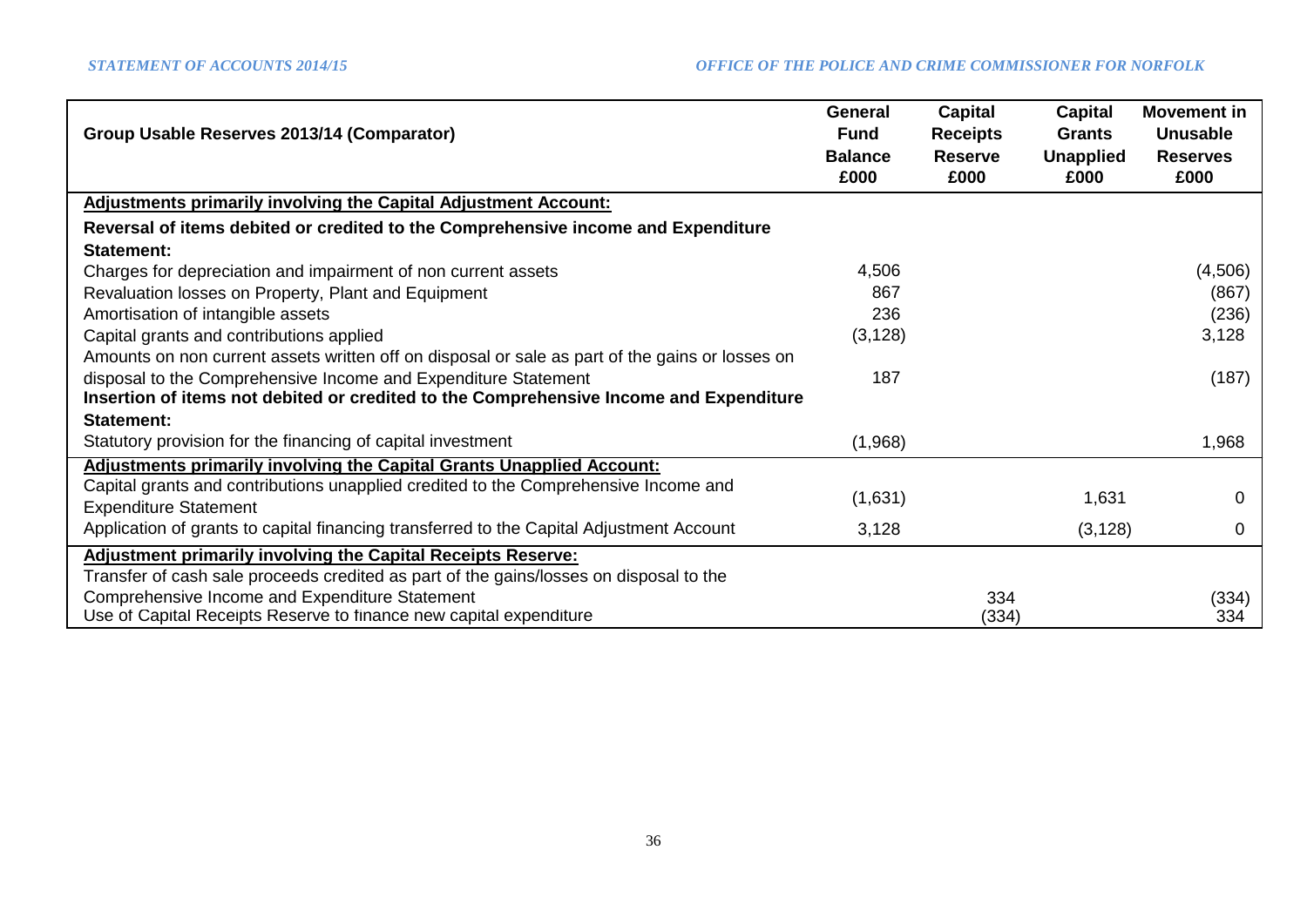| Group Usable Reserves 2013/14 (Comparator)                                                      | <b>General</b><br><b>Fund</b> | <b>Capital</b><br><b>Receipts</b> | <b>Capital</b><br><b>Grants</b> | <b>Movement in</b><br><b>Unusable</b> |
|-------------------------------------------------------------------------------------------------|-------------------------------|-----------------------------------|---------------------------------|---------------------------------------|
|                                                                                                 | <b>Balance</b><br>£000        | <b>Reserve</b><br>£000            | <b>Unapplied</b><br>£000        | <b>Reserves</b><br>£000               |
| <b>Adjustments primarily involving the Capital Adjustment Account:</b>                          |                               |                                   |                                 |                                       |
| Reversal of items debited or credited to the Comprehensive income and Expenditure               |                               |                                   |                                 |                                       |
| Statement:                                                                                      |                               |                                   |                                 |                                       |
| Charges for depreciation and impairment of non current assets                                   | 4,506                         |                                   |                                 | (4,506)                               |
| Revaluation losses on Property, Plant and Equipment                                             | 867                           |                                   |                                 | (867)                                 |
| Amortisation of intangible assets                                                               | 236                           |                                   |                                 | (236)                                 |
| Capital grants and contributions applied                                                        | (3, 128)                      |                                   |                                 | 3,128                                 |
| Amounts on non current assets written off on disposal or sale as part of the gains or losses on |                               |                                   |                                 |                                       |
| disposal to the Comprehensive Income and Expenditure Statement                                  | 187                           |                                   |                                 | (187)                                 |
| Insertion of items not debited or credited to the Comprehensive Income and Expenditure          |                               |                                   |                                 |                                       |
| Statement:                                                                                      |                               |                                   |                                 |                                       |
| Statutory provision for the financing of capital investment                                     | (1,968)                       |                                   |                                 | 1,968                                 |
| Adjustments primarily involving the Capital Grants Unapplied Account:                           |                               |                                   |                                 |                                       |
| Capital grants and contributions unapplied credited to the Comprehensive Income and             | (1,631)                       |                                   | 1,631                           | 0                                     |
| <b>Expenditure Statement</b>                                                                    |                               |                                   |                                 |                                       |
| Application of grants to capital financing transferred to the Capital Adjustment Account        | 3,128                         |                                   | (3, 128)                        | 0                                     |
| <b>Adjustment primarily involving the Capital Receipts Reserve:</b>                             |                               |                                   |                                 |                                       |
| Transfer of cash sale proceeds credited as part of the gains/losses on disposal to the          |                               |                                   |                                 |                                       |
| Comprehensive Income and Expenditure Statement                                                  |                               | 334                               |                                 | (334)                                 |
| Use of Capital Receipts Reserve to finance new capital expenditure                              |                               | (334)                             |                                 | 334                                   |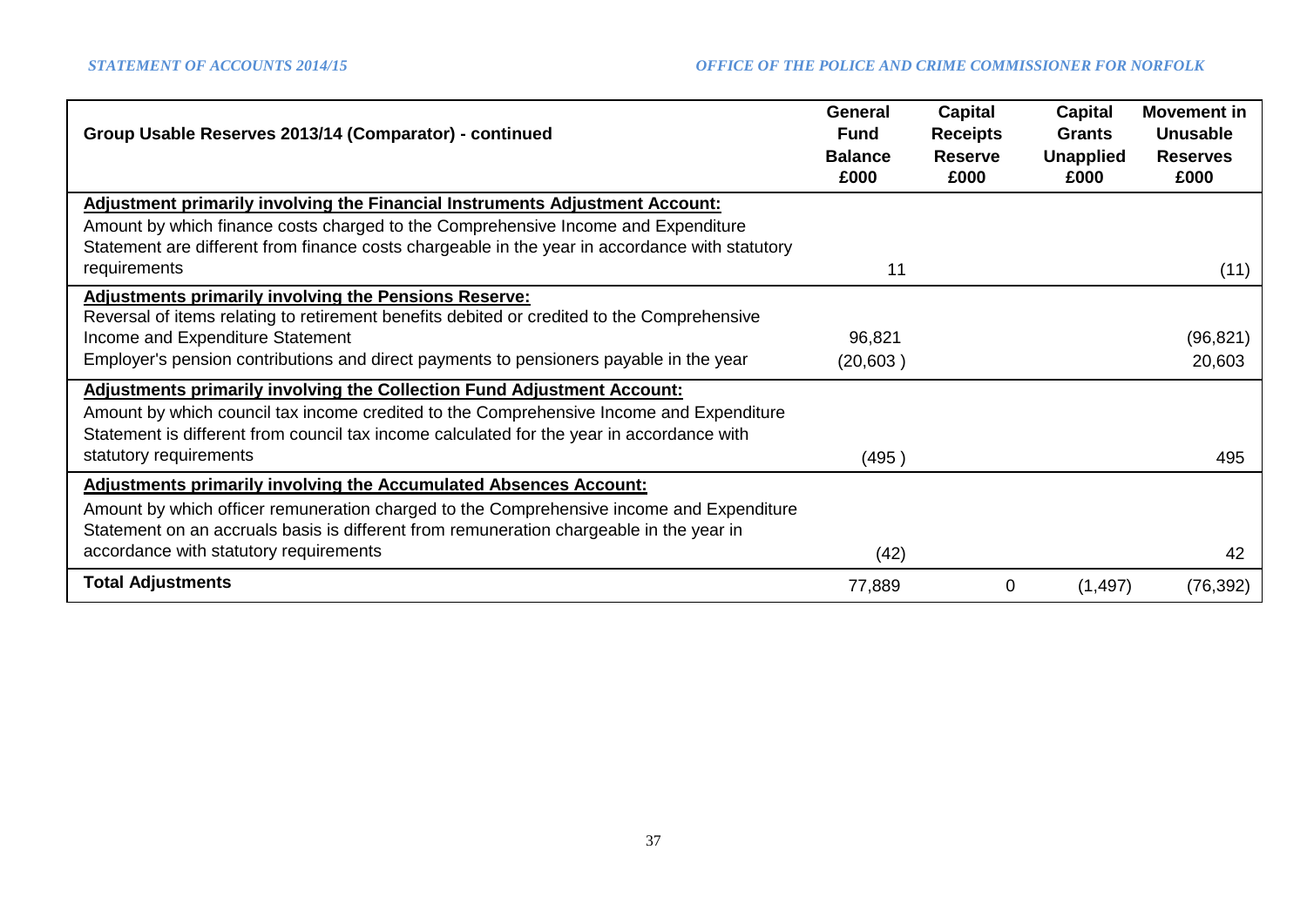| Group Usable Reserves 2013/14 (Comparator) - continued                                                                                                                                                                                                                 | <b>General</b><br><b>Fund</b><br><b>Balance</b><br>£000 | Capital<br><b>Receipts</b><br><b>Reserve</b><br>£000 | Capital<br><b>Grants</b><br><b>Unapplied</b><br>£000 | <b>Movement in</b><br><b>Unusable</b><br><b>Reserves</b><br>£000 |
|------------------------------------------------------------------------------------------------------------------------------------------------------------------------------------------------------------------------------------------------------------------------|---------------------------------------------------------|------------------------------------------------------|------------------------------------------------------|------------------------------------------------------------------|
| <b>Adjustment primarily involving the Financial Instruments Adjustment Account:</b>                                                                                                                                                                                    |                                                         |                                                      |                                                      |                                                                  |
| Amount by which finance costs charged to the Comprehensive Income and Expenditure                                                                                                                                                                                      |                                                         |                                                      |                                                      |                                                                  |
| Statement are different from finance costs chargeable in the year in accordance with statutory<br>requirements                                                                                                                                                         | 11                                                      |                                                      |                                                      | (11)                                                             |
| <b>Adjustments primarily involving the Pensions Reserve:</b>                                                                                                                                                                                                           |                                                         |                                                      |                                                      |                                                                  |
| Reversal of items relating to retirement benefits debited or credited to the Comprehensive                                                                                                                                                                             |                                                         |                                                      |                                                      |                                                                  |
| Income and Expenditure Statement                                                                                                                                                                                                                                       | 96,821                                                  |                                                      |                                                      | (96, 821)                                                        |
| Employer's pension contributions and direct payments to pensioners payable in the year                                                                                                                                                                                 | (20, 603)                                               |                                                      |                                                      | 20,603                                                           |
| <b>Adjustments primarily involving the Collection Fund Adjustment Account:</b><br>Amount by which council tax income credited to the Comprehensive Income and Expenditure<br>Statement is different from council tax income calculated for the year in accordance with |                                                         |                                                      |                                                      |                                                                  |
| statutory requirements                                                                                                                                                                                                                                                 | (495)                                                   |                                                      |                                                      | 495                                                              |
| <b>Adjustments primarily involving the Accumulated Absences Account:</b>                                                                                                                                                                                               |                                                         |                                                      |                                                      |                                                                  |
| Amount by which officer remuneration charged to the Comprehensive income and Expenditure<br>Statement on an accruals basis is different from remuneration chargeable in the year in                                                                                    |                                                         |                                                      |                                                      |                                                                  |
| accordance with statutory requirements                                                                                                                                                                                                                                 | (42)                                                    |                                                      |                                                      | 42                                                               |
| <b>Total Adjustments</b>                                                                                                                                                                                                                                               | 77,889                                                  | 0                                                    | (1, 497)                                             | (76, 392)                                                        |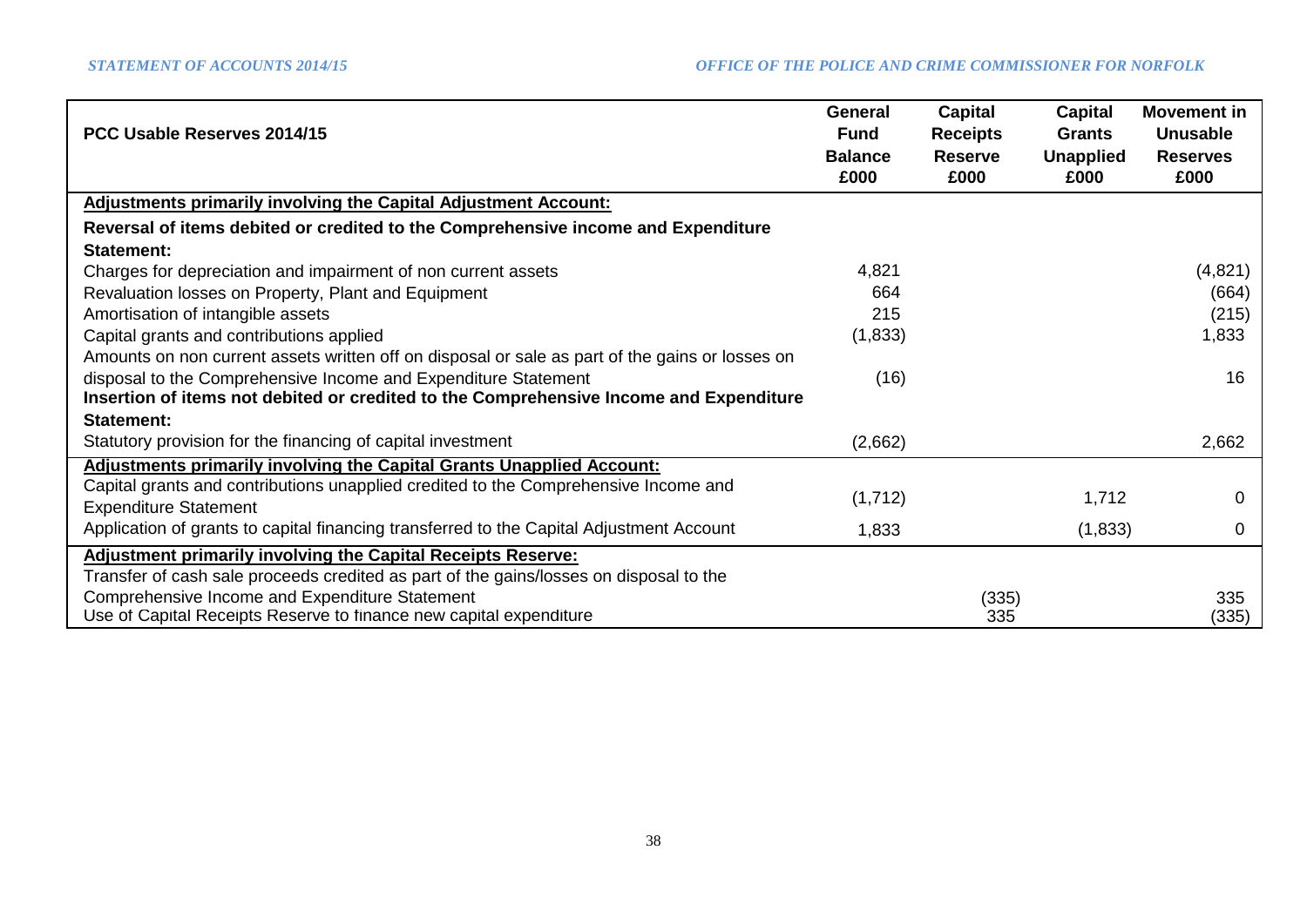|                                                                                                 | <b>General</b> | <b>Capital</b>  | Capital          | <b>Movement in</b> |
|-------------------------------------------------------------------------------------------------|----------------|-----------------|------------------|--------------------|
| PCC Usable Reserves 2014/15                                                                     | <b>Fund</b>    | <b>Receipts</b> | <b>Grants</b>    | <b>Unusable</b>    |
|                                                                                                 | <b>Balance</b> | <b>Reserve</b>  | <b>Unapplied</b> | <b>Reserves</b>    |
|                                                                                                 | £000           | £000            | £000             | £000               |
| <b>Adjustments primarily involving the Capital Adjustment Account:</b>                          |                |                 |                  |                    |
| Reversal of items debited or credited to the Comprehensive income and Expenditure               |                |                 |                  |                    |
| Statement:                                                                                      |                |                 |                  |                    |
| Charges for depreciation and impairment of non current assets                                   | 4,821          |                 |                  | (4,821)            |
| Revaluation losses on Property, Plant and Equipment                                             | 664            |                 |                  | (664)              |
| Amortisation of intangible assets                                                               | 215            |                 |                  | (215)              |
| Capital grants and contributions applied                                                        | (1,833)        |                 |                  | 1,833              |
| Amounts on non current assets written off on disposal or sale as part of the gains or losses on |                |                 |                  |                    |
| disposal to the Comprehensive Income and Expenditure Statement                                  | (16)           |                 |                  | 16                 |
| Insertion of items not debited or credited to the Comprehensive Income and Expenditure          |                |                 |                  |                    |
| Statement:                                                                                      |                |                 |                  |                    |
| Statutory provision for the financing of capital investment                                     | (2,662)        |                 |                  | 2,662              |
| <b>Adjustments primarily involving the Capital Grants Unapplied Account:</b>                    |                |                 |                  |                    |
| Capital grants and contributions unapplied credited to the Comprehensive Income and             |                |                 |                  |                    |
| <b>Expenditure Statement</b>                                                                    | (1,712)        |                 | 1,712            | 0                  |
| Application of grants to capital financing transferred to the Capital Adjustment Account        | 1,833          |                 | (1,833)          | 0                  |
| <b>Adjustment primarily involving the Capital Receipts Reserve:</b>                             |                |                 |                  |                    |
| Transfer of cash sale proceeds credited as part of the gains/losses on disposal to the          |                |                 |                  |                    |
| Comprehensive Income and Expenditure Statement                                                  |                | (335)           |                  | 335                |
| Use of Capital Receipts Reserve to finance new capital expenditure                              |                | 335             |                  | (335)              |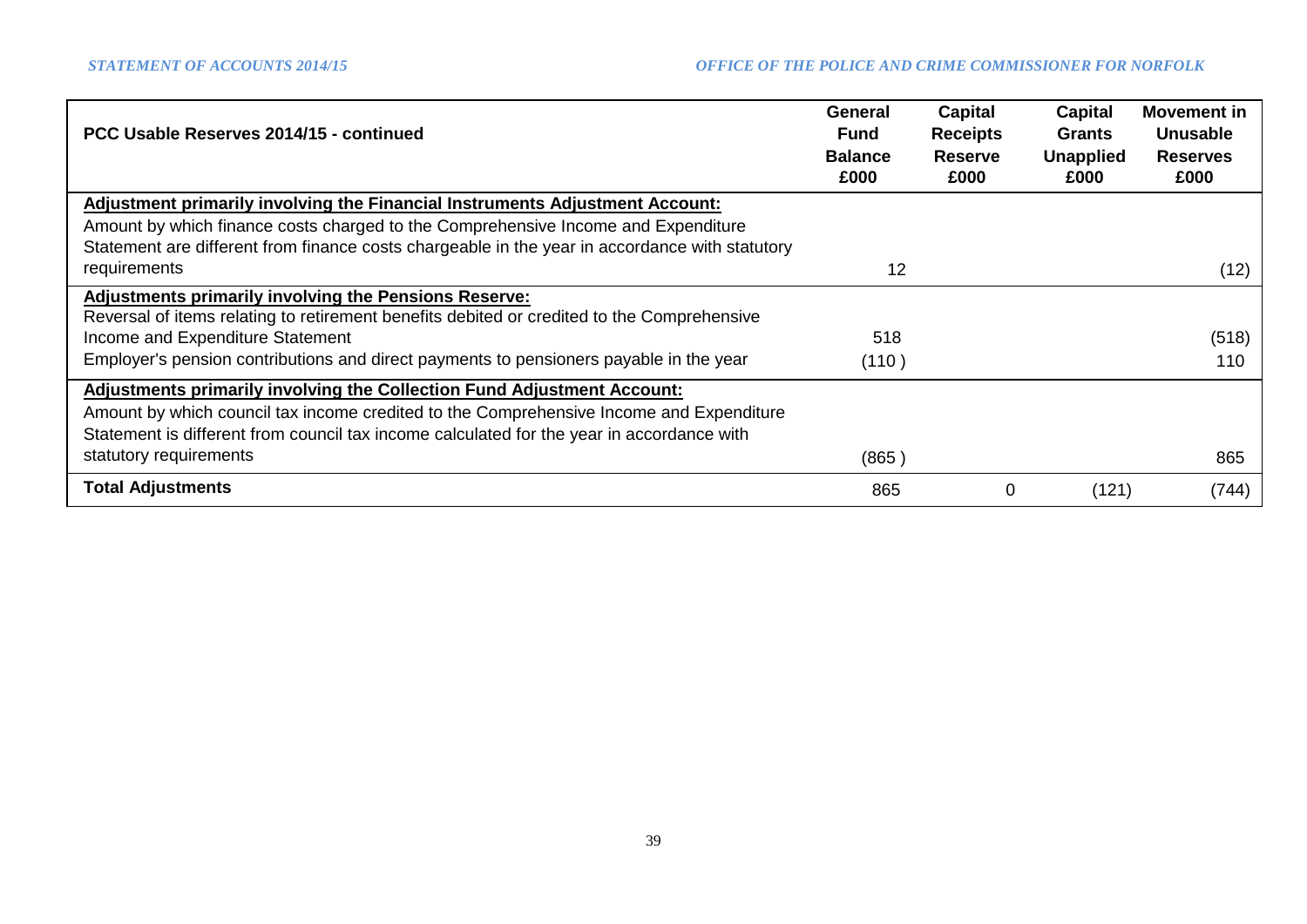| PCC Usable Reserves 2014/15 - continued                                                                                                                                                                                                                             | General<br><b>Fund</b><br><b>Balance</b> | <b>Capital</b><br><b>Receipts</b><br><b>Reserve</b> | Capital<br>Grants<br><b>Unapplied</b> | <b>Movement in</b><br><b>Unusable</b><br><b>Reserves</b> |
|---------------------------------------------------------------------------------------------------------------------------------------------------------------------------------------------------------------------------------------------------------------------|------------------------------------------|-----------------------------------------------------|---------------------------------------|----------------------------------------------------------|
|                                                                                                                                                                                                                                                                     | £000                                     | £000                                                | £000                                  | £000                                                     |
| Adjustment primarily involving the Financial Instruments Adjustment Account:<br>Amount by which finance costs charged to the Comprehensive Income and Expenditure<br>Statement are different from finance costs chargeable in the year in accordance with statutory |                                          |                                                     |                                       |                                                          |
| requirements                                                                                                                                                                                                                                                        | 12                                       |                                                     |                                       | (12)                                                     |
| <b>Adjustments primarily involving the Pensions Reserve:</b><br>Reversal of items relating to retirement benefits debited or credited to the Comprehensive                                                                                                          |                                          |                                                     |                                       |                                                          |
| Income and Expenditure Statement                                                                                                                                                                                                                                    | 518                                      |                                                     |                                       | (518)                                                    |
| Employer's pension contributions and direct payments to pensioners payable in the year                                                                                                                                                                              | (110)                                    |                                                     |                                       | 110                                                      |
| Adjustments primarily involving the Collection Fund Adjustment Account:<br>Amount by which council tax income credited to the Comprehensive Income and Expenditure<br>Statement is different from council tax income calculated for the year in accordance with     |                                          |                                                     |                                       |                                                          |
| statutory requirements                                                                                                                                                                                                                                              | (865)                                    |                                                     |                                       | 865                                                      |
| <b>Total Adjustments</b>                                                                                                                                                                                                                                            | 865                                      | 0                                                   | (121)                                 | (744)                                                    |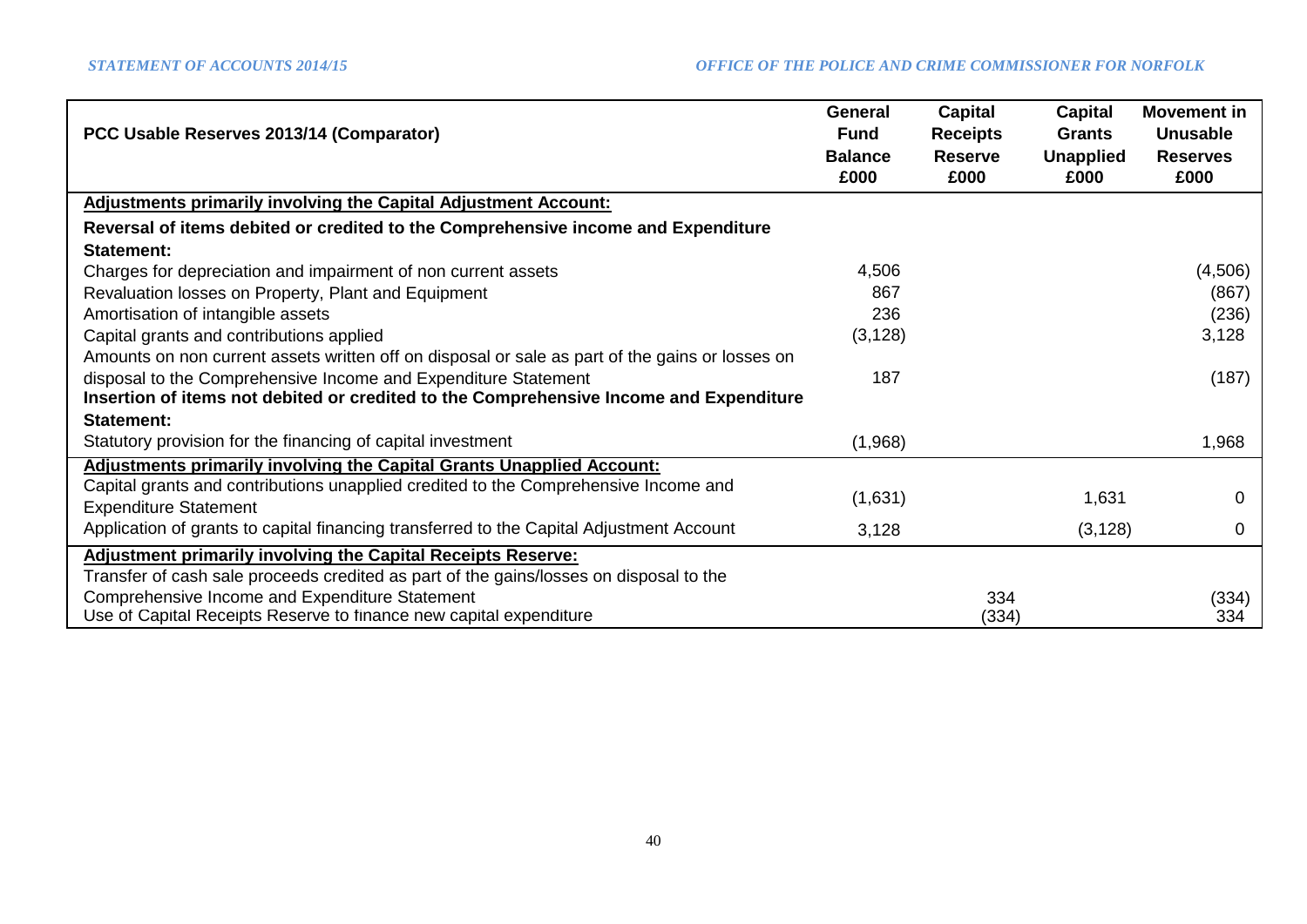| PCC Usable Reserves 2013/14 (Comparator)                                                        | <b>General</b><br><b>Fund</b><br><b>Balance</b> | <b>Capital</b><br><b>Receipts</b><br><b>Reserve</b> | <b>Capital</b><br><b>Grants</b><br><b>Unapplied</b> | <b>Movement in</b><br><b>Unusable</b><br><b>Reserves</b> |
|-------------------------------------------------------------------------------------------------|-------------------------------------------------|-----------------------------------------------------|-----------------------------------------------------|----------------------------------------------------------|
|                                                                                                 | £000                                            | £000                                                | £000                                                | £000                                                     |
| <b>Adjustments primarily involving the Capital Adjustment Account:</b>                          |                                                 |                                                     |                                                     |                                                          |
| Reversal of items debited or credited to the Comprehensive income and Expenditure               |                                                 |                                                     |                                                     |                                                          |
| Statement:                                                                                      |                                                 |                                                     |                                                     |                                                          |
| Charges for depreciation and impairment of non current assets                                   | 4,506                                           |                                                     |                                                     | (4, 506)                                                 |
| Revaluation losses on Property, Plant and Equipment                                             | 867                                             |                                                     |                                                     | (867)                                                    |
| Amortisation of intangible assets                                                               | 236                                             |                                                     |                                                     | (236)                                                    |
| Capital grants and contributions applied                                                        | (3, 128)                                        |                                                     |                                                     | 3,128                                                    |
| Amounts on non current assets written off on disposal or sale as part of the gains or losses on |                                                 |                                                     |                                                     |                                                          |
| disposal to the Comprehensive Income and Expenditure Statement                                  | 187                                             |                                                     |                                                     | (187)                                                    |
| Insertion of items not debited or credited to the Comprehensive Income and Expenditure          |                                                 |                                                     |                                                     |                                                          |
| Statement:                                                                                      |                                                 |                                                     |                                                     |                                                          |
| Statutory provision for the financing of capital investment                                     | (1,968)                                         |                                                     |                                                     | 1,968                                                    |
| Adjustments primarily involving the Capital Grants Unapplied Account:                           |                                                 |                                                     |                                                     |                                                          |
| Capital grants and contributions unapplied credited to the Comprehensive Income and             | (1,631)                                         |                                                     | 1,631                                               | 0                                                        |
| <b>Expenditure Statement</b>                                                                    |                                                 |                                                     |                                                     |                                                          |
| Application of grants to capital financing transferred to the Capital Adjustment Account        | 3,128                                           |                                                     | (3, 128)                                            | 0                                                        |
| <b>Adjustment primarily involving the Capital Receipts Reserve:</b>                             |                                                 |                                                     |                                                     |                                                          |
| Transfer of cash sale proceeds credited as part of the gains/losses on disposal to the          |                                                 |                                                     |                                                     |                                                          |
| Comprehensive Income and Expenditure Statement                                                  |                                                 | 334                                                 |                                                     | (334)                                                    |
| Use of Capital Receipts Reserve to finance new capital expenditure                              |                                                 | (334)                                               |                                                     | 334                                                      |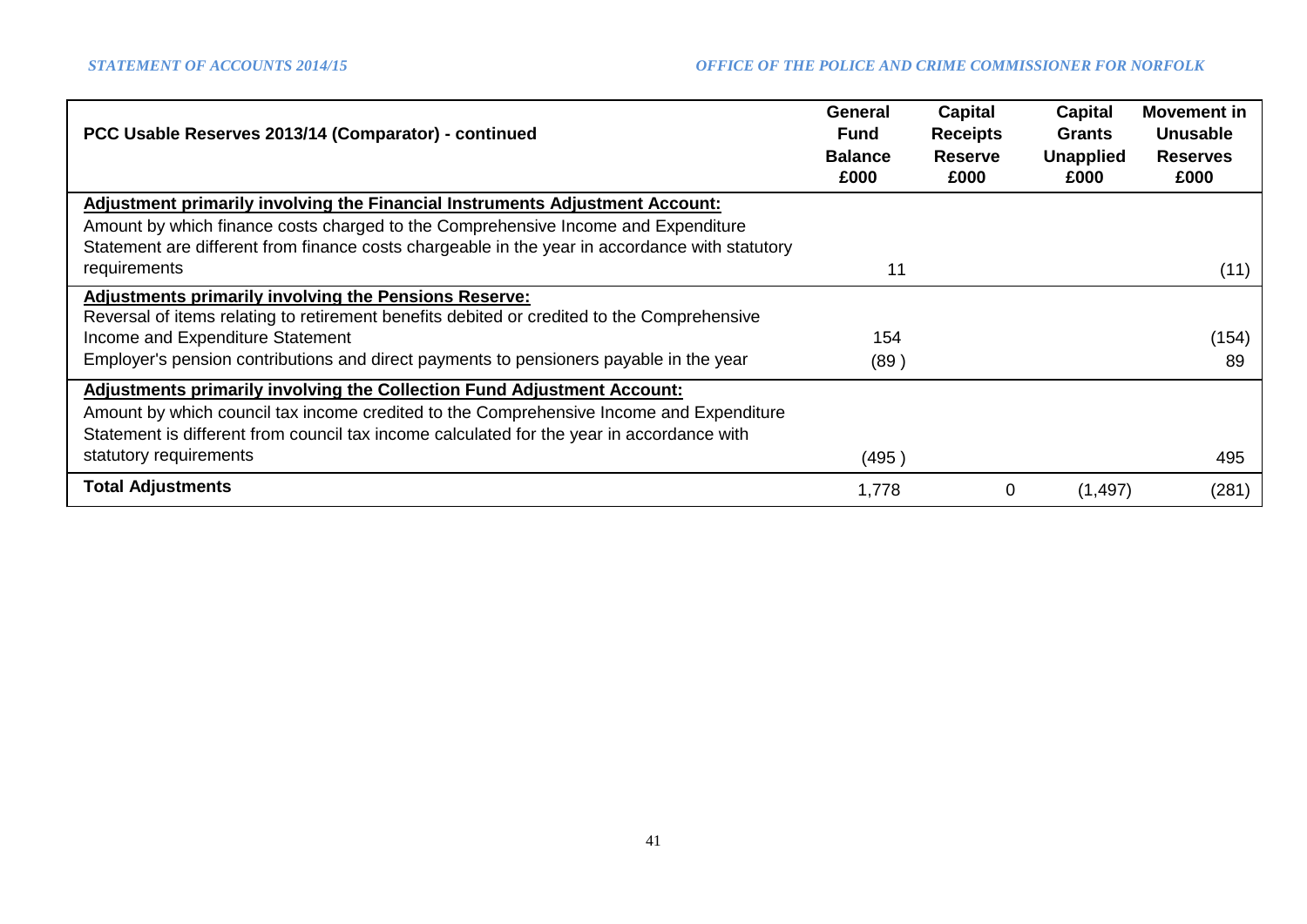| PCC Usable Reserves 2013/14 (Comparator) - continued                                                                                                                                 | <b>General</b><br><b>Fund</b><br><b>Balance</b><br>£000 | Capital<br><b>Receipts</b><br><b>Reserve</b><br>£000 | Capital<br><b>Grants</b><br><b>Unapplied</b><br>£000 | <b>Movement in</b><br><b>Unusable</b><br><b>Reserves</b><br>£000 |
|--------------------------------------------------------------------------------------------------------------------------------------------------------------------------------------|---------------------------------------------------------|------------------------------------------------------|------------------------------------------------------|------------------------------------------------------------------|
| <b>Adjustment primarily involving the Financial Instruments Adjustment Account:</b>                                                                                                  |                                                         |                                                      |                                                      |                                                                  |
| Amount by which finance costs charged to the Comprehensive Income and Expenditure<br>Statement are different from finance costs chargeable in the year in accordance with statutory  |                                                         |                                                      |                                                      |                                                                  |
| requirements                                                                                                                                                                         | 11                                                      |                                                      |                                                      | (11)                                                             |
| <b>Adjustments primarily involving the Pensions Reserve:</b><br>Reversal of items relating to retirement benefits debited or credited to the Comprehensive                           |                                                         |                                                      |                                                      |                                                                  |
| Income and Expenditure Statement                                                                                                                                                     | 154                                                     |                                                      |                                                      | (154)                                                            |
| Employer's pension contributions and direct payments to pensioners payable in the year                                                                                               | (89)                                                    |                                                      |                                                      | 89                                                               |
| Adjustments primarily involving the Collection Fund Adjustment Account:                                                                                                              |                                                         |                                                      |                                                      |                                                                  |
| Amount by which council tax income credited to the Comprehensive Income and Expenditure<br>Statement is different from council tax income calculated for the year in accordance with |                                                         |                                                      |                                                      |                                                                  |
| statutory requirements                                                                                                                                                               | (495)                                                   |                                                      |                                                      | 495                                                              |
| <b>Total Adjustments</b>                                                                                                                                                             | 1,778                                                   | 0                                                    | (1, 497)                                             | (281)                                                            |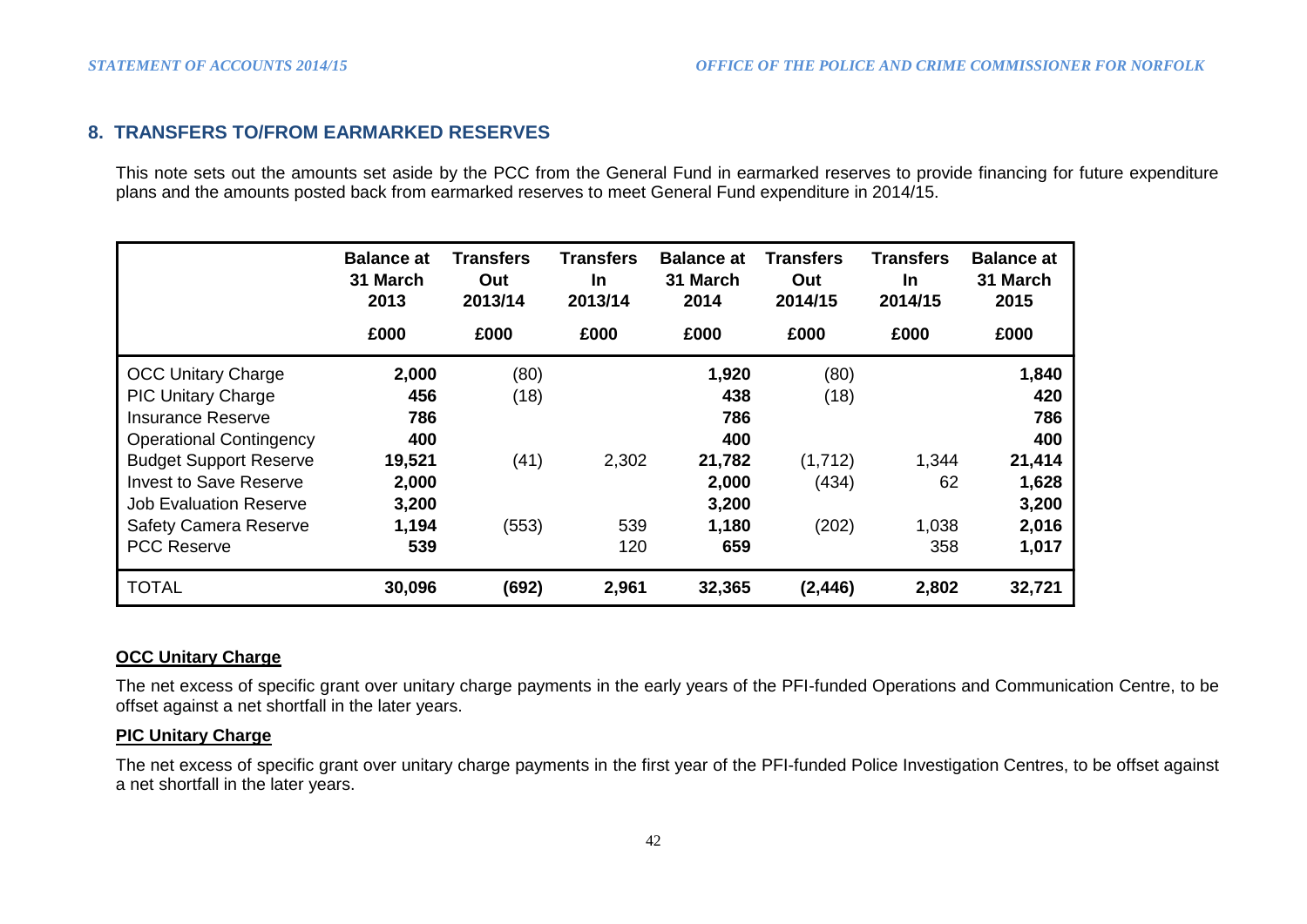### **8. TRANSFERS TO/FROM EARMARKED RESERVES**

This note sets out the amounts set aside by the PCC from the General Fund in earmarked reserves to provide financing for future expenditure plans and the amounts posted back from earmarked reserves to meet General Fund expenditure in 2014/15.

|                                | <b>Balance at</b><br>31 March<br>2013 | Transfers<br>Out<br>2013/14 | Transfers<br><b>In</b><br>2013/14 | <b>Balance at</b><br>31 March<br>2014 | Transfers<br>Out<br>2014/15 | <b>Transfers</b><br><b>In</b><br>2014/15 | <b>Balance at</b><br>31 March<br>2015 |
|--------------------------------|---------------------------------------|-----------------------------|-----------------------------------|---------------------------------------|-----------------------------|------------------------------------------|---------------------------------------|
|                                | £000                                  | £000                        | £000                              | £000                                  | £000                        | £000                                     | £000                                  |
| <b>OCC Unitary Charge</b>      | 2,000                                 | (80)                        |                                   | 1,920                                 | (80)                        |                                          | 1,840                                 |
| <b>PIC Unitary Charge</b>      | 456                                   | (18)                        |                                   | 438                                   | (18)                        |                                          | 420                                   |
| Insurance Reserve              | 786                                   |                             |                                   | 786                                   |                             |                                          | 786                                   |
| <b>Operational Contingency</b> | 400                                   |                             |                                   | 400                                   |                             |                                          | 400                                   |
| <b>Budget Support Reserve</b>  | 19,521                                | (41)                        | 2,302                             | 21,782                                | (1,712)                     | 1,344                                    | 21,414                                |
| <b>Invest to Save Reserve</b>  | 2,000                                 |                             |                                   | 2,000                                 | (434)                       | 62                                       | 1,628                                 |
| <b>Job Evaluation Reserve</b>  | 3,200                                 |                             |                                   | 3,200                                 |                             |                                          | 3,200                                 |
| Safety Camera Reserve          | 1,194                                 | (553)                       | 539                               | 1,180                                 | (202)                       | 1,038                                    | 2,016                                 |
| <b>PCC Reserve</b>             | 539                                   |                             | 120                               | 659                                   |                             | 358                                      | 1,017                                 |
| <b>TOTAL</b>                   | 30,096                                | (692)                       | 2,961                             | 32,365                                | (2, 446)                    | 2,802                                    | 32,721                                |

### **OCC Unitary Charge**

The net excess of specific grant over unitary charge payments in the early years of the PFI-funded Operations and Communication Centre, to be offset against a net shortfall in the later years.

### **PIC Unitary Charge**

The net excess of specific grant over unitary charge payments in the first year of the PFI-funded Police Investigation Centres, to be offset against a net shortfall in the later years.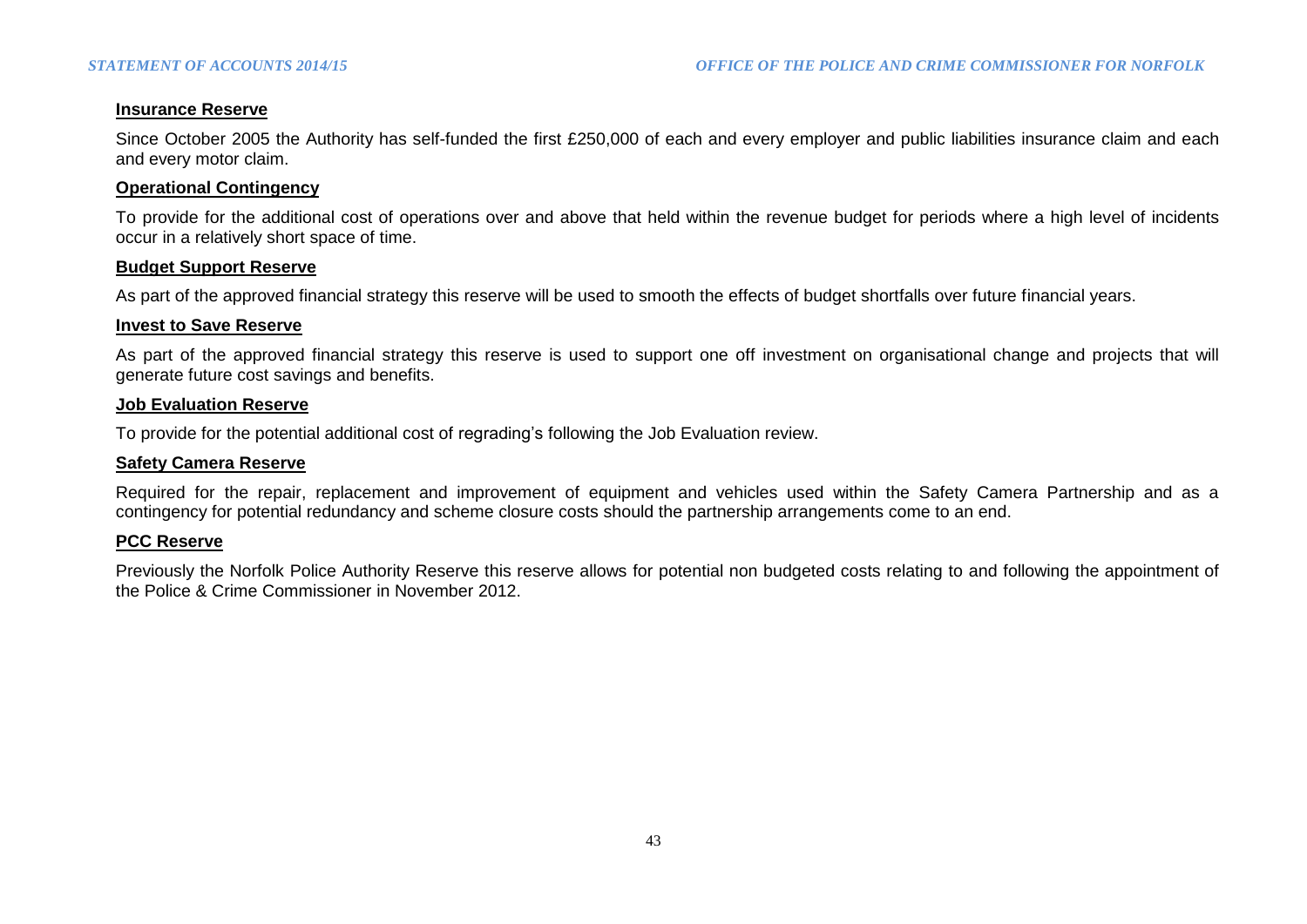### **Insurance Reserve**

Since October 2005 the Authority has self-funded the first £250,000 of each and every employer and public liabilities insurance claim and each and every motor claim.

#### **Operational Contingency**

To provide for the additional cost of operations over and above that held within the revenue budget for periods where a high level of incidents occur in a relatively short space of time.

#### **Budget Support Reserve**

As part of the approved financial strategy this reserve will be used to smooth the effects of budget shortfalls over future financial years.

#### **Invest to Save Reserve**

As part of the approved financial strategy this reserve is used to support one off investment on organisational change and projects that will generate future cost savings and benefits.

#### **Job Evaluation Reserve**

To provide for the potential additional cost of regrading's following the Job Evaluation review.

#### **Safety Camera Reserve**

Required for the repair, replacement and improvement of equipment and vehicles used within the Safety Camera Partnership and as a contingency for potential redundancy and scheme closure costs should the partnership arrangements come to an end.

#### **PCC Reserve**

Previously the Norfolk Police Authority Reserve this reserve allows for potential non budgeted costs relating to and following the appointment of the Police & Crime Commissioner in November 2012.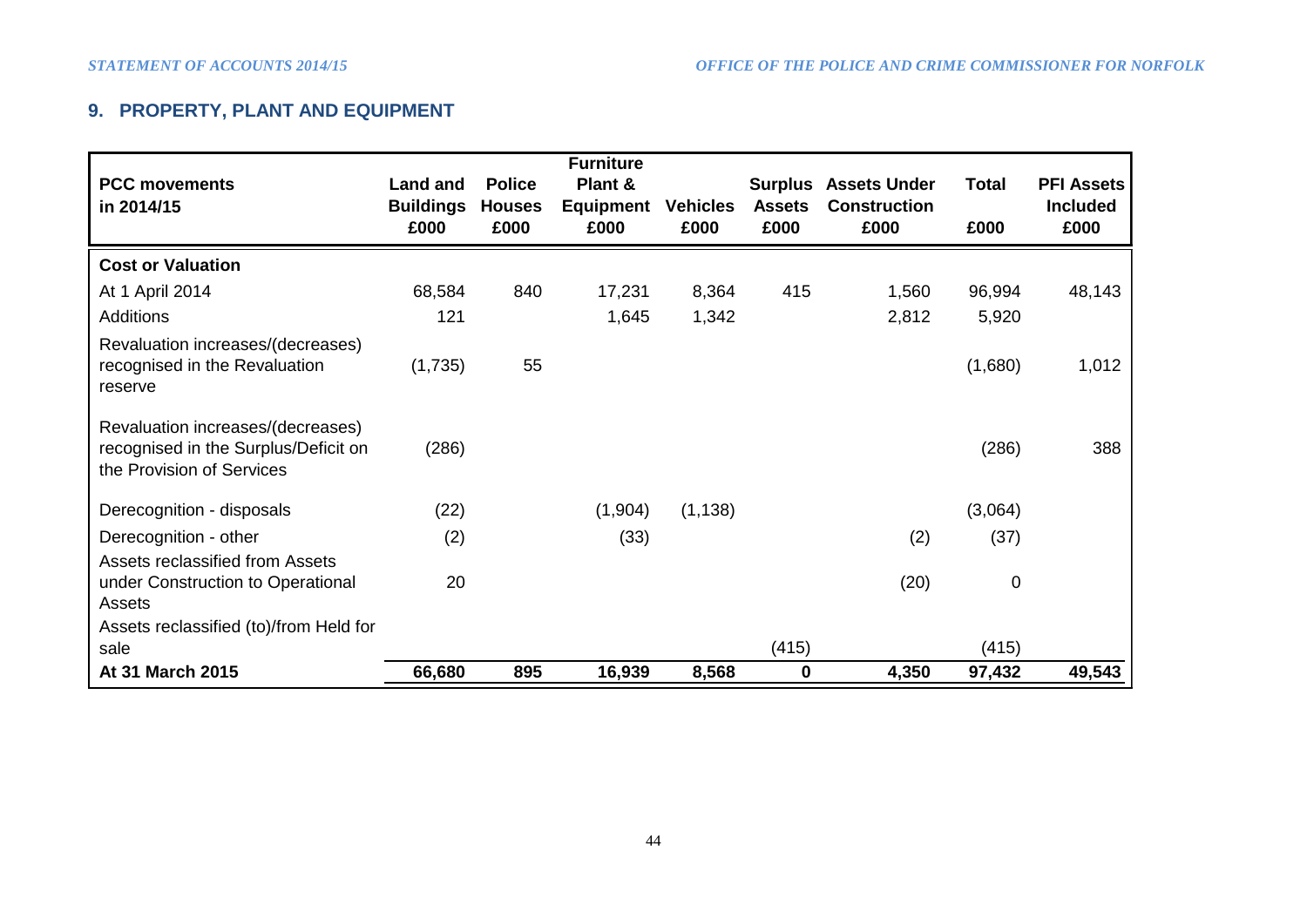# **9. PROPERTY, PLANT AND EQUIPMENT**

|                                                                                                        |                                     |                                | <b>Furniture</b>     |                 |               |                                                    |              |                                      |
|--------------------------------------------------------------------------------------------------------|-------------------------------------|--------------------------------|----------------------|-----------------|---------------|----------------------------------------------------|--------------|--------------------------------------|
| <b>PCC movements</b><br>in 2014/15                                                                     | <b>Land and</b><br><b>Buildings</b> | <b>Police</b><br><b>Houses</b> | Plant &<br>Equipment | <b>Vehicles</b> | <b>Assets</b> | <b>Surplus Assets Under</b><br><b>Construction</b> | <b>Total</b> | <b>PFI Assets</b><br><b>Included</b> |
|                                                                                                        | £000                                | £000                           | £000                 | £000            | £000          | £000                                               | £000         | £000                                 |
| <b>Cost or Valuation</b>                                                                               |                                     |                                |                      |                 |               |                                                    |              |                                      |
| At 1 April 2014                                                                                        | 68,584                              | 840                            | 17,231               | 8,364           | 415           | 1,560                                              | 96,994       | 48,143                               |
| <b>Additions</b>                                                                                       | 121                                 |                                | 1,645                | 1,342           |               | 2,812                                              | 5,920        |                                      |
| Revaluation increases/(decreases)<br>recognised in the Revaluation<br>reserve                          | (1,735)                             | 55                             |                      |                 |               |                                                    | (1,680)      | 1,012                                |
| Revaluation increases/(decreases)<br>recognised in the Surplus/Deficit on<br>the Provision of Services | (286)                               |                                |                      |                 |               |                                                    | (286)        | 388                                  |
| Derecognition - disposals                                                                              | (22)                                |                                | (1,904)              | (1, 138)        |               |                                                    | (3,064)      |                                      |
| Derecognition - other                                                                                  | (2)                                 |                                | (33)                 |                 |               | (2)                                                | (37)         |                                      |
| <b>Assets reclassified from Assets</b>                                                                 |                                     |                                |                      |                 |               |                                                    |              |                                      |
| under Construction to Operational                                                                      | 20                                  |                                |                      |                 |               | (20)                                               | $\mathbf 0$  |                                      |
| Assets                                                                                                 |                                     |                                |                      |                 |               |                                                    |              |                                      |
| Assets reclassified (to)/from Held for<br>sale                                                         |                                     |                                |                      |                 | (415)         |                                                    | (415)        |                                      |
| At 31 March 2015                                                                                       | 66,680                              | 895                            | 16,939               | 8,568           | $\mathbf 0$   | 4,350                                              | 97,432       | 49,543                               |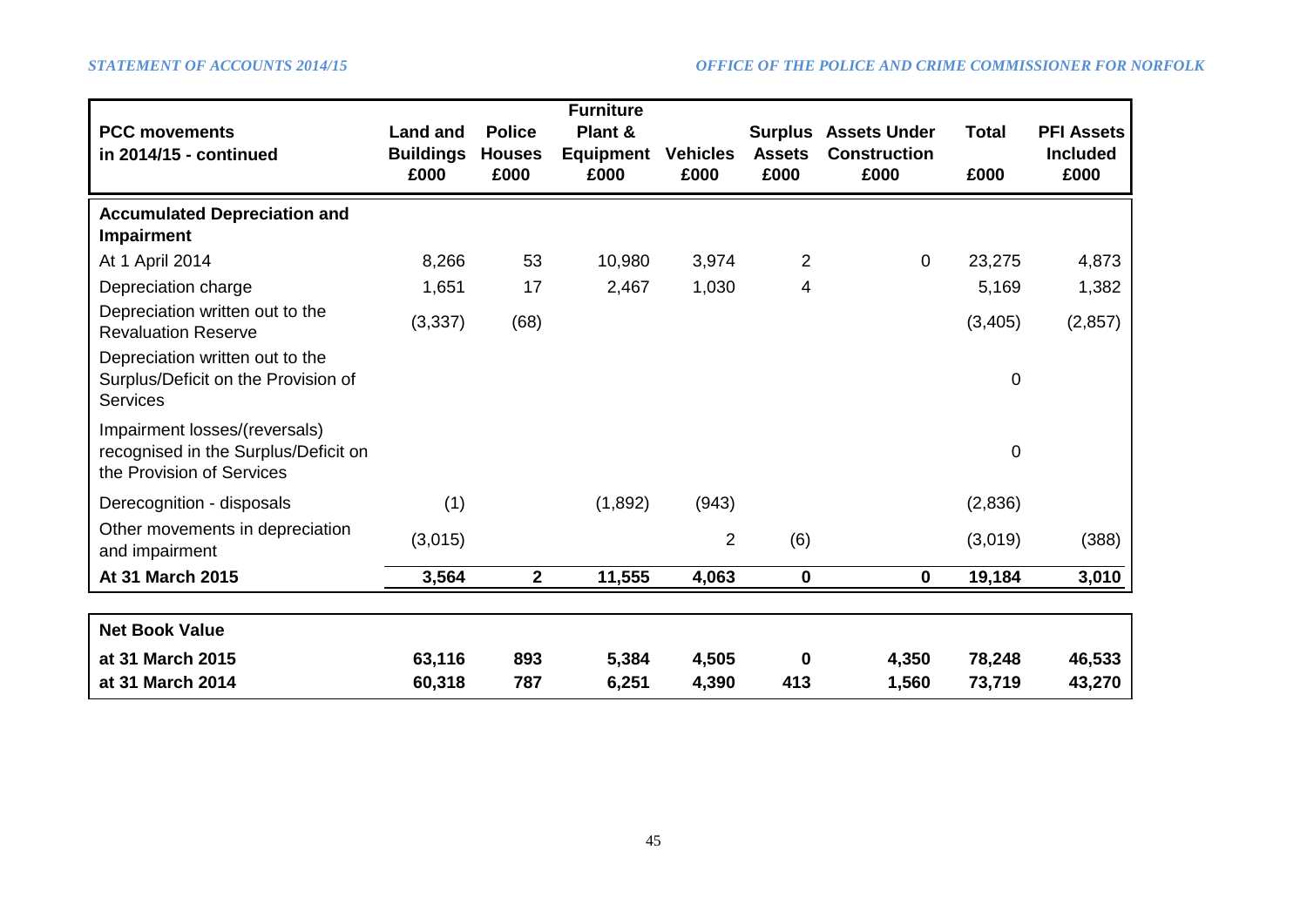|                                                                                                    |                                     |                                | <b>Furniture</b>            |                 |                                 |                                            |              |                                      |
|----------------------------------------------------------------------------------------------------|-------------------------------------|--------------------------------|-----------------------------|-----------------|---------------------------------|--------------------------------------------|--------------|--------------------------------------|
| <b>PCC movements</b><br>in 2014/15 - continued                                                     | <b>Land and</b><br><b>Buildings</b> | <b>Police</b><br><b>Houses</b> | Plant &<br><b>Equipment</b> | <b>Vehicles</b> | <b>Surplus</b><br><b>Assets</b> | <b>Assets Under</b><br><b>Construction</b> | <b>Total</b> | <b>PFI Assets</b><br><b>Included</b> |
|                                                                                                    | £000                                | £000                           | £000                        | £000            | £000                            | £000                                       | £000         | £000                                 |
| <b>Accumulated Depreciation and</b><br><b>Impairment</b>                                           |                                     |                                |                             |                 |                                 |                                            |              |                                      |
| At 1 April 2014                                                                                    | 8,266                               | 53                             | 10,980                      | 3,974           | $\overline{2}$                  | $\mathbf{0}$                               | 23,275       | 4,873                                |
| Depreciation charge                                                                                | 1,651                               | 17                             | 2,467                       | 1,030           | 4                               |                                            | 5,169        | 1,382                                |
| Depreciation written out to the<br><b>Revaluation Reserve</b>                                      | (3, 337)                            | (68)                           |                             |                 |                                 |                                            | (3,405)      | (2, 857)                             |
| Depreciation written out to the<br>Surplus/Deficit on the Provision of<br><b>Services</b>          |                                     |                                |                             |                 |                                 |                                            | $\pmb{0}$    |                                      |
| Impairment losses/(reversals)<br>recognised in the Surplus/Deficit on<br>the Provision of Services |                                     |                                |                             |                 |                                 |                                            | 0            |                                      |
| Derecognition - disposals                                                                          | (1)                                 |                                | (1,892)                     | (943)           |                                 |                                            | (2,836)      |                                      |
| Other movements in depreciation<br>and impairment                                                  | (3,015)                             |                                |                             | $\overline{2}$  | (6)                             |                                            | (3,019)      | (388)                                |
| At 31 March 2015                                                                                   | 3,564                               | $\mathbf{2}$                   | 11,555                      | 4,063           | 0                               | $\mathbf 0$                                | 19,184       | 3,010                                |
|                                                                                                    |                                     |                                |                             |                 |                                 |                                            |              |                                      |
| <b>Net Book Value</b>                                                                              |                                     |                                |                             |                 |                                 |                                            |              |                                      |
| at 31 March 2015                                                                                   | 63,116                              | 893                            | 5,384                       | 4,505           | 0                               | 4,350                                      | 78,248       | 46,533                               |
| at 31 March 2014                                                                                   | 60,318                              | 787                            | 6,251                       | 4,390           | 413                             | 1,560                                      | 73,719       | 43,270                               |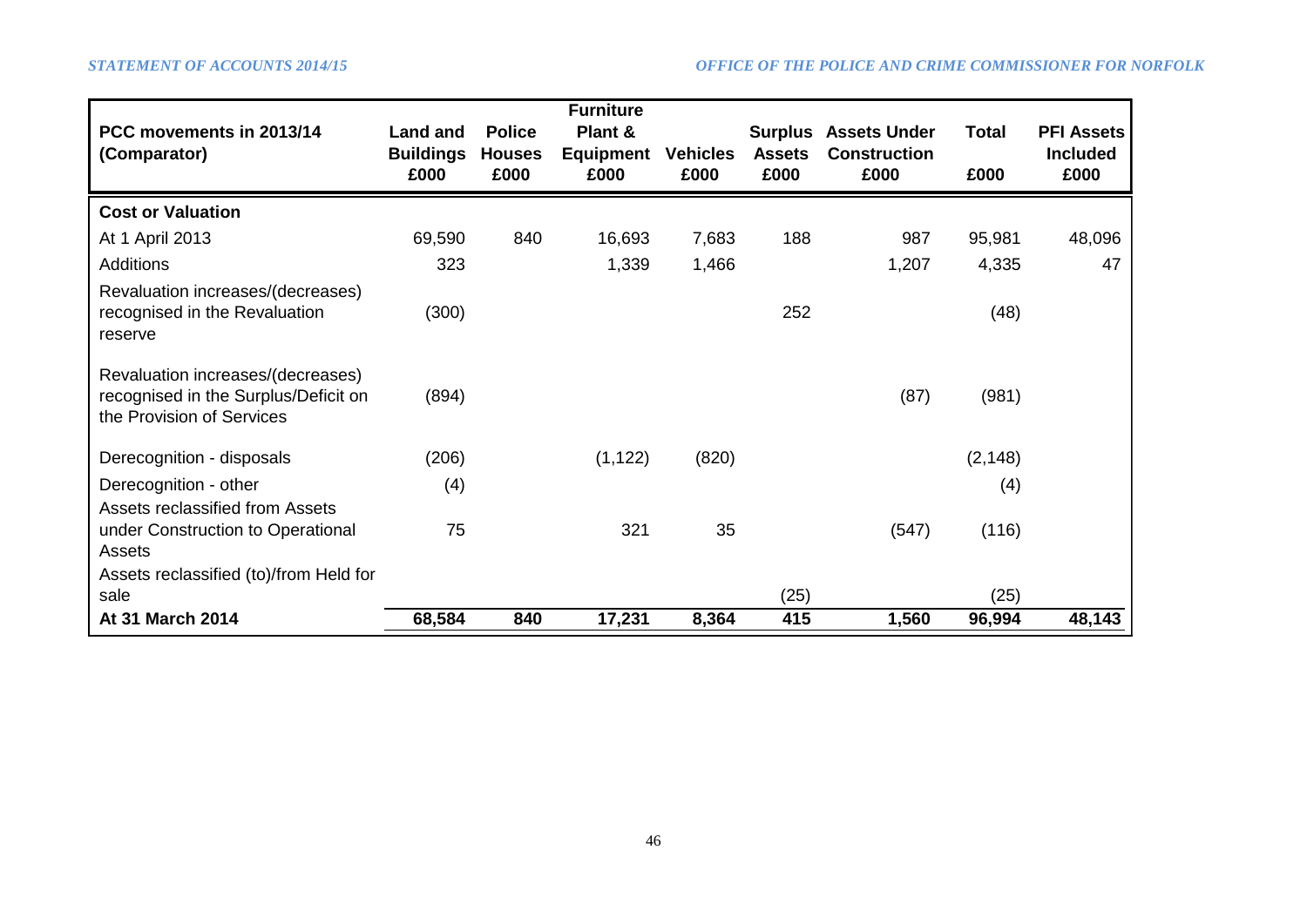| PCC movements in 2013/14<br>(Comparator)                                                               | <b>Land and</b><br><b>Buildings</b><br>£000 | <b>Police</b><br><b>Houses</b><br>£000 | <b>Furniture</b><br>Plant &<br><b>Equipment</b><br>£000 | <b>Vehicles</b><br>£000 | <b>Surplus</b><br><b>Assets</b><br>£000 | <b>Assets Under</b><br><b>Construction</b><br>£000 | <b>Total</b><br>£000 | <b>PFI Assets</b><br><b>Included</b><br>£000 |
|--------------------------------------------------------------------------------------------------------|---------------------------------------------|----------------------------------------|---------------------------------------------------------|-------------------------|-----------------------------------------|----------------------------------------------------|----------------------|----------------------------------------------|
| <b>Cost or Valuation</b>                                                                               |                                             |                                        |                                                         |                         |                                         |                                                    |                      |                                              |
| At 1 April 2013                                                                                        | 69,590                                      | 840                                    | 16,693                                                  | 7,683                   | 188                                     | 987                                                | 95,981               | 48,096                                       |
| <b>Additions</b>                                                                                       | 323                                         |                                        | 1,339                                                   | 1,466                   |                                         | 1,207                                              | 4,335                | 47                                           |
| Revaluation increases/(decreases)<br>recognised in the Revaluation<br>reserve                          | (300)                                       |                                        |                                                         |                         | 252                                     |                                                    | (48)                 |                                              |
| Revaluation increases/(decreases)<br>recognised in the Surplus/Deficit on<br>the Provision of Services | (894)                                       |                                        |                                                         |                         |                                         | (87)                                               | (981)                |                                              |
| Derecognition - disposals                                                                              | (206)                                       |                                        | (1, 122)                                                | (820)                   |                                         |                                                    | (2, 148)             |                                              |
| Derecognition - other                                                                                  | (4)                                         |                                        |                                                         |                         |                                         |                                                    | (4)                  |                                              |
| Assets reclassified from Assets<br>under Construction to Operational<br>Assets                         | 75                                          |                                        | 321                                                     | 35                      |                                         | (547)                                              | (116)                |                                              |
| Assets reclassified (to)/from Held for<br>sale                                                         |                                             |                                        |                                                         |                         | (25)                                    |                                                    | (25)                 |                                              |
| At 31 March 2014                                                                                       | 68,584                                      | 840                                    | 17,231                                                  | 8,364                   | 415                                     | 1,560                                              | 96,994               | 48,143                                       |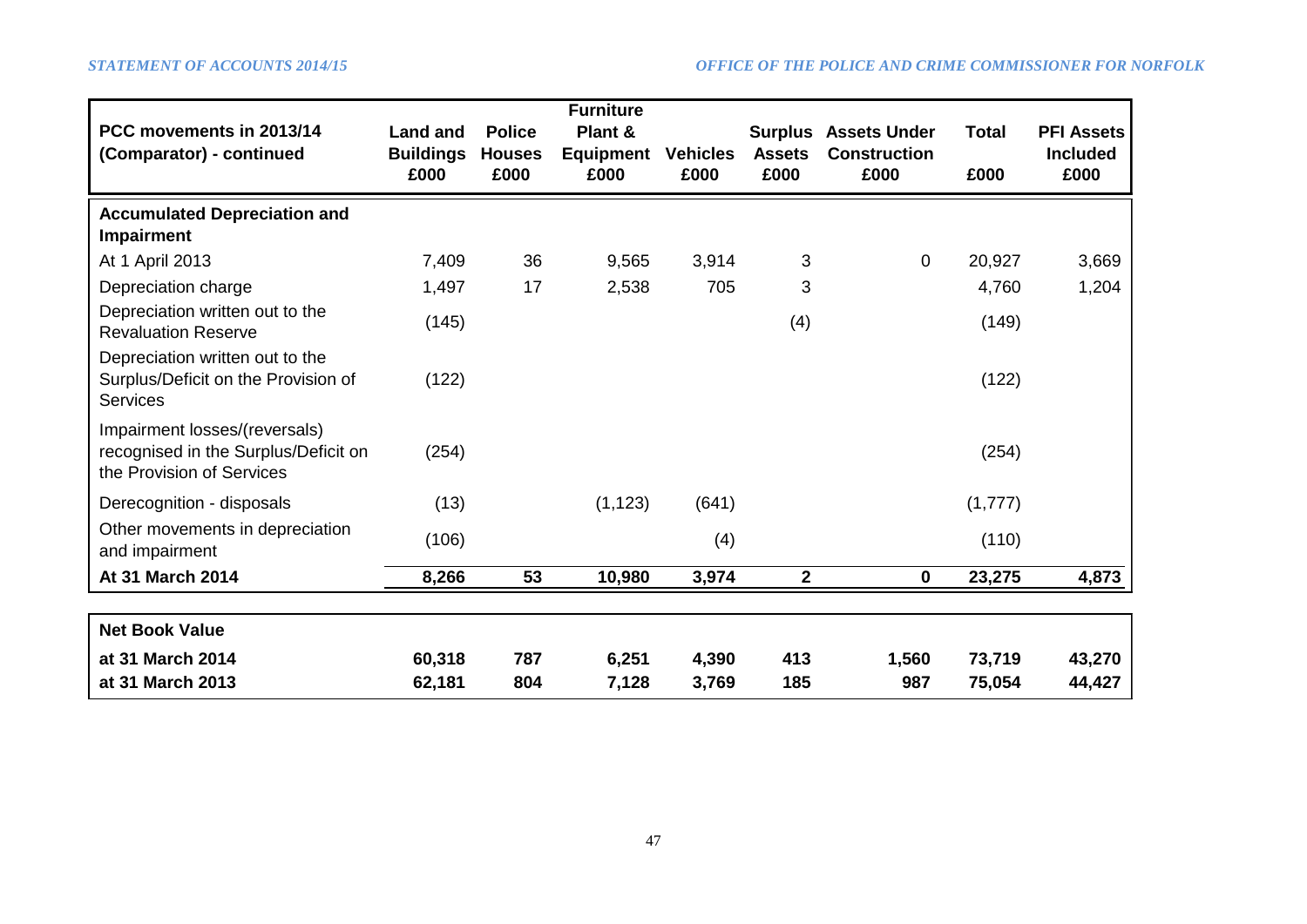| PCC movements in 2013/14<br>(Comparator) - continued                                               | <b>Land and</b><br><b>Buildings</b><br>£000 | <b>Police</b><br><b>Houses</b><br>£000 | <b>Furniture</b><br>Plant &<br><b>Equipment</b><br>£000 | <b>Vehicles</b><br>£000 | <b>Surplus</b><br><b>Assets</b><br>£000 | <b>Assets Under</b><br><b>Construction</b><br>£000 | <b>Total</b><br>£000 | <b>PFI Assets</b><br><b>Included</b><br>£000 |
|----------------------------------------------------------------------------------------------------|---------------------------------------------|----------------------------------------|---------------------------------------------------------|-------------------------|-----------------------------------------|----------------------------------------------------|----------------------|----------------------------------------------|
| <b>Accumulated Depreciation and</b>                                                                |                                             |                                        |                                                         |                         |                                         |                                                    |                      |                                              |
| <b>Impairment</b><br>At 1 April 2013                                                               | 7,409                                       | 36                                     | 9,565                                                   | 3,914                   | 3                                       | $\mathbf 0$                                        | 20,927               | 3,669                                        |
| Depreciation charge                                                                                | 1,497                                       | 17                                     | 2,538                                                   | 705                     | 3                                       |                                                    | 4,760                | 1,204                                        |
| Depreciation written out to the<br><b>Revaluation Reserve</b>                                      | (145)                                       |                                        |                                                         |                         | (4)                                     |                                                    | (149)                |                                              |
| Depreciation written out to the<br>Surplus/Deficit on the Provision of<br><b>Services</b>          | (122)                                       |                                        |                                                         |                         |                                         |                                                    | (122)                |                                              |
| Impairment losses/(reversals)<br>recognised in the Surplus/Deficit on<br>the Provision of Services | (254)                                       |                                        |                                                         |                         |                                         |                                                    | (254)                |                                              |
| Derecognition - disposals                                                                          | (13)                                        |                                        | (1, 123)                                                | (641)                   |                                         |                                                    | (1,777)              |                                              |
| Other movements in depreciation<br>and impairment                                                  | (106)                                       |                                        |                                                         | (4)                     |                                         |                                                    | (110)                |                                              |
| At 31 March 2014                                                                                   | 8,266                                       | 53                                     | 10,980                                                  | 3,974                   | $\overline{\mathbf{2}}$                 | $\mathbf 0$                                        | 23,275               | 4,873                                        |
|                                                                                                    |                                             |                                        |                                                         |                         |                                         |                                                    |                      |                                              |
| <b>Net Book Value</b>                                                                              |                                             |                                        |                                                         |                         |                                         |                                                    |                      |                                              |
| at 31 March 2014                                                                                   | 60,318                                      | 787                                    | 6,251                                                   | 4,390                   | 413                                     | 1,560                                              | 73,719               | 43,270                                       |
| at 31 March 2013                                                                                   | 62,181                                      | 804                                    | 7,128                                                   | 3,769                   | 185                                     | 987                                                | 75,054               | 44,427                                       |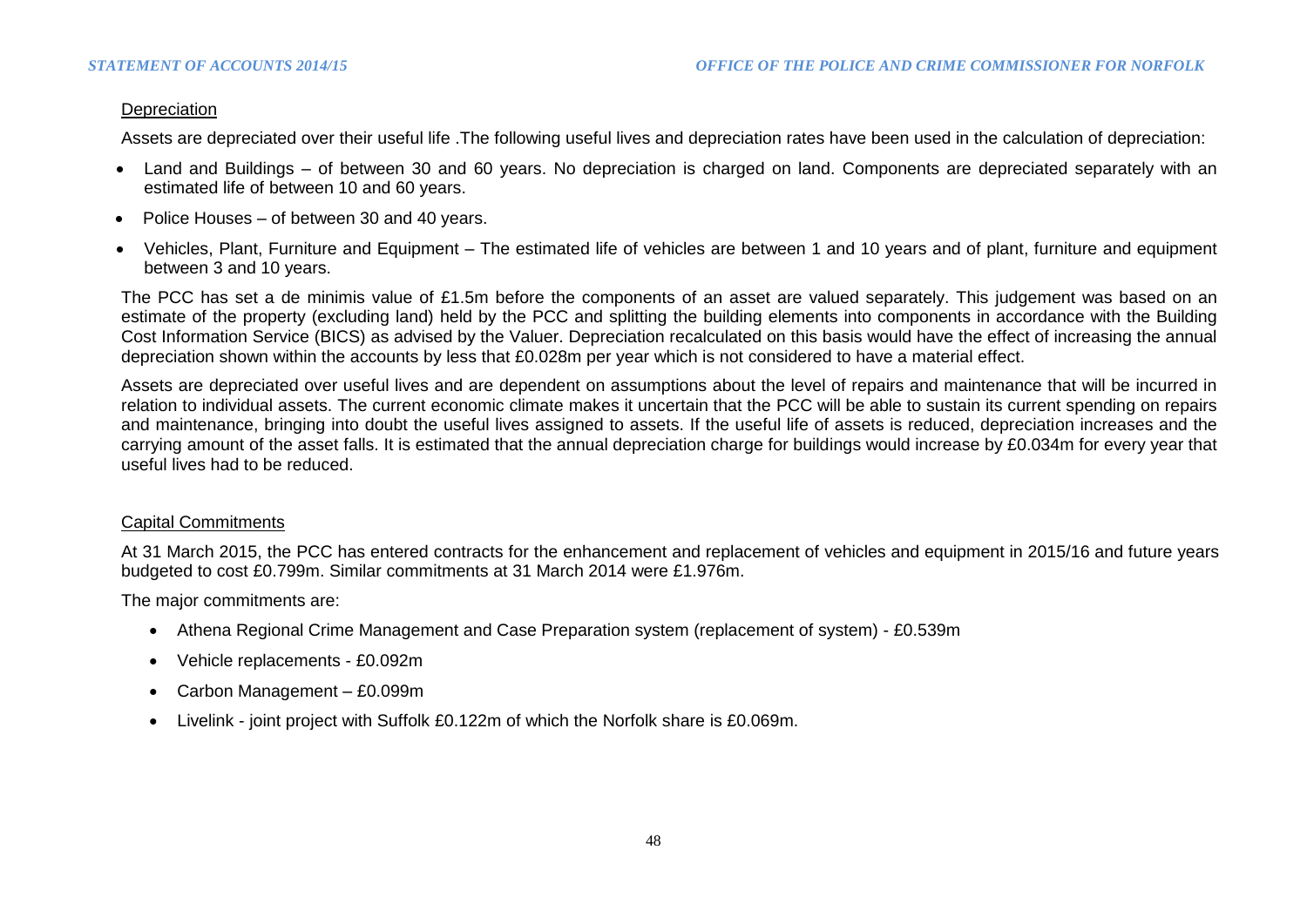### **Depreciation**

Assets are depreciated over their useful life .The following useful lives and depreciation rates have been used in the calculation of depreciation:

- Land and Buildings of between 30 and 60 years. No depreciation is charged on land. Components are depreciated separately with an estimated life of between 10 and 60 years.
- Police Houses of between 30 and 40 years.
- Vehicles, Plant, Furniture and Equipment The estimated life of vehicles are between 1 and 10 years and of plant, furniture and equipment between 3 and 10 years.

The PCC has set a de minimis value of £1.5m before the components of an asset are valued separately. This judgement was based on an estimate of the property (excluding land) held by the PCC and splitting the building elements into components in accordance with the Building Cost Information Service (BICS) as advised by the Valuer. Depreciation recalculated on this basis would have the effect of increasing the annual depreciation shown within the accounts by less that £0.028m per year which is not considered to have a material effect.

Assets are depreciated over useful lives and are dependent on assumptions about the level of repairs and maintenance that will be incurred in relation to individual assets. The current economic climate makes it uncertain that the PCC will be able to sustain its current spending on repairs and maintenance, bringing into doubt the useful lives assigned to assets. If the useful life of assets is reduced, depreciation increases and the carrying amount of the asset falls. It is estimated that the annual depreciation charge for buildings would increase by £0.034m for every year that useful lives had to be reduced.

### Capital Commitments

At 31 March 2015, the PCC has entered contracts for the enhancement and replacement of vehicles and equipment in 2015/16 and future years budgeted to cost £0.799m. Similar commitments at 31 March 2014 were £1.976m.

The major commitments are:

- Athena Regional Crime Management and Case Preparation system (replacement of system) £0.539m
- Vehicle replacements £0.092m
- Carbon Management £0.099m
- Livelink joint project with Suffolk £0.122m of which the Norfolk share is £0.069m.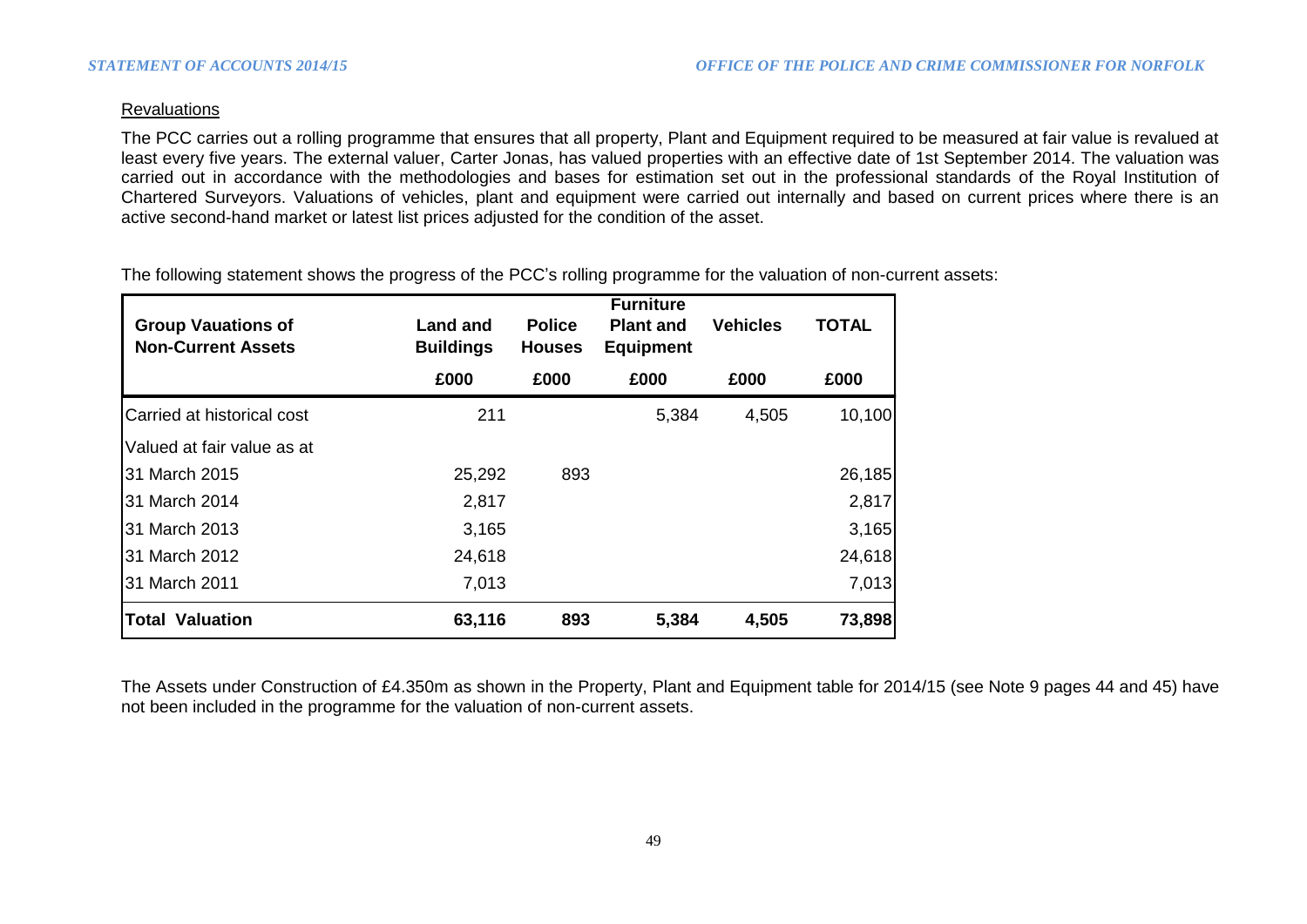### **Revaluations**

The PCC carries out a rolling programme that ensures that all property, Plant and Equipment required to be measured at fair value is revalued at least every five years. The external valuer, Carter Jonas, has valued properties with an effective date of 1st September 2014. The valuation was carried out in accordance with the methodologies and bases for estimation set out in the professional standards of the Royal Institution of Chartered Surveyors. Valuations of vehicles, plant and equipment were carried out internally and based on current prices where there is an active second-hand market or latest list prices adjusted for the condition of the asset.

The following statement shows the progress of the PCC's rolling programme for the valuation of non-current assets:

| <b>Group Vauations of</b><br><b>Non-Current Assets</b> | <b>Land and</b><br><b>Buildings</b> | <b>Police</b><br><b>Houses</b> | <b>Furniture</b><br><b>Plant and</b><br><b>Equipment</b> | <b>Vehicles</b> | <b>TOTAL</b> |
|--------------------------------------------------------|-------------------------------------|--------------------------------|----------------------------------------------------------|-----------------|--------------|
|                                                        | £000                                | £000                           | £000                                                     | £000            | £000         |
| Carried at historical cost                             | 211                                 |                                | 5,384                                                    | 4,505           | 10,100       |
| Valued at fair value as at                             |                                     |                                |                                                          |                 |              |
| 31 March 2015                                          | 25,292                              | 893                            |                                                          |                 | 26,185       |
| 31 March 2014                                          | 2,817                               |                                |                                                          |                 | 2,817        |
| 31 March 2013                                          | 3,165                               |                                |                                                          |                 | 3,165        |
| 31 March 2012                                          | 24,618                              |                                |                                                          |                 | 24,618       |
| 31 March 2011                                          | 7,013                               |                                |                                                          |                 | 7,013        |
| <b>Total Valuation</b>                                 | 63,116                              | 893                            | 5,384                                                    | 4,505           | 73,898       |

The Assets under Construction of £4.350m as shown in the Property, Plant and Equipment table for 2014/15 (see Note 9 pages 44 and 45) have not been included in the programme for the valuation of non-current assets.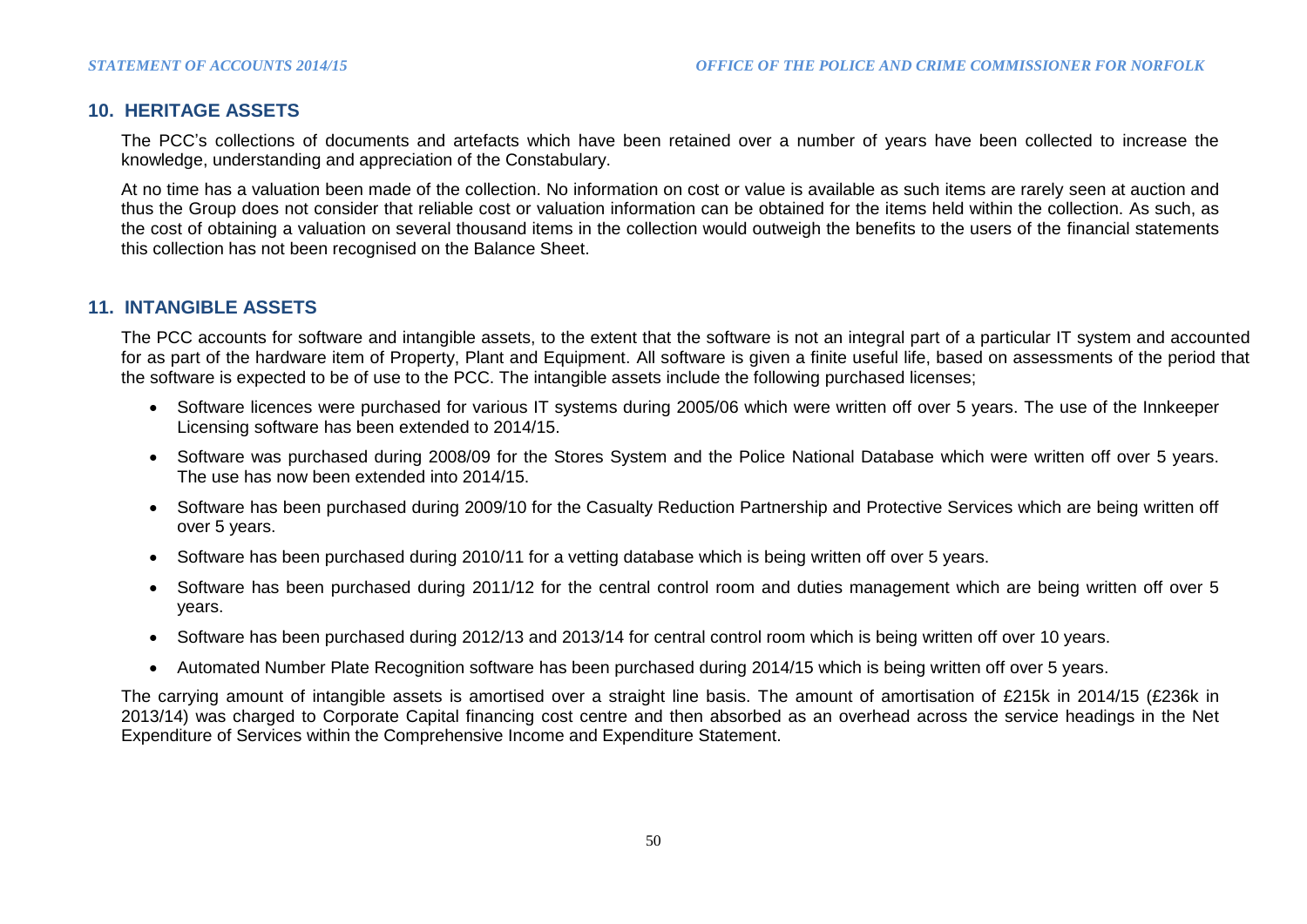### **10. HERITAGE ASSETS**

The PCC's collections of documents and artefacts which have been retained over a number of years have been collected to increase the knowledge, understanding and appreciation of the Constabulary.

At no time has a valuation been made of the collection. No information on cost or value is available as such items are rarely seen at auction and thus the Group does not consider that reliable cost or valuation information can be obtained for the items held within the collection. As such, as the cost of obtaining a valuation on several thousand items in the collection would outweigh the benefits to the users of the financial statements this collection has not been recognised on the Balance Sheet.

### **11. INTANGIBLE ASSETS**

The PCC accounts for software and intangible assets, to the extent that the software is not an integral part of a particular IT system and accounted for as part of the hardware item of Property, Plant and Equipment. All software is given a finite useful life, based on assessments of the period that the software is expected to be of use to the PCC. The intangible assets include the following purchased licenses;

- Software licences were purchased for various IT systems during 2005/06 which were written off over 5 years. The use of the Innkeeper Licensing software has been extended to 2014/15.
- Software was purchased during 2008/09 for the Stores System and the Police National Database which were written off over 5 years. The use has now been extended into 2014/15.
- Software has been purchased during 2009/10 for the Casualty Reduction Partnership and Protective Services which are being written off over 5 years.
- Software has been purchased during 2010/11 for a vetting database which is being written off over 5 years.
- Software has been purchased during 2011/12 for the central control room and duties management which are being written off over 5 years.
- Software has been purchased during 2012/13 and 2013/14 for central control room which is being written off over 10 years.
- Automated Number Plate Recognition software has been purchased during 2014/15 which is being written off over 5 years.

The carrying amount of intangible assets is amortised over a straight line basis. The amount of amortisation of £215k in 2014/15 (£236k in 2013/14) was charged to Corporate Capital financing cost centre and then absorbed as an overhead across the service headings in the Net Expenditure of Services within the Comprehensive Income and Expenditure Statement.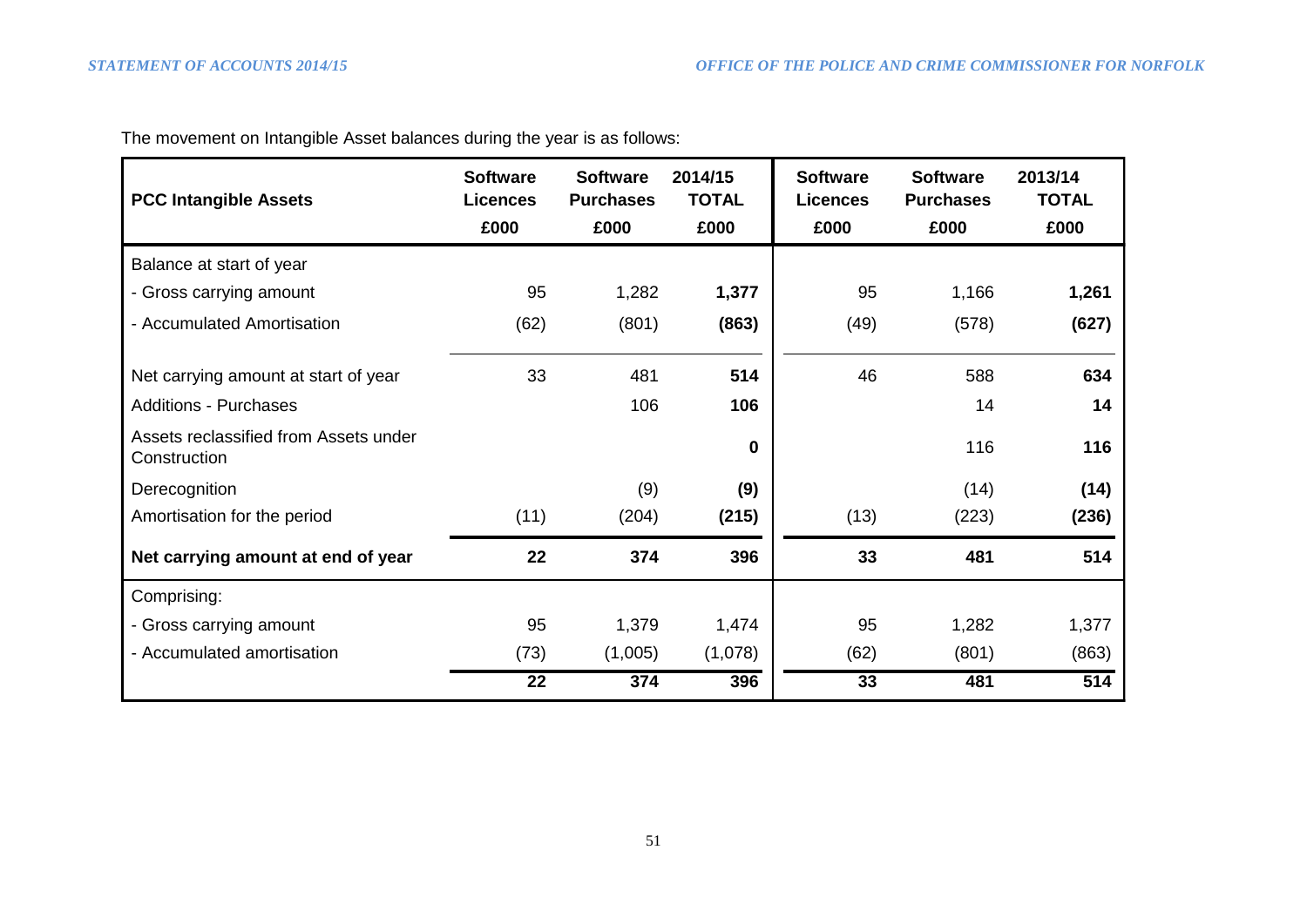| <b>PCC Intangible Assets</b>                          | <b>Software</b><br><b>Licences</b><br>£000 | <b>Software</b><br><b>Purchases</b><br>£000 | 2014/15<br><b>TOTAL</b><br>£000 | <b>Software</b><br><b>Licences</b><br>£000 | <b>Software</b><br><b>Purchases</b><br>£000 | 2013/14<br><b>TOTAL</b><br>£000 |  |
|-------------------------------------------------------|--------------------------------------------|---------------------------------------------|---------------------------------|--------------------------------------------|---------------------------------------------|---------------------------------|--|
| Balance at start of year                              |                                            |                                             |                                 |                                            |                                             |                                 |  |
| - Gross carrying amount                               | 95                                         | 1,282                                       | 1,377                           | 95                                         | 1,166                                       | 1,261                           |  |
| - Accumulated Amortisation                            | (62)                                       | (801)                                       | (863)                           | (49)                                       | (578)                                       | (627)                           |  |
| Net carrying amount at start of year                  | 33                                         | 481                                         | 514                             | 46                                         | 588                                         | 634                             |  |
| <b>Additions - Purchases</b>                          |                                            | 106                                         | 106                             |                                            | 14                                          | 14                              |  |
| Assets reclassified from Assets under<br>Construction |                                            |                                             | 0                               |                                            | 116                                         | 116                             |  |
| Derecognition                                         |                                            | (9)                                         | (9)                             |                                            | (14)                                        | (14)                            |  |
| Amortisation for the period                           | (11)                                       | (204)                                       | (215)                           | (13)                                       | (223)                                       | (236)                           |  |
| Net carrying amount at end of year                    | 22                                         | 374                                         | 396                             | 33                                         | 481                                         | 514                             |  |
| Comprising:                                           |                                            |                                             |                                 |                                            |                                             |                                 |  |
| - Gross carrying amount                               | 95                                         | 1,379                                       | 1,474                           | 95                                         | 1,282                                       | 1,377                           |  |
| - Accumulated amortisation                            | (73)                                       | (1,005)                                     | (1,078)                         | (62)                                       | (801)                                       | (863)                           |  |
|                                                       | 22                                         | 374                                         | 396                             | 33                                         | 481                                         | 514                             |  |

The movement on Intangible Asset balances during the year is as follows: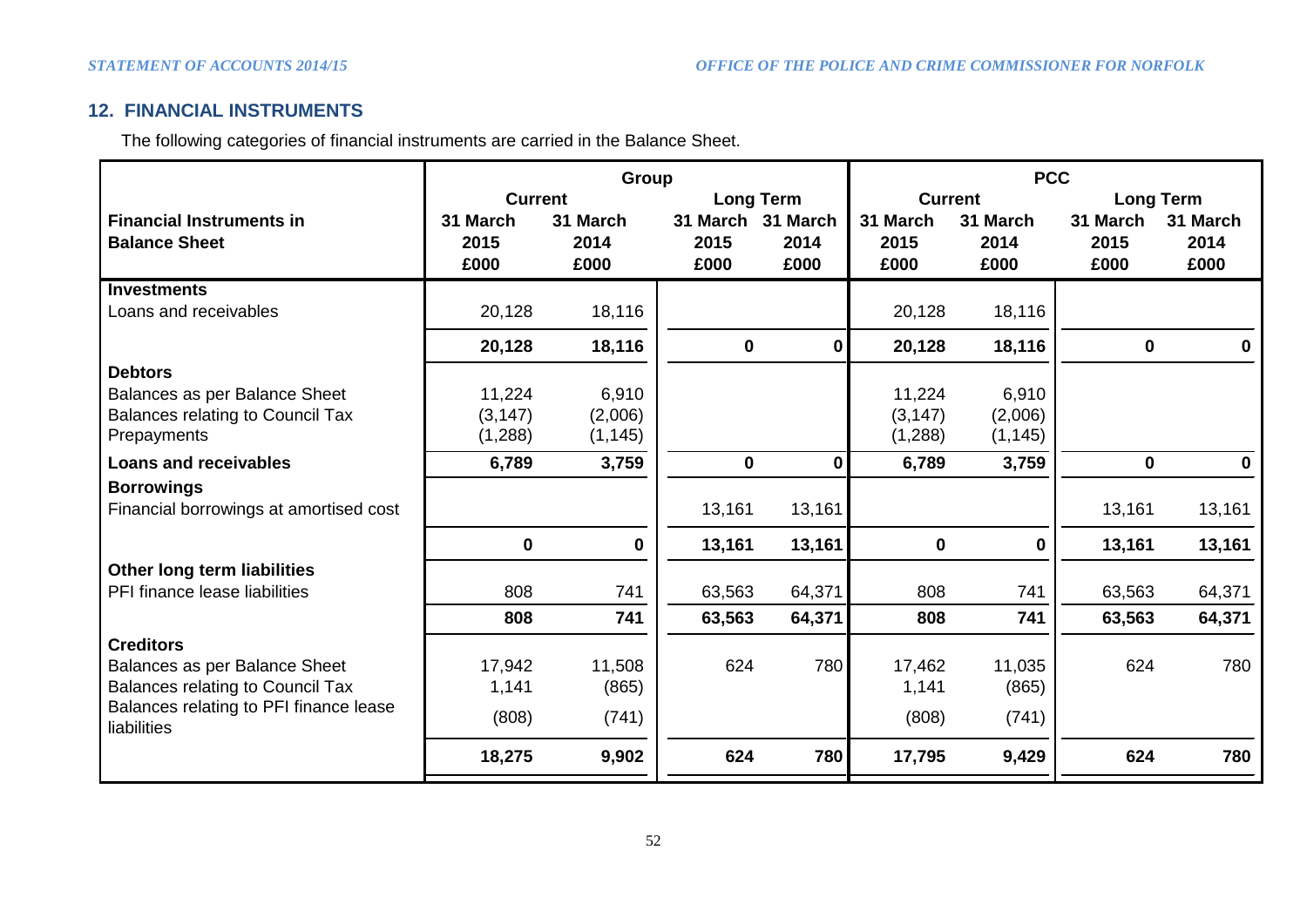## **12. FINANCIAL INSTRUMENTS**

The following categories of financial instruments are carried in the Balance Sheet.

|                                                       |                | Group       | <b>PCC</b>        |              |                |          |                  |              |  |
|-------------------------------------------------------|----------------|-------------|-------------------|--------------|----------------|----------|------------------|--------------|--|
|                                                       | <b>Current</b> |             | <b>Long Term</b>  |              | <b>Current</b> |          | <b>Long Term</b> |              |  |
| <b>Financial Instruments in</b>                       | 31 March       | 31 March    | 31 March 31 March |              | 31 March       | 31 March | 31 March         | 31 March     |  |
| <b>Balance Sheet</b>                                  | 2015           | 2014        | 2015              | 2014         | 2015           | 2014     | 2015             | 2014         |  |
|                                                       | £000           | £000        | £000              | £000         | £000           | £000     | £000             | £000         |  |
| <b>Investments</b>                                    |                |             |                   |              |                |          |                  |              |  |
| Loans and receivables                                 | 20,128         | 18,116      |                   |              | 20,128         | 18,116   |                  |              |  |
|                                                       | 20,128         | 18,116      | $\mathbf 0$       | 0            | 20,128         | 18,116   | $\mathbf 0$      | $\mathbf{0}$ |  |
| <b>Debtors</b>                                        |                |             |                   |              |                |          |                  |              |  |
| Balances as per Balance Sheet                         | 11,224         | 6,910       |                   |              | 11,224         | 6,910    |                  |              |  |
| <b>Balances relating to Council Tax</b>               | (3, 147)       | (2,006)     |                   |              | (3, 147)       | (2,006)  |                  |              |  |
| Prepayments                                           | (1,288)        | (1, 145)    |                   |              | (1,288)        | (1, 145) |                  |              |  |
| <b>Loans and receivables</b>                          | 6,789          | 3,759       | $\mathbf 0$       | $\mathbf{0}$ | 6,789          | 3,759    | $\mathbf 0$      | $\mathbf 0$  |  |
| <b>Borrowings</b>                                     |                |             |                   |              |                |          |                  |              |  |
| Financial borrowings at amortised cost                |                |             | 13,161            | 13,161       |                |          | 13,161           | 13,161       |  |
|                                                       | $\mathbf 0$    | $\mathbf 0$ | 13,161            | 13,161       | $\mathbf 0$    | 0        | 13,161           | 13,161       |  |
| Other long term liabilities                           |                |             |                   |              |                |          |                  |              |  |
| PFI finance lease liabilities                         | 808            | 741         | 63,563            | 64,371       | 808            | 741      | 63,563           | 64,371       |  |
|                                                       | 808            | 741         | 63,563            | 64,371       | 808            | 741      | 63,563           | 64,371       |  |
| <b>Creditors</b>                                      |                |             |                   |              |                |          |                  |              |  |
| Balances as per Balance Sheet                         | 17,942         | 11,508      | 624               | 780          | 17,462         | 11,035   | 624              | 780          |  |
| <b>Balances relating to Council Tax</b>               | 1,141          | (865)       |                   |              | 1,141          | (865)    |                  |              |  |
| Balances relating to PFI finance lease<br>liabilities | (808)          | (741)       |                   |              | (808)          | (741)    |                  |              |  |
|                                                       | 18,275         | 9,902       | 624               | 780          | 17,795         | 9,429    | 624              | 780          |  |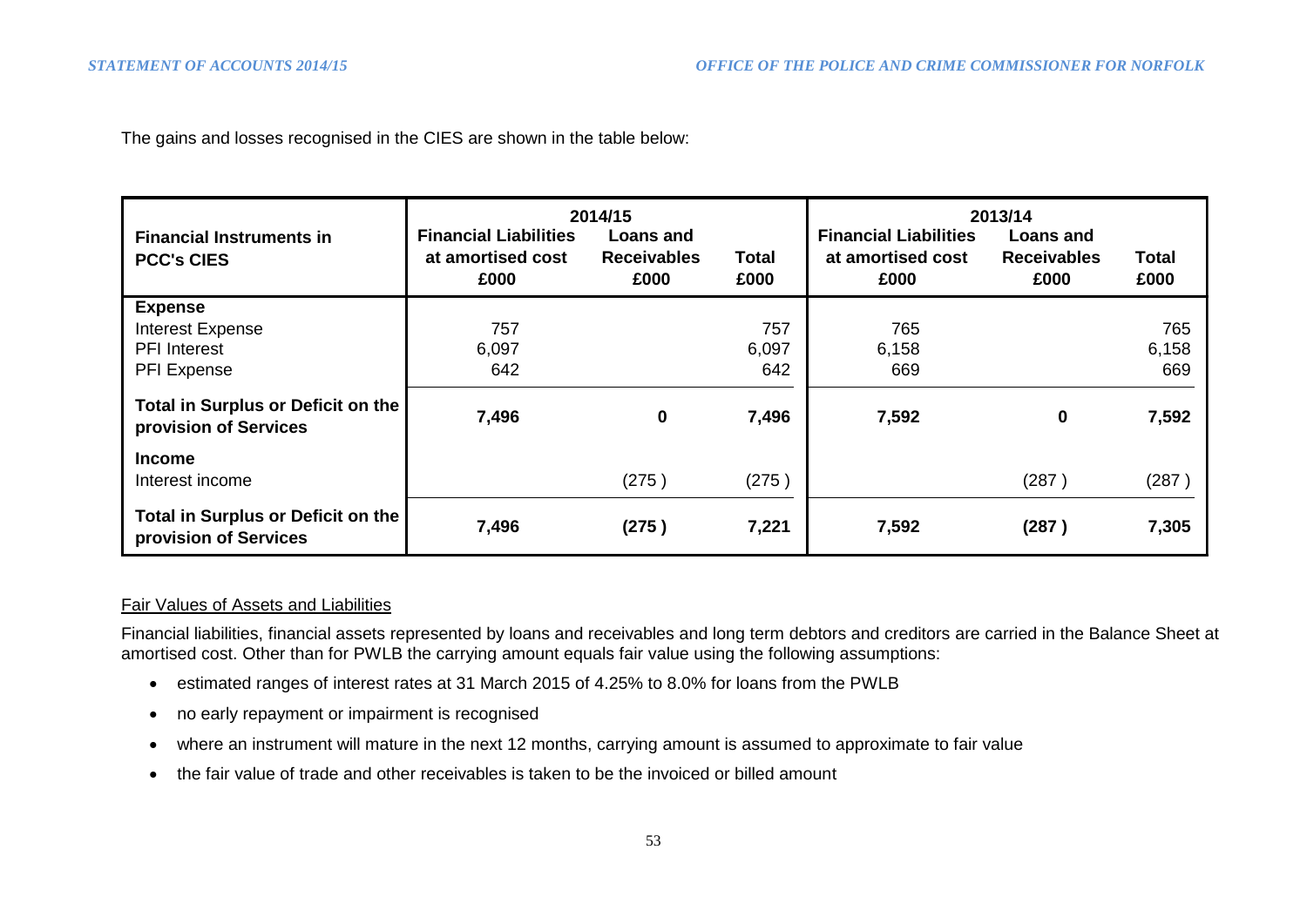The gains and losses recognised in the CIES are shown in the table below:

| <b>Financial Instruments in</b><br><b>PCC's CIES</b>                            | <b>Financial Liabilities</b><br>at amortised cost<br>£000 | 2014/15<br>Loans and<br><b>Receivables</b><br>£000 | Total<br>£000       | <b>Financial Liabilities</b><br>at amortised cost<br>£000 | 2013/14<br>Loans and<br><b>Receivables</b><br>£000 | <b>Total</b><br>£000 |
|---------------------------------------------------------------------------------|-----------------------------------------------------------|----------------------------------------------------|---------------------|-----------------------------------------------------------|----------------------------------------------------|----------------------|
| <b>Expense</b><br><b>Interest Expense</b><br><b>PFI</b> Interest<br>PFI Expense | 757<br>6,097<br>642                                       |                                                    | 757<br>6,097<br>642 | 765<br>6,158<br>669                                       |                                                    | 765<br>6,158<br>669  |
| Total in Surplus or Deficit on the<br>provision of Services                     | 7,496                                                     | $\mathbf 0$                                        | 7,496               | 7,592                                                     | 0                                                  | 7,592                |
| <b>Income</b><br>Interest income                                                |                                                           | (275)                                              | (275)               |                                                           | (287)                                              | (287)                |
| Total in Surplus or Deficit on the<br>provision of Services                     | 7,496                                                     | (275)                                              | 7,221               | 7,592                                                     | (287)                                              | 7,305                |

## Fair Values of Assets and Liabilities

Financial liabilities, financial assets represented by loans and receivables and long term debtors and creditors are carried in the Balance Sheet at amortised cost. Other than for PWLB the carrying amount equals fair value using the following assumptions:

- estimated ranges of interest rates at 31 March 2015 of 4.25% to 8.0% for loans from the PWLB
- no early repayment or impairment is recognised
- where an instrument will mature in the next 12 months, carrying amount is assumed to approximate to fair value
- the fair value of trade and other receivables is taken to be the invoiced or billed amount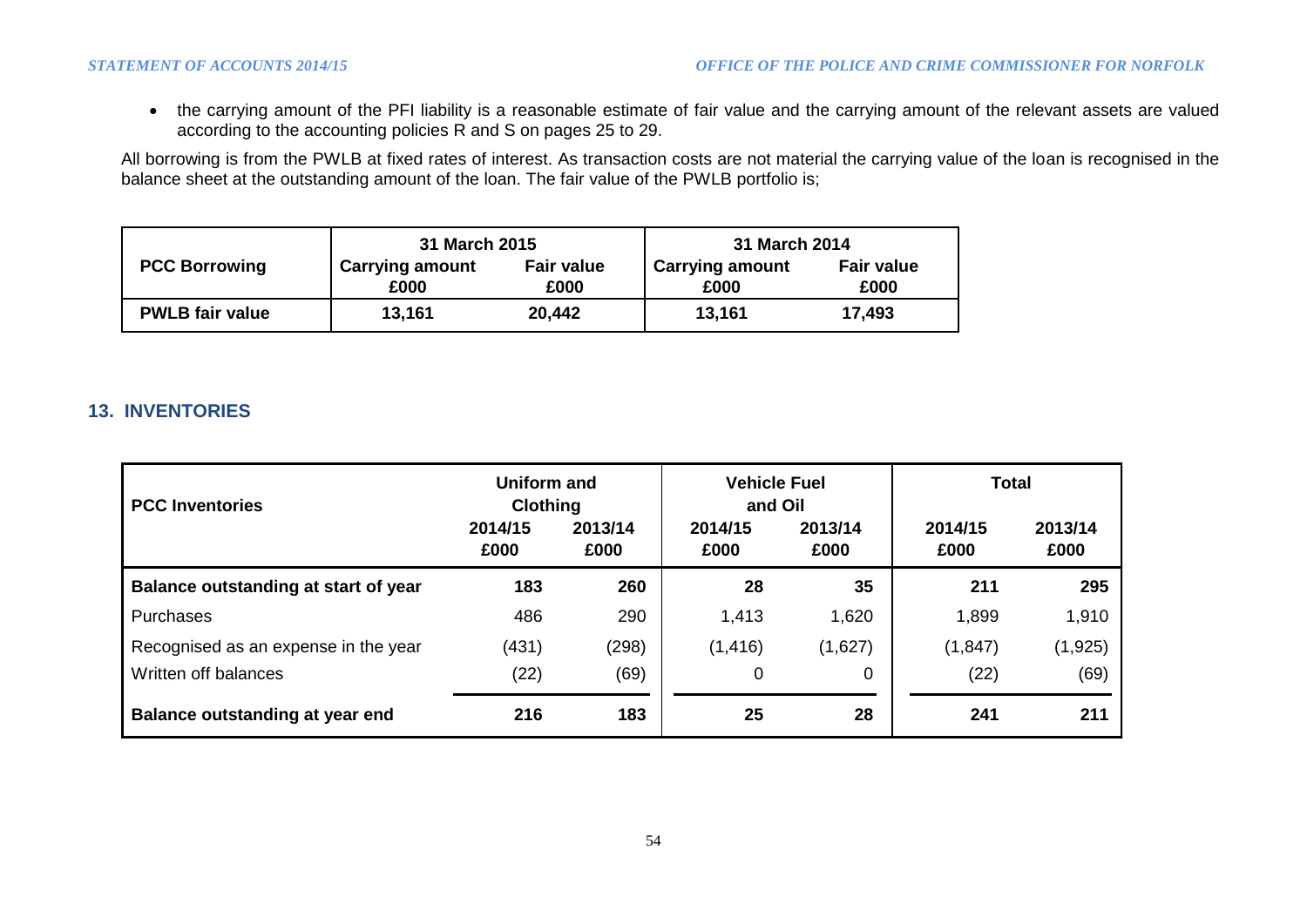the carrying amount of the PFI liability is a reasonable estimate of fair value and the carrying amount of the relevant assets are valued according to the accounting policies R and S on pages 25 to 29.

All borrowing is from the PWLB at fixed rates of interest. As transaction costs are not material the carrying value of the loan is recognised in the balance sheet at the outstanding amount of the loan. The fair value of the PWLB portfolio is;

|                        | 31 March 2015                                               |        | 31 March 2014                  |                           |  |
|------------------------|-------------------------------------------------------------|--------|--------------------------------|---------------------------|--|
| <b>PCC Borrowing</b>   | <b>Fair value</b><br><b>Carrying amount</b><br>£000<br>£000 |        | <b>Carrying amount</b><br>£000 | <b>Fair value</b><br>£000 |  |
| <b>PWLB fair value</b> | 13,161                                                      | 20,442 | 13,161                         | 17,493                    |  |

# **13. INVENTORIES**

| <b>PCC Inventories</b>               | <b>Uniform and</b><br><b>Clothing</b> |                                                       | <b>Vehicle Fuel</b><br>and Oil |         | <b>Total</b>    |                 |  |
|--------------------------------------|---------------------------------------|-------------------------------------------------------|--------------------------------|---------|-----------------|-----------------|--|
|                                      | 2014/15<br>£000                       | 2013/14<br>2013/14<br>2014/15<br>£000<br>£000<br>£000 |                                |         | 2014/15<br>£000 | 2013/14<br>£000 |  |
| Balance outstanding at start of year | 183                                   | 260                                                   | 28                             | 35      | 211             | 295             |  |
| <b>Purchases</b>                     | 486                                   | 290                                                   | 1,413                          | 1,620   | 1,899           | 1,910           |  |
| Recognised as an expense in the year | (431)                                 | (298)                                                 | (1, 416)                       | (1,627) | (1, 847)        | (1, 925)        |  |
| Written off balances                 | (22)                                  | (69)                                                  | 0                              | 0       | (22)            | (69)            |  |
| Balance outstanding at year end      | 216                                   | 183                                                   | 25                             | 28      | 241             | 211             |  |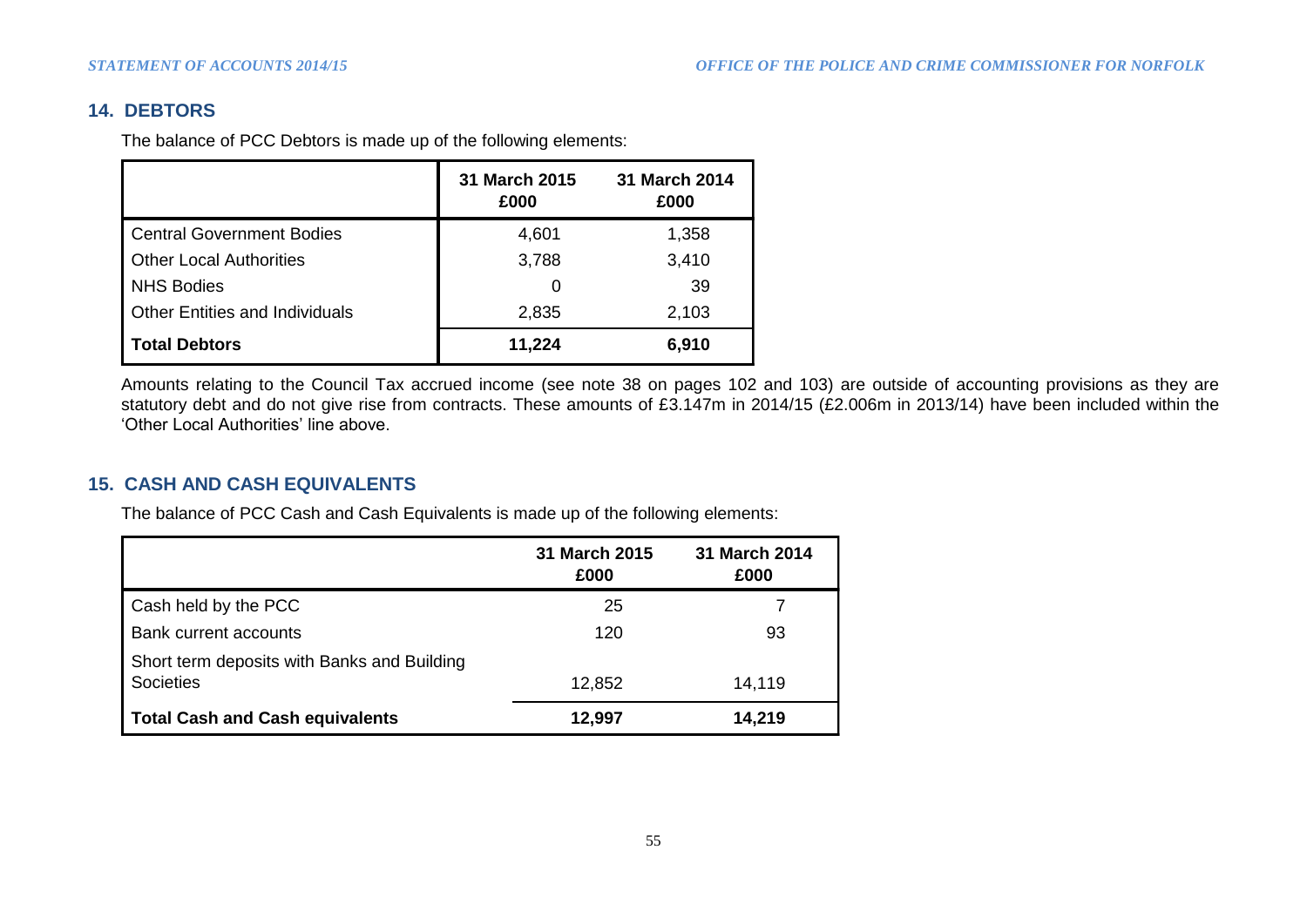# **14. DEBTORS**

The balance of PCC Debtors is made up of the following elements:

|                                       | 31 March 2015<br>£000 | 31 March 2014<br>£000 |
|---------------------------------------|-----------------------|-----------------------|
| Central Government Bodies             | 4,601                 | 1,358                 |
| <b>Other Local Authorities</b>        | 3,788                 | 3,410                 |
| <b>NHS Bodies</b>                     | $\mathbf{0}$          | 39                    |
| <b>Other Entities and Individuals</b> | 2,835                 | 2,103                 |
| <b>Total Debtors</b>                  | 11,224                | 6,910                 |

Amounts relating to the Council Tax accrued income (see note 38 on pages 102 and 103) are outside of accounting provisions as they are statutory debt and do not give rise from contracts. These amounts of £3.147m in 2014/15 (£2.006m in 2013/14) have been included within the 'Other Local Authorities' line above.

# **15. CASH AND CASH EQUIVALENTS**

The balance of PCC Cash and Cash Equivalents is made up of the following elements:

|                                                          | 31 March 2015<br>£000 | <b>31 March 2014</b><br>£000 |
|----------------------------------------------------------|-----------------------|------------------------------|
| Cash held by the PCC                                     | 25                    |                              |
| Bank current accounts                                    | 120                   | 93                           |
| Short term deposits with Banks and Building<br>Societies | 12,852                | 14,119                       |
| <b>Total Cash and Cash equivalents</b>                   | 12,997                | 14,219                       |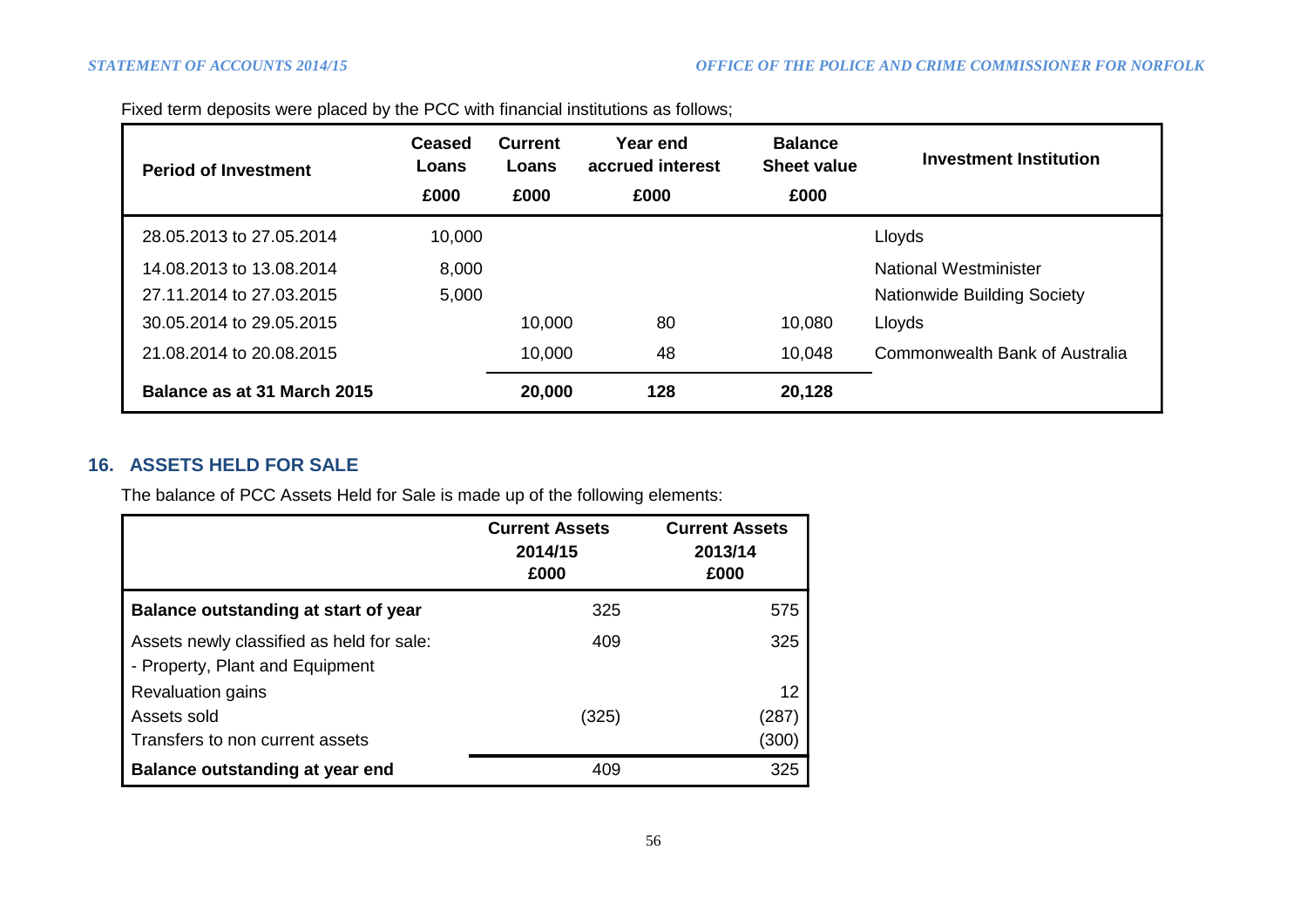| <b>Period of Investment</b> | Ceased<br>Loans | <b>Current</b><br>Loans | Year end<br>accrued interest | <b>Balance</b><br><b>Sheet value</b> | <b>Investment Institution</b>         |
|-----------------------------|-----------------|-------------------------|------------------------------|--------------------------------------|---------------------------------------|
|                             | £000            | £000                    | £000                         | £000                                 |                                       |
| 28.05.2013 to 27.05.2014    | 10,000          |                         |                              |                                      | Lloyds                                |
| 14.08.2013 to 13.08.2014    | 8,000           |                         |                              |                                      | National Westminister                 |
| 27.11.2014 to 27.03.2015    | 5,000           |                         |                              |                                      | <b>Nationwide Building Society</b>    |
| 30.05.2014 to 29.05.2015    |                 | 10,000                  | 80                           | 10,080                               | Lloyds                                |
| 21.08.2014 to 20.08.2015    |                 | 10,000                  | 48                           | 10,048                               | <b>Commonwealth Bank of Australia</b> |
| Balance as at 31 March 2015 |                 | 20,000                  | 128                          | 20,128                               |                                       |

Fixed term deposits were placed by the PCC with financial institutions as follows;

# **16. ASSETS HELD FOR SALE**

The balance of PCC Assets Held for Sale is made up of the following elements:

|                                           | <b>Current Assets</b><br>2014/15<br>£000 | <b>Current Assets</b><br>2013/14<br>£000 |  |  |
|-------------------------------------------|------------------------------------------|------------------------------------------|--|--|
| Balance outstanding at start of year      | 325                                      | 575                                      |  |  |
| Assets newly classified as held for sale: | 409                                      | 325                                      |  |  |
| - Property, Plant and Equipment           |                                          |                                          |  |  |
| <b>Revaluation gains</b>                  |                                          | $12 \overline{ }$                        |  |  |
| Assets sold                               | (325)                                    | (287)                                    |  |  |
| Transfers to non current assets           |                                          | (300)                                    |  |  |
| Balance outstanding at year end           | 409                                      | 325                                      |  |  |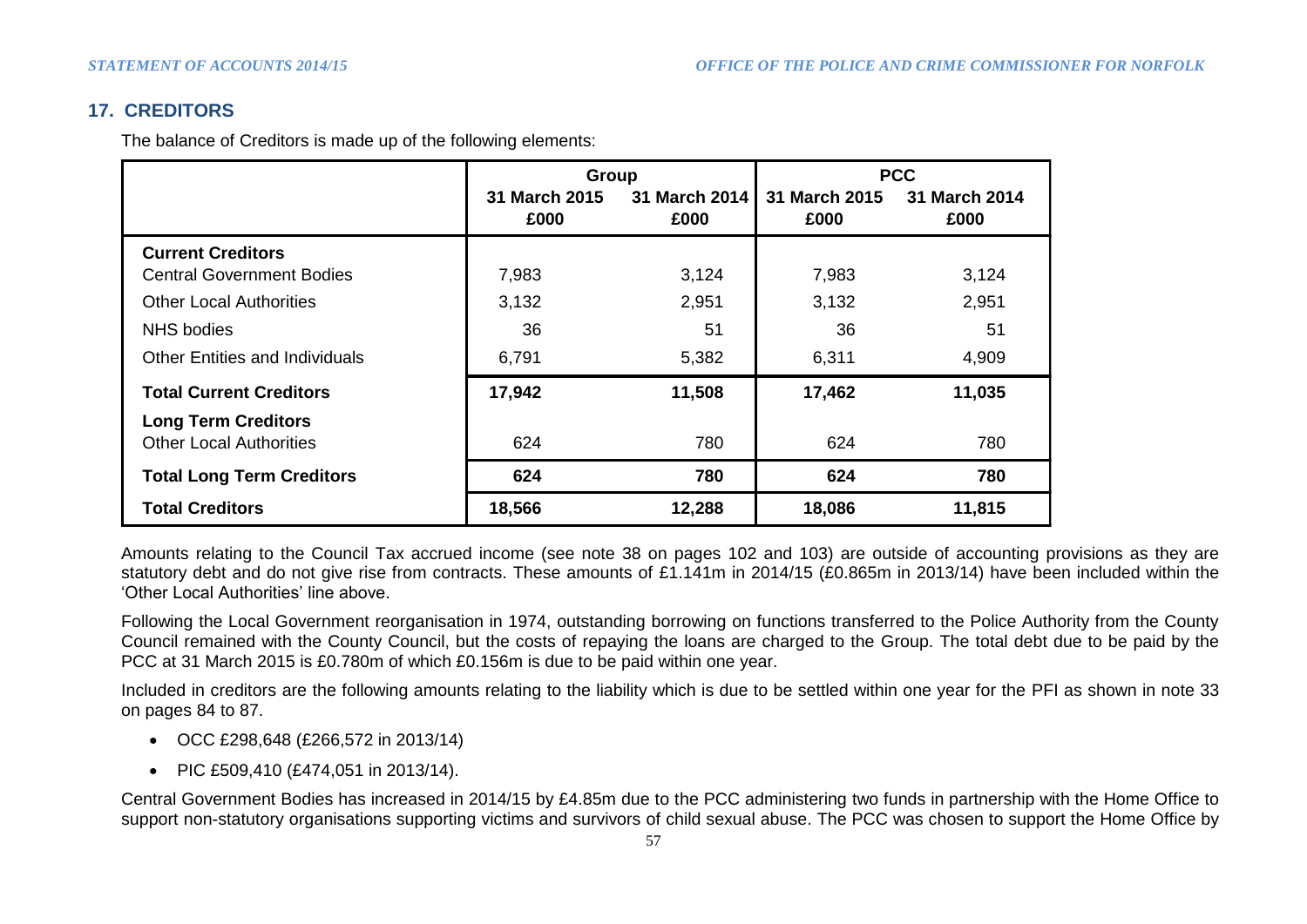# **17. CREDITORS**

The balance of Creditors is made up of the following elements:

|                                                              | Group                 |                       |                       | <b>PCC</b>            |
|--------------------------------------------------------------|-----------------------|-----------------------|-----------------------|-----------------------|
|                                                              | 31 March 2015<br>£000 | 31 March 2014<br>£000 | 31 March 2015<br>£000 | 31 March 2014<br>£000 |
| <b>Current Creditors</b>                                     |                       |                       |                       |                       |
| <b>Central Government Bodies</b>                             | 7,983                 | 3,124                 | 7,983                 | 3,124                 |
| <b>Other Local Authorities</b>                               | 3,132                 | 2,951                 | 3,132                 | 2,951                 |
| NHS bodies                                                   | 36                    | 51                    | 36                    | 51                    |
| <b>Other Entities and Individuals</b>                        | 6,791                 | 5,382                 | 6,311                 | 4,909                 |
| <b>Total Current Creditors</b>                               | 17,942                | 11,508                | 17,462                | 11,035                |
| <b>Long Term Creditors</b><br><b>Other Local Authorities</b> | 624                   | 780                   | 624                   | 780                   |
| <b>Total Long Term Creditors</b>                             | 624                   | 780                   | 624                   | 780                   |
| <b>Total Creditors</b>                                       | 18,566                | 12,288                | 18,086                | 11,815                |

Amounts relating to the Council Tax accrued income (see note 38 on pages 102 and 103) are outside of accounting provisions as they are statutory debt and do not give rise from contracts. These amounts of £1.141m in 2014/15 (£0.865m in 2013/14) have been included within the 'Other Local Authorities' line above.

Following the Local Government reorganisation in 1974, outstanding borrowing on functions transferred to the Police Authority from the County Council remained with the County Council, but the costs of repaying the loans are charged to the Group. The total debt due to be paid by the PCC at 31 March 2015 is £0.780m of which £0.156m is due to be paid within one year.

Included in creditors are the following amounts relating to the liability which is due to be settled within one year for the PFI as shown in note 33 on pages 84 to 87.

- OCC £298,648 (£266,572 in 2013/14)
- PIC £509,410 (£474,051 in 2013/14).

Central Government Bodies has increased in 2014/15 by £4.85m due to the PCC administering two funds in partnership with the Home Office to support non-statutory organisations supporting victims and survivors of child sexual abuse. The PCC was chosen to support the Home Office by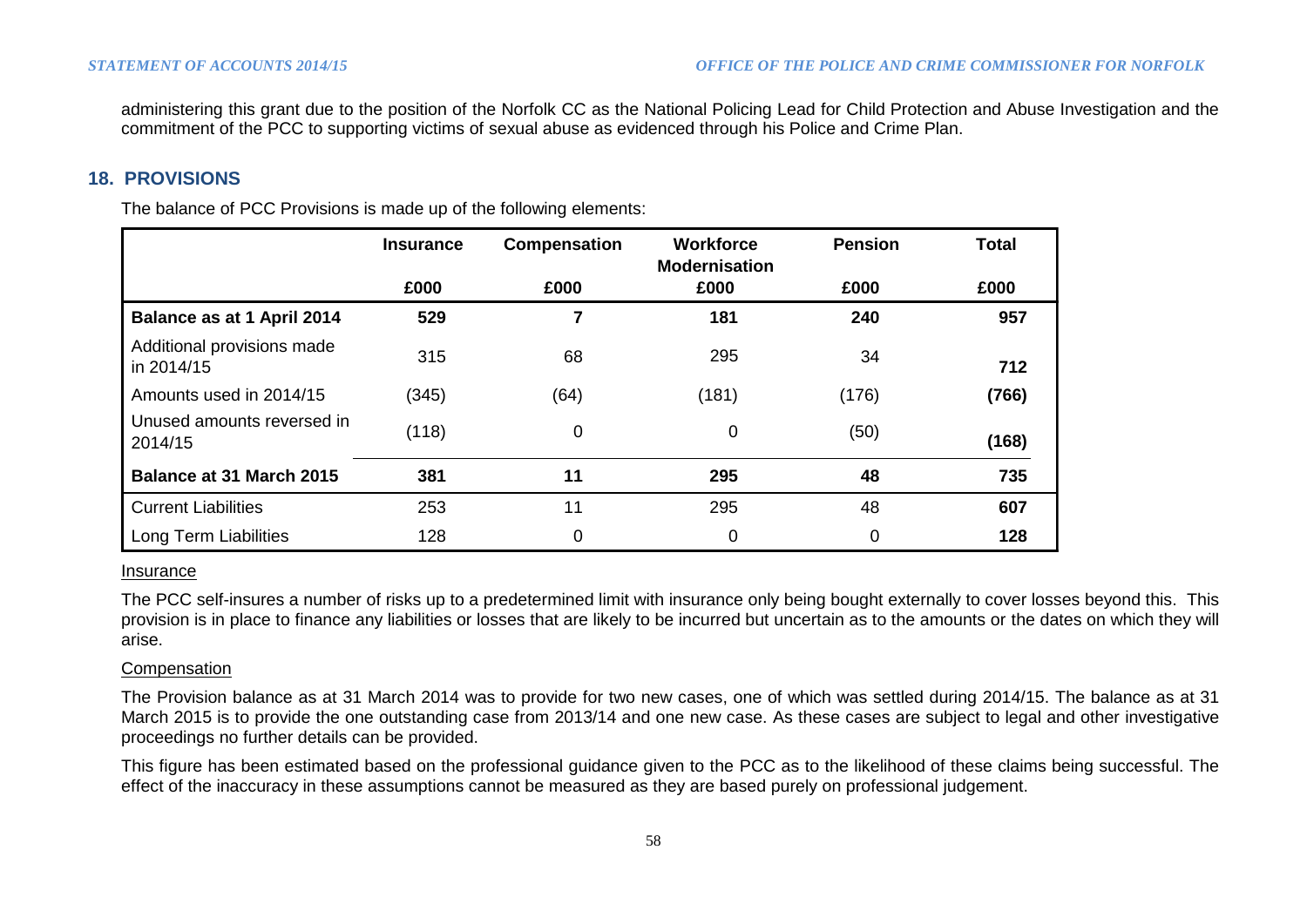administering this grant due to the position of the Norfolk CC as the National Policing Lead for Child Protection and Abuse Investigation and the commitment of the PCC to supporting victims of sexual abuse as evidenced through his Police and Crime Plan.

## **18. PROVISIONS**

The balance of PCC Provisions is made up of the following elements:

|                                          | <b>Insurance</b> | Compensation | <b>Workforce</b><br><b>Modernisation</b> | <b>Pension</b> | <b>Total</b> |
|------------------------------------------|------------------|--------------|------------------------------------------|----------------|--------------|
|                                          | £000             | £000         | £000                                     | £000           | £000         |
| Balance as at 1 April 2014               | 529              |              | 181                                      | 240            | 957          |
| Additional provisions made<br>in 2014/15 | 315              | 68           | 295                                      | 34             | 712          |
| Amounts used in 2014/15                  | (345)            | (64)         | (181)                                    | (176)          | (766)        |
| Unused amounts reversed in<br>2014/15    | (118)            | 0            | 0                                        | (50)           | (168)        |
| <b>Balance at 31 March 2015</b>          | 381              | 11           | 295                                      | 48             | 735          |
| <b>Current Liabilities</b>               | 253              | 11           | 295                                      | 48             | 607          |
| Long Term Liabilities                    | 128              | 0            | 0                                        | 0              | 128          |

#### **Insurance**

The PCC self-insures a number of risks up to a predetermined limit with insurance only being bought externally to cover losses beyond this. This provision is in place to finance any liabilities or losses that are likely to be incurred but uncertain as to the amounts or the dates on which they will arise.

#### **Compensation**

The Provision balance as at 31 March 2014 was to provide for two new cases, one of which was settled during 2014/15. The balance as at 31 March 2015 is to provide the one outstanding case from 2013/14 and one new case. As these cases are subject to legal and other investigative proceedings no further details can be provided.

This figure has been estimated based on the professional guidance given to the PCC as to the likelihood of these claims being successful. The effect of the inaccuracy in these assumptions cannot be measured as they are based purely on professional judgement.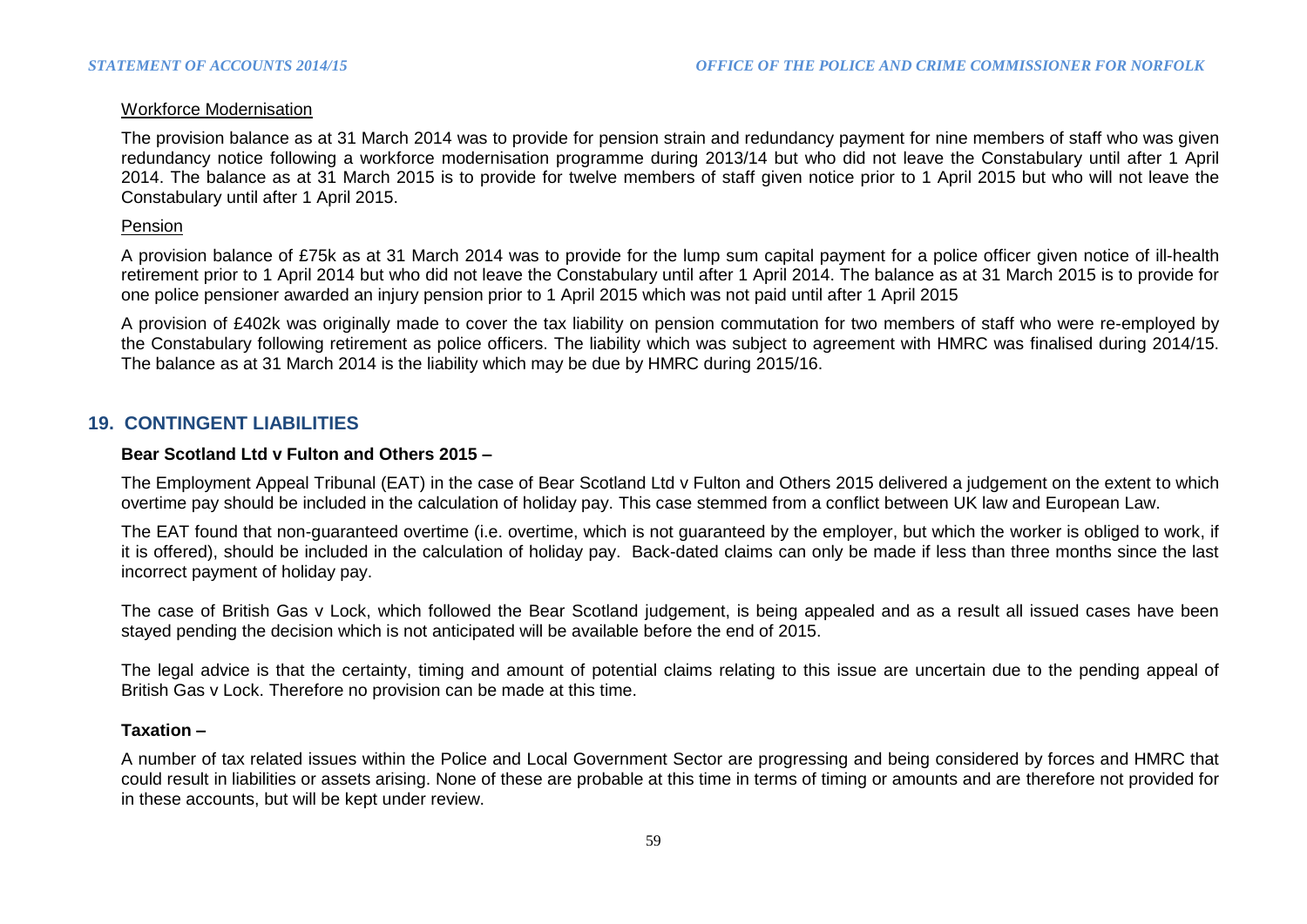## Workforce Modernisation

The provision balance as at 31 March 2014 was to provide for pension strain and redundancy payment for nine members of staff who was given redundancy notice following a workforce modernisation programme during 2013/14 but who did not leave the Constabulary until after 1 April 2014. The balance as at 31 March 2015 is to provide for twelve members of staff given notice prior to 1 April 2015 but who will not leave the Constabulary until after 1 April 2015.

#### Pension

A provision balance of £75k as at 31 March 2014 was to provide for the lump sum capital payment for a police officer given notice of ill-health retirement prior to 1 April 2014 but who did not leave the Constabulary until after 1 April 2014. The balance as at 31 March 2015 is to provide for one police pensioner awarded an injury pension prior to 1 April 2015 which was not paid until after 1 April 2015

A provision of £402k was originally made to cover the tax liability on pension commutation for two members of staff who were re-employed by the Constabulary following retirement as police officers. The liability which was subject to agreement with HMRC was finalised during 2014/15. The balance as at 31 March 2014 is the liability which may be due by HMRC during 2015/16.

## **19. CONTINGENT LIABILITIES**

#### **Bear Scotland Ltd v Fulton and Others 2015 –**

The Employment Appeal Tribunal (EAT) in the case of Bear Scotland Ltd v Fulton and Others 2015 delivered a judgement on the extent to which overtime pay should be included in the calculation of holiday pay. This case stemmed from a conflict between UK law and European Law.

The EAT found that non-guaranteed overtime (i.e. overtime, which is not guaranteed by the employer, but which the worker is obliged to work, if it is offered), should be included in the calculation of holiday pay. Back-dated claims can only be made if less than three months since the last incorrect payment of holiday pay.

The case of British Gas v Lock, which followed the Bear Scotland judgement, is being appealed and as a result all issued cases have been stayed pending the decision which is not anticipated will be available before the end of 2015.

The legal advice is that the certainty, timing and amount of potential claims relating to this issue are uncertain due to the pending appeal of British Gas v Lock. Therefore no provision can be made at this time.

## **Taxation –**

A number of tax related issues within the Police and Local Government Sector are progressing and being considered by forces and HMRC that could result in liabilities or assets arising. None of these are probable at this time in terms of timing or amounts and are therefore not provided for in these accounts, but will be kept under review.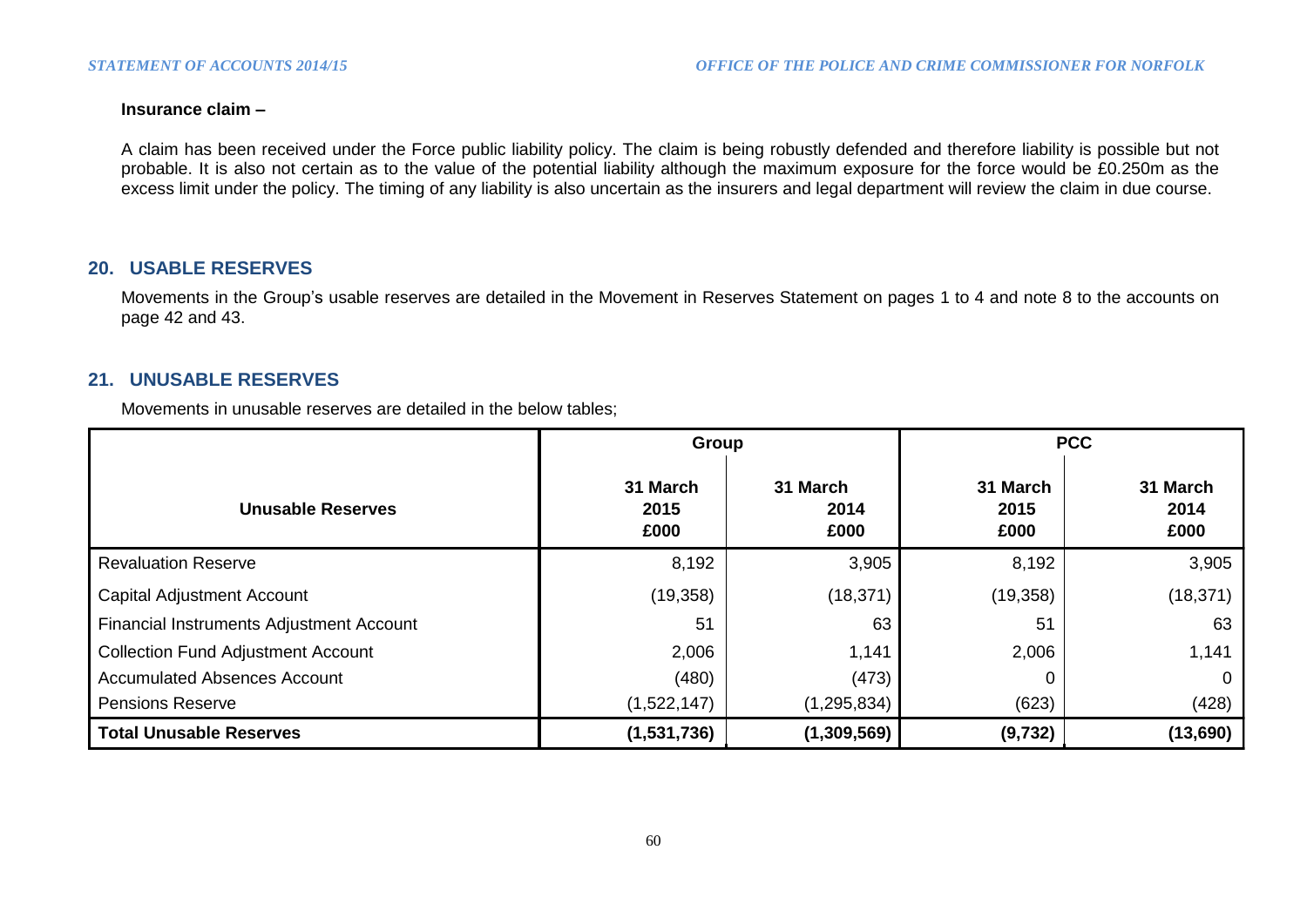## **Insurance claim –**

A claim has been received under the Force public liability policy. The claim is being robustly defended and therefore liability is possible but not probable. It is also not certain as to the value of the potential liability although the maximum exposure for the force would be £0.250m as the excess limit under the policy. The timing of any liability is also uncertain as the insurers and legal department will review the claim in due course.

## **20. USABLE RESERVES**

Movements in the Group's usable reserves are detailed in the Movement in Reserves Statement on pages 1 to 4 and note 8 to the accounts on page 42 and 43.

# **21. UNUSABLE RESERVES**

Movements in unusable reserves are detailed in the below tables;

|                                           | Group                    |                          | <b>PCC</b>               |                          |  |
|-------------------------------------------|--------------------------|--------------------------|--------------------------|--------------------------|--|
| <b>Unusable Reserves</b>                  | 31 March<br>2015<br>£000 | 31 March<br>2014<br>£000 | 31 March<br>2015<br>£000 | 31 March<br>2014<br>£000 |  |
| <b>Revaluation Reserve</b>                | 8,192                    | 3,905                    | 8,192                    | 3,905                    |  |
| <b>Capital Adjustment Account</b>         | (19, 358)                | (18, 371)                | (19, 358)                | (18, 371)                |  |
| Financial Instruments Adjustment Account  | 51                       | 63                       | 51                       | 63                       |  |
| <b>Collection Fund Adjustment Account</b> | 2,006                    | 1,141                    | 2,006                    | 1,141                    |  |
| <b>Accumulated Absences Account</b>       | (480)                    | (473)                    |                          |                          |  |
| <b>Pensions Reserve</b>                   | (1,522,147)              | (1, 295, 834)            | (623)                    | (428)                    |  |
| <b>Total Unusable Reserves</b>            | (1,531,736)              | (1,309,569)              | (9, 732)                 | (13,690)                 |  |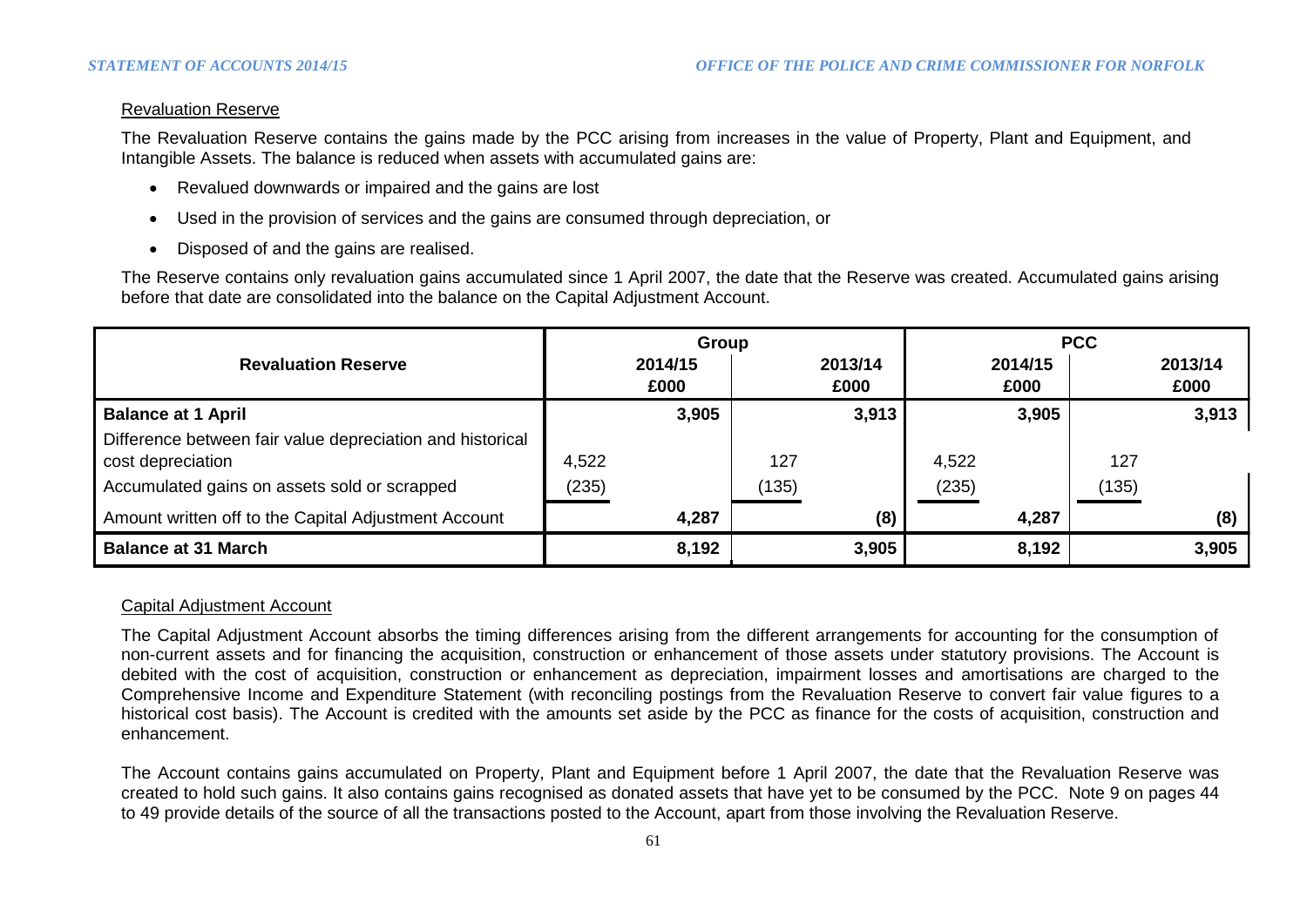## Revaluation Reserve

The Revaluation Reserve contains the gains made by the PCC arising from increases in the value of Property, Plant and Equipment, and Intangible Assets. The balance is reduced when assets with accumulated gains are:

- Revalued downwards or impaired and the gains are lost
- Used in the provision of services and the gains are consumed through depreciation, or
- Disposed of and the gains are realised.

The Reserve contains only revaluation gains accumulated since 1 April 2007, the date that the Reserve was created. Accumulated gains arising before that date are consolidated into the balance on the Capital Adjustment Account.

|                                                                                | Group |                 |       |                 | <b>PCC</b> |                 |       |                 |
|--------------------------------------------------------------------------------|-------|-----------------|-------|-----------------|------------|-----------------|-------|-----------------|
| <b>Revaluation Reserve</b>                                                     |       | 2014/15<br>£000 |       | 2013/14<br>£000 |            | 2014/15<br>£000 |       | 2013/14<br>£000 |
| <b>Balance at 1 April</b>                                                      |       | 3,905           |       | 3,913           |            | 3,905           |       | 3,913           |
| Difference between fair value depreciation and historical<br>cost depreciation | 4,522 |                 | 127   |                 | 4,522      |                 | 127   |                 |
| Accumulated gains on assets sold or scrapped                                   | (235) |                 | (135) |                 | (235)      |                 | (135) |                 |
| Amount written off to the Capital Adjustment Account                           |       | 4,287           |       | (8)             |            | 4,287           |       | (8)             |
| <b>Balance at 31 March</b>                                                     |       | 8,192           |       | 3,905           |            | 8,192           |       | 3,905           |

## Capital Adjustment Account

The Capital Adjustment Account absorbs the timing differences arising from the different arrangements for accounting for the consumption of non-current assets and for financing the acquisition, construction or enhancement of those assets under statutory provisions. The Account is debited with the cost of acquisition, construction or enhancement as depreciation, impairment losses and amortisations are charged to the Comprehensive Income and Expenditure Statement (with reconciling postings from the Revaluation Reserve to convert fair value figures to a historical cost basis). The Account is credited with the amounts set aside by the PCC as finance for the costs of acquisition, construction and enhancement.

The Account contains gains accumulated on Property, Plant and Equipment before 1 April 2007, the date that the Revaluation Reserve was created to hold such gains. It also contains gains recognised as donated assets that have yet to be consumed by the PCC. Note 9 on pages 44 to 49 provide details of the source of all the transactions posted to the Account, apart from those involving the Revaluation Reserve.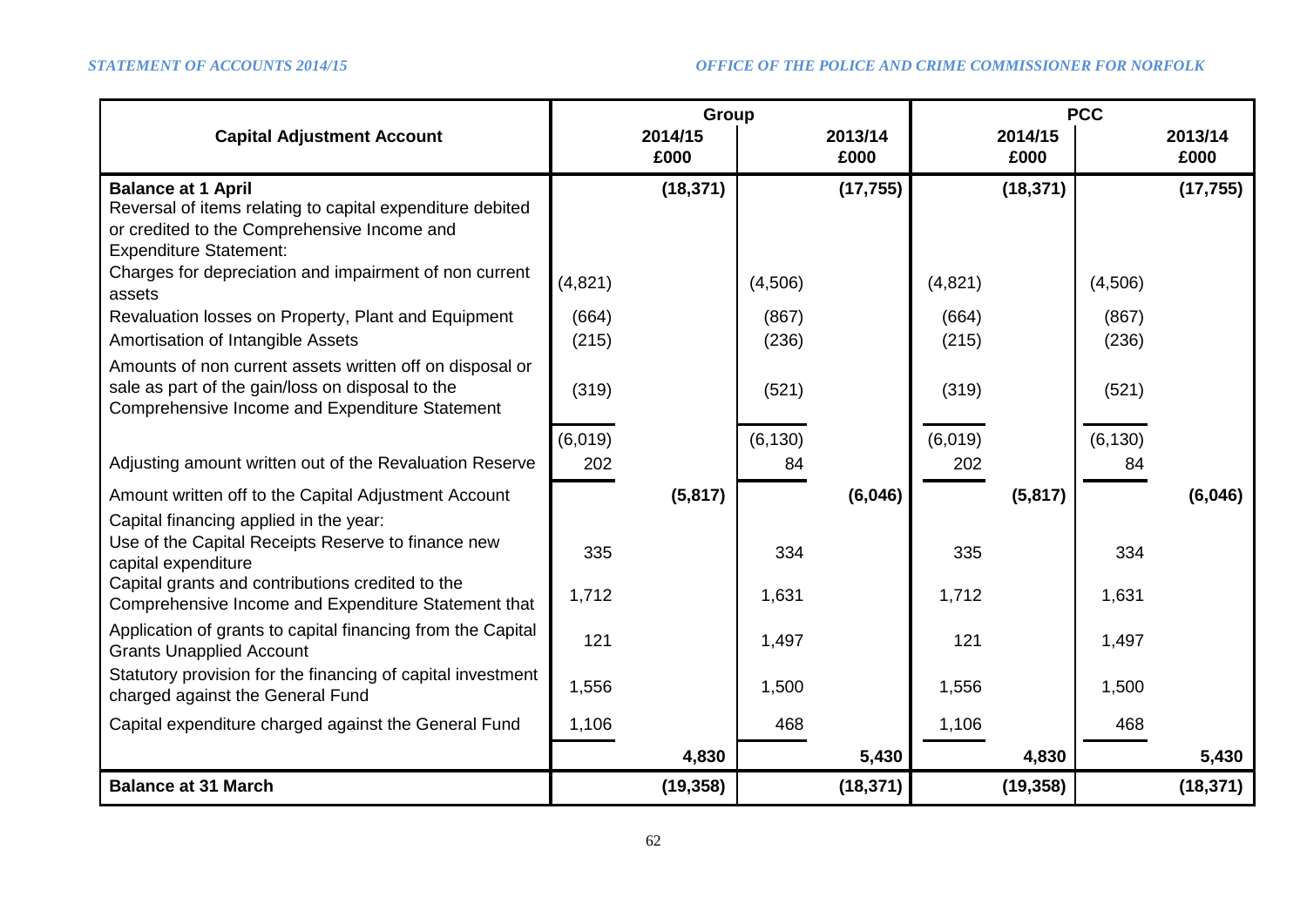|                                                                                                                                                                                                                                                                                        |                         | Group           |                         |                 | <b>PCC</b>              |                 |                         |                 |
|----------------------------------------------------------------------------------------------------------------------------------------------------------------------------------------------------------------------------------------------------------------------------------------|-------------------------|-----------------|-------------------------|-----------------|-------------------------|-----------------|-------------------------|-----------------|
| <b>Capital Adjustment Account</b>                                                                                                                                                                                                                                                      |                         | 2014/15<br>£000 |                         | 2013/14<br>£000 |                         | 2014/15<br>£000 |                         | 2013/14<br>£000 |
| <b>Balance at 1 April</b><br>Reversal of items relating to capital expenditure debited<br>or credited to the Comprehensive Income and<br><b>Expenditure Statement:</b><br>Charges for depreciation and impairment of non current<br>assets                                             | (4,821)                 | (18, 371)       | (4,506)                 | (17, 755)       | (4,821)                 | (18, 371)       | (4,506)                 | (17, 755)       |
| Revaluation losses on Property, Plant and Equipment<br>Amortisation of Intangible Assets<br>Amounts of non current assets written off on disposal or<br>sale as part of the gain/loss on disposal to the<br>Comprehensive Income and Expenditure Statement                             | (664)<br>(215)<br>(319) |                 | (867)<br>(236)<br>(521) |                 | (664)<br>(215)<br>(319) |                 | (867)<br>(236)<br>(521) |                 |
| Adjusting amount written out of the Revaluation Reserve                                                                                                                                                                                                                                | (6,019)<br>202          |                 | (6, 130)<br>84          |                 | (6,019)<br>202          |                 | (6, 130)<br>84          |                 |
| Amount written off to the Capital Adjustment Account<br>Capital financing applied in the year:<br>Use of the Capital Receipts Reserve to finance new<br>capital expenditure<br>Capital grants and contributions credited to the<br>Comprehensive Income and Expenditure Statement that | 335<br>1,712            | (5,817)         | 334<br>1,631            | (6,046)         | 335<br>1,712            | (5, 817)        | 334<br>1,631            | (6,046)         |
| Application of grants to capital financing from the Capital<br><b>Grants Unapplied Account</b><br>Statutory provision for the financing of capital investment<br>charged against the General Fund                                                                                      | 121<br>1,556            |                 | 1,497<br>1,500          |                 | 121<br>1,556            |                 | 1,497<br>1,500          |                 |
| Capital expenditure charged against the General Fund                                                                                                                                                                                                                                   | 1,106                   | 4,830           | 468                     | 5,430           | 1,106                   | 4,830           | 468                     | 5,430           |
| <b>Balance at 31 March</b>                                                                                                                                                                                                                                                             |                         | (19, 358)       |                         | (18, 371)       |                         | (19, 358)       |                         | (18, 371)       |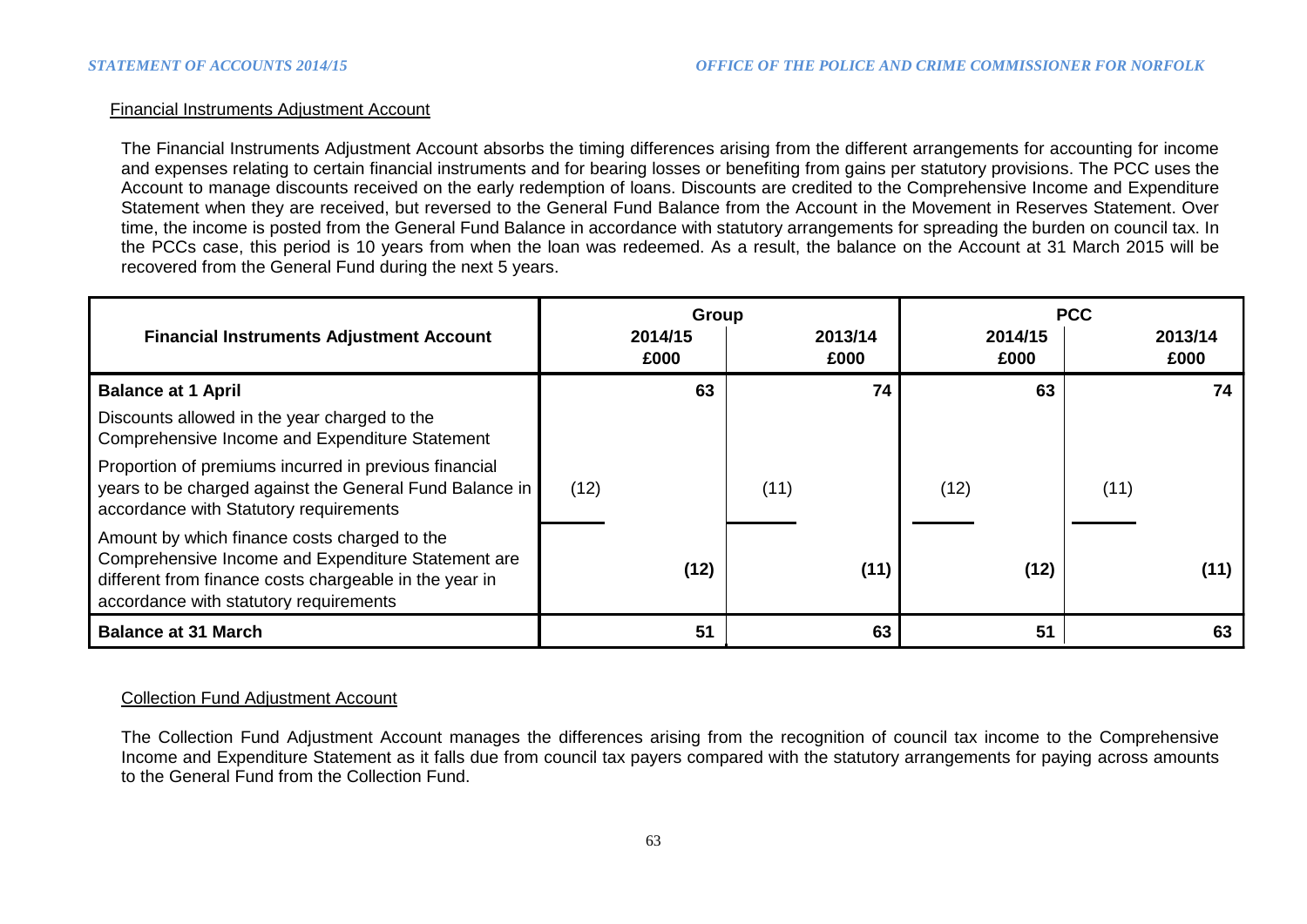## Financial Instruments Adjustment Account

The Financial Instruments Adjustment Account absorbs the timing differences arising from the different arrangements for accounting for income and expenses relating to certain financial instruments and for bearing losses or benefiting from gains per statutory provisions. The PCC uses the Account to manage discounts received on the early redemption of loans. Discounts are credited to the Comprehensive Income and Expenditure Statement when they are received, but reversed to the General Fund Balance from the Account in the Movement in Reserves Statement. Over time, the income is posted from the General Fund Balance in accordance with statutory arrangements for spreading the burden on council tax. In the PCCs case, this period is 10 years from when the loan was redeemed. As a result, the balance on the Account at 31 March 2015 will be recovered from the General Fund during the next 5 years.

|                                                                                                                                                                                                        |      | Group           |      |                 | <b>PCC</b> |                 |      |                 |
|--------------------------------------------------------------------------------------------------------------------------------------------------------------------------------------------------------|------|-----------------|------|-----------------|------------|-----------------|------|-----------------|
| <b>Financial Instruments Adjustment Account</b>                                                                                                                                                        |      | 2014/15<br>£000 |      | 2013/14<br>£000 |            | 2014/15<br>£000 |      | 2013/14<br>£000 |
| <b>Balance at 1 April</b>                                                                                                                                                                              |      | 63              |      | 74              |            | 63              |      | 74              |
| Discounts allowed in the year charged to the<br>Comprehensive Income and Expenditure Statement                                                                                                         |      |                 |      |                 |            |                 |      |                 |
| Proportion of premiums incurred in previous financial<br>years to be charged against the General Fund Balance in<br>accordance with Statutory requirements                                             | (12) |                 | (11) |                 | (12)       |                 | (11) |                 |
| Amount by which finance costs charged to the<br>Comprehensive Income and Expenditure Statement are<br>different from finance costs chargeable in the year in<br>accordance with statutory requirements |      | (12)            |      | (11)            |            | (12)            |      | (11)            |
| <b>Balance at 31 March</b>                                                                                                                                                                             |      | 51              |      | 63              |            | 51              |      | 63              |

## Collection Fund Adjustment Account

The Collection Fund Adjustment Account manages the differences arising from the recognition of council tax income to the Comprehensive Income and Expenditure Statement as it falls due from council tax payers compared with the statutory arrangements for paying across amounts to the General Fund from the Collection Fund.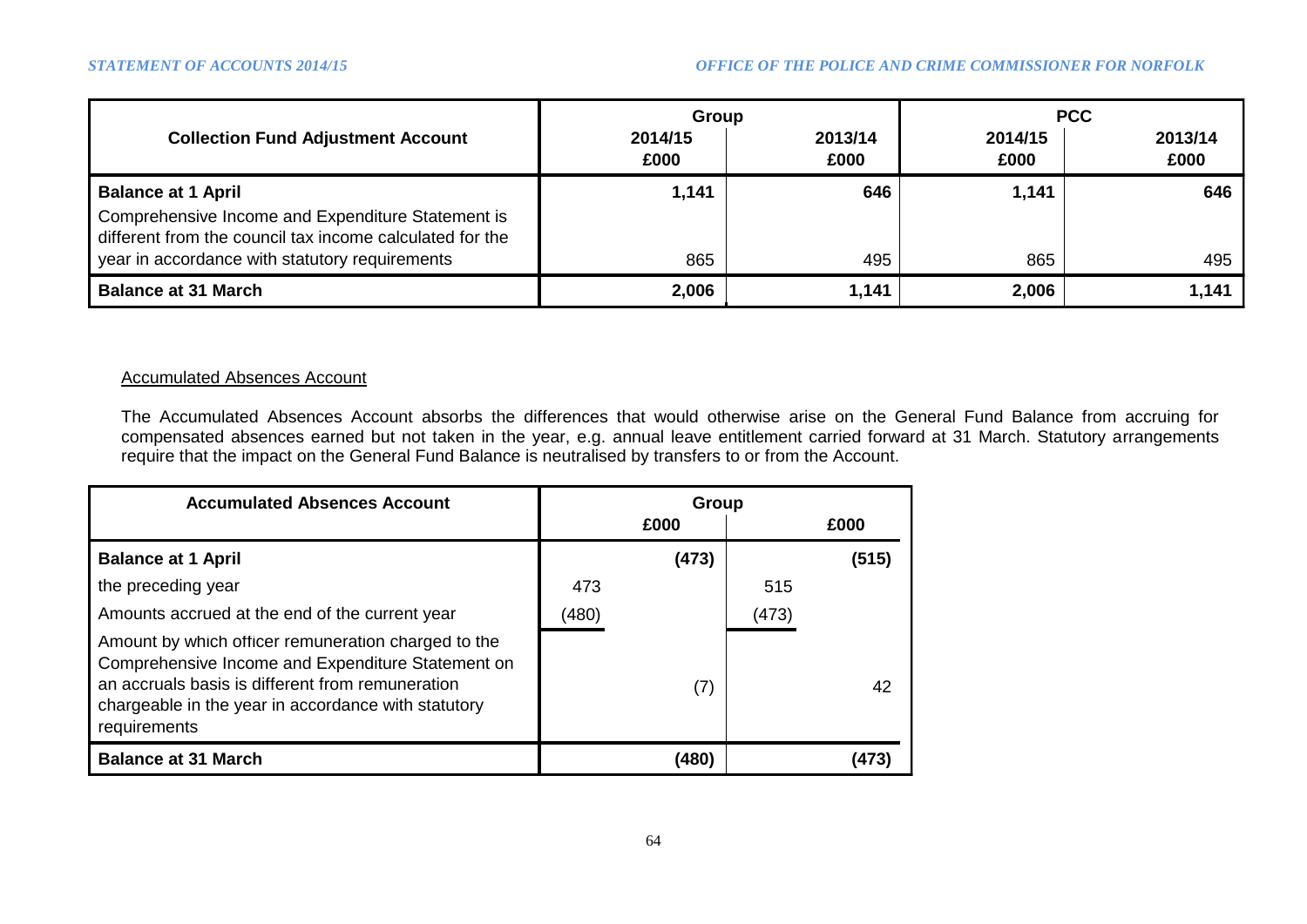|                                                                                                                                            | Group           |                 | <b>PCC</b>      |                 |  |
|--------------------------------------------------------------------------------------------------------------------------------------------|-----------------|-----------------|-----------------|-----------------|--|
| <b>Collection Fund Adjustment Account</b>                                                                                                  | 2014/15<br>£000 | 2013/14<br>£000 | 2014/15<br>£000 | 2013/14<br>£000 |  |
| <b>Balance at 1 April</b><br>Comprehensive Income and Expenditure Statement is<br>different from the council tax income calculated for the | 1,141           | 646             | 1,141           | 646             |  |
| year in accordance with statutory requirements                                                                                             | 865             | 495             | 865             | 495             |  |
| <b>Balance at 31 March</b>                                                                                                                 | 2,006           | 1,141           | 2,006           | 1,141           |  |

## Accumulated Absences Account

The Accumulated Absences Account absorbs the differences that would otherwise arise on the General Fund Balance from accruing for compensated absences earned but not taken in the year, e.g. annual leave entitlement carried forward at 31 March. Statutory arrangements require that the impact on the General Fund Balance is neutralised by transfers to or from the Account.

| <b>Accumulated Absences Account</b>                                                                                                                                                                                                 | Group |       |       |       |  |
|-------------------------------------------------------------------------------------------------------------------------------------------------------------------------------------------------------------------------------------|-------|-------|-------|-------|--|
|                                                                                                                                                                                                                                     |       | £000  |       | £000  |  |
| <b>Balance at 1 April</b>                                                                                                                                                                                                           |       | (473) |       | (515) |  |
| the preceding year                                                                                                                                                                                                                  | 473   |       | 515   |       |  |
| Amounts accrued at the end of the current year                                                                                                                                                                                      | (480) |       | (473) |       |  |
| Amount by which officer remuneration charged to the<br>Comprehensive Income and Expenditure Statement on<br>an accruals basis is different from remuneration<br>chargeable in the year in accordance with statutory<br>requirements |       | (7)   |       | 42    |  |
| <b>Balance at 31 March</b>                                                                                                                                                                                                          |       | (480) |       |       |  |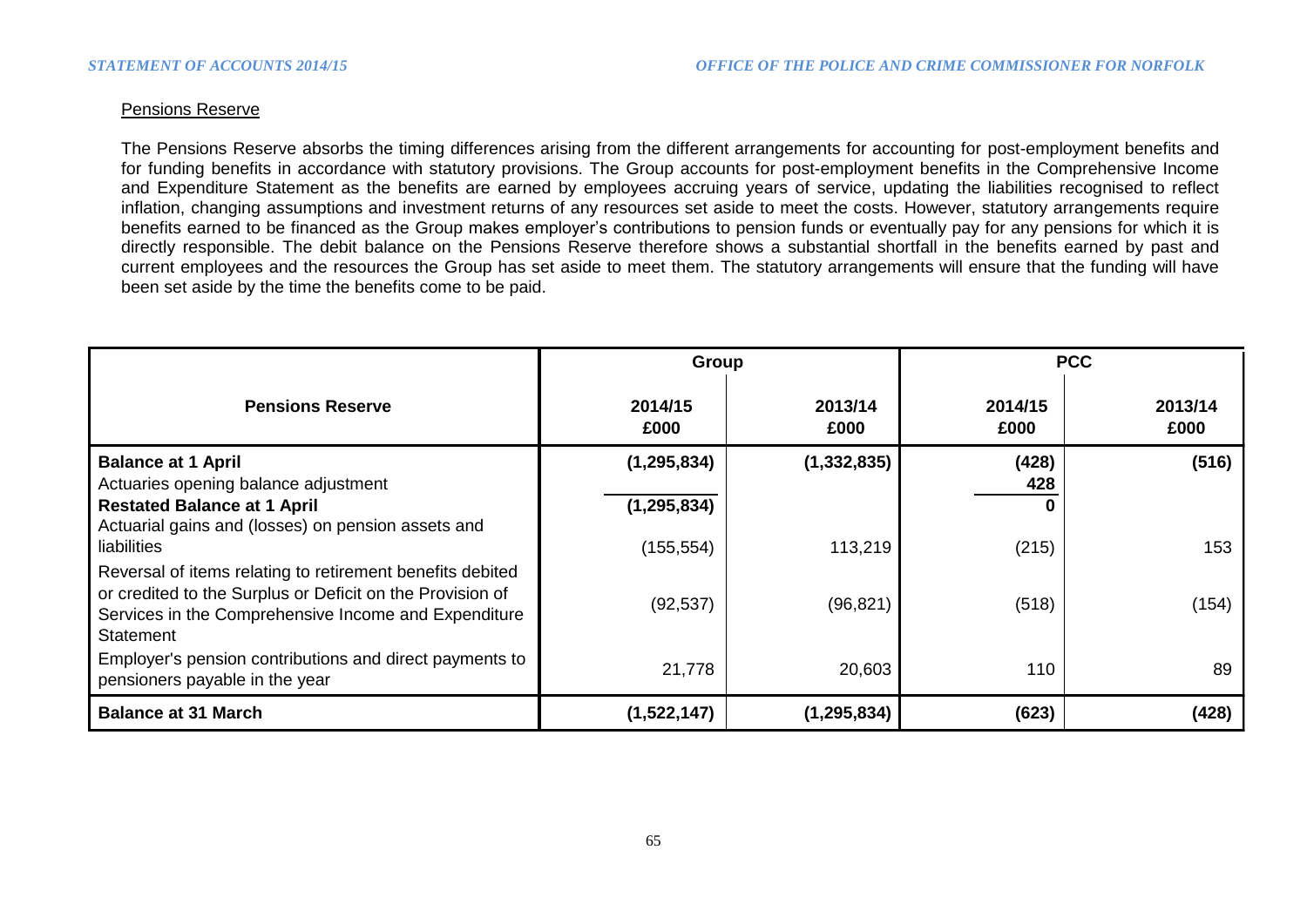## Pensions Reserve

The Pensions Reserve absorbs the timing differences arising from the different arrangements for accounting for post-employment benefits and for funding benefits in accordance with statutory provisions. The Group accounts for post-employment benefits in the Comprehensive Income and Expenditure Statement as the benefits are earned by employees accruing years of service, updating the liabilities recognised to reflect inflation, changing assumptions and investment returns of any resources set aside to meet the costs. However, statutory arrangements require benefits earned to be financed as the Group makes employer's contributions to pension funds or eventually pay for any pensions for which it is directly responsible. The debit balance on the Pensions Reserve therefore shows a substantial shortfall in the benefits earned by past and current employees and the resources the Group has set aside to meet them. The statutory arrangements will ensure that the funding will have been set aside by the time the benefits come to be paid.

|                                                                                                                                                                                             | Group           |                 | <b>PCC</b>      |                 |  |
|---------------------------------------------------------------------------------------------------------------------------------------------------------------------------------------------|-----------------|-----------------|-----------------|-----------------|--|
| <b>Pensions Reserve</b>                                                                                                                                                                     | 2014/15<br>£000 | 2013/14<br>£000 | 2014/15<br>£000 | 2013/14<br>£000 |  |
| <b>Balance at 1 April</b><br>Actuaries opening balance adjustment                                                                                                                           | (1, 295, 834)   | (1, 332, 835)   | (428)<br>428    | (516)           |  |
| <b>Restated Balance at 1 April</b>                                                                                                                                                          | (1, 295, 834)   |                 | 0               |                 |  |
| Actuarial gains and (losses) on pension assets and<br>liabilities                                                                                                                           | (155, 554)      | 113,219         | (215)           | 153             |  |
| Reversal of items relating to retirement benefits debited<br>or credited to the Surplus or Deficit on the Provision of<br>Services in the Comprehensive Income and Expenditure<br>Statement | (92, 537)       | (96, 821)       | (518)           | (154)           |  |
| Employer's pension contributions and direct payments to<br>pensioners payable in the year                                                                                                   | 21,778          | 20,603          | 110             | 89              |  |
| <b>Balance at 31 March</b>                                                                                                                                                                  | (1,522,147)     | (1, 295, 834)   | (623)           | (428)           |  |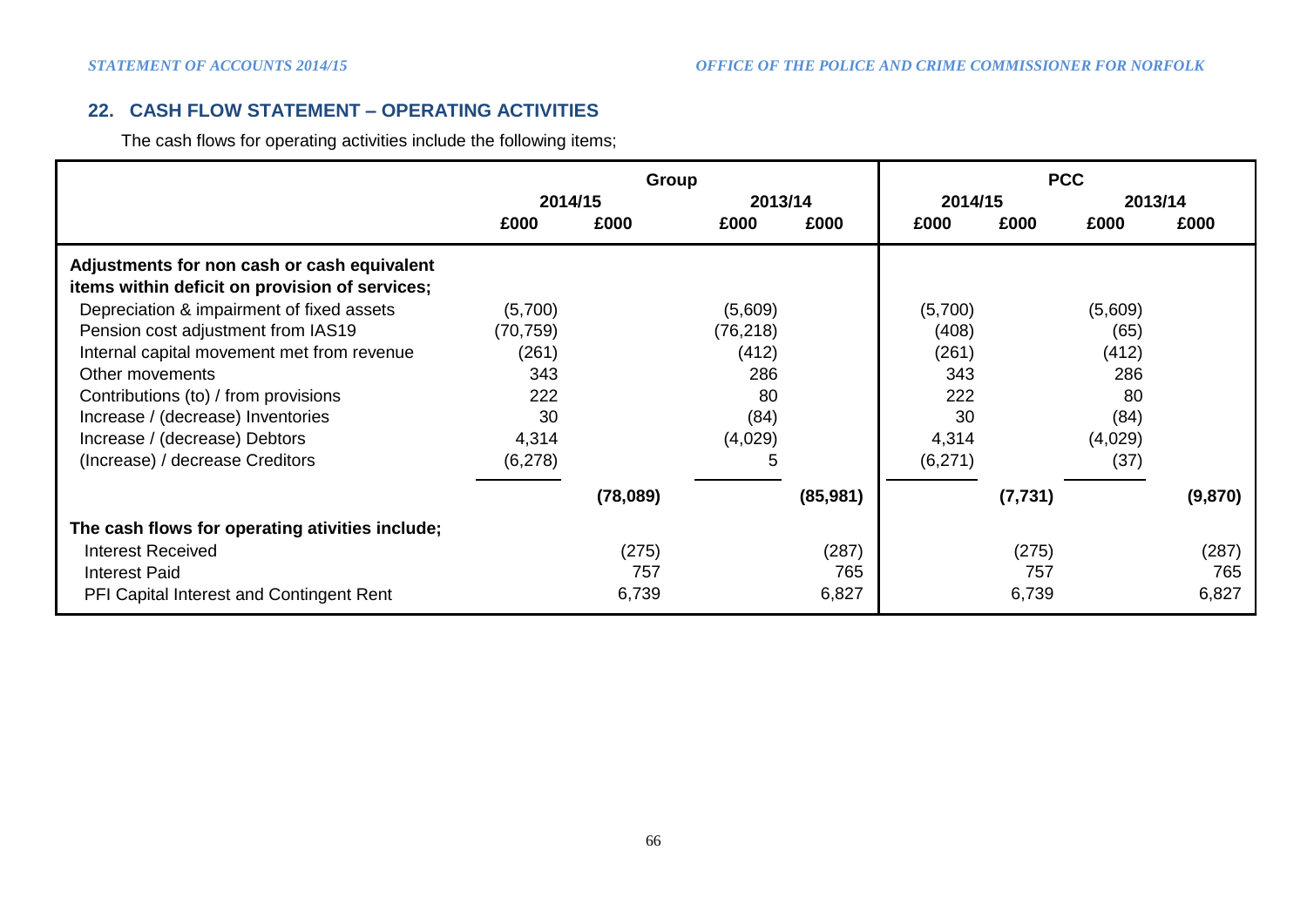# **22. CASH FLOW STATEMENT – OPERATING ACTIVITIES**

The cash flows for operating activities include the following items;

|                                                 | Group     |          |           |           | <b>PCC</b> |          |         |         |
|-------------------------------------------------|-----------|----------|-----------|-----------|------------|----------|---------|---------|
|                                                 | 2014/15   |          | 2013/14   |           | 2014/15    |          | 2013/14 |         |
|                                                 | £000      | £000     | £000      | £000      | £000       | £000     | £000    | £000    |
| Adjustments for non cash or cash equivalent     |           |          |           |           |            |          |         |         |
| items within deficit on provision of services;  |           |          |           |           |            |          |         |         |
| Depreciation & impairment of fixed assets       | (5,700)   |          | (5,609)   |           | (5,700)    |          | (5,609) |         |
| Pension cost adjustment from IAS19              | (70, 759) |          | (76, 218) |           | (408)      |          | (65)    |         |
| Internal capital movement met from revenue      | (261)     |          | (412)     |           | (261)      |          | (412)   |         |
| Other movements                                 | 343       |          | 286       |           | 343        |          | 286     |         |
| Contributions (to) / from provisions            | 222       |          | 80        |           | 222        |          | 80      |         |
| Increase / (decrease) Inventories               | 30        |          | (84)      |           | 30         |          | (84)    |         |
| Increase / (decrease) Debtors                   | 4,314     |          | (4,029)   |           | 4,314      |          | (4,029) |         |
| (Increase) / decrease Creditors                 | (6,278)   |          | 5         |           | (6,271)    |          | (37)    |         |
|                                                 |           | (78,089) |           | (85, 981) |            | (7, 731) |         | (9,870) |
| The cash flows for operating ativities include; |           |          |           |           |            |          |         |         |
| <b>Interest Received</b>                        |           | (275)    |           | (287)     |            | (275)    |         | (287)   |
| <b>Interest Paid</b>                            |           | 757      |           | 765       |            | 757      |         | 765     |
| PFI Capital Interest and Contingent Rent        |           | 6,739    |           | 6,827     |            | 6,739    |         | 6,827   |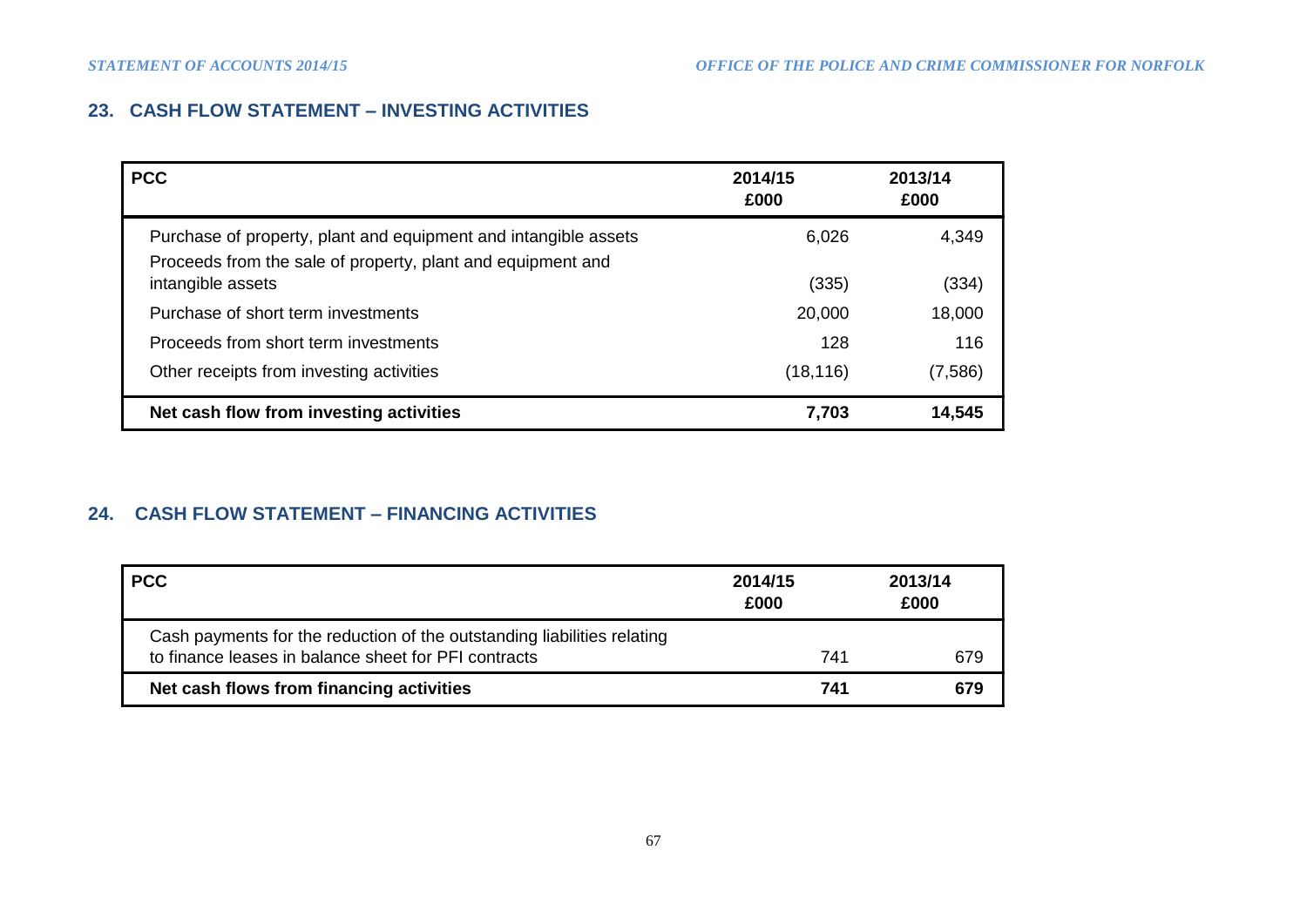# **23. CASH FLOW STATEMENT – INVESTING ACTIVITIES**

| <b>PCC</b>                                                                                                                     | 2014/15<br>£000 | 2013/14<br>£000 |
|--------------------------------------------------------------------------------------------------------------------------------|-----------------|-----------------|
| Purchase of property, plant and equipment and intangible assets<br>Proceeds from the sale of property, plant and equipment and | 6,026           | 4,349           |
| intangible assets                                                                                                              | (335)           | (334)           |
| Purchase of short term investments                                                                                             | 20,000          | 18,000          |
| Proceeds from short term investments                                                                                           | 128             | 116             |
| Other receipts from investing activities                                                                                       | (18, 116)       | (7,586)         |
| Net cash flow from investing activities                                                                                        | 7,703           | 14,545          |

# **24. CASH FLOW STATEMENT – FINANCING ACTIVITIES**

| <b>PCC</b>                                                                                                                      | 2014/15<br>£000 | 2013/14<br>£000 |
|---------------------------------------------------------------------------------------------------------------------------------|-----------------|-----------------|
| Cash payments for the reduction of the outstanding liabilities relating<br>to finance leases in balance sheet for PFI contracts | 741             | 679             |
| Net cash flows from financing activities                                                                                        | 741             | 679             |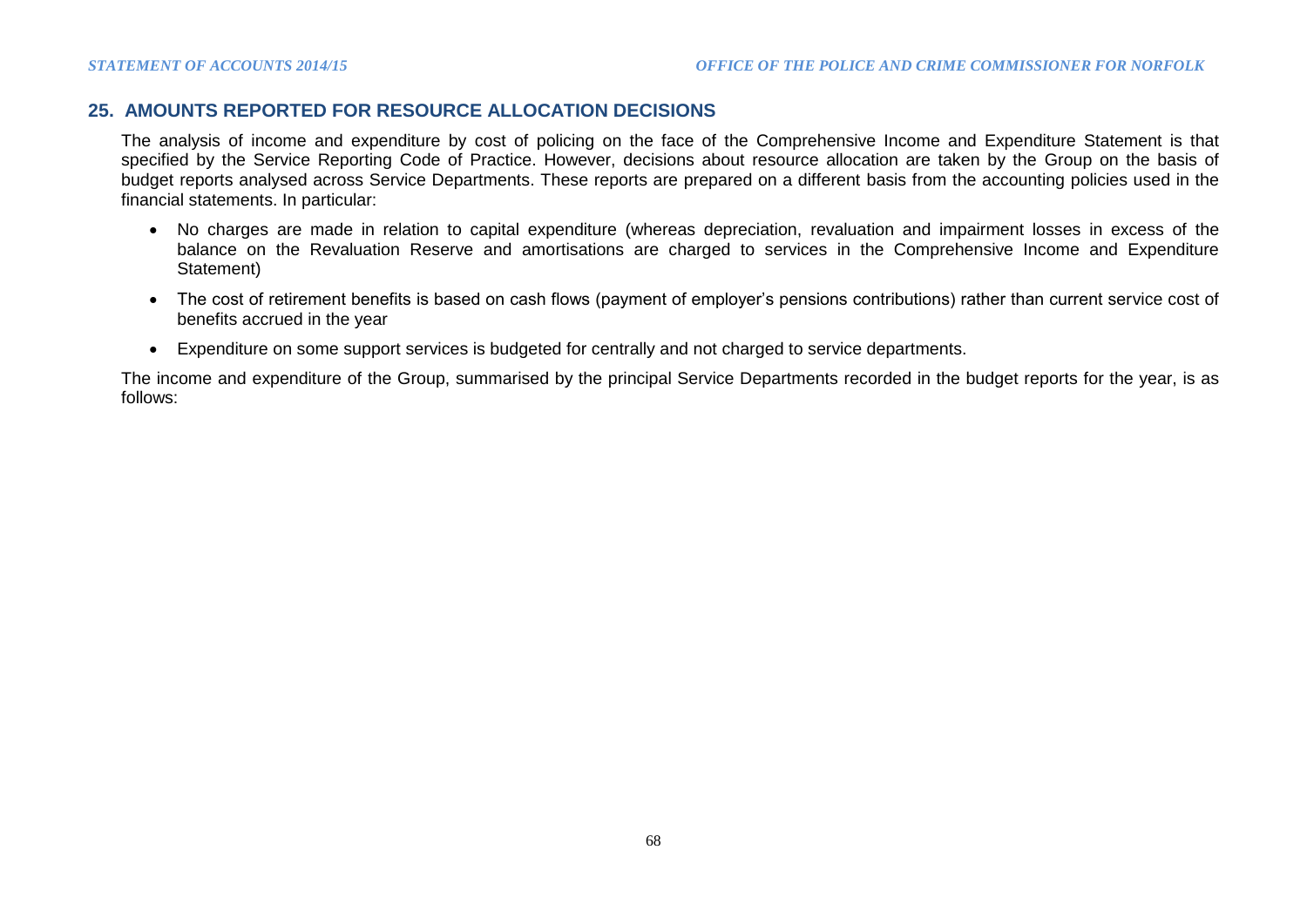# **25. AMOUNTS REPORTED FOR RESOURCE ALLOCATION DECISIONS**

The analysis of income and expenditure by cost of policing on the face of the Comprehensive Income and Expenditure Statement is that specified by the Service Reporting Code of Practice. However, decisions about resource allocation are taken by the Group on the basis of budget reports analysed across Service Departments. These reports are prepared on a different basis from the accounting policies used in the financial statements. In particular:

- No charges are made in relation to capital expenditure (whereas depreciation, revaluation and impairment losses in excess of the balance on the Revaluation Reserve and amortisations are charged to services in the Comprehensive Income and Expenditure Statement)
- The cost of retirement benefits is based on cash flows (payment of employer's pensions contributions) rather than current service cost of benefits accrued in the year
- Expenditure on some support services is budgeted for centrally and not charged to service departments.

The income and expenditure of the Group, summarised by the principal Service Departments recorded in the budget reports for the year, is as follows: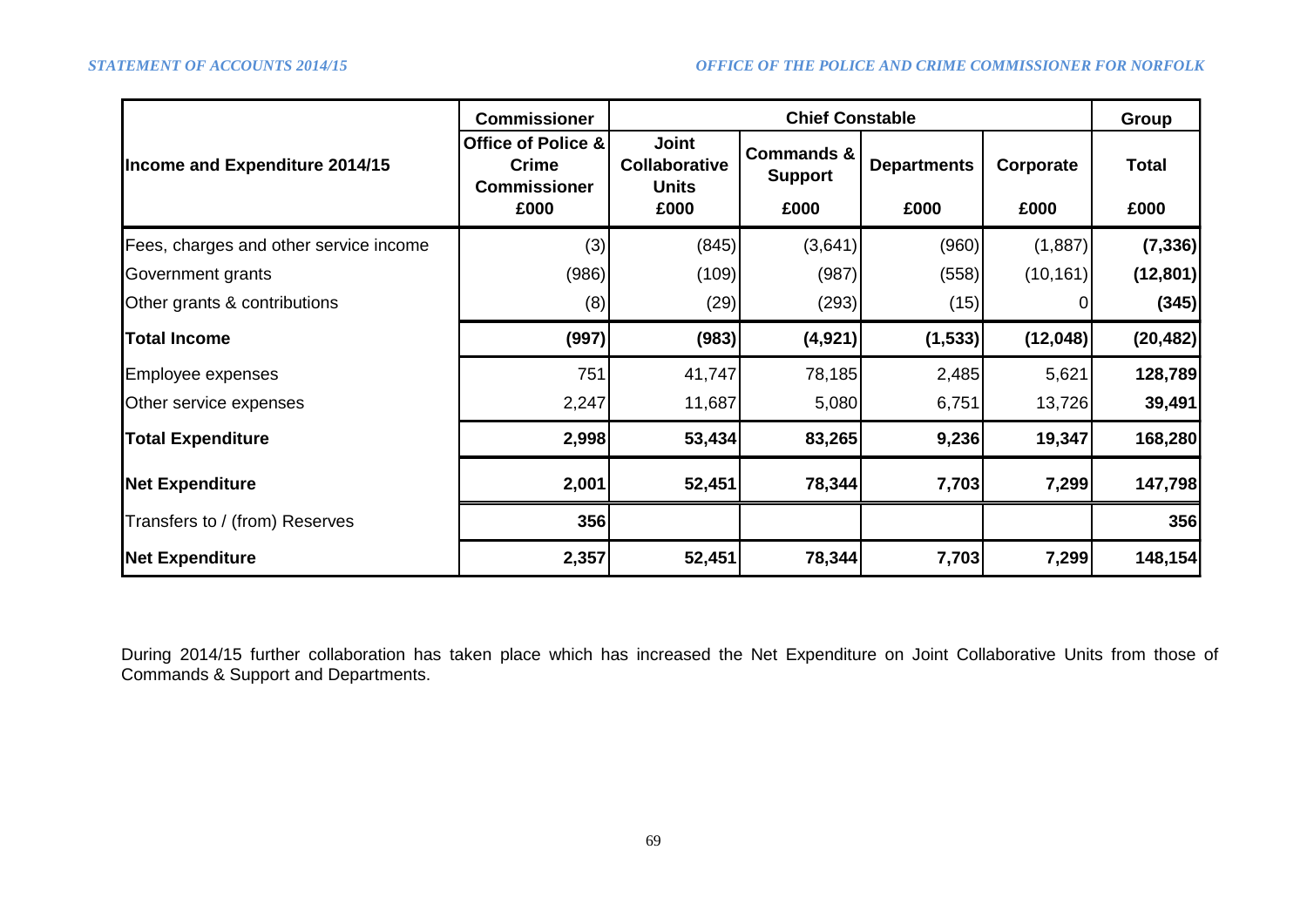|                                        | <b>Commissioner</b>                                               | <b>Chief Constable</b>                                       |                                                 |                            |                   |                      |  |
|----------------------------------------|-------------------------------------------------------------------|--------------------------------------------------------------|-------------------------------------------------|----------------------------|-------------------|----------------------|--|
| Income and Expenditure 2014/15         | Office of Police &<br><b>Crime</b><br><b>Commissioner</b><br>£000 | <b>Joint</b><br><b>Collaborative</b><br><b>Units</b><br>£000 | <b>Commands &amp;</b><br><b>Support</b><br>£000 | <b>Departments</b><br>£000 | Corporate<br>£000 | <b>Total</b><br>£000 |  |
| Fees, charges and other service income | (3)                                                               | (845)                                                        | (3,641)                                         | (960)                      | (1,887)           | (7, 336)             |  |
| Government grants                      | (986)                                                             | (109)                                                        | (987)                                           | (558)                      | (10, 161)         | (12, 801)            |  |
| Other grants & contributions           | (8)                                                               | (29)                                                         | (293)                                           | (15)                       |                   | (345)                |  |
| <b>Total Income</b>                    | (997)                                                             | (983)                                                        | (4, 921)                                        | (1, 533)                   | (12,048)          | (20, 482)            |  |
| Employee expenses                      | 751                                                               | 41,747                                                       | 78,185                                          | 2,485                      | 5,621             | 128,789              |  |
| Other service expenses                 | 2,247                                                             | 11,687                                                       | 5,080                                           | 6,751                      | 13,726            | 39,491               |  |
| <b>Total Expenditure</b>               | 2,998                                                             | 53,434                                                       | 83,265                                          | 9,236                      | 19,347            | 168,280              |  |
| <b>Net Expenditure</b>                 | 2,001                                                             | 52,451                                                       | 78,344                                          | 7,703                      | 7,299             | 147,798              |  |
| Transfers to / (from) Reserves         | 356                                                               |                                                              |                                                 |                            |                   | 356                  |  |
| <b>Net Expenditure</b>                 | 2,357                                                             | 52,451                                                       | 78,344                                          | 7,703                      | 7,299             | 148,154              |  |

During 2014/15 further collaboration has taken place which has increased the Net Expenditure on Joint Collaborative Units from those of Commands & Support and Departments.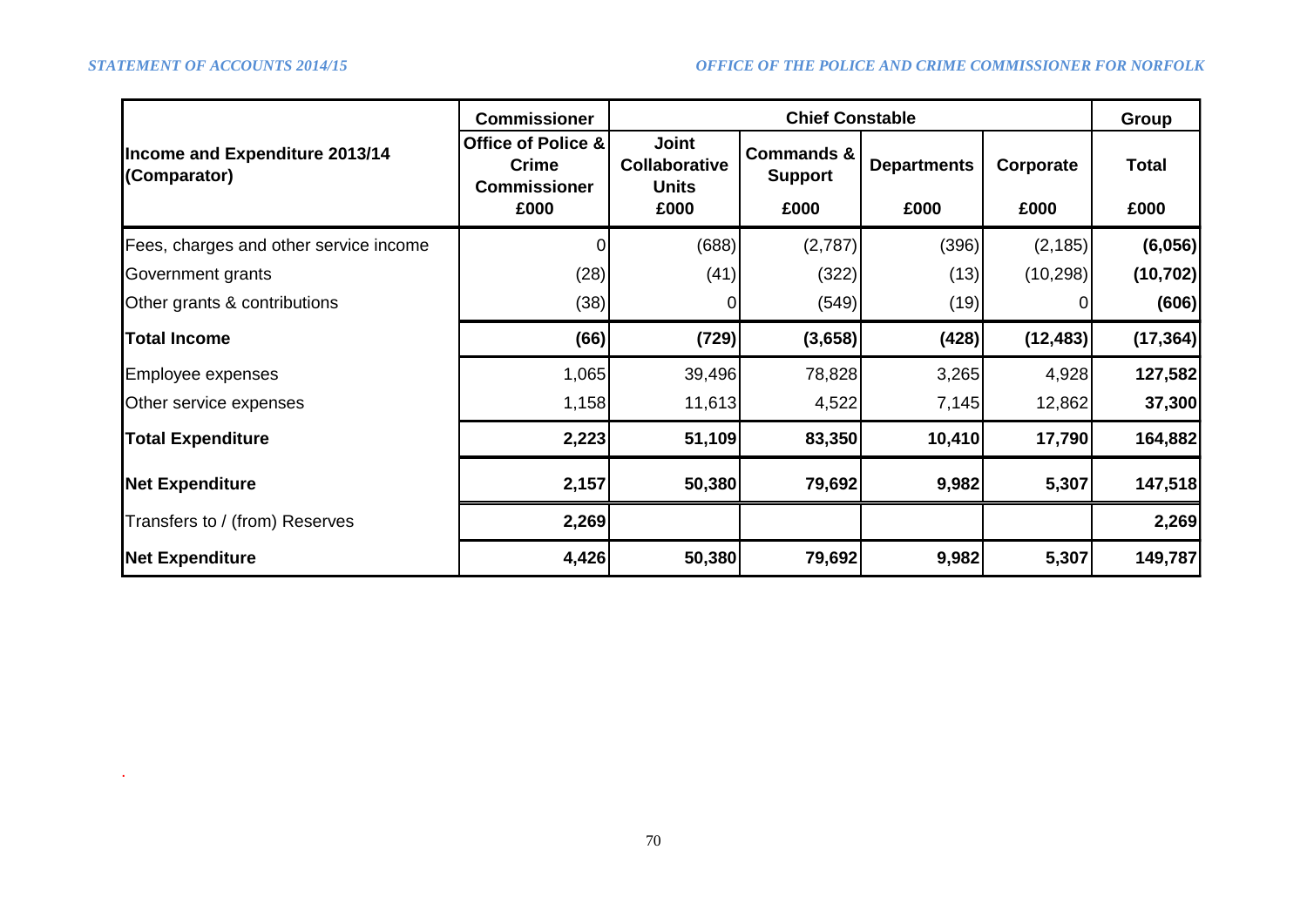.

|                                                | <b>Commissioner</b>                                               |        |                                                 | Group                      |                   |                      |
|------------------------------------------------|-------------------------------------------------------------------|--------|-------------------------------------------------|----------------------------|-------------------|----------------------|
| Income and Expenditure 2013/14<br>(Comparator) | Office of Police &<br><b>Crime</b><br><b>Commissioner</b><br>£000 |        | <b>Commands &amp;</b><br><b>Support</b><br>£000 | <b>Departments</b><br>£000 | Corporate<br>£000 | <b>Total</b><br>£000 |
| Fees, charges and other service income         |                                                                   | (688)  | (2,787)                                         | (396)                      | (2, 185)          | (6,056)              |
| Government grants                              | (28)                                                              | (41)   | (322)                                           | (13)                       | (10, 298)         | (10, 702)            |
| Other grants & contributions                   | (38)                                                              | 0      | (549)                                           | (19)                       |                   | (606)                |
| <b>Total Income</b>                            | (66)                                                              | (729)  | (3,658)                                         | (428)                      | (12, 483)         | (17, 364)            |
| Employee expenses                              | 1,065                                                             | 39,496 | 78,828                                          | 3,265                      | 4,928             | 127,582              |
| Other service expenses                         | 1,158                                                             | 11,613 | 4,522                                           | 7,145                      | 12,862            | 37,300               |
| <b>Total Expenditure</b>                       | 2,223                                                             | 51,109 | 83,350                                          | 10,410                     | 17,790            | 164,882              |
| <b>Net Expenditure</b>                         | 2,157                                                             | 50,380 | 79,692                                          | 9,982                      | 5,307             | 147,518              |
| Transfers to / (from) Reserves                 | 2,269                                                             |        |                                                 |                            |                   | 2,269                |
| <b>Net Expenditure</b>                         | 4,426                                                             | 50,380 | 79,692                                          | 9,982                      | 5,307             | 149,787              |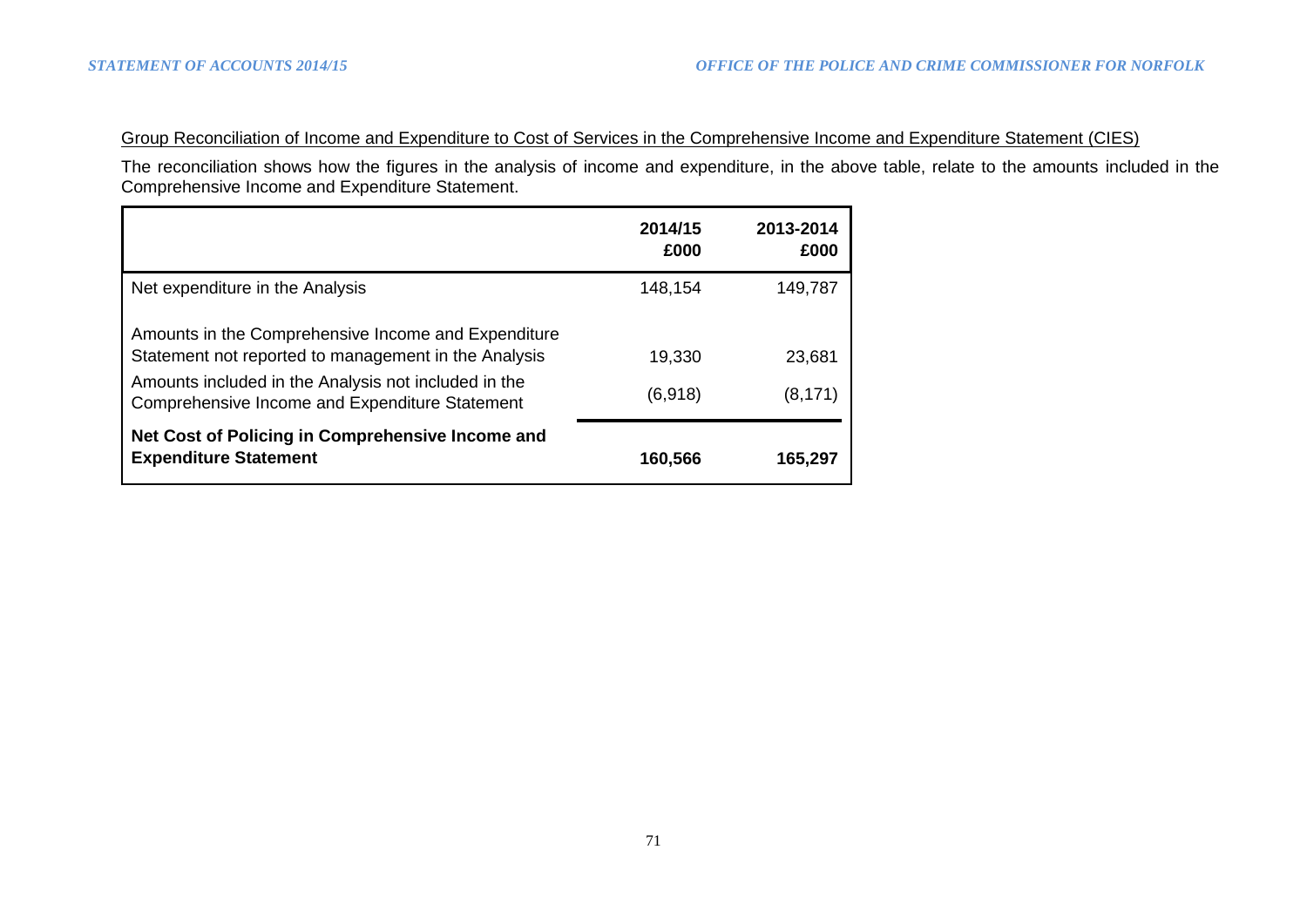# Group Reconciliation of Income and Expenditure to Cost of Services in the Comprehensive Income and Expenditure Statement (CIES)

The reconciliation shows how the figures in the analysis of income and expenditure, in the above table, relate to the amounts included in the Comprehensive Income and Expenditure Statement.

|                                                                                                        | 2014/15<br>£000 | 2013-2014<br>£000 |
|--------------------------------------------------------------------------------------------------------|-----------------|-------------------|
| Net expenditure in the Analysis                                                                        | 148,154         | 149,787           |
| Amounts in the Comprehensive Income and Expenditure                                                    |                 |                   |
| Statement not reported to management in the Analysis                                                   | 19,330          | 23,681            |
| Amounts included in the Analysis not included in the<br>Comprehensive Income and Expenditure Statement | (6,918)         | (8,171)           |
| Net Cost of Policing in Comprehensive Income and<br><b>Expenditure Statement</b>                       | 160,566         | 165,297           |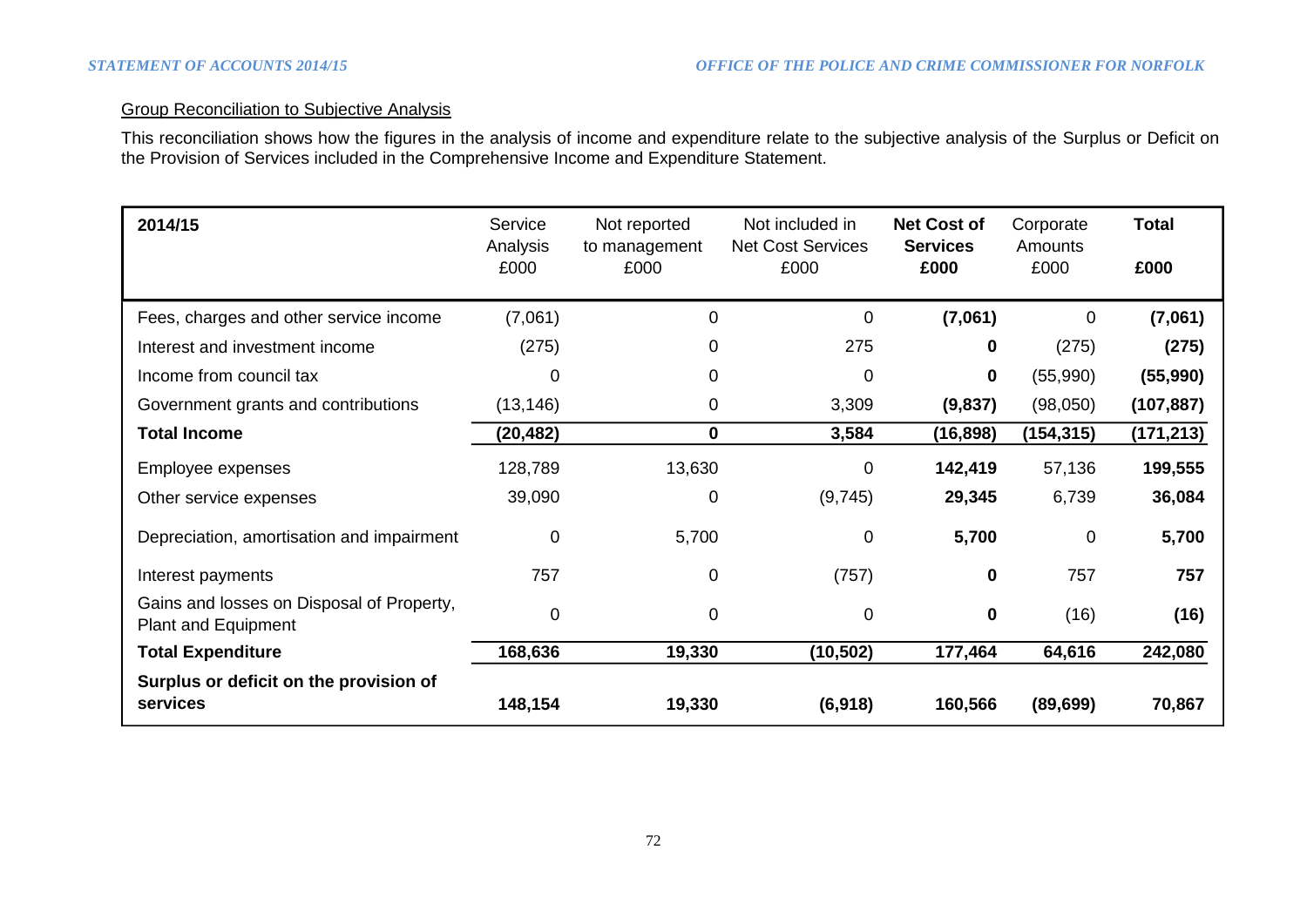# Group Reconciliation to Subjective Analysis

This reconciliation shows how the figures in the analysis of income and expenditure relate to the subjective analysis of the Surplus or Deficit on the Provision of Services included in the Comprehensive Income and Expenditure Statement.

| 2014/15                                                                 | Service<br>Analysis<br>£000 | Not reported<br>to management<br>£000 | Not included in<br><b>Net Cost Services</b><br>£000 | <b>Net Cost of</b><br><b>Services</b><br>£000 | Corporate<br>Amounts<br>£000 | <b>Total</b><br>£000 |
|-------------------------------------------------------------------------|-----------------------------|---------------------------------------|-----------------------------------------------------|-----------------------------------------------|------------------------------|----------------------|
| Fees, charges and other service income                                  | (7,061)                     | 0                                     | $\mathbf 0$                                         | (7,061)                                       | $\Omega$                     | (7,061)              |
| Interest and investment income                                          | (275)                       | 0                                     | 275                                                 | 0                                             | (275)                        | (275)                |
| Income from council tax                                                 | 0                           | 0                                     | 0                                                   | 0                                             | (55,990)                     | (55,990)             |
| Government grants and contributions                                     | (13, 146)                   | 0                                     | 3,309                                               | (9,837)                                       | (98,050)                     | (107, 887)           |
| <b>Total Income</b>                                                     | (20,482)                    | $\mathbf 0$                           | 3,584                                               | (16, 898)                                     | (154,315)                    | (171, 213)           |
| Employee expenses                                                       | 128,789                     | 13,630                                | $\mathbf 0$                                         | 142,419                                       | 57,136                       | 199,555              |
| Other service expenses                                                  | 39,090                      | 0                                     | (9,745)                                             | 29,345                                        | 6,739                        | 36,084               |
| Depreciation, amortisation and impairment                               | $\mathbf 0$                 | 5,700                                 | 0                                                   | 5,700                                         | 0                            | 5,700                |
| Interest payments                                                       | 757                         | 0                                     | (757)                                               | $\mathbf 0$                                   | 757                          | 757                  |
| Gains and losses on Disposal of Property,<br><b>Plant and Equipment</b> | $\mathbf 0$                 | 0                                     | 0                                                   | $\mathbf 0$                                   | (16)                         | (16)                 |
| <b>Total Expenditure</b>                                                | 168,636                     | 19,330                                | (10, 502)                                           | 177,464                                       | 64,616                       | 242,080              |
| Surplus or deficit on the provision of<br>services                      | 148,154                     | 19,330                                | (6,918)                                             | 160,566                                       | (89, 699)                    | 70,867               |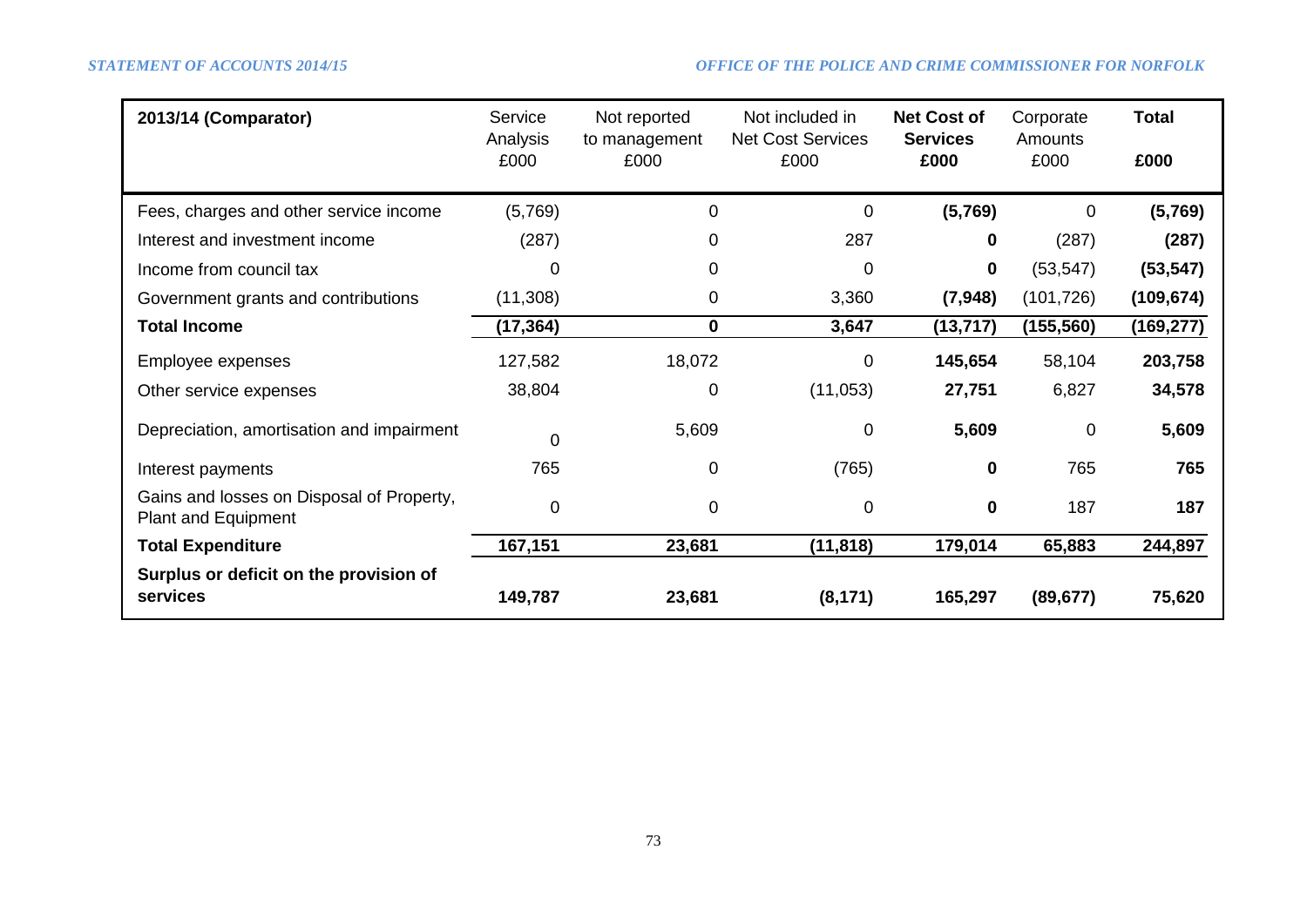| 2013/14 (Comparator)                                                    | Service<br>Analysis<br>£000 | Not reported<br>to management<br>£000 | Not included in<br><b>Net Cost Services</b><br>£000 | <b>Net Cost of</b><br><b>Services</b><br>£000 | Corporate<br>Amounts<br>£000 | <b>Total</b><br>£000 |
|-------------------------------------------------------------------------|-----------------------------|---------------------------------------|-----------------------------------------------------|-----------------------------------------------|------------------------------|----------------------|
| Fees, charges and other service income                                  | (5,769)                     | 0                                     | $\mathbf 0$                                         | (5,769)                                       | $\mathbf 0$                  | (5,769)              |
| Interest and investment income                                          | (287)                       | 0                                     | 287                                                 | 0                                             | (287)                        | (287)                |
| Income from council tax                                                 | 0                           | 0                                     | 0                                                   | 0                                             | (53, 547)                    | (53, 547)            |
| Government grants and contributions                                     | (11,308)                    | 0                                     | 3,360                                               | (7, 948)                                      | (101, 726)                   | (109, 674)           |
| <b>Total Income</b>                                                     | (17,364)                    | 0                                     | 3,647                                               | (13, 717)                                     | (155, 560)                   | (169, 277)           |
| Employee expenses                                                       | 127,582                     | 18,072                                | 0                                                   | 145,654                                       | 58,104                       | 203,758              |
| Other service expenses                                                  | 38,804                      | 0                                     | (11, 053)                                           | 27,751                                        | 6,827                        | 34,578               |
| Depreciation, amortisation and impairment                               | $\overline{0}$              | 5,609                                 | $\mathbf 0$                                         | 5,609                                         | 0                            | 5,609                |
| Interest payments                                                       | 765                         | 0                                     | (765)                                               | 0                                             | 765                          | 765                  |
| Gains and losses on Disposal of Property,<br><b>Plant and Equipment</b> | $\mathbf 0$                 | 0                                     | 0                                                   | $\bf{0}$                                      | 187                          | 187                  |
| <b>Total Expenditure</b>                                                | 167,151                     | 23,681                                | (11, 818)                                           | 179,014                                       | 65,883                       | 244,897              |
| Surplus or deficit on the provision of<br>services                      | 149,787                     | 23,681                                | (8, 171)                                            | 165,297                                       | (89, 677)                    | 75,620               |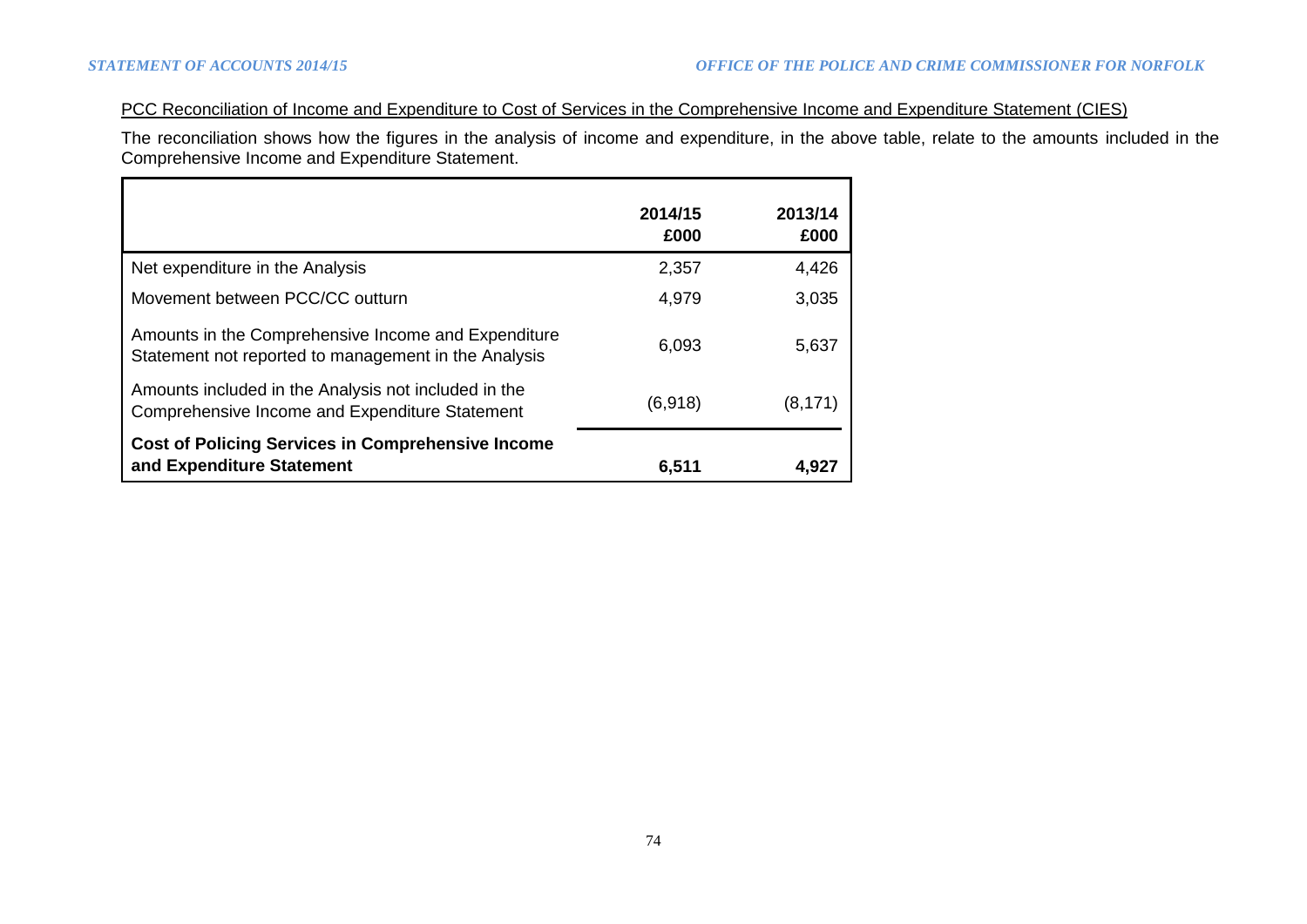# PCC Reconciliation of Income and Expenditure to Cost of Services in the Comprehensive Income and Expenditure Statement (CIES)

The reconciliation shows how the figures in the analysis of income and expenditure, in the above table, relate to the amounts included in the Comprehensive Income and Expenditure Statement.

|                                                                                                             | 2014/15<br>£000 | 2013/14<br>£000 |
|-------------------------------------------------------------------------------------------------------------|-----------------|-----------------|
| Net expenditure in the Analysis                                                                             | 2,357           | 4,426           |
| Movement between PCC/CC outturn                                                                             | 4,979           | 3,035           |
| Amounts in the Comprehensive Income and Expenditure<br>Statement not reported to management in the Analysis | 6,093           | 5,637           |
| Amounts included in the Analysis not included in the<br>Comprehensive Income and Expenditure Statement      | (6,918)         | (8,171          |
| <b>Cost of Policing Services in Comprehensive Income</b><br>and Expenditure Statement                       | 6,511           | 4,927           |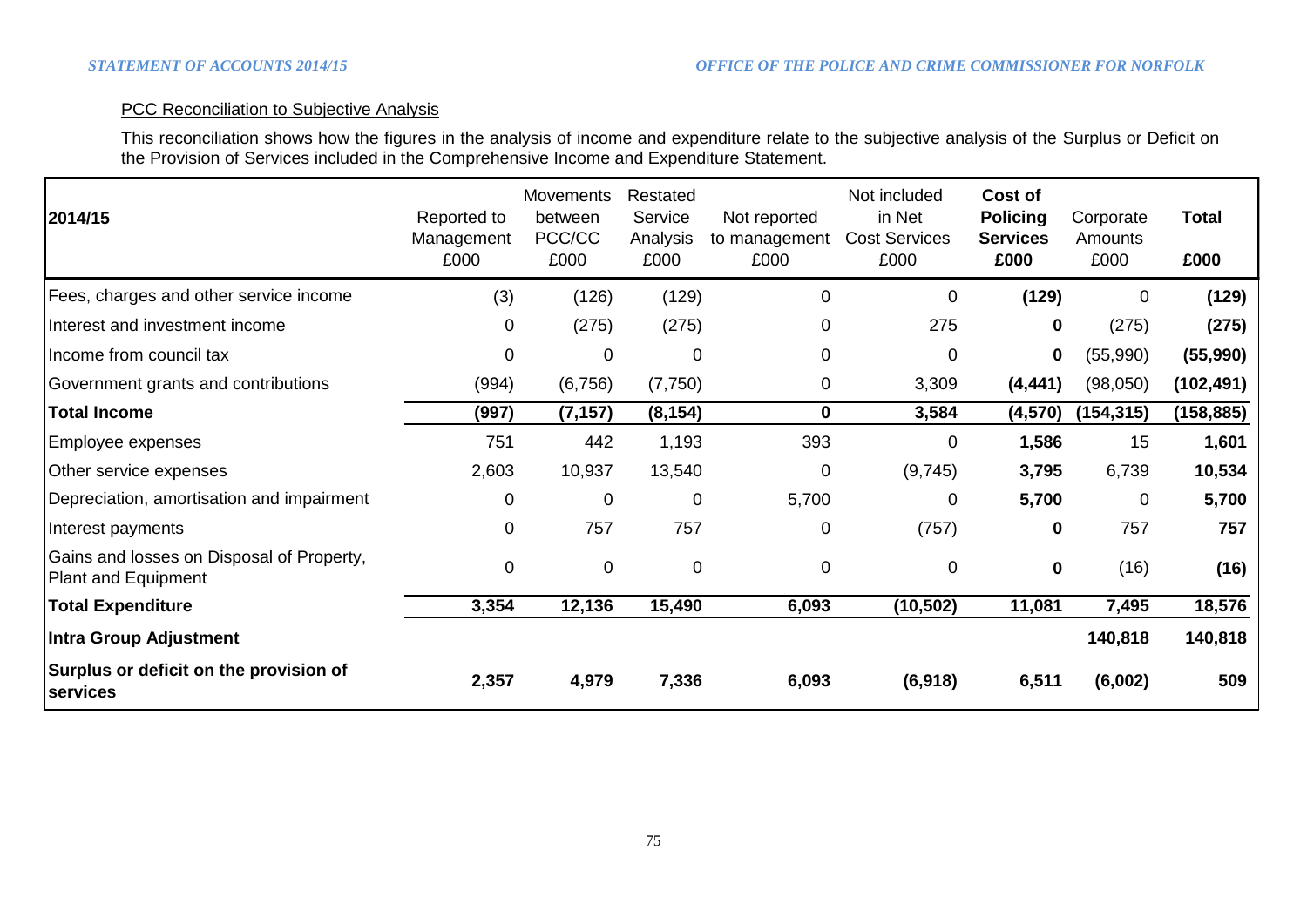# PCC Reconciliation to Subjective Analysis

This reconciliation shows how the figures in the analysis of income and expenditure relate to the subjective analysis of the Surplus or Deficit on the Provision of Services included in the Comprehensive Income and Expenditure Statement.

| 2014/15                                                          | Reported to<br>Management<br>£000 | <b>Movements</b><br>between<br>PCC/CC<br>£000 | Restated<br>Service<br>Analysis<br>£000 | Not reported<br>to management<br>£000 | Not included<br>in Net<br><b>Cost Services</b><br>£000 | Cost of<br><b>Policing</b><br><b>Services</b><br>£000 | Corporate<br>Amounts<br>£000 | <b>Total</b><br>£000 |
|------------------------------------------------------------------|-----------------------------------|-----------------------------------------------|-----------------------------------------|---------------------------------------|--------------------------------------------------------|-------------------------------------------------------|------------------------------|----------------------|
| Fees, charges and other service income                           | (3)                               | (126)                                         | (129)                                   | 0                                     | 0                                                      | (129)                                                 | 0                            | (129)                |
| Interest and investment income                                   | 0                                 | (275)                                         | (275)                                   | 0                                     | 275                                                    | 0                                                     | (275)                        | (275)                |
| Income from council tax                                          | 0                                 | 0                                             | $\mathbf 0$                             | 0                                     | $\mathbf 0$                                            | $\mathbf 0$                                           | (55,990)                     | (55,990)             |
| Government grants and contributions                              | (994)                             | (6, 756)                                      | (7,750)                                 | 0                                     | 3,309                                                  | (4, 441)                                              | (98,050)                     | (102, 491)           |
| <b>Total Income</b>                                              | (997)                             | (7, 157)                                      | (8, 154)                                | $\mathbf 0$                           | 3,584                                                  | (4, 570)                                              | (154,315)                    | (158, 885)           |
| Employee expenses                                                | 751                               | 442                                           | 1,193                                   | 393                                   | 0                                                      | 1,586                                                 | 15                           | 1,601                |
| Other service expenses                                           | 2,603                             | 10,937                                        | 13,540                                  | 0                                     | (9,745)                                                | 3,795                                                 | 6,739                        | 10,534               |
| Depreciation, amortisation and impairment                        | $\mathbf 0$                       | $\overline{0}$                                | $\mathbf 0$                             | 5,700                                 | 0                                                      | 5,700                                                 | $\overline{0}$               | 5,700                |
| Interest payments                                                | 0                                 | 757                                           | 757                                     | 0                                     | (757)                                                  | 0                                                     | 757                          | 757                  |
| Gains and losses on Disposal of Property,<br>Plant and Equipment | $\mathbf 0$                       | $\mathbf 0$                                   | $\mathbf 0$                             | 0                                     | 0                                                      | $\mathbf 0$                                           | (16)                         | (16)                 |
| <b>Total Expenditure</b>                                         | 3,354                             | 12,136                                        | 15,490                                  | 6,093                                 | (10, 502)                                              | 11,081                                                | 7,495                        | 18,576               |
| Intra Group Adjustment                                           |                                   |                                               |                                         |                                       |                                                        |                                                       | 140,818                      | 140,818              |
| Surplus or deficit on the provision of<br>services               | 2,357                             | 4,979                                         | 7,336                                   | 6,093                                 | (6,918)                                                | 6,511                                                 | (6,002)                      | 509                  |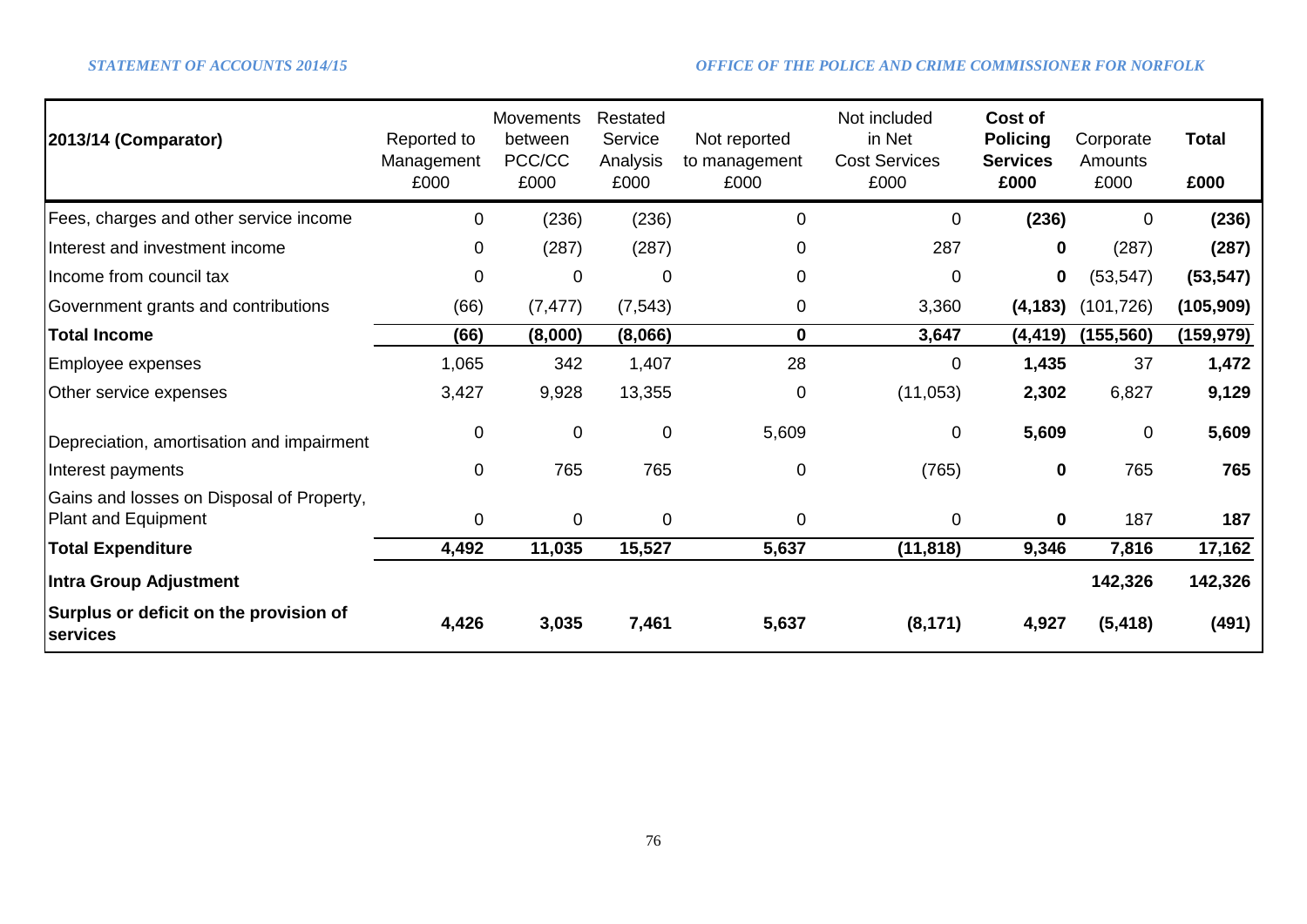| 2013/14 (Comparator)                                             | Reported to<br>Management<br>£000 | <b>Movements</b><br>between<br>PCC/CC<br>£000 | Restated<br>Service<br>Analysis<br>£000 | Not reported<br>to management<br>£000 | Not included<br>in Net<br><b>Cost Services</b><br>£000 | Cost of<br><b>Policing</b><br><b>Services</b><br>£000 | Corporate<br>Amounts<br>£000 | <b>Total</b><br>£000 |
|------------------------------------------------------------------|-----------------------------------|-----------------------------------------------|-----------------------------------------|---------------------------------------|--------------------------------------------------------|-------------------------------------------------------|------------------------------|----------------------|
| Fees, charges and other service income                           | $\Omega$                          | (236)                                         | (236)                                   | 0                                     | 0                                                      | (236)                                                 | 0                            | (236)                |
| Interest and investment income                                   | 0                                 | (287)                                         | (287)                                   | 0                                     | 287                                                    | $\mathbf 0$                                           | (287)                        | (287)                |
| Income from council tax                                          | $\Omega$                          | $\Omega$                                      | 0                                       | 0                                     | $\mathbf 0$                                            | 0                                                     | (53, 547)                    | (53, 547)            |
| Government grants and contributions                              | (66)                              | (7, 477)                                      | (7, 543)                                | 0                                     | 3,360                                                  | (4, 183)                                              | (101, 726)                   | (105, 909)           |
| <b>Total Income</b>                                              | (66)                              | (8,000)                                       | (8,066)                                 | 0                                     | 3,647                                                  | (4,419)                                               | (155, 560)                   | (159,979)            |
| Employee expenses                                                | 1,065                             | 342                                           | 1,407                                   | 28                                    | 0                                                      | 1,435                                                 | 37                           | 1,472                |
| Other service expenses                                           | 3,427                             | 9,928                                         | 13,355                                  | 0                                     | (11,053)                                               | 2,302                                                 | 6,827                        | 9,129                |
| Depreciation, amortisation and impairment                        | 0                                 | $\mathbf{0}$                                  | $\pmb{0}$                               | 5,609                                 | 0                                                      | 5,609                                                 | $\mathbf 0$                  | 5,609                |
| Interest payments                                                | $\Omega$                          | 765                                           | 765                                     | 0                                     | (765)                                                  | $\mathbf 0$                                           | 765                          | 765                  |
| Gains and losses on Disposal of Property,<br>Plant and Equipment | $\mathbf{0}$                      | $\Omega$                                      | $\mathbf 0$                             | $\overline{0}$                        | 0                                                      | $\mathbf 0$                                           | 187                          | 187                  |
| <b>Total Expenditure</b>                                         | 4,492                             | 11,035                                        | 15,527                                  | 5,637                                 | (11, 818)                                              | 9,346                                                 | 7,816                        | 17,162               |
| <b>Intra Group Adjustment</b>                                    |                                   |                                               |                                         |                                       |                                                        |                                                       | 142,326                      | 142,326              |
| Surplus or deficit on the provision of<br><b>services</b>        | 4,426                             | 3,035                                         | 7,461                                   | 5,637                                 | (8, 171)                                               | 4,927                                                 | (5, 418)                     | (491)                |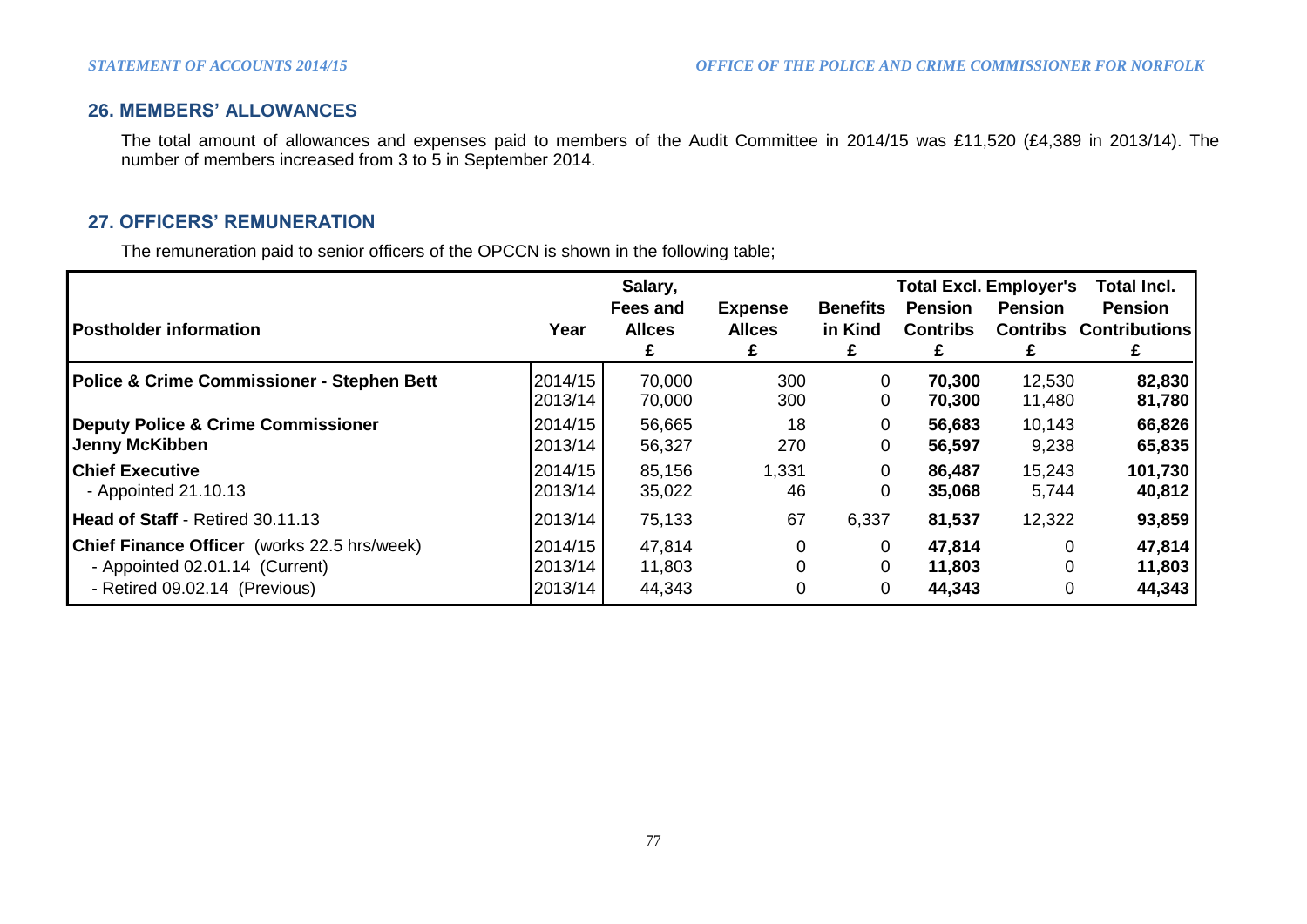# **26. MEMBERS' ALLOWANCES**

The total amount of allowances and expenses paid to members of the Audit Committee in 2014/15 was £11,520 (£4,389 in 2013/14). The number of members increased from 3 to 5 in September 2014.

# **27. OFFICERS' REMUNERATION**

The remuneration paid to senior officers of the OPCCN is shown in the following table;

| <b>Postholder information</b>                      | Year    | Salary,<br>Fees and<br><b>Allces</b><br>£ | <b>Expense</b><br><b>Allces</b><br>£ | <b>Benefits</b><br>in Kind<br>£ | <b>Pension</b><br><b>Contribs</b><br>£ | <b>Total Excl. Employer's</b><br><b>Pension</b><br>£ | Total Incl.<br><b>Pension</b><br><b>Contribs Contributions</b> |
|----------------------------------------------------|---------|-------------------------------------------|--------------------------------------|---------------------------------|----------------------------------------|------------------------------------------------------|----------------------------------------------------------------|
| Police & Crime Commissioner - Stephen Bett         | 2014/15 | 70,000                                    | 300                                  | 0                               | 70,300                                 | 12,530                                               | 82,830                                                         |
|                                                    | 2013/14 | 70,000                                    | 300                                  | 0                               | 70,300                                 | 11,480                                               | 81,780                                                         |
| <b>Deputy Police &amp; Crime Commissioner</b>      | 2014/15 | 56,665                                    | 18                                   | 0                               | 56,683                                 | 10,143                                               | 66,826                                                         |
| Jenny McKibben                                     | 2013/14 | 56,327                                    | 270                                  | 0                               | 56,597                                 | 9,238                                                | 65,835                                                         |
| <b>Chief Executive</b>                             | 2014/15 | 85,156                                    | 1,331                                | 0                               | 86,487                                 | 15,243                                               | 101,730                                                        |
| - Appointed 21.10.13                               | 2013/14 | 35,022                                    | 46                                   | 0                               | 35,068                                 | 5,744                                                | 40,812                                                         |
| <b>Head of Staff - Retired 30.11.13</b>            | 2013/14 | 75,133                                    | 67                                   | 6,337                           | 81,537                                 | 12,322                                               | 93,859                                                         |
| <b>Chief Finance Officer</b> (works 22.5 hrs/week) | 2014/15 | 47,814                                    | 0                                    | 0                               | 47,814                                 | 0                                                    | 47,814                                                         |
| - Appointed 02.01.14 (Current)                     | 2013/14 | 11,803                                    | 0                                    | 0                               | 11,803                                 | 0                                                    | 11,803                                                         |
| - Retired 09.02.14 (Previous)                      | 2013/14 | 44,343                                    | 0                                    | 0                               | 44,343                                 | 0                                                    | 44,343                                                         |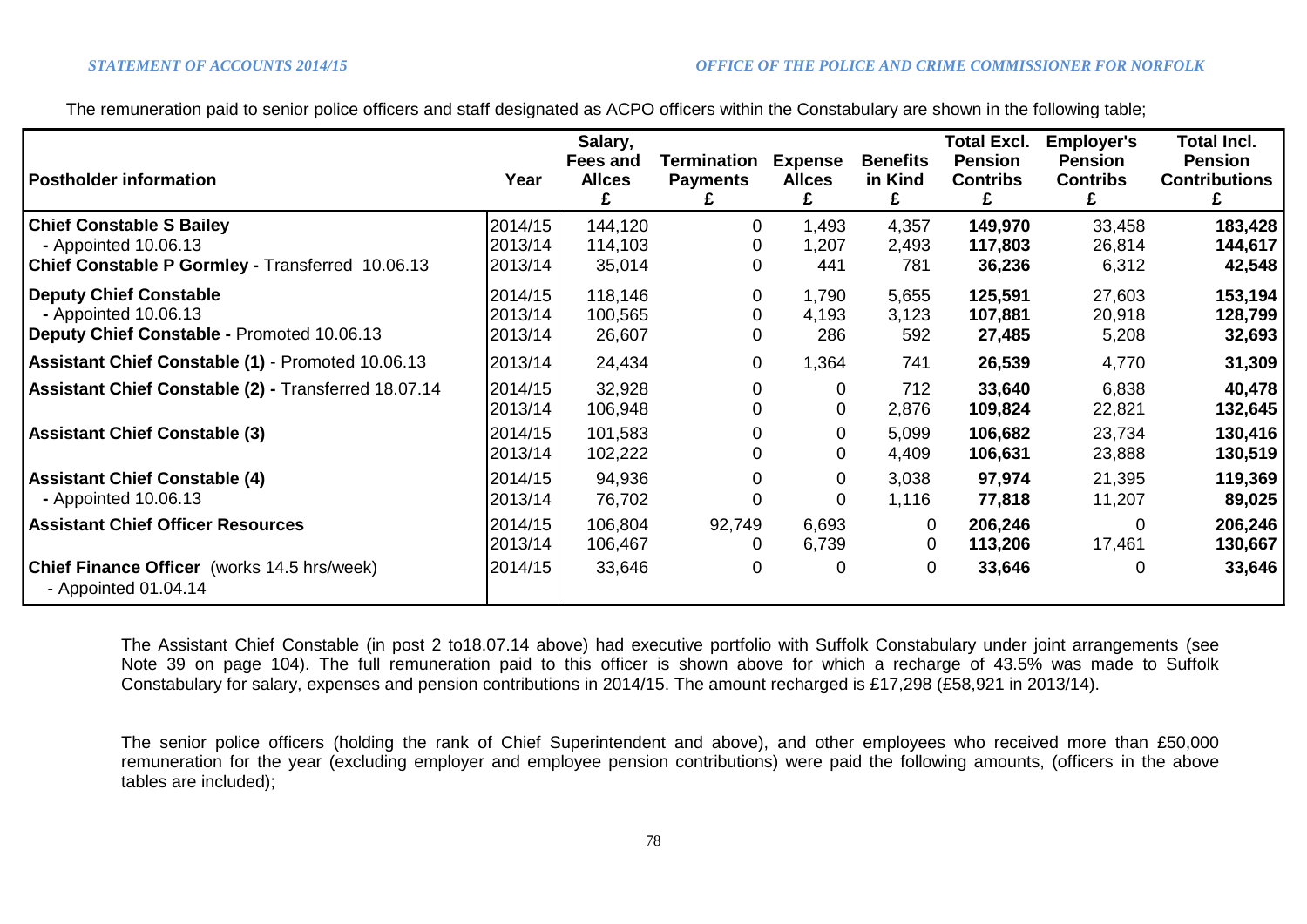The remuneration paid to senior police officers and staff designated as ACPO officers within the Constabulary are shown in the following table;

| <b>Postholder information</b>                                                                               | Year                          | Salary,<br>Fees and<br><b>Allces</b> | Termination<br><b>Payments</b> | <b>Expense</b><br><b>Allces</b> | <b>Benefits</b><br>in Kind | <b>Total Excl.</b><br><b>Pension</b><br><b>Contribs</b><br>£ | <b>Employer's</b><br><b>Pension</b><br><b>Contribs</b><br>£ | <b>Total Incl.</b><br><b>Pension</b><br><b>Contributions</b> |
|-------------------------------------------------------------------------------------------------------------|-------------------------------|--------------------------------------|--------------------------------|---------------------------------|----------------------------|--------------------------------------------------------------|-------------------------------------------------------------|--------------------------------------------------------------|
| <b>Chief Constable S Bailey</b><br>- Appointed 10.06.13<br>Chief Constable P Gormley - Transferred 10.06.13 | 2014/15<br>2013/14<br>2013/14 | 144,120<br>114,103<br>35,014         | 0                              | 1,493<br>1,207<br>441           | 4,357<br>2,493<br>781      | 149,970<br>117,803<br>36,236                                 | 33,458<br>26,814<br>6,312                                   | 183,428<br>144,617<br>42,548                                 |
| <b>Deputy Chief Constable</b><br>- Appointed 10.06.13<br>Deputy Chief Constable - Promoted 10.06.13         | 2014/15<br>2013/14<br>2013/14 | 118,146<br>100,565<br>26,607         | 0<br>0                         | 1,790<br>4,193<br>286           | 5,655<br>3,123<br>592      | 125,591<br>107,881<br>27,485                                 | 27,603<br>20,918<br>5,208                                   | 153,194<br>128,799<br>32,693                                 |
| Assistant Chief Constable (1) - Promoted 10.06.13                                                           | 2013/14                       | 24,434                               | 0                              | 1,364                           | 741                        | 26,539                                                       | 4,770                                                       | 31,309                                                       |
| Assistant Chief Constable (2) - Transferred 18.07.14                                                        | 2014/15<br>2013/14            | 32,928<br>106,948                    | 0                              | 0<br>0                          | 712<br>2,876               | 33,640<br>109,824                                            | 6,838<br>22,821                                             | 40,478<br>132,645                                            |
| <b>Assistant Chief Constable (3)</b>                                                                        | 2014/15<br>2013/14            | 101,583<br>102,222                   |                                | 0<br>0                          | 5,099<br>4,409             | 106,682<br>106,631                                           | 23,734<br>23,888                                            | 130,416<br>130,519                                           |
| <b>Assistant Chief Constable (4)</b><br>- Appointed 10.06.13                                                | 2014/15<br>2013/14            | 94,936<br>76,702                     |                                | 0<br>0                          | 3,038<br>1,116             | 97,974<br>77,818                                             | 21,395<br>11,207                                            | 119,369<br>89,025                                            |
| <b>Assistant Chief Officer Resources</b>                                                                    | 2014/15<br>2013/14            | 106,804<br>106,467                   | 92,749<br>0                    | 6,693<br>6,739                  | 0<br>0                     | 206,246<br>113,206                                           | 0<br>17,461                                                 | 206,246<br>130,667                                           |
| <b>Chief Finance Officer</b> (works 14.5 hrs/week)<br>- Appointed $01.04.14$                                | 2014/15                       | 33,646                               | 0                              | 0                               | 0                          | 33,646                                                       | 0                                                           | 33,646                                                       |

The Assistant Chief Constable (in post 2 to18.07.14 above) had executive portfolio with Suffolk Constabulary under joint arrangements (see Note 39 on page 104). The full remuneration paid to this officer is shown above for which a recharge of 43.5% was made to Suffolk Constabulary for salary, expenses and pension contributions in 2014/15. The amount recharged is £17,298 (£58,921 in 2013/14).

The senior police officers (holding the rank of Chief Superintendent and above), and other employees who received more than £50,000 remuneration for the year (excluding employer and employee pension contributions) were paid the following amounts, (officers in the above tables are included);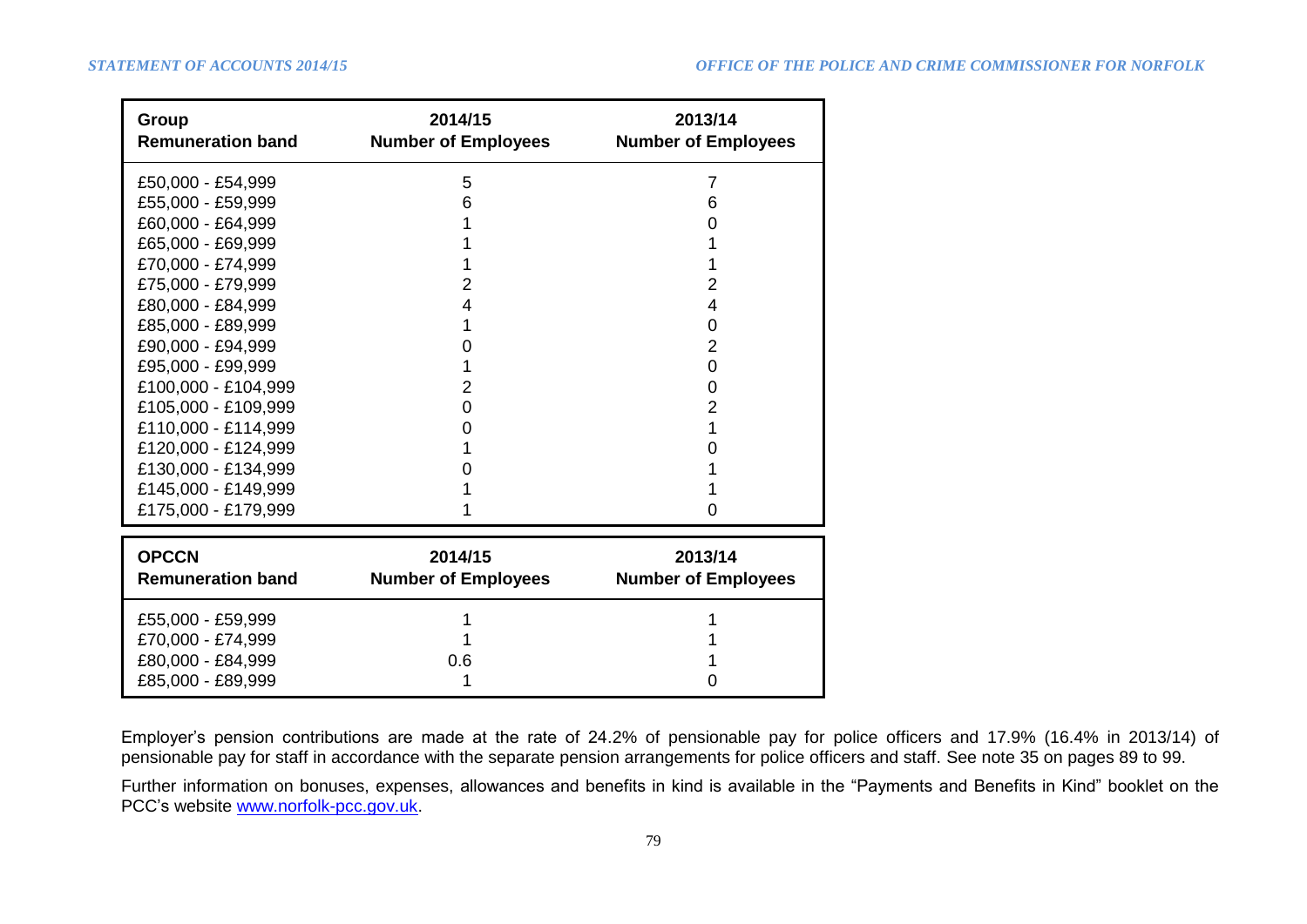| Group<br><b>Remuneration band</b> | 2014/15<br><b>Number of Employees</b> | 2013/14<br><b>Number of Employees</b> |
|-----------------------------------|---------------------------------------|---------------------------------------|
| £50,000 - £54,999                 | 5                                     | $\overline{7}$                        |
| £55,000 - £59,999                 | 6                                     | 6                                     |
| £60,000 - £64,999                 |                                       | O                                     |
| £65,000 - £69,999                 |                                       |                                       |
| £70,000 - £74,999                 |                                       |                                       |
| £75,000 - £79,999                 | 2                                     | $\overline{2}$                        |
| £80,000 - £84,999                 | 4                                     | 4                                     |
| £85,000 - £89,999                 | 1                                     | 0                                     |
| £90,000 - £94,999                 | 0                                     | $\overline{2}$                        |
| £95,000 - £99,999                 |                                       | 0                                     |
| £100,000 - £104,999               | 2                                     | 0                                     |
| £105,000 - £109,999               | 0                                     | 2                                     |
| £110,000 - £114,999               | 0                                     | 1                                     |
| £120,000 - £124,999               |                                       | Ω                                     |
| £130,000 - £134,999               |                                       |                                       |
| £145,000 - £149,999               |                                       |                                       |
| £175,000 - £179,999               |                                       | 0                                     |
| <b>OPCCN</b>                      | 2014/15                               | 2013/14                               |
| <b>Remuneration band</b>          | <b>Number of Employees</b>            | <b>Number of Employees</b>            |
| £55,000 - £59,999                 |                                       |                                       |
| £70,000 - £74,999                 |                                       |                                       |
| £80,000 - £84,999                 | 0.6                                   |                                       |
| £85,000 - £89,999                 |                                       |                                       |

Employer's pension contributions are made at the rate of 24.2% of pensionable pay for police officers and 17.9% (16.4% in 2013/14) of pensionable pay for staff in accordance with the separate pension arrangements for police officers and staff. See note 35 on pages 89 to 99.

Further information on bonuses, expenses, allowances and benefits in kind is available in the "Payments and Benefits in Kind" booklet on the PCC's website [www.norfolk-pcc.gov.uk.](http://www.norfolk-pcc.gov.uk/)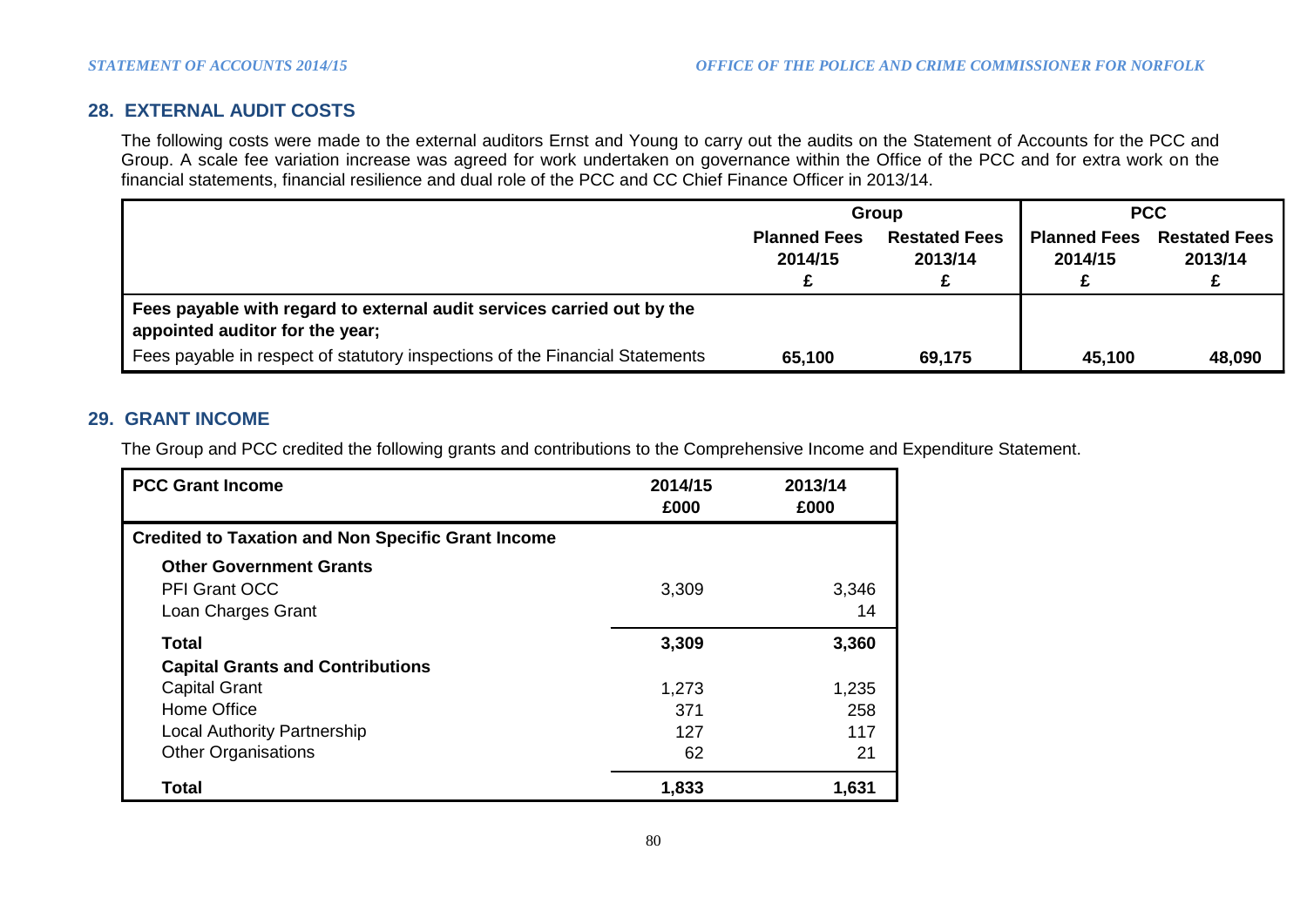# **28. EXTERNAL AUDIT COSTS**

The following costs were made to the external auditors Ernst and Young to carry out the audits on the Statement of Accounts for the PCC and Group. A scale fee variation increase was agreed for work undertaken on governance within the Office of the PCC and for extra work on the financial statements, financial resilience and dual role of the PCC and CC Chief Finance Officer in 2013/14.

|                                                                                                           |                                | Group                           |                                | <b>PCC</b>                      |
|-----------------------------------------------------------------------------------------------------------|--------------------------------|---------------------------------|--------------------------------|---------------------------------|
|                                                                                                           | <b>Planned Fees</b><br>2014/15 | <b>Restated Fees</b><br>2013/14 | <b>Planned Fees</b><br>2014/15 | <b>Restated Fees</b><br>2013/14 |
| Fees payable with regard to external audit services carried out by the<br>appointed auditor for the year; |                                |                                 |                                |                                 |
| Fees payable in respect of statutory inspections of the Financial Statements                              | 65,100                         | 69,175                          | 45,100                         | 48,090                          |

# **29. GRANT INCOME**

The Group and PCC credited the following grants and contributions to the Comprehensive Income and Expenditure Statement.

| <b>PCC Grant Income</b>                                   | 2014/15<br>£000 | 2013/14<br>£000 |
|-----------------------------------------------------------|-----------------|-----------------|
| <b>Credited to Taxation and Non Specific Grant Income</b> |                 |                 |
| <b>Other Government Grants</b>                            |                 |                 |
| <b>PFI Grant OCC</b>                                      | 3,309           | 3,346           |
| Loan Charges Grant                                        |                 | 14              |
| Total                                                     | 3,309           | 3,360           |
| <b>Capital Grants and Contributions</b>                   |                 |                 |
| <b>Capital Grant</b>                                      | 1,273           | 1,235           |
| Home Office                                               | 371             | 258             |
| <b>Local Authority Partnership</b>                        | 127             | 117             |
| <b>Other Organisations</b>                                | 62              | 21              |
| <b>Total</b>                                              | 1,833           | 1,631           |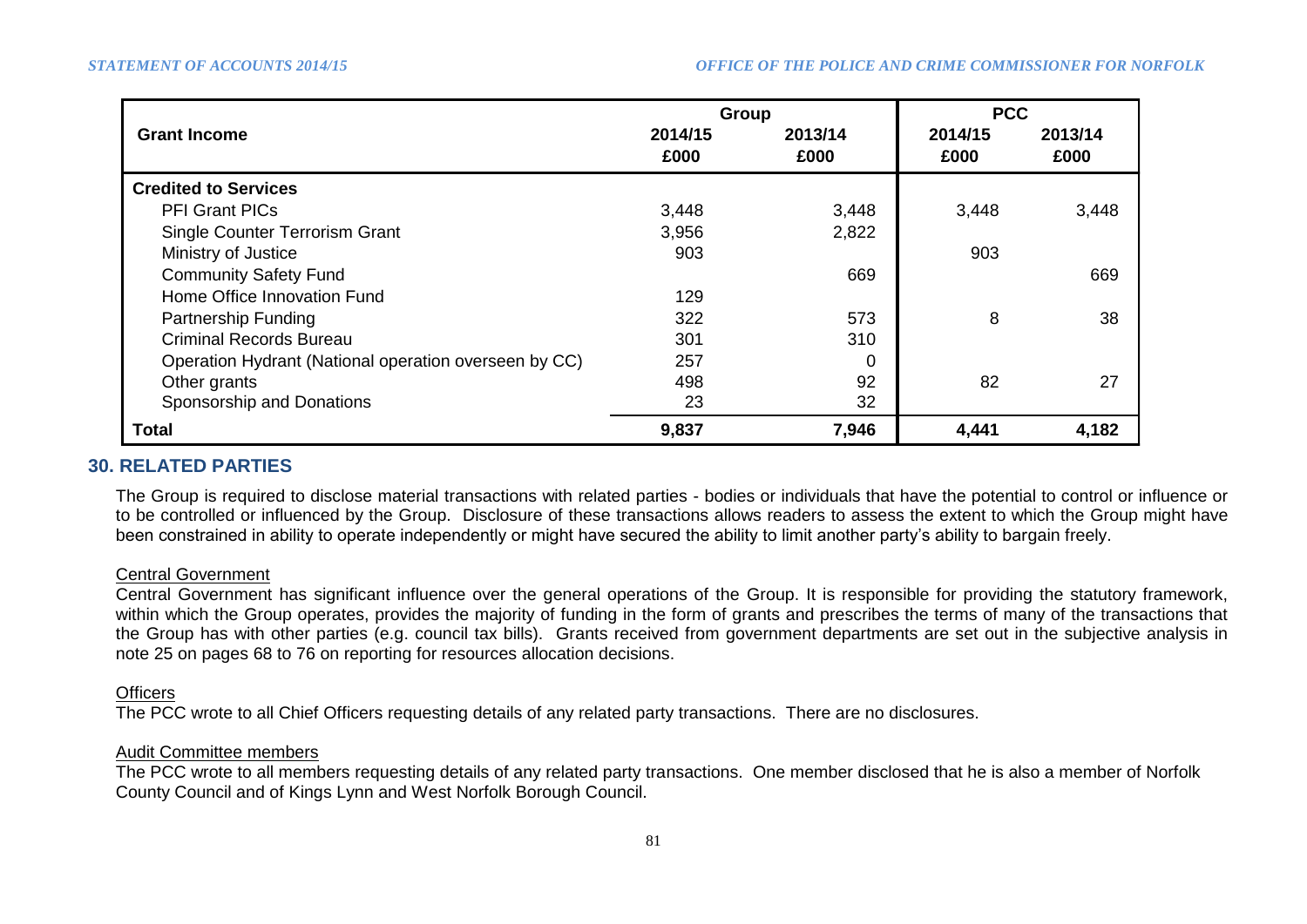|                                                       | Group           |                 | <b>PCC</b>      |                 |
|-------------------------------------------------------|-----------------|-----------------|-----------------|-----------------|
| <b>Grant Income</b>                                   | 2014/15<br>£000 | 2013/14<br>£000 | 2014/15<br>£000 | 2013/14<br>£000 |
| <b>Credited to Services</b>                           |                 |                 |                 |                 |
| <b>PFI Grant PICs</b>                                 | 3,448           | 3,448           | 3,448           | 3,448           |
| <b>Single Counter Terrorism Grant</b>                 | 3,956           | 2,822           |                 |                 |
| Ministry of Justice                                   | 903             |                 | 903             |                 |
| <b>Community Safety Fund</b>                          |                 | 669             |                 | 669             |
| Home Office Innovation Fund                           | 129             |                 |                 |                 |
| Partnership Funding                                   | 322             | 573             | 8               | 38              |
| <b>Criminal Records Bureau</b>                        | 301             | 310             |                 |                 |
| Operation Hydrant (National operation overseen by CC) | 257             | 0               |                 |                 |
| Other grants                                          | 498             | 92              | 82              | 27              |
| Sponsorship and Donations                             | 23              | 32              |                 |                 |
| Total                                                 | 9,837           | 7,946           | 4,441           | 4,182           |

# **30. RELATED PARTIES**

The Group is required to disclose material transactions with related parties - bodies or individuals that have the potential to control or influence or to be controlled or influenced by the Group. Disclosure of these transactions allows readers to assess the extent to which the Group might have been constrained in ability to operate independently or might have secured the ability to limit another party's ability to bargain freely.

## Central Government

Central Government has significant influence over the general operations of the Group. It is responsible for providing the statutory framework, within which the Group operates, provides the majority of funding in the form of grants and prescribes the terms of many of the transactions that the Group has with other parties (e.g. council tax bills). Grants received from government departments are set out in the subjective analysis in note 25 on pages 68 to 76 on reporting for resources allocation decisions.

## **Officers**

The PCC wrote to all Chief Officers requesting details of any related party transactions. There are no disclosures.

## Audit Committee members

The PCC wrote to all members requesting details of any related party transactions. One member disclosed that he is also a member of Norfolk County Council and of Kings Lynn and West Norfolk Borough Council.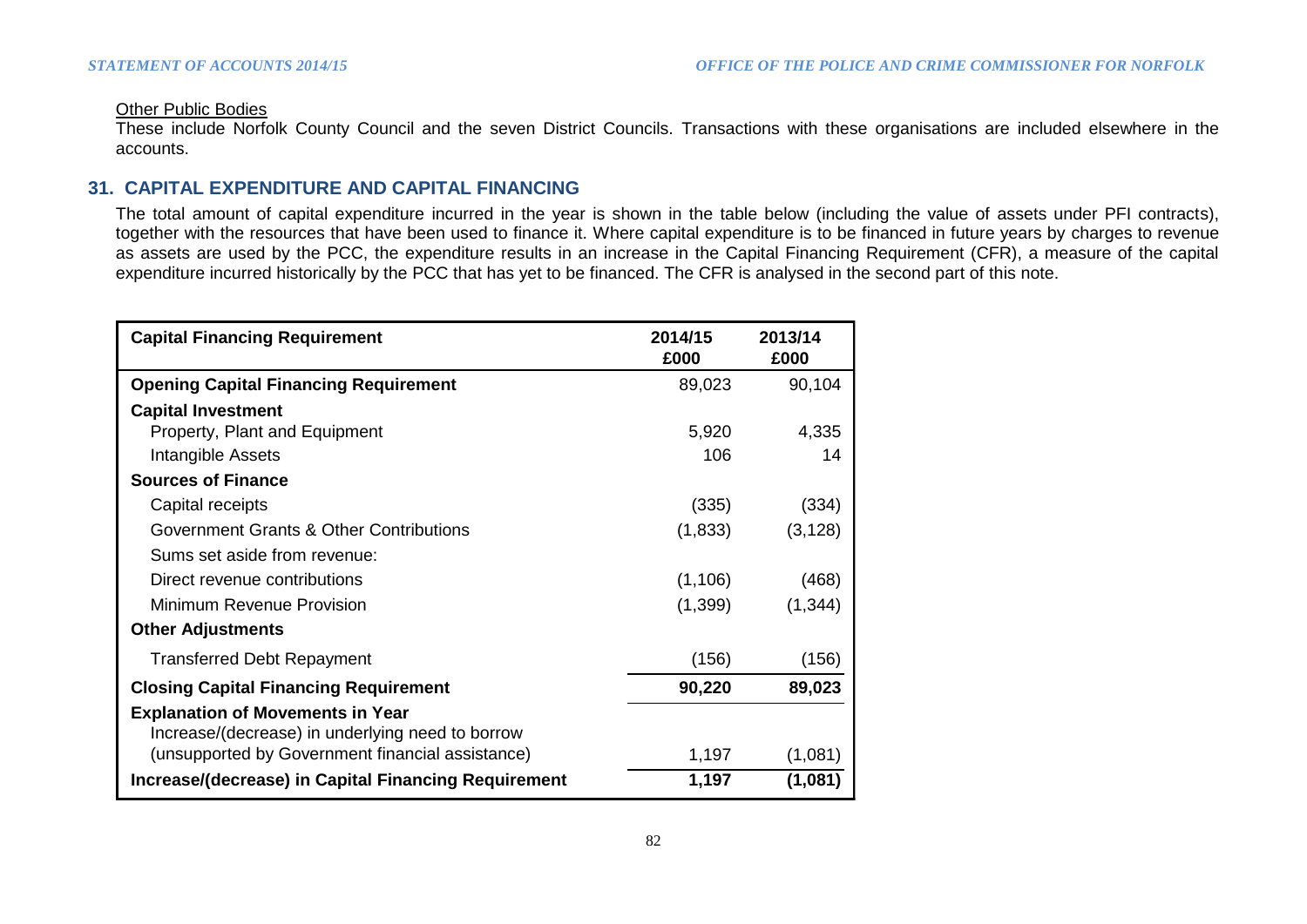#### Other Public Bodies

These include Norfolk County Council and the seven District Councils. Transactions with these organisations are included elsewhere in the accounts.

## **31. CAPITAL EXPENDITURE AND CAPITAL FINANCING**

The total amount of capital expenditure incurred in the year is shown in the table below (including the value of assets under PFI contracts), together with the resources that have been used to finance it. Where capital expenditure is to be financed in future years by charges to revenue as assets are used by the PCC, the expenditure results in an increase in the Capital Financing Requirement (CFR), a measure of the capital expenditure incurred historically by the PCC that has yet to be financed. The CFR is analysed in the second part of this note.

| <b>Capital Financing Requirement</b>                                                        | 2014/15<br>£000 | 2013/14<br>£000 |
|---------------------------------------------------------------------------------------------|-----------------|-----------------|
| <b>Opening Capital Financing Requirement</b>                                                | 89,023          | 90,104          |
| <b>Capital Investment</b>                                                                   |                 |                 |
| <b>Property, Plant and Equipment</b>                                                        | 5,920           | 4,335           |
| Intangible Assets                                                                           | 106             | 14              |
| <b>Sources of Finance</b>                                                                   |                 |                 |
| Capital receipts                                                                            | (335)           | (334)           |
| Government Grants & Other Contributions                                                     | (1,833)         | (3, 128)        |
| Sums set aside from revenue:                                                                |                 |                 |
| Direct revenue contributions                                                                | (1, 106)        | (468)           |
| Minimum Revenue Provision                                                                   | (1,399)         | (1, 344)        |
| <b>Other Adjustments</b>                                                                    |                 |                 |
| <b>Transferred Debt Repayment</b>                                                           | (156)           | (156)           |
| <b>Closing Capital Financing Requirement</b>                                                | 90,220          | 89,023          |
| <b>Explanation of Movements in Year</b><br>Increase/(decrease) in underlying need to borrow |                 |                 |
| (unsupported by Government financial assistance)                                            | 1,197           | (1,081)         |
| Increase/(decrease) in Capital Financing Requirement                                        | 1,197           | (1,081)         |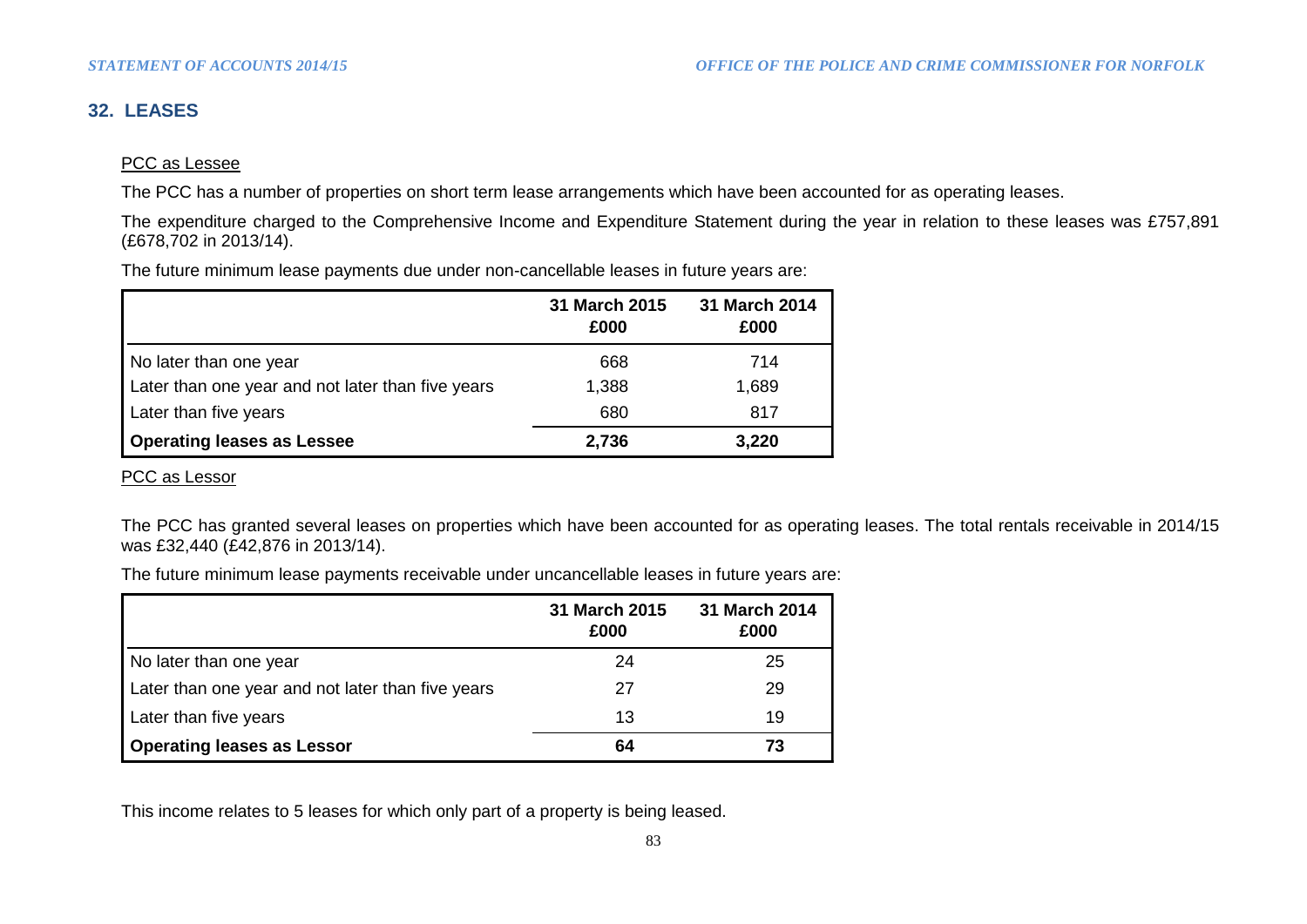# **32. LEASES**

## PCC as Lessee

The PCC has a number of properties on short term lease arrangements which have been accounted for as operating leases.

The expenditure charged to the Comprehensive Income and Expenditure Statement during the year in relation to these leases was £757,891 (£678,702 in 2013/14).

The future minimum lease payments due under non-cancellable leases in future years are:

|                                                   | 31 March 2015<br>£000 | 31 March 2014<br>£000 |
|---------------------------------------------------|-----------------------|-----------------------|
| No later than one year                            | 668                   | 714                   |
| Later than one year and not later than five years | 1,388                 | 1,689                 |
| Later than five years                             | 680                   | 817                   |
| <b>Operating leases as Lessee</b>                 | 2,736                 | 3,220                 |

PCC as Lessor

The PCC has granted several leases on properties which have been accounted for as operating leases. The total rentals receivable in 2014/15 was £32,440 (£42,876 in 2013/14).

The future minimum lease payments receivable under uncancellable leases in future years are:

|                                                   | 31 March 2015<br>£000 | 31 March 2014<br>£000 |
|---------------------------------------------------|-----------------------|-----------------------|
| No later than one year                            | 24                    | 25                    |
| Later than one year and not later than five years | 27                    | 29                    |
| Later than five years                             | 13                    | 19                    |
| <b>Operating leases as Lessor</b>                 | 64                    | 73                    |

This income relates to 5 leases for which only part of a property is being leased.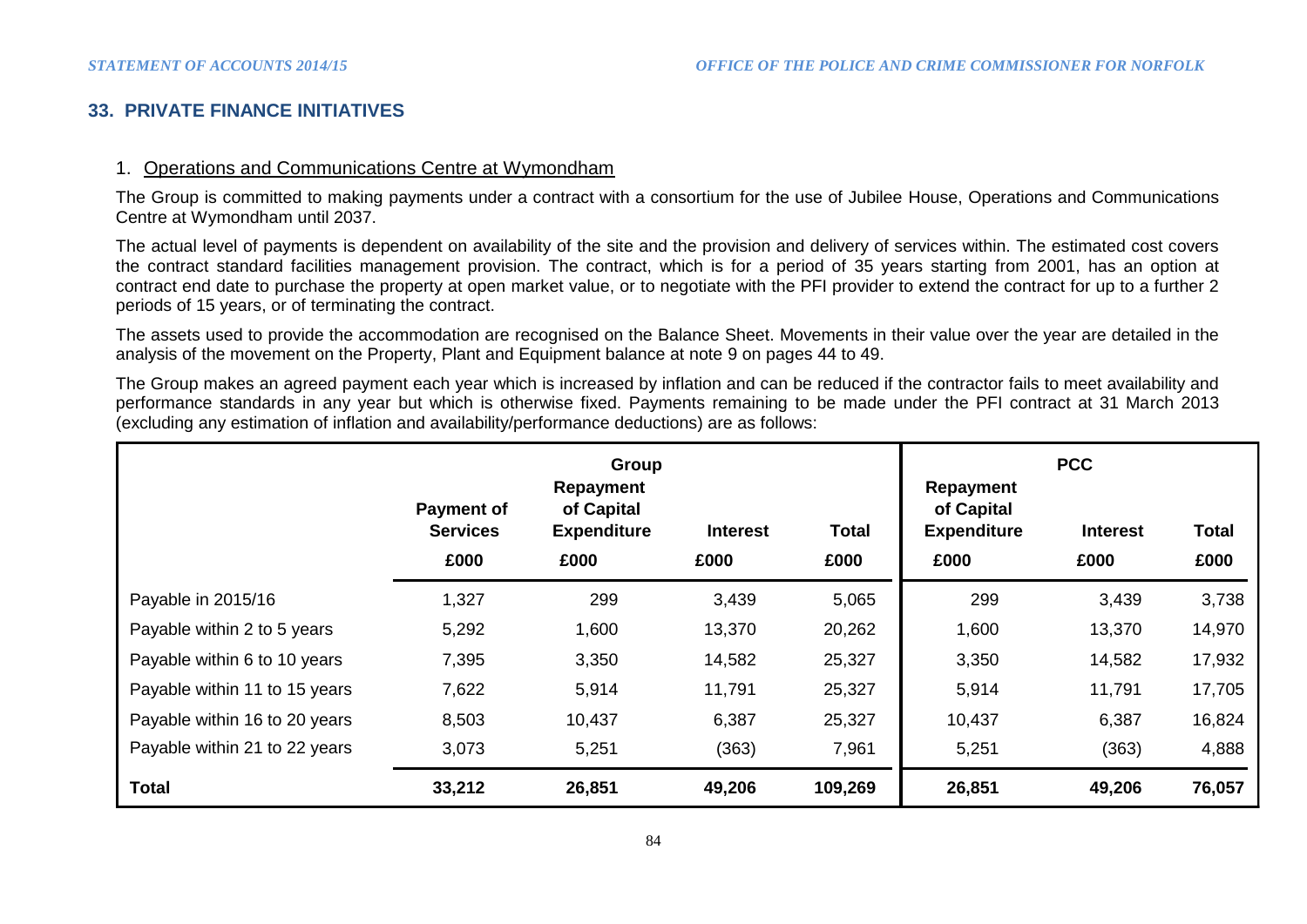# **33. PRIVATE FINANCE INITIATIVES**

### 1. Operations and Communications Centre at Wymondham

The Group is committed to making payments under a contract with a consortium for the use of Jubilee House, Operations and Communications Centre at Wymondham until 2037.

The actual level of payments is dependent on availability of the site and the provision and delivery of services within. The estimated cost covers the contract standard facilities management provision. The contract, which is for a period of 35 years starting from 2001, has an option at contract end date to purchase the property at open market value, or to negotiate with the PFI provider to extend the contract for up to a further 2 periods of 15 years, or of terminating the contract.

The assets used to provide the accommodation are recognised on the Balance Sheet. Movements in their value over the year are detailed in the analysis of the movement on the Property, Plant and Equipment balance at note 9 on pages 44 to 49.

The Group makes an agreed payment each year which is increased by inflation and can be reduced if the contractor fails to meet availability and performance standards in any year but which is otherwise fixed. Payments remaining to be made under the PFI contract at 31 March 2013 (excluding any estimation of inflation and availability/performance deductions) are as follows:

|                               | Group<br>Repayment                           |                                          |                         |                      | <b>PCC</b><br>Repayment                  |                         |                      |  |
|-------------------------------|----------------------------------------------|------------------------------------------|-------------------------|----------------------|------------------------------------------|-------------------------|----------------------|--|
|                               | <b>Payment of</b><br><b>Services</b><br>£000 | of Capital<br><b>Expenditure</b><br>£000 | <b>Interest</b><br>£000 | <b>Total</b><br>£000 | of Capital<br><b>Expenditure</b><br>£000 | <b>Interest</b><br>£000 | <b>Total</b><br>£000 |  |
| Payable in 2015/16            | 1,327                                        | 299                                      | 3,439                   | 5,065                | 299                                      | 3,439                   | 3,738                |  |
| Payable within 2 to 5 years   | 5,292                                        | 1,600                                    | 13,370                  | 20,262               | 1,600                                    | 13,370                  | 14,970               |  |
| Payable within 6 to 10 years  | 7,395                                        | 3,350                                    | 14,582                  | 25,327               | 3,350                                    | 14,582                  | 17,932               |  |
| Payable within 11 to 15 years | 7,622                                        | 5,914                                    | 11,791                  | 25,327               | 5,914                                    | 11,791                  | 17,705               |  |
| Payable within 16 to 20 years | 8,503                                        | 10,437                                   | 6,387                   | 25,327               | 10,437                                   | 6,387                   | 16,824               |  |
| Payable within 21 to 22 years | 3,073                                        | 5,251                                    | (363)                   | 7,961                | 5,251                                    | (363)                   | 4,888                |  |
| <b>Total</b>                  | 33,212                                       | 26,851                                   | 49,206                  | 109,269              | 26,851                                   | 49,206                  | 76,057               |  |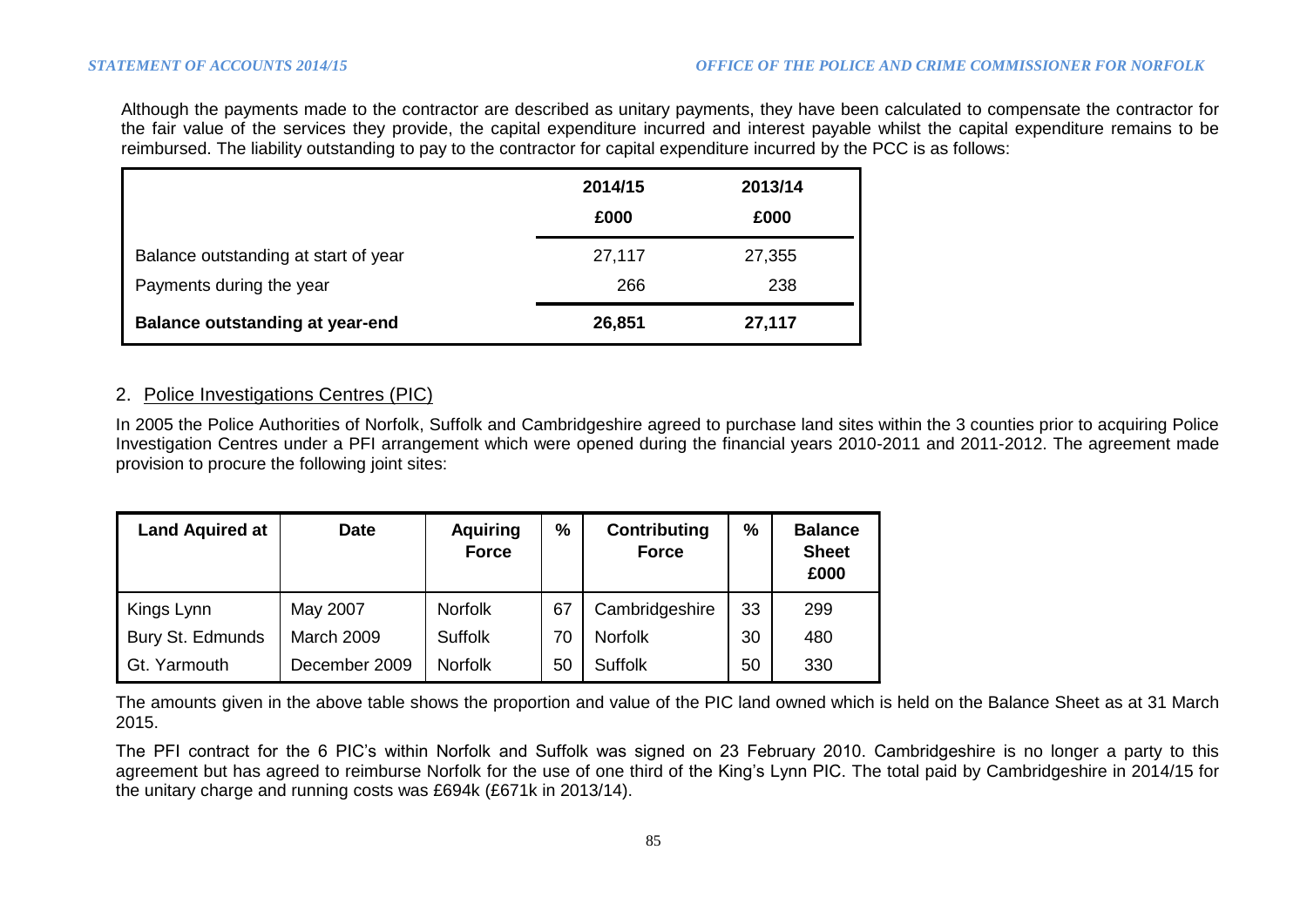Although the payments made to the contractor are described as unitary payments, they have been calculated to compensate the contractor for the fair value of the services they provide, the capital expenditure incurred and interest payable whilst the capital expenditure remains to be reimbursed. The liability outstanding to pay to the contractor for capital expenditure incurred by the PCC is as follows:

|                                        | 2014/15 | 2013/14 |
|----------------------------------------|---------|---------|
|                                        | £000    | £000    |
| Balance outstanding at start of year   | 27,117  | 27,355  |
| Payments during the year               | 266     | 238     |
| <b>Balance outstanding at year-end</b> | 26,851  | 27,117  |

## 2. Police Investigations Centres (PIC)

In 2005 the Police Authorities of Norfolk, Suffolk and Cambridgeshire agreed to purchase land sites within the 3 counties prior to acquiring Police Investigation Centres under a PFI arrangement which were opened during the financial years 2010-2011 and 2011-2012. The agreement made provision to procure the following joint sites:

| <b>Land Aquired at</b> | <b>Date</b>       | <b>Aquiring</b><br><b>Force</b> | $\%$ | <b>Contributing</b><br><b>Force</b> | %  | <b>Balance</b><br><b>Sheet</b><br>£000 |
|------------------------|-------------------|---------------------------------|------|-------------------------------------|----|----------------------------------------|
| Kings Lynn             | May 2007          | <b>Norfolk</b>                  | 67   | Cambridgeshire                      | 33 | 299                                    |
| Bury St. Edmunds       | <b>March 2009</b> | <b>Suffolk</b>                  | 70   | <b>Norfolk</b>                      | 30 | 480                                    |
| Gt. Yarmouth           | December 2009     | <b>Norfolk</b>                  | 50   | <b>Suffolk</b>                      | 50 | 330                                    |

The amounts given in the above table shows the proportion and value of the PIC land owned which is held on the Balance Sheet as at 31 March 2015.

The PFI contract for the 6 PIC's within Norfolk and Suffolk was signed on 23 February 2010. Cambridgeshire is no longer a party to this agreement but has agreed to reimburse Norfolk for the use of one third of the King's Lynn PIC. The total paid by Cambridgeshire in 2014/15 for the unitary charge and running costs was £694k (£671k in 2013/14).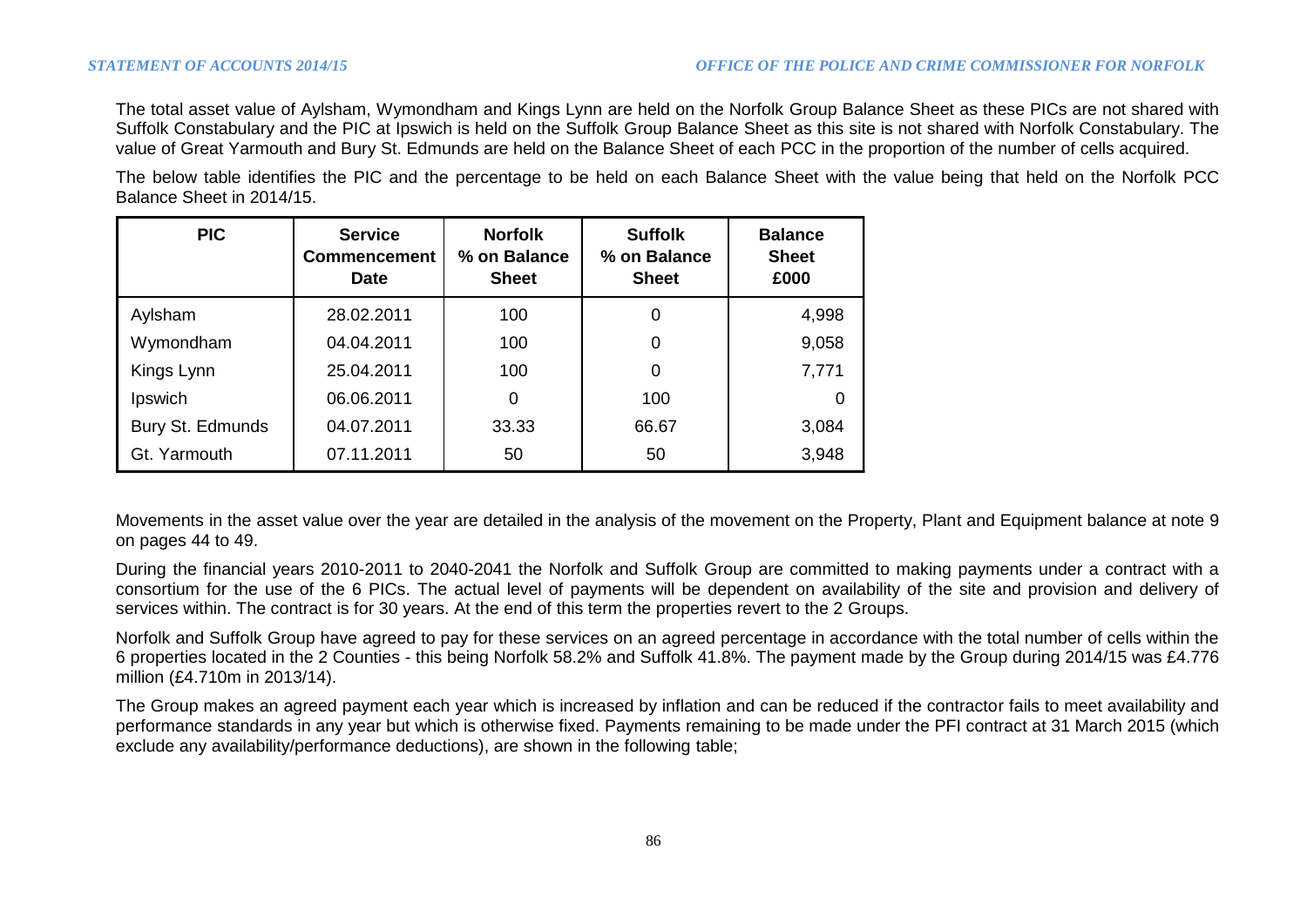The total asset value of Aylsham, Wymondham and Kings Lynn are held on the Norfolk Group Balance Sheet as these PICs are not shared with Suffolk Constabulary and the PIC at Ipswich is held on the Suffolk Group Balance Sheet as this site is not shared with Norfolk Constabulary. The value of Great Yarmouth and Bury St. Edmunds are held on the Balance Sheet of each PCC in the proportion of the number of cells acquired.

The below table identifies the PIC and the percentage to be held on each Balance Sheet with the value being that held on the Norfolk PCC Balance Sheet in 2014/15.

| <b>PIC</b>       | <b>Service</b><br><b>Commencement</b><br><b>Date</b> | <b>Norfolk</b><br>% on Balance<br><b>Sheet</b> | <b>Suffolk</b><br>% on Balance<br><b>Sheet</b> | <b>Balance</b><br><b>Sheet</b><br>£000 |
|------------------|------------------------------------------------------|------------------------------------------------|------------------------------------------------|----------------------------------------|
| Aylsham          | 28.02.2011                                           | 100                                            | 0                                              | 4,998                                  |
| Wymondham        | 04.04.2011                                           | 100                                            | 0                                              | 9,058                                  |
| Kings Lynn       | 25.04.2011                                           | 100                                            | 0                                              | 7,771                                  |
| Ipswich          | 06.06.2011                                           | 0                                              | 100                                            |                                        |
| Bury St. Edmunds | 04.07.2011                                           | 33.33                                          | 66.67                                          | 3,084                                  |
| Gt. Yarmouth     | 07.11.2011                                           | 50                                             | 50                                             | 3,948                                  |

Movements in the asset value over the year are detailed in the analysis of the movement on the Property, Plant and Equipment balance at note 9 on pages 44 to 49.

During the financial years 2010-2011 to 2040-2041 the Norfolk and Suffolk Group are committed to making payments under a contract with a consortium for the use of the 6 PICs. The actual level of payments will be dependent on availability of the site and provision and delivery of services within. The contract is for 30 years. At the end of this term the properties revert to the 2 Groups.

Norfolk and Suffolk Group have agreed to pay for these services on an agreed percentage in accordance with the total number of cells within the 6 properties located in the 2 Counties - this being Norfolk 58.2% and Suffolk 41.8%. The payment made by the Group during 2014/15 was £4.776 million (£4.710m in 2013/14).

The Group makes an agreed payment each year which is increased by inflation and can be reduced if the contractor fails to meet availability and performance standards in any year but which is otherwise fixed. Payments remaining to be made under the PFI contract at 31 March 2015 (which exclude any availability/performance deductions), are shown in the following table;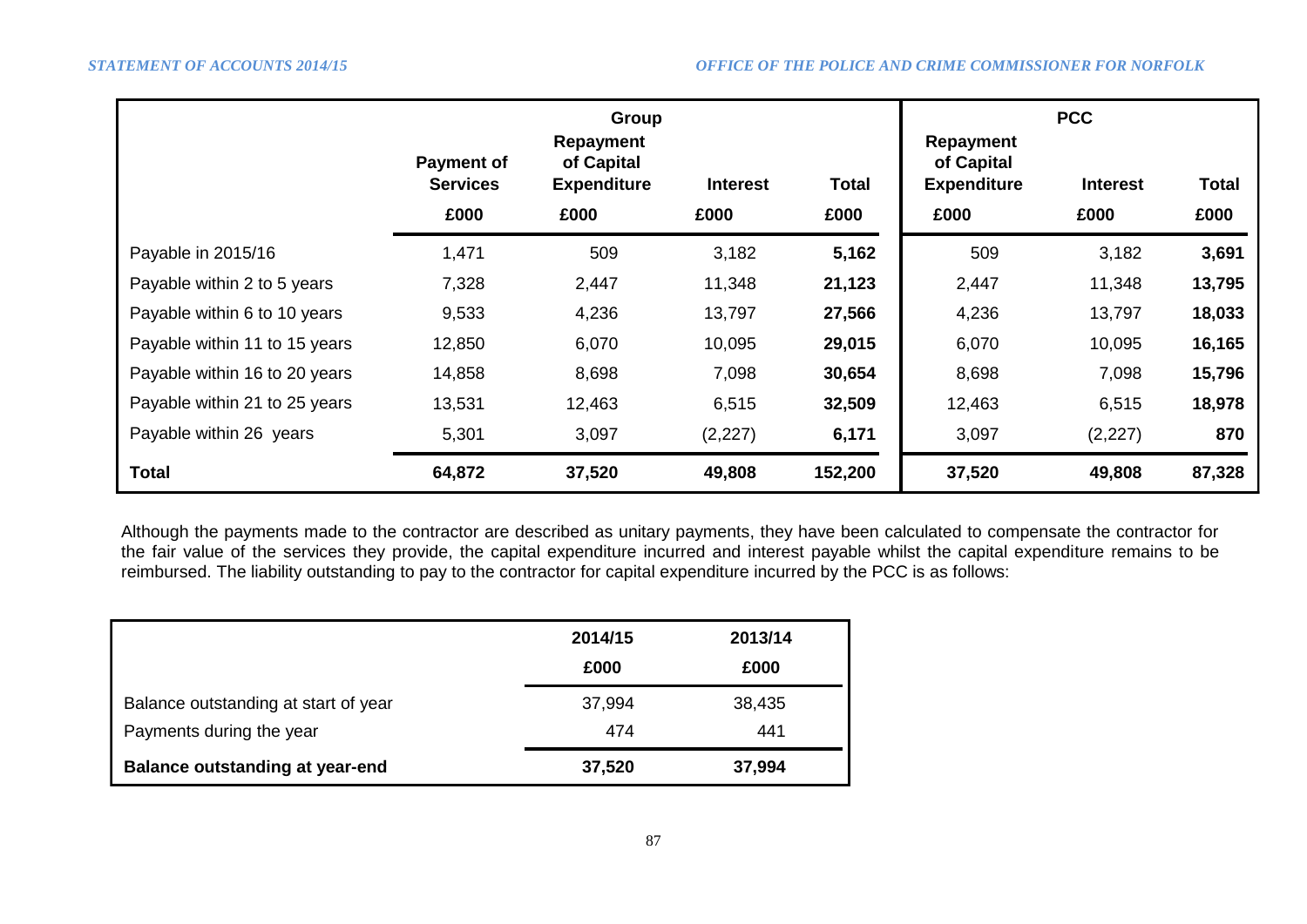|                               | Group                                        |                                                       |                         |               | <b>PCC</b>                                                   |                         |                      |  |
|-------------------------------|----------------------------------------------|-------------------------------------------------------|-------------------------|---------------|--------------------------------------------------------------|-------------------------|----------------------|--|
|                               | <b>Payment of</b><br><b>Services</b><br>£000 | Repayment<br>of Capital<br><b>Expenditure</b><br>£000 | <b>Interest</b><br>£000 | Total<br>£000 | <b>Repayment</b><br>of Capital<br><b>Expenditure</b><br>£000 | <b>Interest</b><br>£000 | <b>Total</b><br>£000 |  |
| Payable in 2015/16            | 1,471                                        | 509                                                   | 3,182                   | 5,162         | 509                                                          | 3,182                   | 3,691                |  |
| Payable within 2 to 5 years   | 7,328                                        | 2,447                                                 | 11,348                  | 21,123        | 2,447                                                        | 11,348                  | 13,795               |  |
| Payable within 6 to 10 years  | 9,533                                        | 4,236                                                 | 13,797                  | 27,566        | 4,236                                                        | 13,797                  | 18,033               |  |
| Payable within 11 to 15 years | 12,850                                       | 6,070                                                 | 10,095                  | 29,015        | 6,070                                                        | 10,095                  | 16,165               |  |
| Payable within 16 to 20 years | 14,858                                       | 8,698                                                 | 7,098                   | 30,654        | 8,698                                                        | 7,098                   | 15,796               |  |
| Payable within 21 to 25 years | 13,531                                       | 12,463                                                | 6,515                   | 32,509        | 12,463                                                       | 6,515                   | 18,978               |  |
| Payable within 26 years       | 5,301                                        | 3,097                                                 | (2,227)                 | 6,171         | 3,097                                                        | (2,227)                 | 870                  |  |
| <b>Total</b>                  | 64,872                                       | 37,520                                                | 49,808                  | 152,200       | 37,520                                                       | 49,808                  | 87,328               |  |

Although the payments made to the contractor are described as unitary payments, they have been calculated to compensate the contractor for the fair value of the services they provide, the capital expenditure incurred and interest payable whilst the capital expenditure remains to be reimbursed. The liability outstanding to pay to the contractor for capital expenditure incurred by the PCC is as follows:

|                                        | 2014/15 | 2013/14 |
|----------------------------------------|---------|---------|
|                                        | £000    | £000    |
| Balance outstanding at start of year   | 37,994  | 38,435  |
| Payments during the year               | 474     | 441     |
| <b>Balance outstanding at year-end</b> | 37,520  | 37,994  |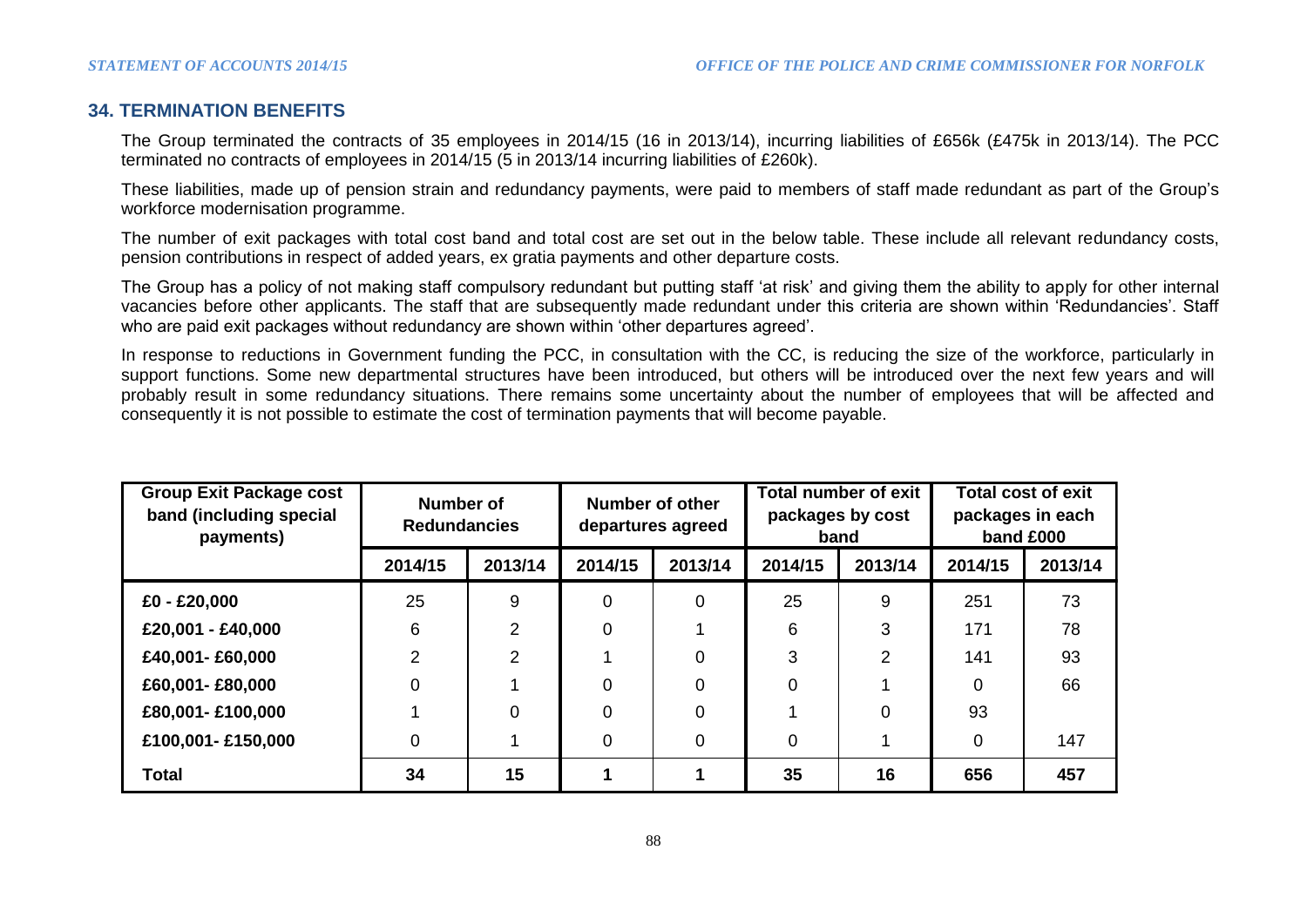# **34. TERMINATION BENEFITS**

The Group terminated the contracts of 35 employees in 2014/15 (16 in 2013/14), incurring liabilities of £656k (£475k in 2013/14). The PCC terminated no contracts of employees in 2014/15 (5 in 2013/14 incurring liabilities of £260k).

These liabilities, made up of pension strain and redundancy payments, were paid to members of staff made redundant as part of the Group's workforce modernisation programme.

The number of exit packages with total cost band and total cost are set out in the below table. These include all relevant redundancy costs, pension contributions in respect of added years, ex gratia payments and other departure costs.

The Group has a policy of not making staff compulsory redundant but putting staff 'at risk' and giving them the ability to apply for other internal vacancies before other applicants. The staff that are subsequently made redundant under this criteria are shown within 'Redundancies'. Staff who are paid exit packages without redundancy are shown within 'other departures agreed'.

In response to reductions in Government funding the PCC, in consultation with the CC, is reducing the size of the workforce, particularly in support functions. Some new departmental structures have been introduced, but others will be introduced over the next few years and will probably result in some redundancy situations. There remains some uncertainty about the number of employees that will be affected and consequently it is not possible to estimate the cost of termination payments that will become payable.

| <b>Group Exit Package cost</b><br>band (including special<br>payments) | Number of<br><b>Redundancies</b> |                | Number of other<br>departures agreed |          | Total number of exit<br>packages by cost<br>band |          | <b>Total cost of exit</b><br>packages in each<br>band £000 |         |
|------------------------------------------------------------------------|----------------------------------|----------------|--------------------------------------|----------|--------------------------------------------------|----------|------------------------------------------------------------|---------|
|                                                                        | 2014/15                          | 2013/14        | 2014/15                              | 2013/14  | 2014/15                                          | 2013/14  | 2014/15                                                    | 2013/14 |
| £0 - £20,000                                                           | 25                               | 9              | 0                                    | $\Omega$ | 25                                               | 9        | 251                                                        | 73      |
| £20,001 - £40,000                                                      | 6                                | $\overline{2}$ | 0                                    |          | 6                                                | 3        | 171                                                        | 78      |
| £40,001-£60,000                                                        | 2                                | $\overline{2}$ |                                      | $\Omega$ | 3                                                | 2        | 141                                                        | 93      |
| £60,001-£80,000                                                        | $\Omega$                         |                | 0                                    | $\Omega$ | 0                                                |          | $\Omega$                                                   | 66      |
| £80,001- £100,000                                                      |                                  | $\Omega$       | 0                                    | $\Omega$ |                                                  | $\Omega$ | 93                                                         |         |
| £100,001-£150,000                                                      | 0                                |                | 0                                    | $\Omega$ | 0                                                |          | 0                                                          | 147     |
| <b>Total</b>                                                           | 34                               | 15             |                                      |          | 35                                               | 16       | 656                                                        | 457     |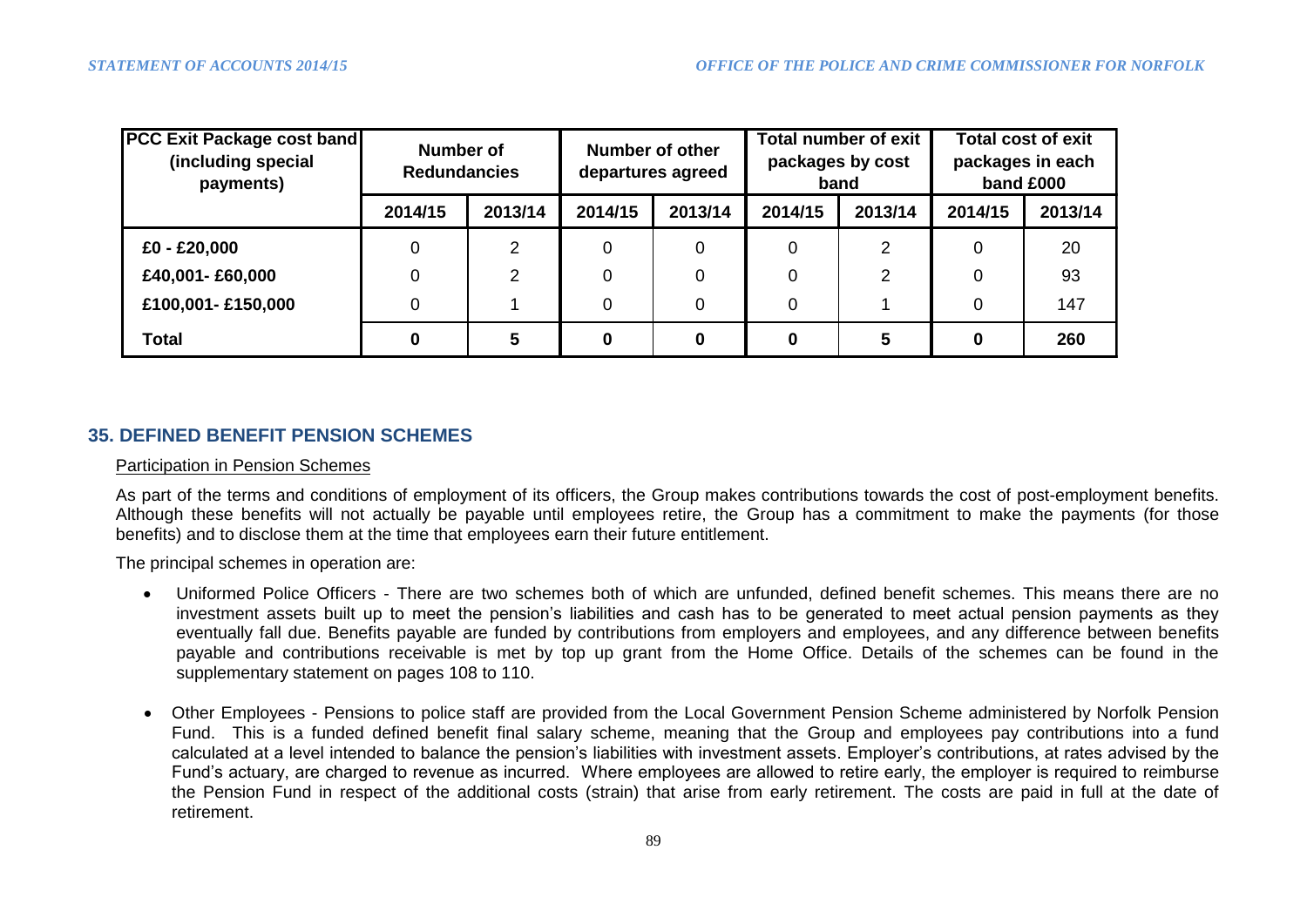| <b>PCC Exit Package cost band</b><br>(including special<br>payments) | Number of<br><b>Redundancies</b> |         | <b>Number of other</b><br>departures agreed |         | <b>Total number of exit</b><br>packages by cost<br>band |         | <b>Total cost of exit</b><br>packages in each<br>band £000 |         |
|----------------------------------------------------------------------|----------------------------------|---------|---------------------------------------------|---------|---------------------------------------------------------|---------|------------------------------------------------------------|---------|
|                                                                      | 2014/15                          | 2013/14 | 2014/15                                     | 2013/14 | 2014/15                                                 | 2013/14 | 2014/15                                                    | 2013/14 |
| £0 - £20,000                                                         |                                  | 2       | 0                                           | 0       | 0                                                       | 2       |                                                            | 20      |
| £40,001-£60,000                                                      |                                  | 2       | 0                                           | 0       | 0                                                       | 2       |                                                            | 93      |
| £100,001-£150,000                                                    |                                  |         | 0                                           | 0       | 0                                                       |         | 0                                                          | 147     |
| <b>Total</b>                                                         |                                  | 5       | 0                                           | 0       | 0                                                       |         |                                                            | 260     |

# **35. DEFINED BENEFIT PENSION SCHEMES**

#### Participation in Pension Schemes

As part of the terms and conditions of employment of its officers, the Group makes contributions towards the cost of post-employment benefits. Although these benefits will not actually be payable until employees retire, the Group has a commitment to make the payments (for those benefits) and to disclose them at the time that employees earn their future entitlement.

The principal schemes in operation are:

- Uniformed Police Officers There are two schemes both of which are unfunded, defined benefit schemes. This means there are no investment assets built up to meet the pension's liabilities and cash has to be generated to meet actual pension payments as they eventually fall due. Benefits payable are funded by contributions from employers and employees, and any difference between benefits payable and contributions receivable is met by top up grant from the Home Office. Details of the schemes can be found in the supplementary statement on pages 108 to 110.
- Other Employees Pensions to police staff are provided from the Local Government Pension Scheme administered by Norfolk Pension Fund. This is a funded defined benefit final salary scheme, meaning that the Group and employees pay contributions into a fund calculated at a level intended to balance the pension's liabilities with investment assets. Employer's contributions, at rates advised by the Fund's actuary, are charged to revenue as incurred. Where employees are allowed to retire early, the employer is required to reimburse the Pension Fund in respect of the additional costs (strain) that arise from early retirement. The costs are paid in full at the date of retirement.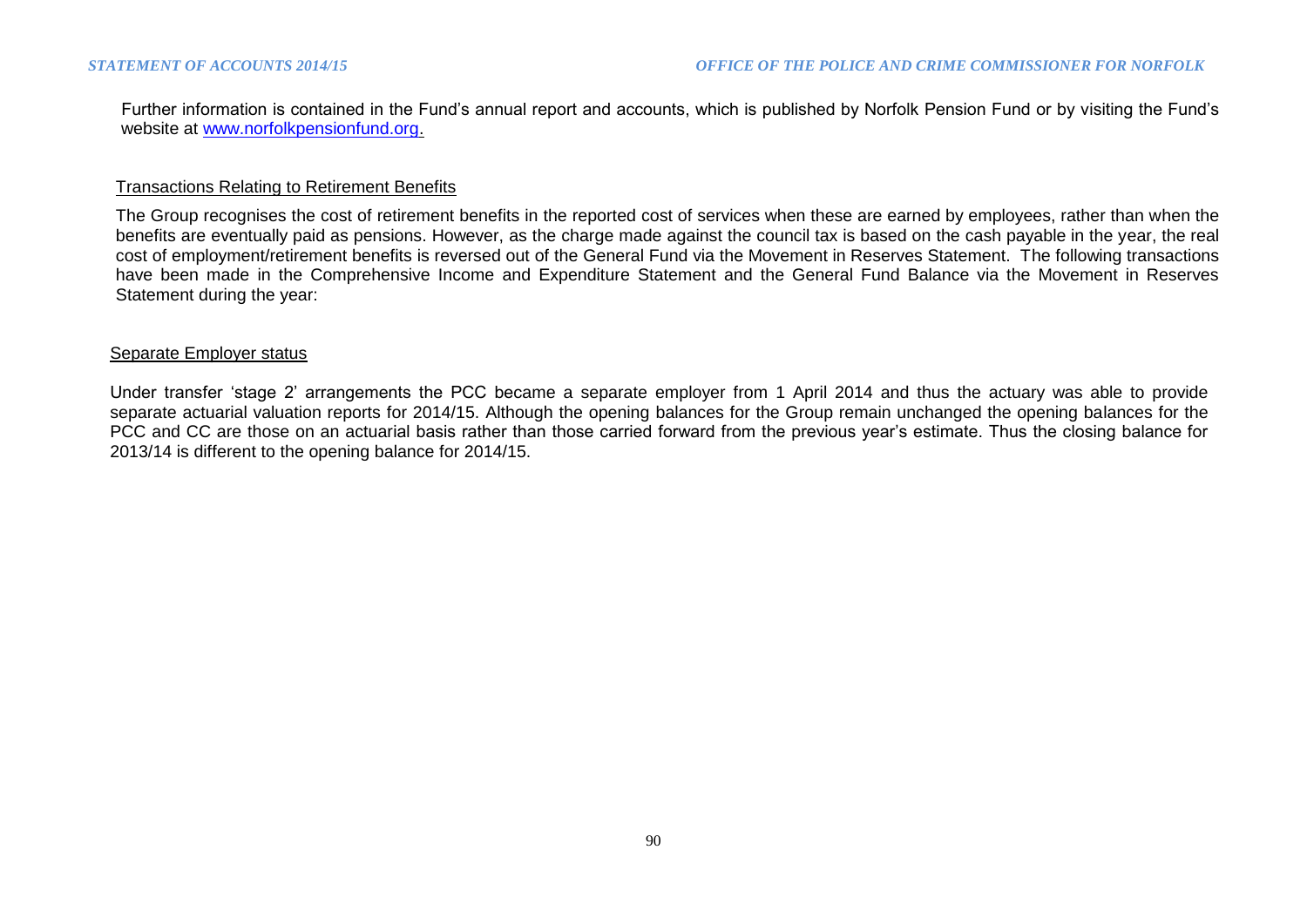Further information is contained in the Fund's annual report and accounts, which is published by Norfolk Pension Fund or by visiting the Fund's website at [www.norfolkpensionfund.org.](http://www.norfolkpensionfund.org/)

#### Transactions Relating to Retirement Benefits

The Group recognises the cost of retirement benefits in the reported cost of services when these are earned by employees, rather than when the benefits are eventually paid as pensions. However, as the charge made against the council tax is based on the cash payable in the year, the real cost of employment/retirement benefits is reversed out of the General Fund via the Movement in Reserves Statement. The following transactions have been made in the Comprehensive Income and Expenditure Statement and the General Fund Balance via the Movement in Reserves Statement during the year:

#### Separate Employer status

Under transfer 'stage 2' arrangements the PCC became a separate employer from 1 April 2014 and thus the actuary was able to provide separate actuarial valuation reports for 2014/15. Although the opening balances for the Group remain unchanged the opening balances for the PCC and CC are those on an actuarial basis rather than those carried forward from the previous year's estimate. Thus the closing balance for 2013/14 is different to the opening balance for 2014/15.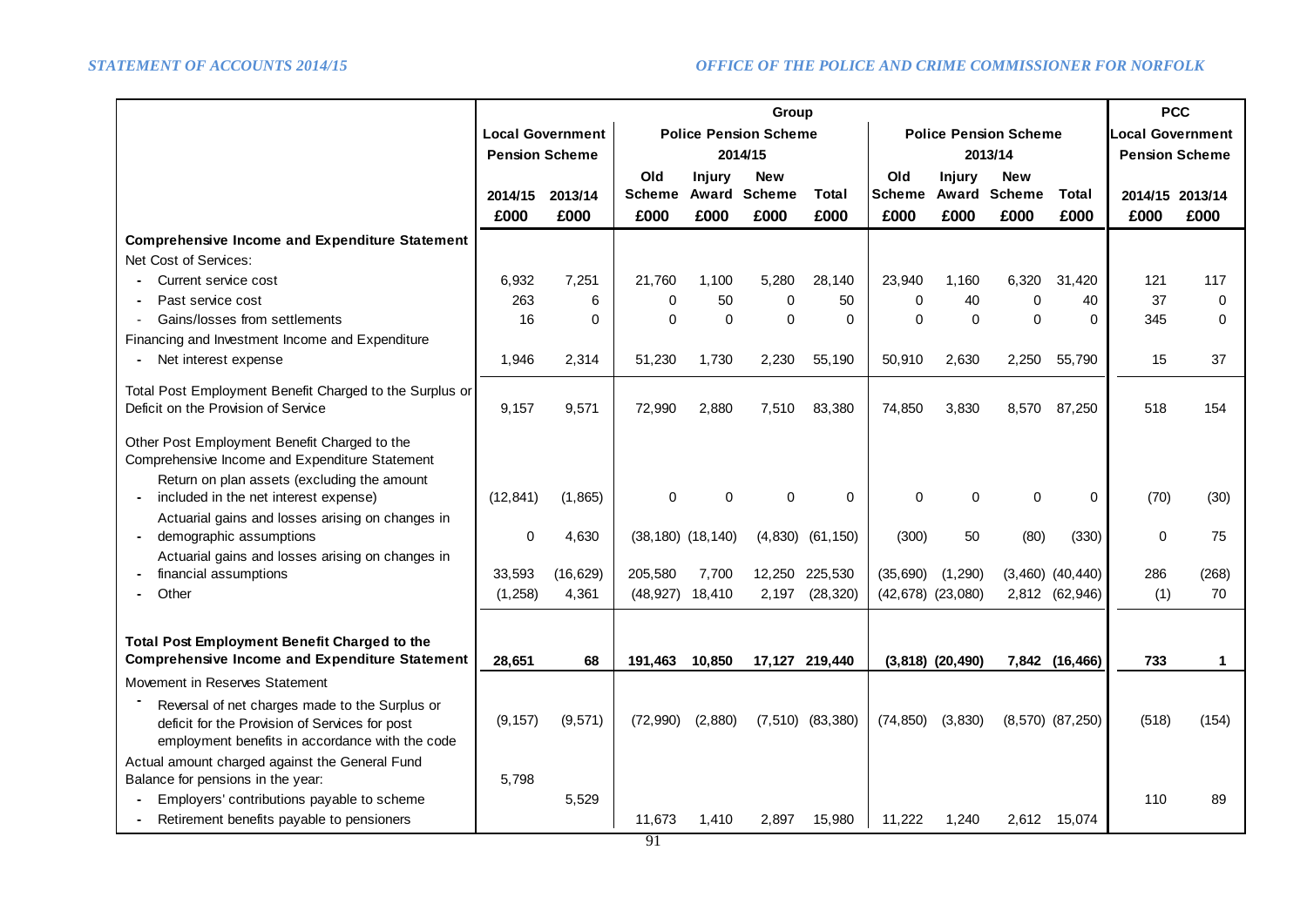|                                                                                                                                                     |                       | Group                   |                         |               |                              |                      |               | <b>PCC</b>            |                              |                      |                         |              |
|-----------------------------------------------------------------------------------------------------------------------------------------------------|-----------------------|-------------------------|-------------------------|---------------|------------------------------|----------------------|---------------|-----------------------|------------------------------|----------------------|-------------------------|--------------|
|                                                                                                                                                     |                       | <b>Local Government</b> |                         |               | <b>Police Pension Scheme</b> |                      |               |                       | <b>Police Pension Scheme</b> |                      | <b>Local Government</b> |              |
|                                                                                                                                                     | <b>Pension Scheme</b> |                         |                         |               | 2014/15                      |                      | 2013/14       |                       |                              |                      | <b>Pension Scheme</b>   |              |
|                                                                                                                                                     |                       |                         | Old                     | <b>Injury</b> | <b>New</b>                   |                      | Old           | Injury                | <b>New</b>                   |                      |                         |              |
|                                                                                                                                                     | 2014/15               | 2013/14                 | <b>Scheme</b>           |               | <b>Award Scheme</b>          | Total                | <b>Scheme</b> | Award                 | <b>Scheme</b>                | Total                | 2014/15 2013/14         |              |
|                                                                                                                                                     | £000                  | £000                    | £000                    | £000          | £000                         | £000                 | £000          | £000                  | £000                         | £000                 | £000                    | £000         |
| <b>Comprehensive Income and Expenditure Statement</b>                                                                                               |                       |                         |                         |               |                              |                      |               |                       |                              |                      |                         |              |
| Net Cost of Services:                                                                                                                               |                       |                         |                         |               |                              |                      |               |                       |                              |                      |                         |              |
| Current service cost                                                                                                                                | 6,932                 | 7,251                   | 21,760                  | 1,100         | 5,280                        | 28,140               | 23,940        | 1,160                 | 6,320                        | 31,420               | 121                     | 117          |
| Past service cost                                                                                                                                   | 263                   | 6                       | $\Omega$                | 50            | $\Omega$                     | 50                   | $\Omega$      | 40                    | $\Omega$                     | 40                   | 37                      | $\Omega$     |
| Gains/losses from settlements                                                                                                                       | 16                    | $\Omega$                | $\Omega$                | $\Omega$      | $\Omega$                     | $\Omega$             | $\Omega$      | $\Omega$              | $\Omega$                     | $\Omega$             | 345                     | $\Omega$     |
| Financing and Investment Income and Expenditure                                                                                                     |                       |                         |                         |               |                              |                      |               |                       |                              |                      |                         |              |
| Net interest expense                                                                                                                                | 1,946                 | 2,314                   | 51,230                  | 1,730         | 2,230                        | 55,190               | 50,910        | 2,630                 | 2,250                        | 55,790               | 15                      | 37           |
| Total Post Employment Benefit Charged to the Surplus or<br>Deficit on the Provision of Service                                                      | 9,157                 | 9,571                   | 72,990                  | 2,880         | 7,510                        | 83,380               | 74,850        | 3,830                 | 8,570                        | 87,250               | 518                     | 154          |
| Other Post Employment Benefit Charged to the<br>Comprehensive Income and Expenditure Statement<br>Return on plan assets (excluding the amount       |                       |                         |                         |               |                              |                      |               |                       |                              |                      |                         |              |
| included in the net interest expense)                                                                                                               | (12, 841)             | (1,865)                 | $\Omega$                | $\Omega$      | $\Omega$                     | $\Omega$             | $\Omega$      | $\Omega$              | $\Omega$                     | $\Omega$             | (70)                    | (30)         |
| Actuarial gains and losses arising on changes in<br>demographic assumptions                                                                         | $\Omega$              | 4,630                   | $(38, 180)$ $(18, 140)$ |               |                              | $(4,830)$ $(61,150)$ | (300)         | 50                    | (80)                         | (330)                | $\mathbf 0$             | 75           |
| Actuarial gains and losses arising on changes in                                                                                                    |                       |                         |                         |               |                              |                      |               |                       |                              |                      |                         |              |
| financial assumptions                                                                                                                               | 33,593                | (16, 629)               | 205,580                 | 7,700         |                              | 12,250 225,530       | (35,690)      | (1,290)               |                              | $(3,460)$ $(40,440)$ | 286                     | (268)        |
| Other                                                                                                                                               | (1,258)               | 4,361                   | (48, 927)               | 18,410        | 2,197                        | (28, 320)            |               | $(42,678)$ $(23,080)$ |                              | 2,812 (62,946)       | (1)                     | 70           |
|                                                                                                                                                     |                       |                         |                         |               |                              |                      |               |                       |                              |                      |                         |              |
| <b>Total Post Employment Benefit Charged to the</b>                                                                                                 |                       |                         |                         |               |                              |                      |               |                       |                              |                      |                         |              |
| <b>Comprehensive Income and Expenditure Statement</b>                                                                                               | 28,651                | 68                      | 191.463                 | 10,850        |                              | 17,127 219,440       |               | $(3,818)$ $(20,490)$  |                              | 7,842 (16,466)       | 733                     | $\mathbf{1}$ |
| Movement in Reserves Statement                                                                                                                      |                       |                         |                         |               |                              |                      |               |                       |                              |                      |                         |              |
| Reversal of net charges made to the Surplus or<br>deficit for the Provision of Services for post<br>employment benefits in accordance with the code | (9, 157)              | (9, 571)                | (72,990)                | (2,880)       |                              | $(7,510)$ $(83,380)$ | (74, 850)     | (3,830)               |                              | $(8,570)$ $(87,250)$ | (518)                   | (154)        |
| Actual amount charged against the General Fund                                                                                                      |                       |                         |                         |               |                              |                      |               |                       |                              |                      |                         |              |
| Balance for pensions in the year:                                                                                                                   | 5,798                 |                         |                         |               |                              |                      |               |                       |                              |                      |                         |              |
| Employers' contributions payable to scheme                                                                                                          |                       | 5,529                   |                         |               |                              |                      |               |                       |                              |                      | 110                     | 89           |
| Retirement benefits payable to pensioners                                                                                                           |                       |                         | 11,673                  | 1,410         | 2,897                        | 15,980               | 11,222        | 1,240                 |                              | 2,612 15,074         |                         |              |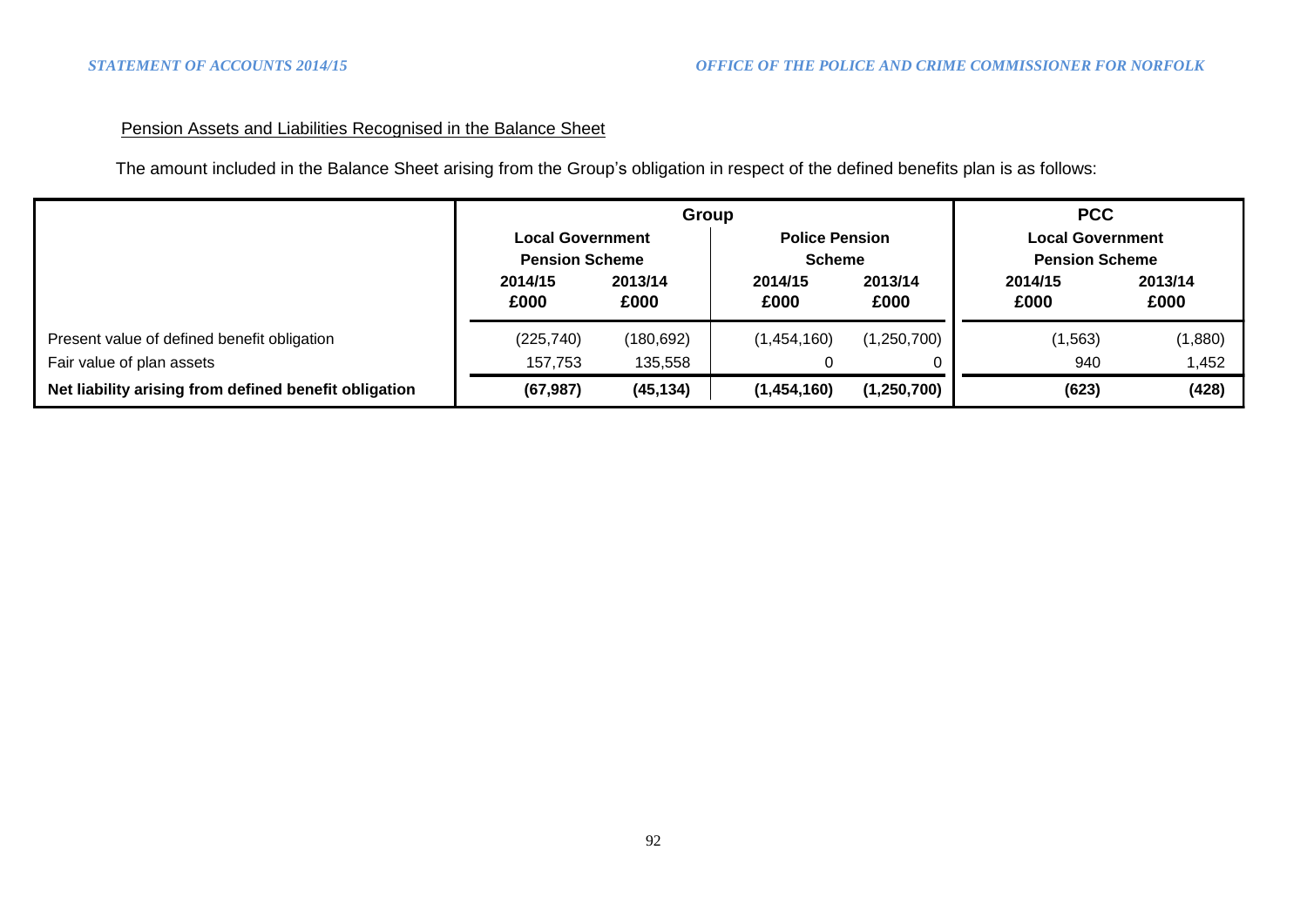# Pension Assets and Liabilities Recognised in the Balance Sheet

The amount included in the Balance Sheet arising from the Group's obligation in respect of the defined benefits plan is as follows:

|                                                       |                                                  | Group           | <b>PCC</b>      |                                        |                 |                                                  |  |
|-------------------------------------------------------|--------------------------------------------------|-----------------|-----------------|----------------------------------------|-----------------|--------------------------------------------------|--|
|                                                       | <b>Local Government</b><br><b>Pension Scheme</b> |                 |                 | <b>Police Pension</b><br><b>Scheme</b> |                 | <b>Local Government</b><br><b>Pension Scheme</b> |  |
|                                                       | 2014/15<br>£000                                  | 2013/14<br>£000 | 2014/15<br>£000 | 2013/14<br>£000                        | 2014/15<br>£000 | 2013/14<br>£000                                  |  |
| Present value of defined benefit obligation           | (225, 740)                                       | (180, 692)      | (1,454,160)     | (1,250,700)                            | (1, 563)        | (1,880)                                          |  |
| Fair value of plan assets                             | 157,753                                          | 135,558         |                 |                                        | 940             | 1,452                                            |  |
| Net liability arising from defined benefit obligation | (67, 987)                                        | (45, 134)       | (1,454,160)     | (1,250,700)                            | (623)           | (428)                                            |  |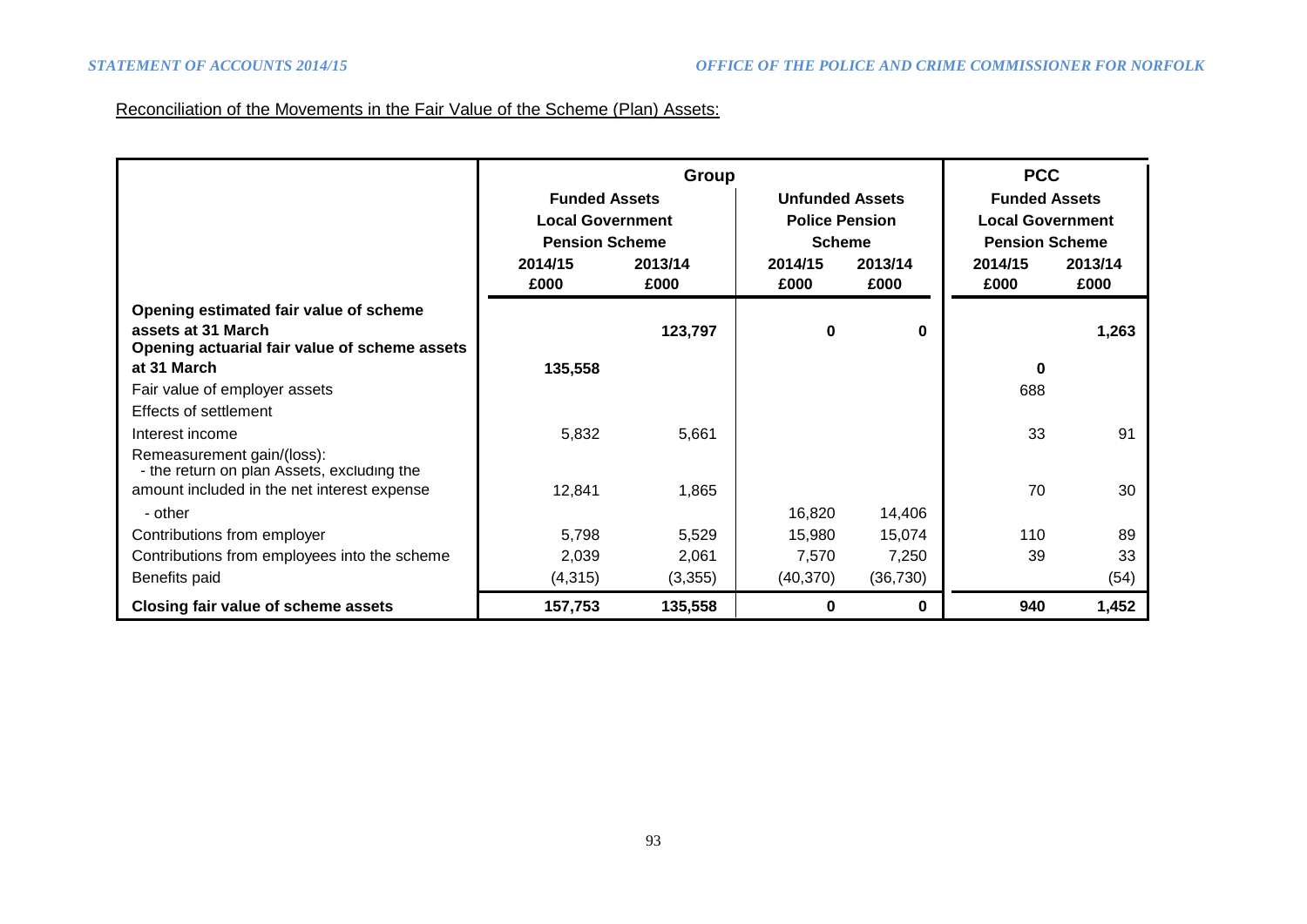# Reconciliation of the Movements in the Fair Value of the Scheme (Plan) Assets:

|                                                                                                               |                                                                          | Group           |                  |                                                                  | <b>PCC</b>      |                                                                          |  |
|---------------------------------------------------------------------------------------------------------------|--------------------------------------------------------------------------|-----------------|------------------|------------------------------------------------------------------|-----------------|--------------------------------------------------------------------------|--|
|                                                                                                               | <b>Funded Assets</b><br><b>Local Government</b><br><b>Pension Scheme</b> |                 |                  | <b>Unfunded Assets</b><br><b>Police Pension</b><br><b>Scheme</b> |                 | <b>Funded Assets</b><br><b>Local Government</b><br><b>Pension Scheme</b> |  |
|                                                                                                               | 2014/15<br>£000                                                          | 2013/14<br>£000 | 2014/15<br>£000  | 2013/14<br>£000                                                  | 2014/15<br>£000 | 2013/14<br>£000                                                          |  |
| Opening estimated fair value of scheme<br>assets at 31 March<br>Opening actuarial fair value of scheme assets |                                                                          | 123,797         | 0                | $\bf{0}$                                                         |                 | 1,263                                                                    |  |
| at 31 March                                                                                                   | 135,558                                                                  |                 |                  |                                                                  | $\bf{0}$        |                                                                          |  |
| Fair value of employer assets<br>Effects of settlement                                                        |                                                                          |                 |                  |                                                                  | 688             |                                                                          |  |
| Interest income                                                                                               | 5,832                                                                    | 5,661           |                  |                                                                  | 33              | 91                                                                       |  |
| Remeasurement gain/(loss):<br>- the return on plan Assets, excluding the                                      |                                                                          |                 |                  |                                                                  |                 |                                                                          |  |
| amount included in the net interest expense                                                                   | 12,841                                                                   | 1,865           |                  |                                                                  | 70              | 30                                                                       |  |
| - other<br>Contributions from employer                                                                        | 5,798                                                                    | 5,529           | 16,820<br>15,980 | 14,406<br>15,074                                                 | 110             | 89                                                                       |  |
| Contributions from employees into the scheme                                                                  | 2,039                                                                    | 2,061           | 7,570            | 7,250                                                            | 39              | 33                                                                       |  |
| Benefits paid                                                                                                 | (4,315)                                                                  | (3,355)         | (40, 370)        | (36, 730)                                                        |                 | (54)                                                                     |  |
| Closing fair value of scheme assets                                                                           | 157,753                                                                  | 135,558         | 0                | 0                                                                | 940             | 1,452                                                                    |  |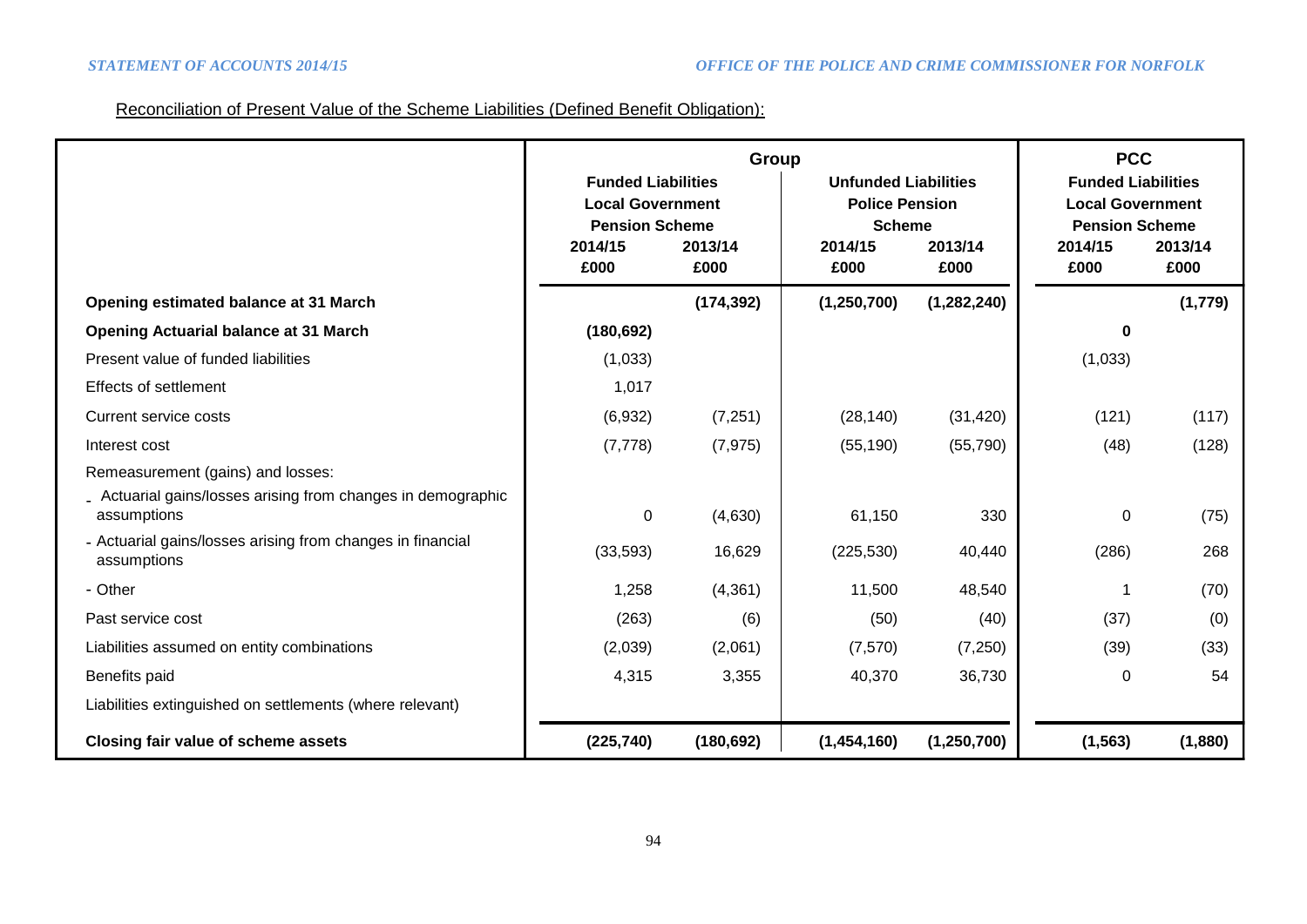# Reconciliation of Present Value of the Scheme Liabilities (Defined Benefit Obligation):

|                                                                             | Group                                                                                               |            |                                                                                             |               | <b>PCC</b>                                                                                          |         |  |
|-----------------------------------------------------------------------------|-----------------------------------------------------------------------------------------------------|------------|---------------------------------------------------------------------------------------------|---------------|-----------------------------------------------------------------------------------------------------|---------|--|
|                                                                             | <b>Funded Liabilities</b><br><b>Local Government</b><br><b>Pension Scheme</b><br>2013/14<br>2014/15 |            | <b>Unfunded Liabilities</b><br><b>Police Pension</b><br><b>Scheme</b><br>2013/14<br>2014/15 |               | <b>Funded Liabilities</b><br><b>Local Government</b><br><b>Pension Scheme</b><br>2014/15<br>2013/14 |         |  |
|                                                                             | £000                                                                                                | £000       | £000                                                                                        | £000          | £000                                                                                                | £000    |  |
| Opening estimated balance at 31 March                                       |                                                                                                     | (174, 392) | (1, 250, 700)                                                                               | (1, 282, 240) |                                                                                                     | (1,779) |  |
| <b>Opening Actuarial balance at 31 March</b>                                | (180, 692)                                                                                          |            |                                                                                             |               | O                                                                                                   |         |  |
| Present value of funded liabilities                                         | (1,033)                                                                                             |            |                                                                                             |               | (1,033)                                                                                             |         |  |
| <b>Effects of settlement</b>                                                | 1,017                                                                                               |            |                                                                                             |               |                                                                                                     |         |  |
| <b>Current service costs</b>                                                | (6,932)                                                                                             | (7,251)    | (28, 140)                                                                                   | (31, 420)     | (121)                                                                                               | (117)   |  |
| Interest cost                                                               | (7, 778)                                                                                            | (7, 975)   | (55, 190)                                                                                   | (55, 790)     | (48)                                                                                                | (128)   |  |
| Remeasurement (gains) and losses:                                           |                                                                                                     |            |                                                                                             |               |                                                                                                     |         |  |
| _ Actuarial gains/losses arising from changes in demographic<br>assumptions | 0                                                                                                   | (4,630)    | 61,150                                                                                      | 330           | 0                                                                                                   | (75)    |  |
| - Actuarial gains/losses arising from changes in financial<br>assumptions   | (33, 593)                                                                                           | 16,629     | (225, 530)                                                                                  | 40,440        | (286)                                                                                               | 268     |  |
| - Other                                                                     | 1,258                                                                                               | (4, 361)   | 11,500                                                                                      | 48,540        |                                                                                                     | (70)    |  |
| Past service cost                                                           | (263)                                                                                               | (6)        | (50)                                                                                        | (40)          | (37)                                                                                                | (0)     |  |
| Liabilities assumed on entity combinations                                  | (2,039)                                                                                             | (2,061)    | (7, 570)                                                                                    | (7,250)       | (39)                                                                                                | (33)    |  |
| Benefits paid                                                               | 4,315                                                                                               | 3,355      | 40,370                                                                                      | 36,730        | 0                                                                                                   | 54      |  |
| Liabilities extinguished on settlements (where relevant)                    |                                                                                                     |            |                                                                                             |               |                                                                                                     |         |  |
| Closing fair value of scheme assets                                         | (225, 740)                                                                                          | (180, 692) | (1,454,160)                                                                                 | (1,250,700)   | (1, 563)                                                                                            | (1,880) |  |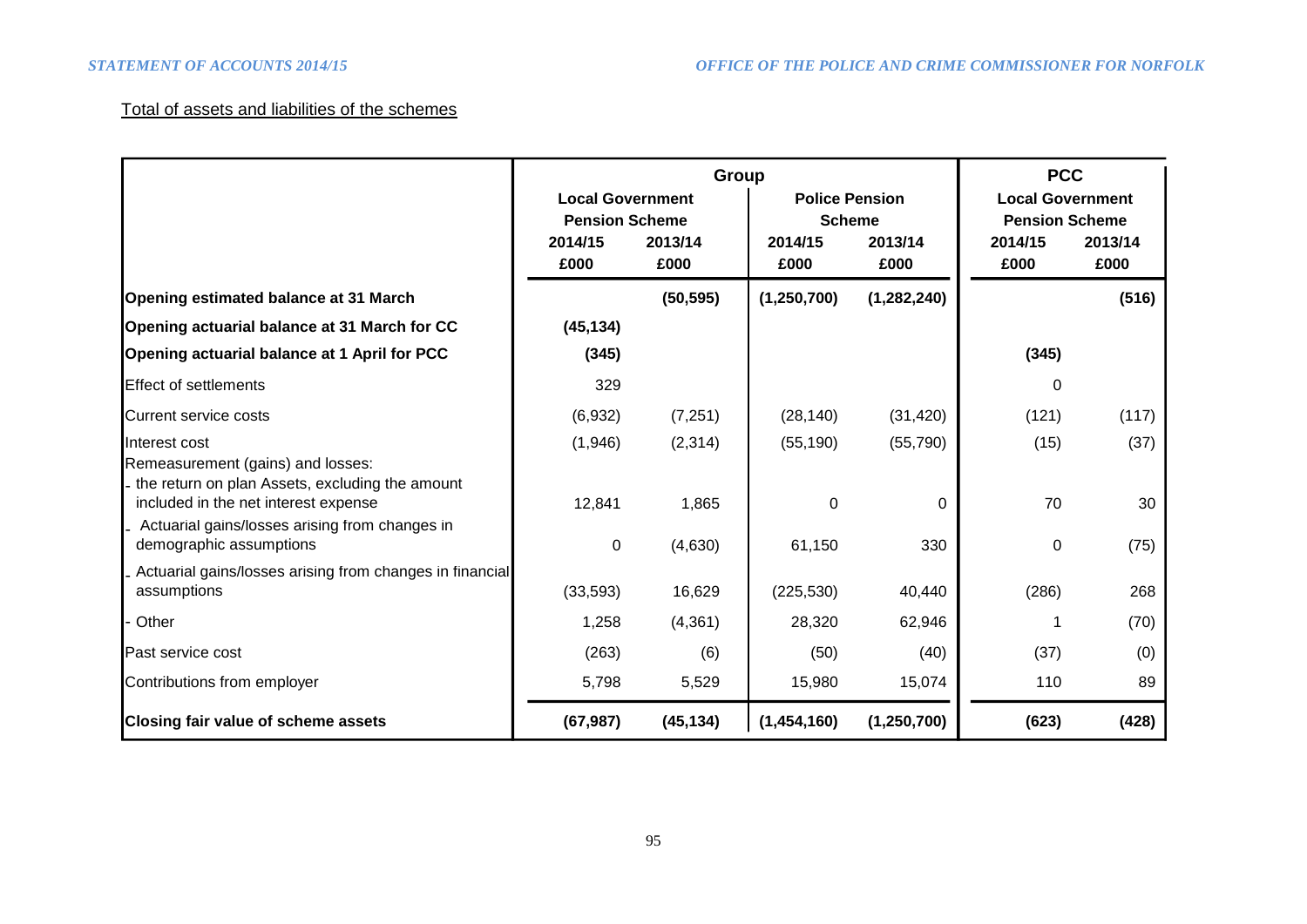# Total of assets and liabilities of the schemes

|                                                                                                                                                                                |                                                                     | Group           |                                                           | <b>PCC</b>      |                                                                     |                 |
|--------------------------------------------------------------------------------------------------------------------------------------------------------------------------------|---------------------------------------------------------------------|-----------------|-----------------------------------------------------------|-----------------|---------------------------------------------------------------------|-----------------|
|                                                                                                                                                                                | <b>Local Government</b><br><b>Pension Scheme</b><br>2014/15<br>£000 | 2013/14<br>£000 | <b>Police Pension</b><br><b>Scheme</b><br>2014/15<br>£000 | 2013/14<br>£000 | <b>Local Government</b><br><b>Pension Scheme</b><br>2014/15<br>£000 | 2013/14<br>£000 |
| Opening estimated balance at 31 March                                                                                                                                          |                                                                     | (50, 595)       | (1, 250, 700)                                             | (1, 282, 240)   |                                                                     | (516)           |
| Opening actuarial balance at 31 March for CC                                                                                                                                   | (45, 134)                                                           |                 |                                                           |                 |                                                                     |                 |
| Opening actuarial balance at 1 April for PCC                                                                                                                                   | (345)                                                               |                 |                                                           |                 | (345)                                                               |                 |
| <b>Effect of settlements</b>                                                                                                                                                   | 329                                                                 |                 |                                                           |                 | 0                                                                   |                 |
| Current service costs                                                                                                                                                          | (6,932)                                                             | (7,251)         | (28, 140)                                                 | (31, 420)       | (121)                                                               | (117)           |
| Interest cost                                                                                                                                                                  | (1,946)                                                             | (2,314)         | (55, 190)                                                 | (55, 790)       | (15)                                                                | (37)            |
| Remeasurement (gains) and losses:<br>the return on plan Assets, excluding the amount<br>included in the net interest expense<br>Actuarial gains/losses arising from changes in | 12,841                                                              | 1,865           | $\Omega$                                                  | 0               | 70                                                                  | 30              |
| demographic assumptions                                                                                                                                                        | $\pmb{0}$                                                           | (4,630)         | 61,150                                                    | 330             | 0                                                                   | (75)            |
| Actuarial gains/losses arising from changes in financial<br>assumptions                                                                                                        | (33,593)                                                            | 16,629          | (225, 530)                                                | 40,440          | (286)                                                               | 268             |
| Other                                                                                                                                                                          | 1,258                                                               | (4, 361)        | 28,320                                                    | 62,946          |                                                                     | (70)            |
| Past service cost                                                                                                                                                              | (263)                                                               | (6)             | (50)                                                      | (40)            | (37)                                                                | (0)             |
| Contributions from employer                                                                                                                                                    | 5,798                                                               | 5,529           | 15,980                                                    | 15,074          | 110                                                                 | 89              |
| <b>Closing fair value of scheme assets</b>                                                                                                                                     | (67, 987)                                                           | (45, 134)       | (1,454,160)                                               | (1, 250, 700)   | (623)                                                               | (428)           |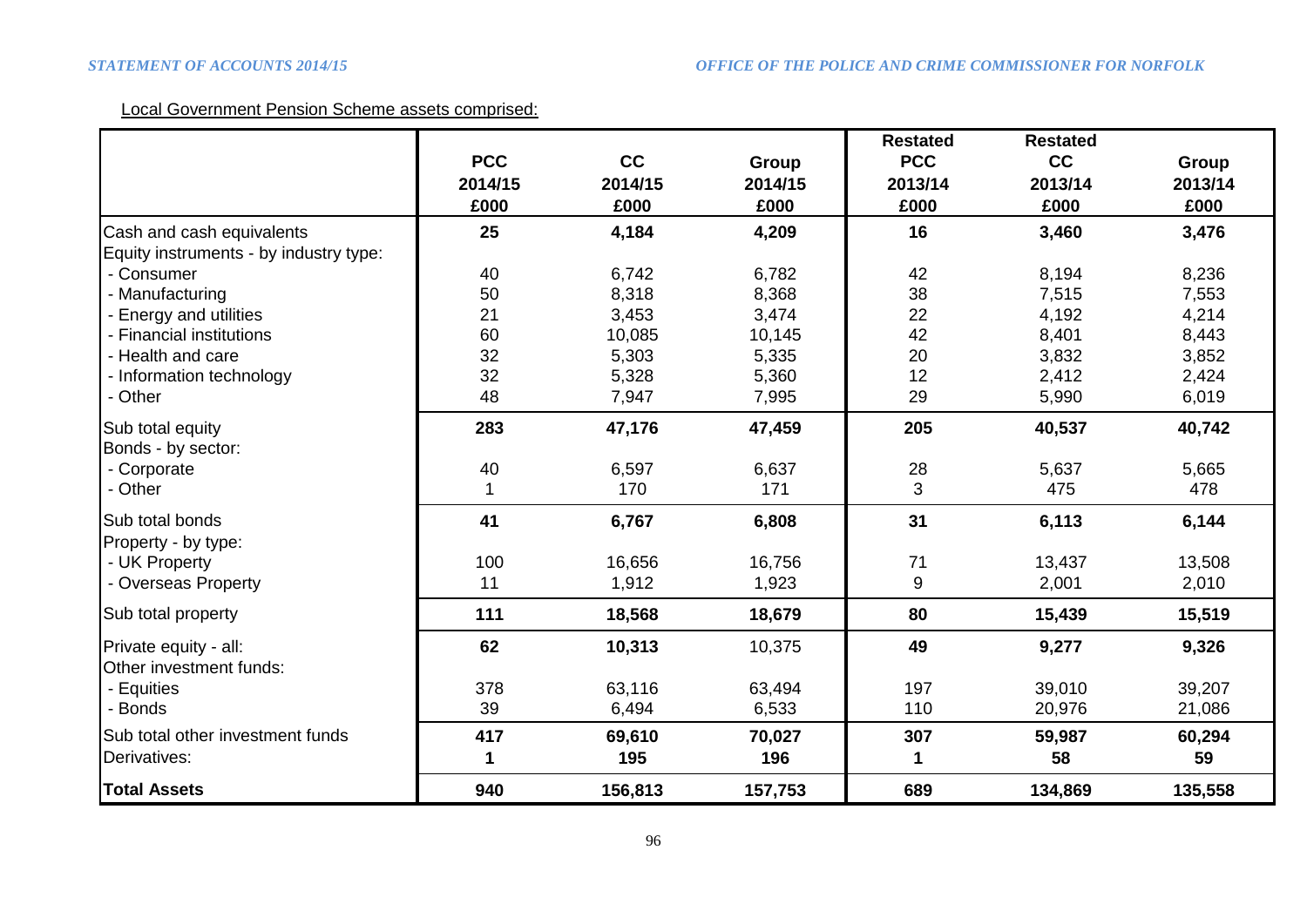# Local Government Pension Scheme assets comprised:

|                                        |            |         |         | <b>Restated</b> | <b>Restated</b> |         |
|----------------------------------------|------------|---------|---------|-----------------|-----------------|---------|
|                                        | <b>PCC</b> | cc      | Group   | <b>PCC</b>      | cc              | Group   |
|                                        | 2014/15    | 2014/15 | 2014/15 | 2013/14         | 2013/14         | 2013/14 |
|                                        | £000       | £000    | £000    | £000            | £000            | £000    |
| Cash and cash equivalents              | 25         | 4,184   | 4,209   | 16              | 3,460           | 3,476   |
| Equity instruments - by industry type: |            |         |         |                 |                 |         |
| - Consumer                             | 40         | 6,742   | 6,782   | 42              | 8,194           | 8,236   |
| - Manufacturing                        | 50         | 8,318   | 8,368   | 38              | 7,515           | 7,553   |
| - Energy and utilities                 | 21         | 3,453   | 3,474   | 22              | 4,192           | 4,214   |
| - Financial institutions               | 60         | 10,085  | 10,145  | 42              | 8,401           | 8,443   |
| - Health and care                      | 32         | 5,303   | 5,335   | 20              | 3,832           | 3,852   |
| - Information technology               | 32         | 5,328   | 5,360   | 12              | 2,412           | 2,424   |
| - Other                                | 48         | 7,947   | 7,995   | 29              | 5,990           | 6,019   |
| Sub total equity                       | 283        | 47,176  | 47,459  | 205             | 40,537          | 40,742  |
| Bonds - by sector:                     |            |         |         |                 |                 |         |
| - Corporate                            | 40         | 6,597   | 6,637   | 28              | 5,637           | 5,665   |
| - Other                                | 1          | 170     | 171     | 3               | 475             | 478     |
| Sub total bonds                        | 41         | 6,767   | 6,808   | 31              | 6,113           | 6,144   |
| Property - by type:                    |            |         |         |                 |                 |         |
| - UK Property                          | 100        | 16,656  | 16,756  | 71              | 13,437          | 13,508  |
| - Overseas Property                    | 11         | 1,912   | 1,923   | 9               | 2,001           | 2,010   |
| Sub total property                     | 111        | 18,568  | 18,679  | 80              | 15,439          | 15,519  |
| Private equity - all:                  | 62         | 10,313  | 10,375  | 49              | 9,277           | 9,326   |
| <b>Other investment funds:</b>         |            |         |         |                 |                 |         |
| - Equities                             | 378        | 63,116  | 63,494  | 197             | 39,010          | 39,207  |
| - Bonds                                | 39         | 6,494   | 6,533   | 110             | 20,976          | 21,086  |
| Sub total other investment funds       | 417        | 69,610  | 70,027  | 307             | 59,987          | 60,294  |
| Derivatives:                           | 1          | 195     | 196     | 1               | 58              | 59      |
| <b>Total Assets</b>                    | 940        | 156,813 | 157,753 | 689             | 134,869         | 135,558 |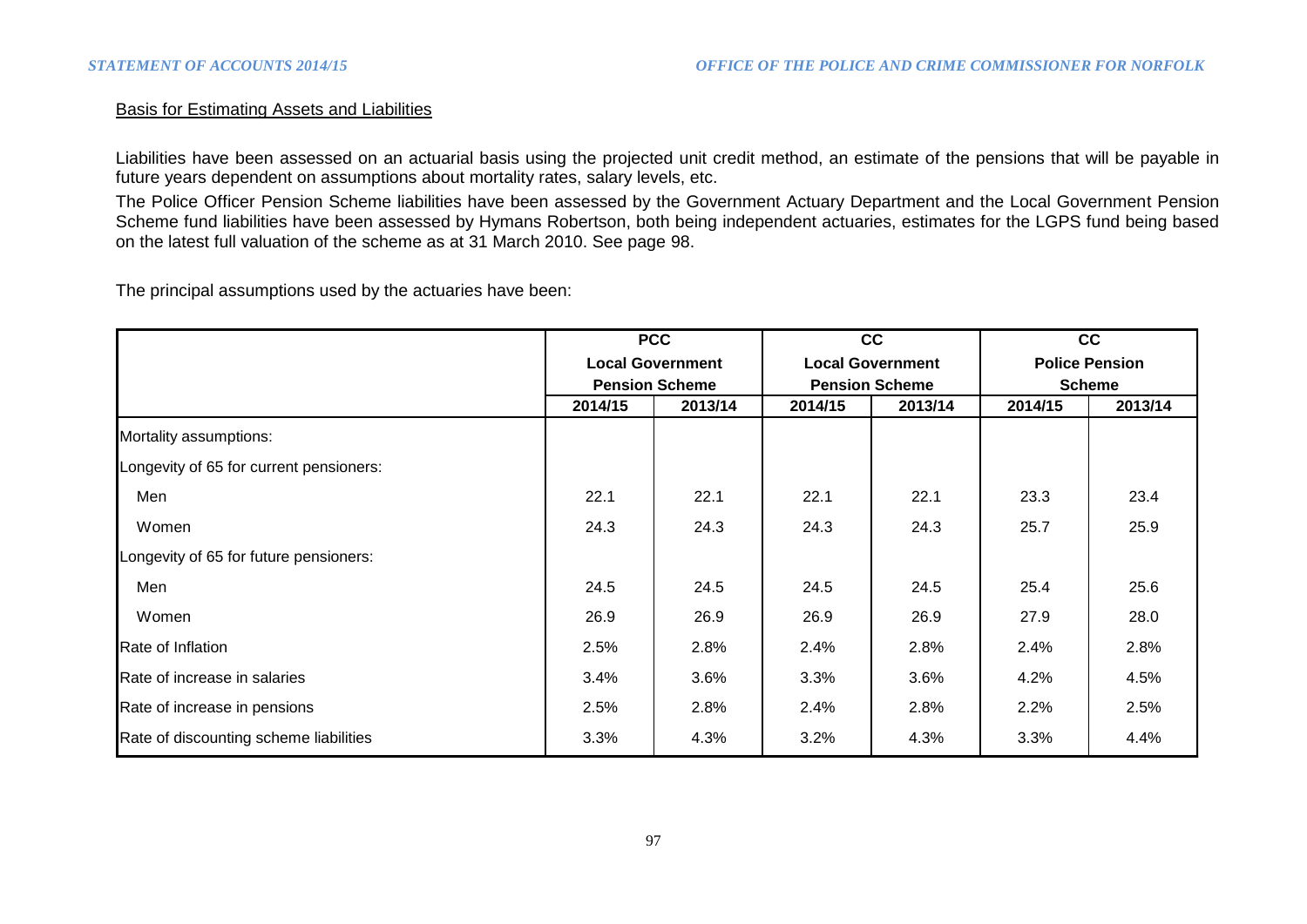#### Basis for Estimating Assets and Liabilities

Liabilities have been assessed on an actuarial basis using the projected unit credit method, an estimate of the pensions that will be payable in future years dependent on assumptions about mortality rates, salary levels, etc.

The Police Officer Pension Scheme liabilities have been assessed by the Government Actuary Department and the Local Government Pension Scheme fund liabilities have been assessed by Hymans Robertson, both being independent actuaries, estimates for the LGPS fund being based on the latest full valuation of the scheme as at 31 March 2010. See page 98.

The principal assumptions used by the actuaries have been:

|                                         | <b>PCC</b> |                         |                       | cc                      |                       | cc      |  |
|-----------------------------------------|------------|-------------------------|-----------------------|-------------------------|-----------------------|---------|--|
|                                         |            | <b>Local Government</b> |                       | <b>Local Government</b> | <b>Police Pension</b> |         |  |
|                                         |            | <b>Pension Scheme</b>   | <b>Pension Scheme</b> |                         | <b>Scheme</b>         |         |  |
|                                         | 2014/15    | 2013/14                 | 2014/15               | 2013/14                 | 2014/15               | 2013/14 |  |
| Mortality assumptions:                  |            |                         |                       |                         |                       |         |  |
| Longevity of 65 for current pensioners: |            |                         |                       |                         |                       |         |  |
| Men                                     | 22.1       | 22.1                    | 22.1                  | 22.1                    | 23.3                  | 23.4    |  |
| Women                                   | 24.3       | 24.3                    | 24.3                  | 24.3                    | 25.7                  | 25.9    |  |
| Longevity of 65 for future pensioners:  |            |                         |                       |                         |                       |         |  |
| Men                                     | 24.5       | 24.5                    | 24.5                  | 24.5                    | 25.4                  | 25.6    |  |
| Women                                   | 26.9       | 26.9                    | 26.9                  | 26.9                    | 27.9                  | 28.0    |  |
| Rate of Inflation                       | 2.5%       | 2.8%                    | 2.4%                  | 2.8%                    | 2.4%                  | 2.8%    |  |
| Rate of increase in salaries            | 3.4%       | 3.6%                    | 3.3%                  | 3.6%                    | 4.2%                  | 4.5%    |  |
| Rate of increase in pensions            | 2.5%       | 2.8%                    | 2.4%                  | 2.8%                    | 2.2%                  | 2.5%    |  |
| Rate of discounting scheme liabilities  | 3.3%       | 4.3%                    | 3.2%                  | 4.3%                    | 3.3%                  | 4.4%    |  |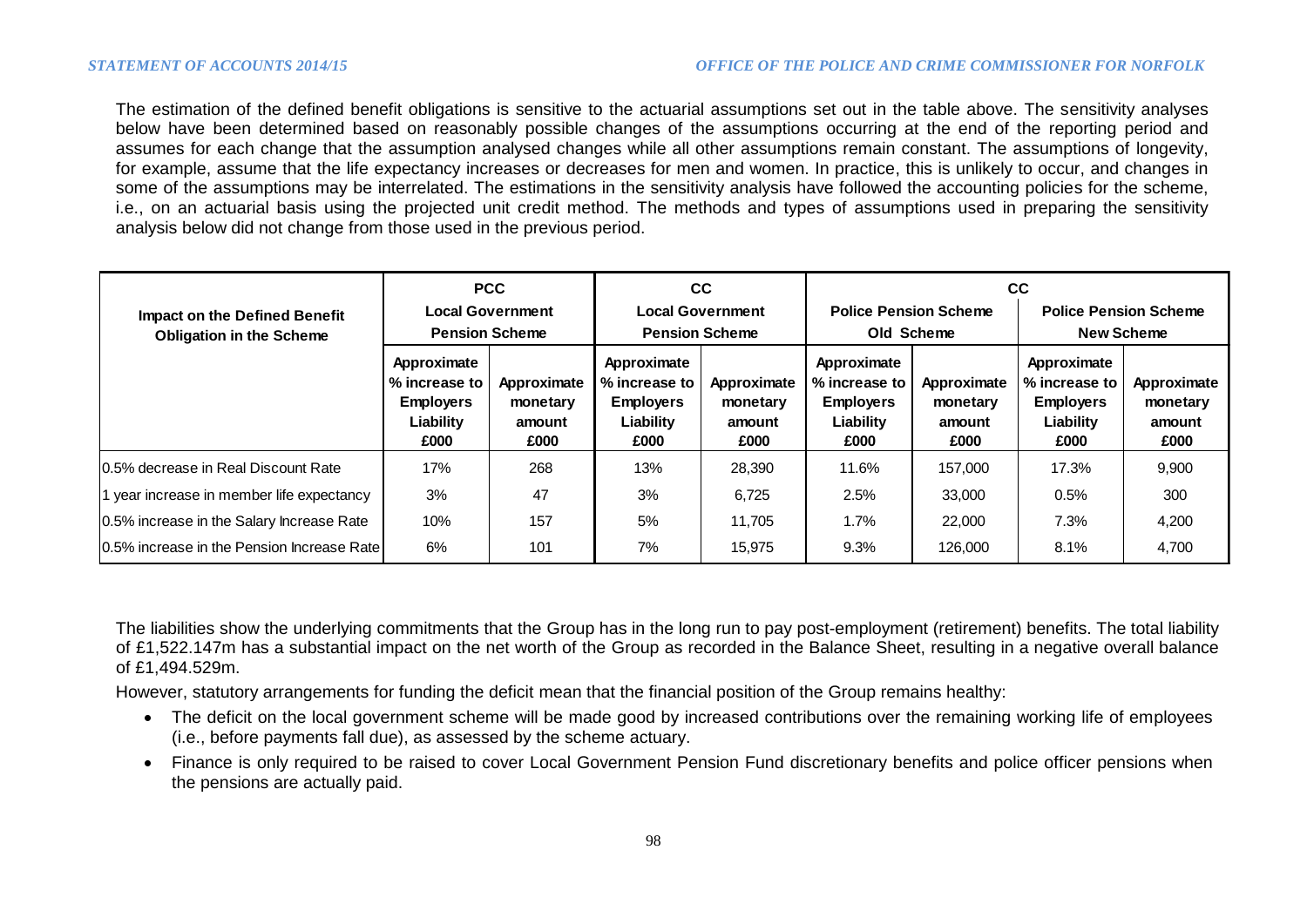The estimation of the defined benefit obligations is sensitive to the actuarial assumptions set out in the table above. The sensitivity analyses below have been determined based on reasonably possible changes of the assumptions occurring at the end of the reporting period and assumes for each change that the assumption analysed changes while all other assumptions remain constant. The assumptions of longevity, for example, assume that the life expectancy increases or decreases for men and women. In practice, this is unlikely to occur, and changes in some of the assumptions may be interrelated. The estimations in the sensitivity analysis have followed the accounting policies for the scheme, i.e., on an actuarial basis using the projected unit credit method. The methods and types of assumptions used in preparing the sensitivity analysis below did not change from those used in the previous period.

|                                             |                                                                       | <b>PCC</b>                                |                                                                       | CC.                                       | <b>CC</b>                                                             |                                           |                                                                       |                                           |
|---------------------------------------------|-----------------------------------------------------------------------|-------------------------------------------|-----------------------------------------------------------------------|-------------------------------------------|-----------------------------------------------------------------------|-------------------------------------------|-----------------------------------------------------------------------|-------------------------------------------|
| <b>Impact on the Defined Benefit</b>        |                                                                       | <b>Local Government</b>                   |                                                                       | <b>Local Government</b>                   | <b>Police Pension Scheme</b>                                          |                                           | <b>Police Pension Scheme</b>                                          |                                           |
| <b>Obligation in the Scheme</b>             | <b>Pension Scheme</b>                                                 |                                           | <b>Pension Scheme</b>                                                 |                                           | Old Scheme                                                            |                                           | <b>New Scheme</b>                                                     |                                           |
|                                             | Approximate<br>% increase to<br><b>Employers</b><br>Liability<br>£000 | Approximate<br>monetary<br>amount<br>£000 | Approximate<br>% increase to<br><b>Employers</b><br>Liability<br>£000 | Approximate<br>monetary<br>amount<br>£000 | Approximate<br>% increase to<br><b>Employers</b><br>Liability<br>£000 | Approximate<br>monetary<br>amount<br>£000 | Approximate<br>% increase to<br><b>Employers</b><br>Liability<br>£000 | Approximate<br>monetary<br>amount<br>£000 |
| 10.5% decrease in Real Discount Rate        | 17%                                                                   | 268                                       | 13%                                                                   | 28,390                                    | 11.6%                                                                 | 157,000                                   | 17.3%                                                                 | 9,900                                     |
| 1 year increase in member life expectancy   | 3%                                                                    | 47                                        | 3%                                                                    | 6,725                                     | 2.5%                                                                  | 33,000                                    | 0.5%                                                                  | 300                                       |
| 0.5% increase in the Salary Increase Rate   | 10%                                                                   | 157                                       | 5%                                                                    | 11.705                                    | $1.7\%$                                                               | 22,000                                    | 7.3%                                                                  | 4,200                                     |
| 10.5% increase in the Pension Increase Rate | 6%                                                                    | 101                                       | 7%                                                                    | 15,975                                    | 9.3%                                                                  | 126,000                                   | 8.1%                                                                  | 4,700                                     |

The liabilities show the underlying commitments that the Group has in the long run to pay post-employment (retirement) benefits. The total liability of £1,522.147m has a substantial impact on the net worth of the Group as recorded in the Balance Sheet, resulting in a negative overall balance of £1,494.529m.

However, statutory arrangements for funding the deficit mean that the financial position of the Group remains healthy:

- The deficit on the local government scheme will be made good by increased contributions over the remaining working life of employees (i.e., before payments fall due), as assessed by the scheme actuary.
- Finance is only required to be raised to cover Local Government Pension Fund discretionary benefits and police officer pensions when the pensions are actually paid.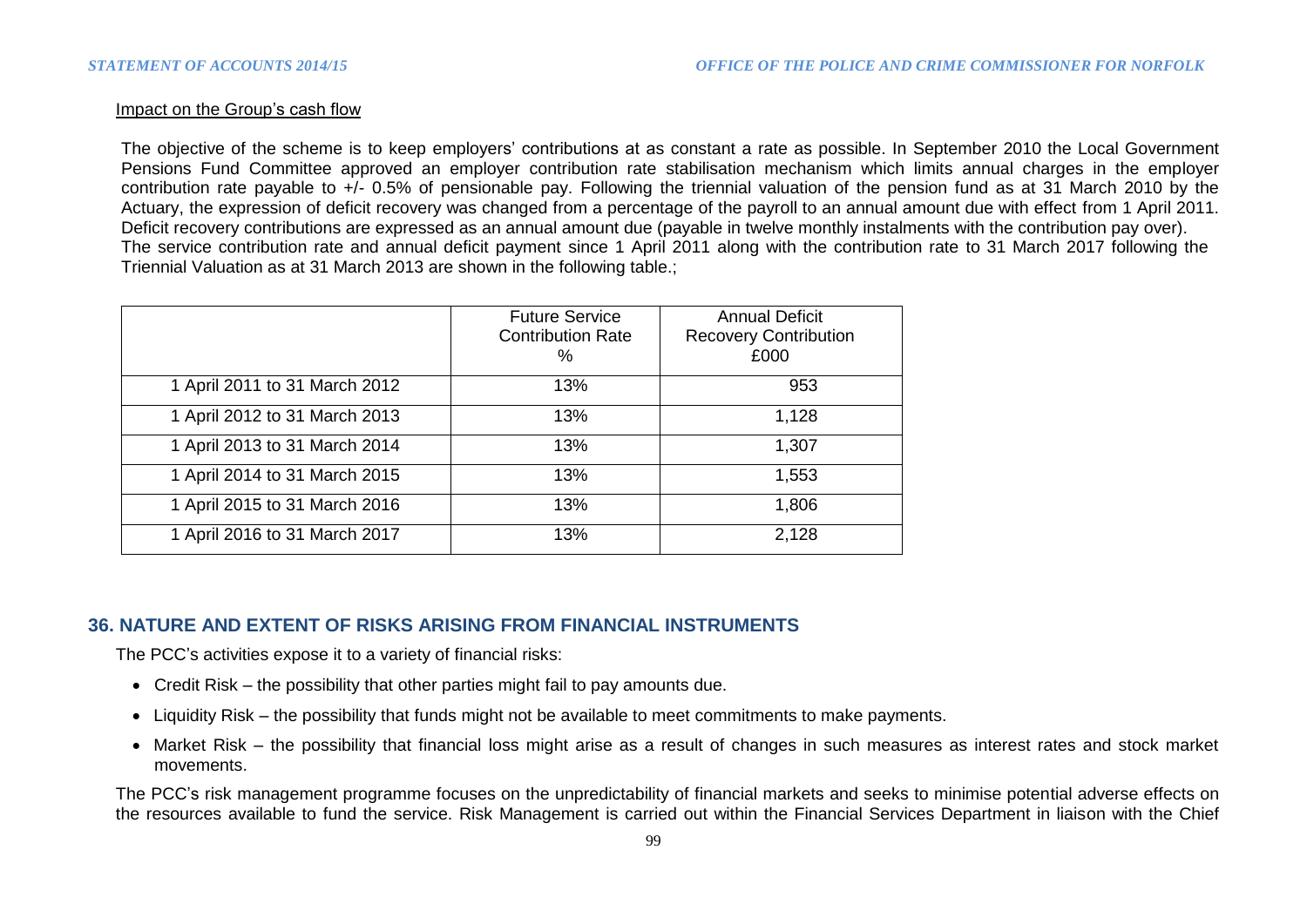#### Impact on the Group's cash flow

The objective of the scheme is to keep employers' contributions at as constant a rate as possible. In September 2010 the Local Government Pensions Fund Committee approved an employer contribution rate stabilisation mechanism which limits annual charges in the employer contribution rate payable to +/- 0.5% of pensionable pay. Following the triennial valuation of the pension fund as at 31 March 2010 by the Actuary, the expression of deficit recovery was changed from a percentage of the payroll to an annual amount due with effect from 1 April 2011. Deficit recovery contributions are expressed as an annual amount due (payable in twelve monthly instalments with the contribution pay over). The service contribution rate and annual deficit payment since 1 April 2011 along with the contribution rate to 31 March 2017 following the Triennial Valuation as at 31 March 2013 are shown in the following table.;

|                               | <b>Future Service</b><br><b>Contribution Rate</b><br>$\%$ | <b>Annual Deficit</b><br><b>Recovery Contribution</b><br>£000 |
|-------------------------------|-----------------------------------------------------------|---------------------------------------------------------------|
| 1 April 2011 to 31 March 2012 | 13%                                                       | 953                                                           |
| 1 April 2012 to 31 March 2013 | 13%                                                       | 1,128                                                         |
| 1 April 2013 to 31 March 2014 | 13%                                                       | 1,307                                                         |
| 1 April 2014 to 31 March 2015 | 13%                                                       | 1,553                                                         |
| 1 April 2015 to 31 March 2016 | 13%                                                       | 1,806                                                         |
| 1 April 2016 to 31 March 2017 | 13%                                                       | 2,128                                                         |

# **36. NATURE AND EXTENT OF RISKS ARISING FROM FINANCIAL INSTRUMENTS**

The PCC's activities expose it to a variety of financial risks:

- Credit Risk the possibility that other parties might fail to pay amounts due.
- Liquidity Risk the possibility that funds might not be available to meet commitments to make payments.
- Market Risk the possibility that financial loss might arise as a result of changes in such measures as interest rates and stock market movements.

The PCC's risk management programme focuses on the unpredictability of financial markets and seeks to minimise potential adverse effects on the resources available to fund the service. Risk Management is carried out within the Financial Services Department in liaison with the Chief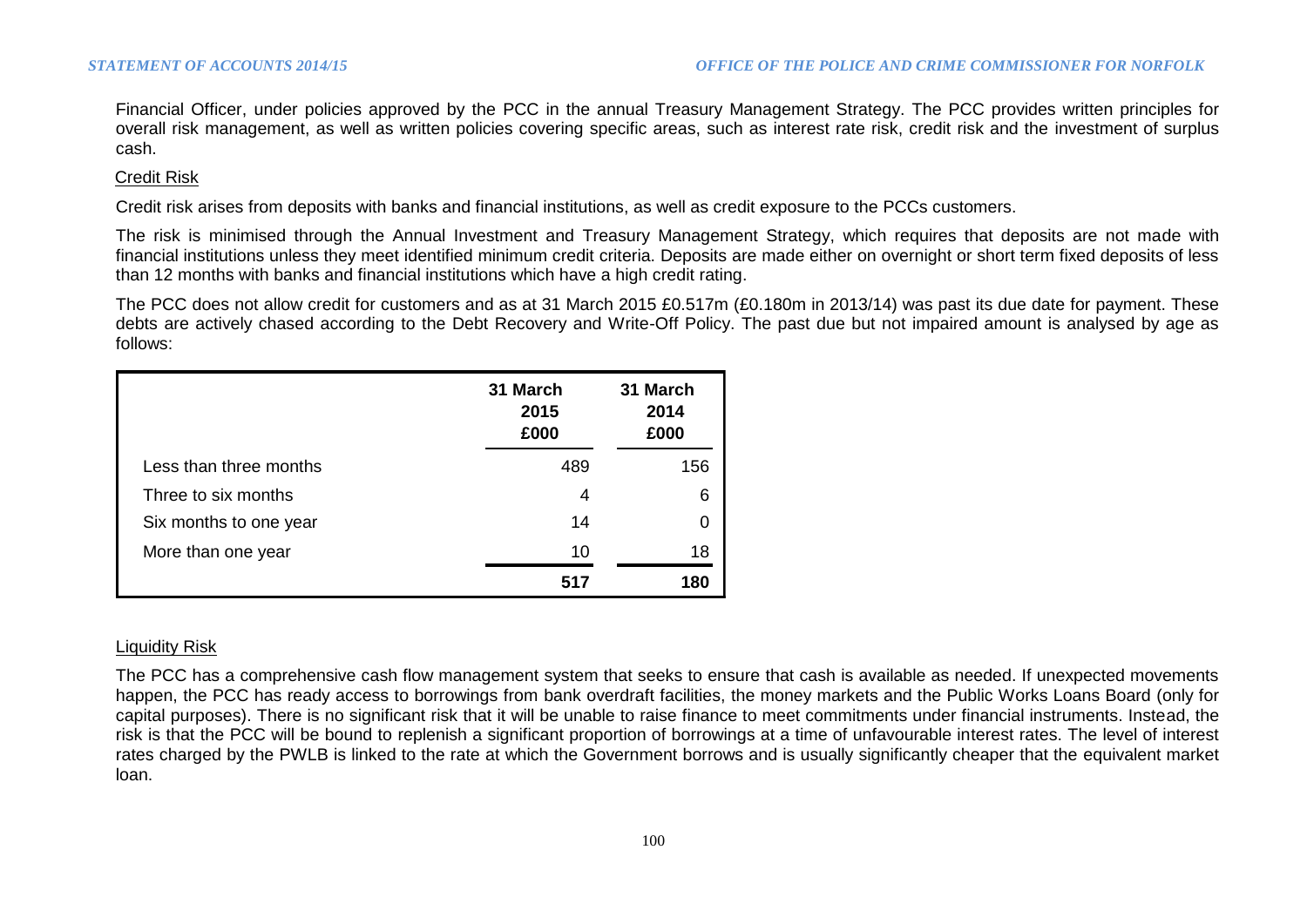Financial Officer, under policies approved by the PCC in the annual Treasury Management Strategy. The PCC provides written principles for overall risk management, as well as written policies covering specific areas, such as interest rate risk, credit risk and the investment of surplus cash.

#### Credit Risk

Credit risk arises from deposits with banks and financial institutions, as well as credit exposure to the PCCs customers.

The risk is minimised through the Annual Investment and Treasury Management Strategy, which requires that deposits are not made with financial institutions unless they meet identified minimum credit criteria. Deposits are made either on overnight or short term fixed deposits of less than 12 months with banks and financial institutions which have a high credit rating.

The PCC does not allow credit for customers and as at 31 March 2015 £0.517m (£0.180m in 2013/14) was past its due date for payment. These debts are actively chased according to the Debt Recovery and Write-Off Policy. The past due but not impaired amount is analysed by age as follows:

|                        | 31 March<br>2015<br>£000 | 31 March<br>2014<br>£000 |
|------------------------|--------------------------|--------------------------|
| Less than three months | 489                      | 156                      |
| Three to six months    | 4                        | 6                        |
| Six months to one year | 14                       | 0                        |
| More than one year     | 10                       | 18                       |
|                        | 517                      | 180                      |

#### Liquidity Risk

The PCC has a comprehensive cash flow management system that seeks to ensure that cash is available as needed. If unexpected movements happen, the PCC has ready access to borrowings from bank overdraft facilities, the money markets and the Public Works Loans Board (only for capital purposes). There is no significant risk that it will be unable to raise finance to meet commitments under financial instruments. Instead, the risk is that the PCC will be bound to replenish a significant proportion of borrowings at a time of unfavourable interest rates. The level of interest rates charged by the PWLB is linked to the rate at which the Government borrows and is usually significantly cheaper that the equivalent market loan.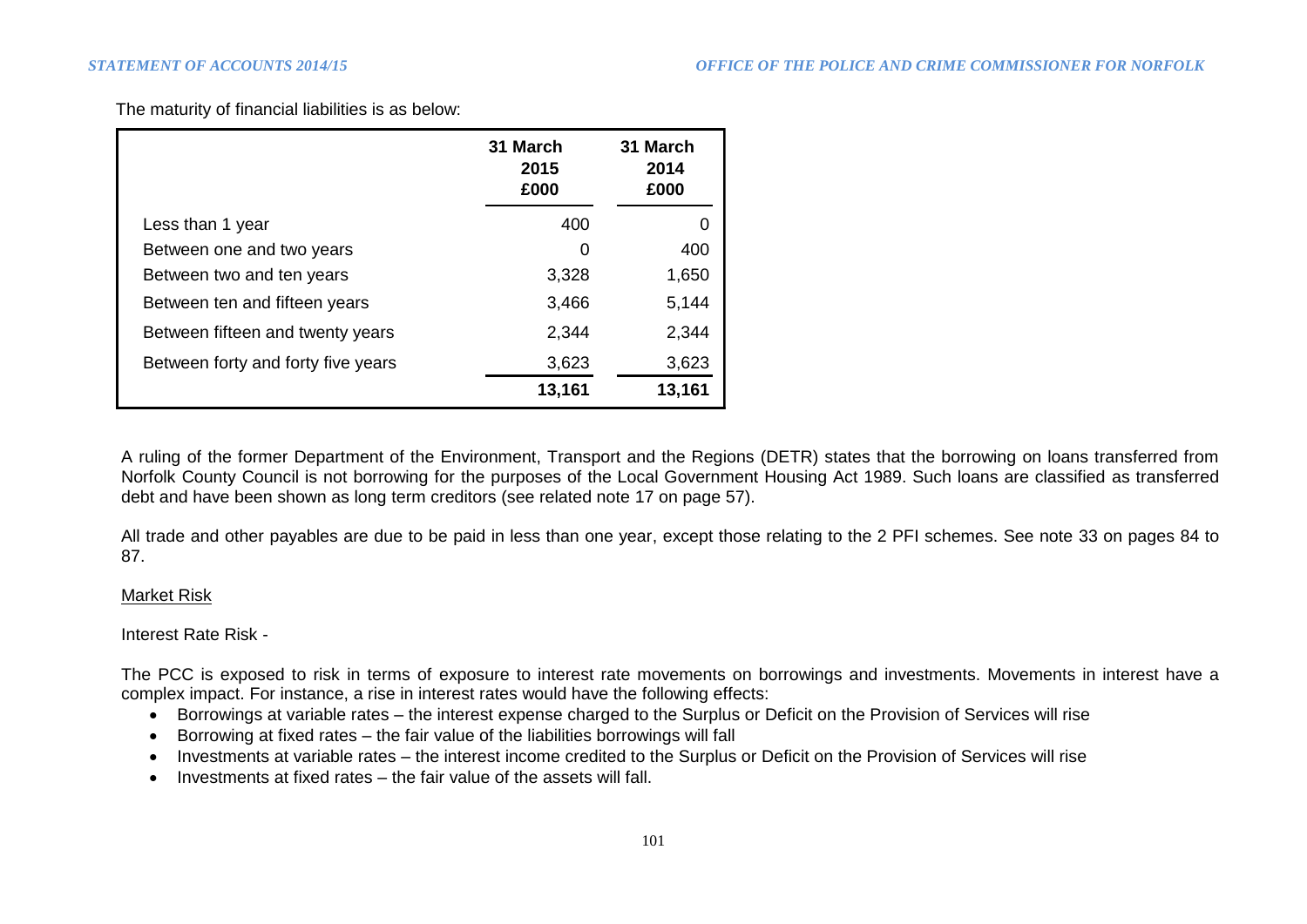The maturity of financial liabilities is as below:

|                                    | 31 March<br>2015<br>£000 | 31 March<br>2014<br>£000 |
|------------------------------------|--------------------------|--------------------------|
| Less than 1 year                   | 400                      | O                        |
| Between one and two years          | 0                        | 400                      |
| Between two and ten years          | 3,328                    | 1,650                    |
| Between ten and fifteen years      | 3,466                    | 5,144                    |
| Between fifteen and twenty years   | 2,344                    | 2,344                    |
| Between forty and forty five years | 3,623                    | 3,623                    |
|                                    | 13,161                   | 13,161                   |

A ruling of the former Department of the Environment, Transport and the Regions (DETR) states that the borrowing on loans transferred from Norfolk County Council is not borrowing for the purposes of the Local Government Housing Act 1989. Such loans are classified as transferred debt and have been shown as long term creditors (see related note 17 on page 57).

All trade and other payables are due to be paid in less than one year, except those relating to the 2 PFI schemes. See note 33 on pages 84 to 87.

#### Market Risk

Interest Rate Risk -

The PCC is exposed to risk in terms of exposure to interest rate movements on borrowings and investments. Movements in interest have a complex impact. For instance, a rise in interest rates would have the following effects:

- Borrowings at variable rates the interest expense charged to the Surplus or Deficit on the Provision of Services will rise
- Borrowing at fixed rates the fair value of the liabilities borrowings will fall
- Investments at variable rates the interest income credited to the Surplus or Deficit on the Provision of Services will rise
- $\bullet$  Investments at fixed rates  $-$  the fair value of the assets will fall.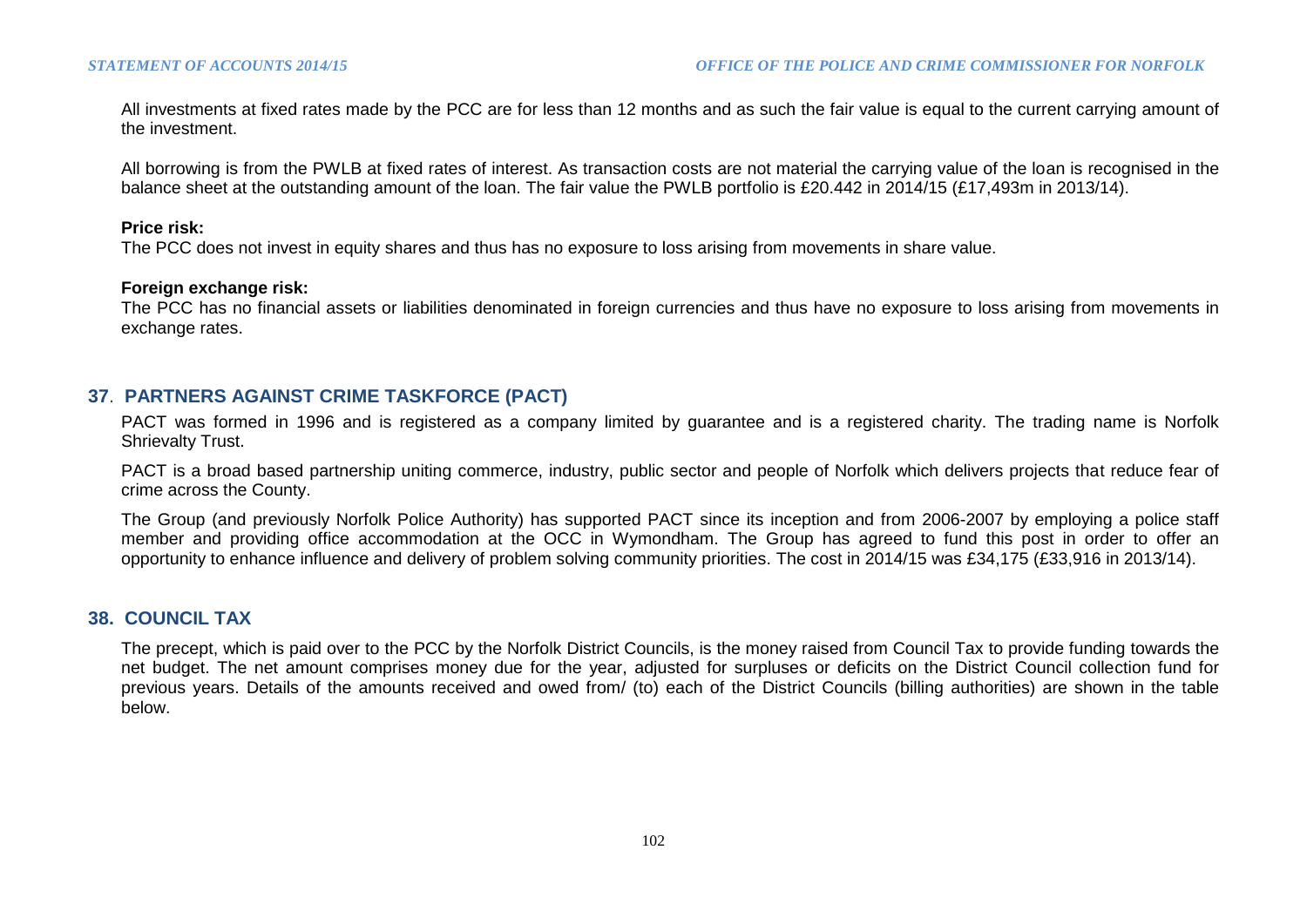All investments at fixed rates made by the PCC are for less than 12 months and as such the fair value is equal to the current carrying amount of the investment.

All borrowing is from the PWLB at fixed rates of interest. As transaction costs are not material the carrying value of the loan is recognised in the balance sheet at the outstanding amount of the loan. The fair value the PWLB portfolio is £20.442 in 2014/15 (£17,493m in 2013/14).

#### **Price risk:**

The PCC does not invest in equity shares and thus has no exposure to loss arising from movements in share value.

#### **Foreign exchange risk:**

The PCC has no financial assets or liabilities denominated in foreign currencies and thus have no exposure to loss arising from movements in exchange rates.

#### **37**. **PARTNERS AGAINST CRIME TASKFORCE (PACT)**

PACT was formed in 1996 and is registered as a company limited by guarantee and is a registered charity. The trading name is Norfolk Shrievalty Trust.

PACT is a broad based partnership uniting commerce, industry, public sector and people of Norfolk which delivers projects that reduce fear of crime across the County.

The Group (and previously Norfolk Police Authority) has supported PACT since its inception and from 2006-2007 by employing a police staff member and providing office accommodation at the OCC in Wymondham. The Group has agreed to fund this post in order to offer an opportunity to enhance influence and delivery of problem solving community priorities. The cost in 2014/15 was £34,175 (£33,916 in 2013/14).

#### **38. COUNCIL TAX**

The precept, which is paid over to the PCC by the Norfolk District Councils, is the money raised from Council Tax to provide funding towards the net budget. The net amount comprises money due for the year, adjusted for surpluses or deficits on the District Council collection fund for previous years. Details of the amounts received and owed from/ (to) each of the District Councils (billing authorities) are shown in the table below.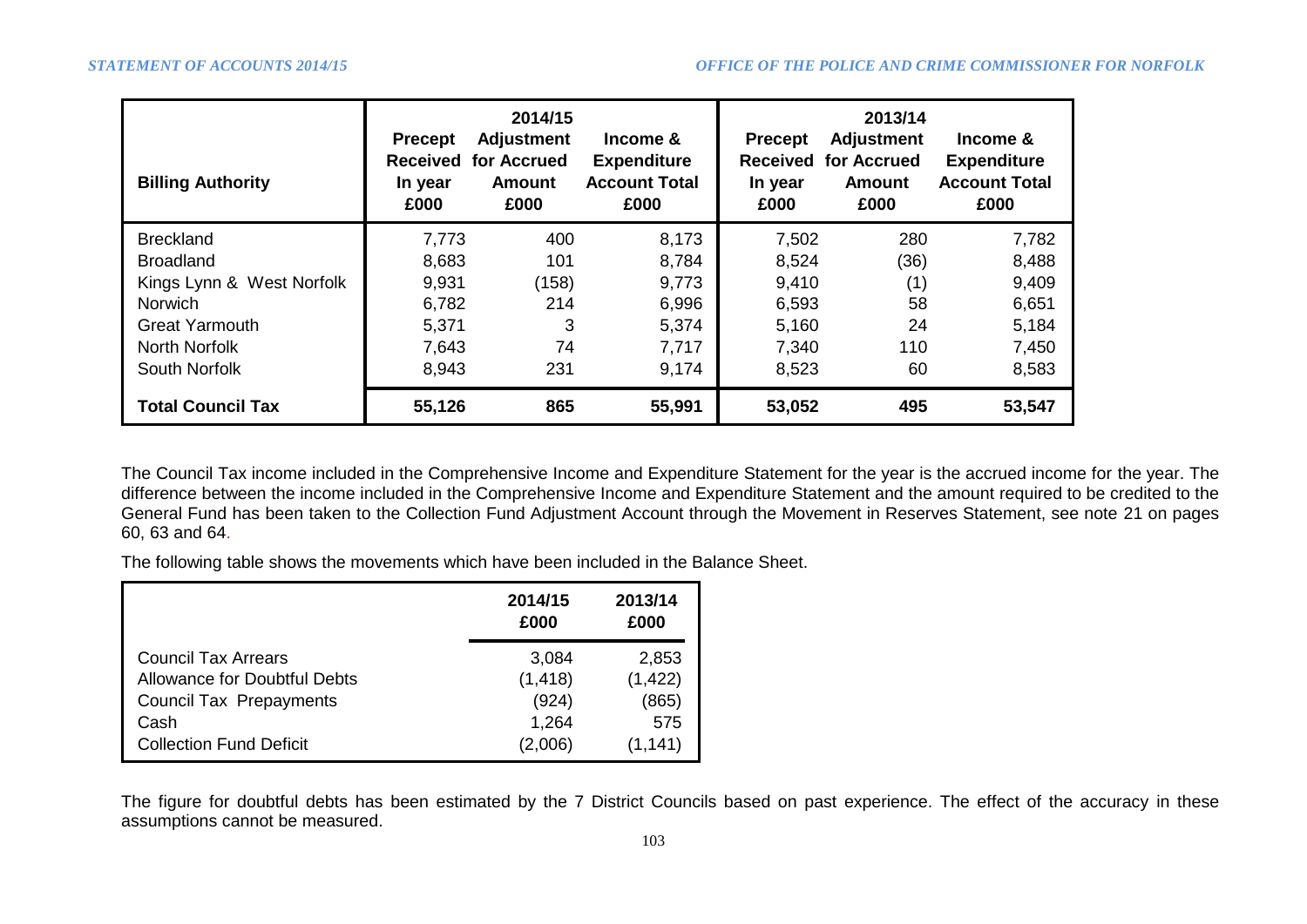| <b>Billing Authority</b>  | <b>Precept</b><br><b>Received</b><br>In year<br>£000 | 2014/15<br><b>Adjustment</b><br>for Accrued<br><b>Amount</b><br>£000 | Income &<br><b>Expenditure</b><br><b>Account Total</b><br>£000 | <b>Precept</b><br><b>Received</b><br>In year<br>£000 | 2013/14<br><b>Adjustment</b><br>for Accrued<br>Amount<br>£000 | Income &<br><b>Expenditure</b><br><b>Account Total</b><br>£000 |
|---------------------------|------------------------------------------------------|----------------------------------------------------------------------|----------------------------------------------------------------|------------------------------------------------------|---------------------------------------------------------------|----------------------------------------------------------------|
| <b>Breckland</b>          | 7,773                                                | 400                                                                  | 8,173                                                          | 7,502                                                | 280                                                           | 7,782                                                          |
| <b>Broadland</b>          | 8,683                                                | 101                                                                  | 8,784                                                          | 8,524                                                | (36)                                                          | 8,488                                                          |
| Kings Lynn & West Norfolk | 9,931                                                | (158)                                                                | 9,773                                                          | 9,410                                                | (1)                                                           | 9,409                                                          |
| <b>Norwich</b>            | 6,782                                                | 214                                                                  | 6,996                                                          | 6,593                                                | 58                                                            | 6,651                                                          |
| <b>Great Yarmouth</b>     | 5,371                                                | 3                                                                    | 5,374                                                          | 5,160                                                | 24                                                            | 5,184                                                          |
| North Norfolk             | 7,643                                                | 74                                                                   | 7,717                                                          | 7,340                                                | 110                                                           | 7,450                                                          |
| South Norfolk             | 8,943                                                | 231                                                                  | 9,174                                                          | 8,523                                                | 60                                                            | 8,583                                                          |
| <b>Total Council Tax</b>  | 55,126                                               | 865                                                                  | 55,991                                                         | 53,052                                               | 495                                                           | 53,547                                                         |

The Council Tax income included in the Comprehensive Income and Expenditure Statement for the year is the accrued income for the year. The difference between the income included in the Comprehensive Income and Expenditure Statement and the amount required to be credited to the General Fund has been taken to the Collection Fund Adjustment Account through the Movement in Reserves Statement, see note 21 on pages 60, 63 and 64.

The following table shows the movements which have been included in the Balance Sheet.

|                                     | 2014/15<br>£000 | 2013/14<br>£000 |
|-------------------------------------|-----------------|-----------------|
| <b>Council Tax Arrears</b>          | 3,084           | 2,853           |
| <b>Allowance for Doubtful Debts</b> | (1, 418)        | (1, 422)        |
| <b>Council Tax Prepayments</b>      | (924)           | (865)           |
| Cash                                | 1,264           | 575             |
| <b>Collection Fund Deficit</b>      | (2,006)         | (1,141          |

The figure for doubtful debts has been estimated by the 7 District Councils based on past experience. The effect of the accuracy in these assumptions cannot be measured.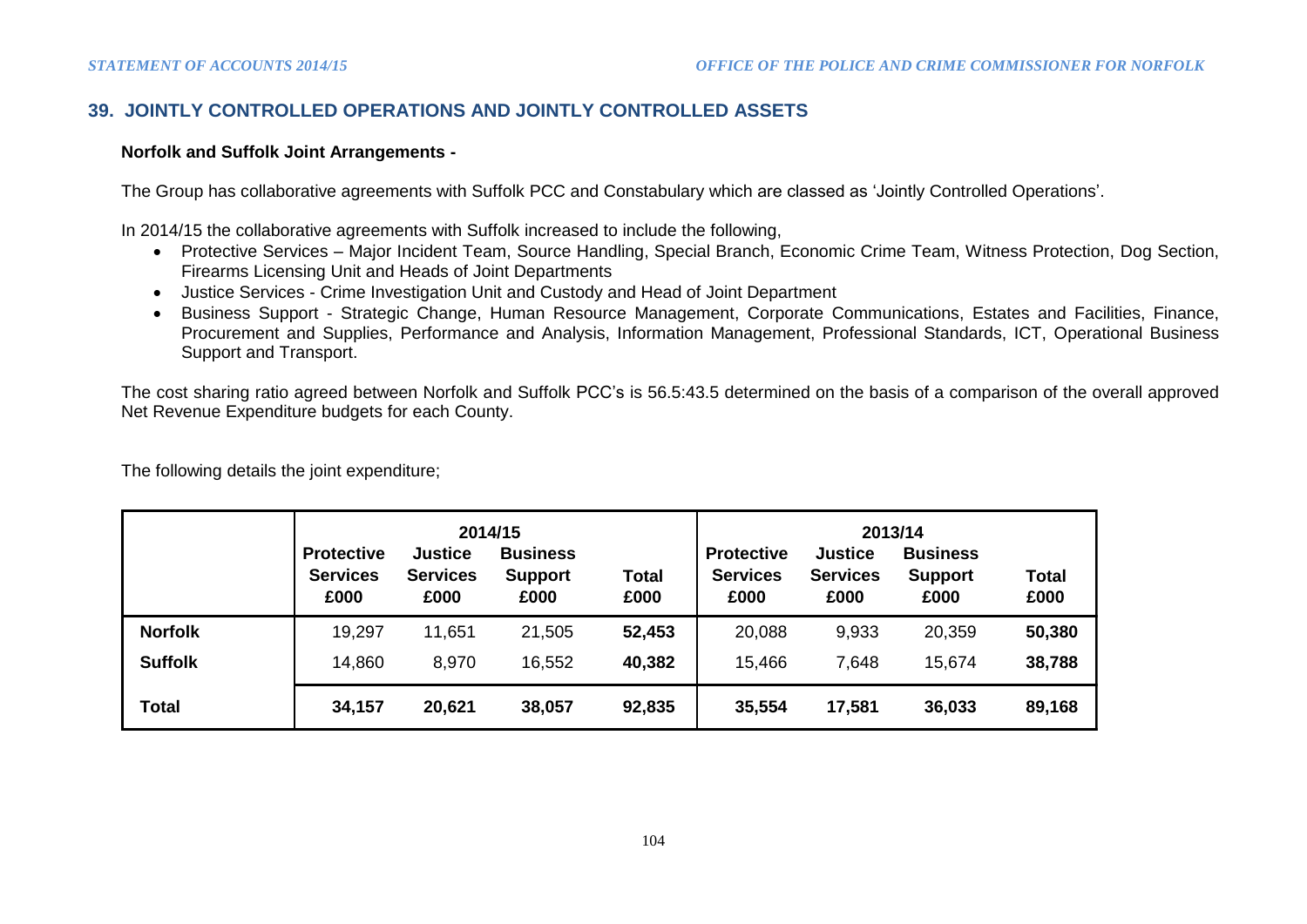# **39. JOINTLY CONTROLLED OPERATIONS AND JOINTLY CONTROLLED ASSETS**

#### **Norfolk and Suffolk Joint Arrangements -**

The Group has collaborative agreements with Suffolk PCC and Constabulary which are classed as 'Jointly Controlled Operations'.

In 2014/15 the collaborative agreements with Suffolk increased to include the following,

- Protective Services Major Incident Team, Source Handling, Special Branch, Economic Crime Team, Witness Protection, Dog Section, Firearms Licensing Unit and Heads of Joint Departments
- Justice Services Crime Investigation Unit and Custody and Head of Joint Department
- Business Support Strategic Change, Human Resource Management, Corporate Communications, Estates and Facilities, Finance, Procurement and Supplies, Performance and Analysis, Information Management, Professional Standards, ICT, Operational Business Support and Transport.

The cost sharing ratio agreed between Norfolk and Suffolk PCC's is 56.5:43.5 determined on the basis of a comparison of the overall approved Net Revenue Expenditure budgets for each County.

|                | <b>Protective</b><br><b>Services</b><br>£000 | <b>Justice</b><br><b>Services</b><br>£000 | 2014/15<br><b>Business</b><br><b>Support</b><br>£000 | <b>Total</b><br>£000 | <b>Protective</b><br><b>Services</b><br>£000 | <b>Justice</b><br><b>Services</b><br>£000 | 2013/14<br><b>Business</b><br><b>Support</b><br>£000 | <b>Total</b><br>£000 |
|----------------|----------------------------------------------|-------------------------------------------|------------------------------------------------------|----------------------|----------------------------------------------|-------------------------------------------|------------------------------------------------------|----------------------|
| <b>Norfolk</b> | 19,297                                       | 11,651                                    | 21,505                                               | 52,453               | 20,088                                       | 9,933                                     | 20,359                                               | 50,380               |
| <b>Suffolk</b> | 14,860                                       | 8,970                                     | 16,552                                               | 40,382               | 15,466                                       | 7,648                                     | 15,674                                               | 38,788               |
| <b>Total</b>   | 34,157                                       | 20,621                                    | 38,057                                               | 92,835               | 35,554                                       | 17,581                                    | 36,033                                               | 89,168               |

The following details the joint expenditure;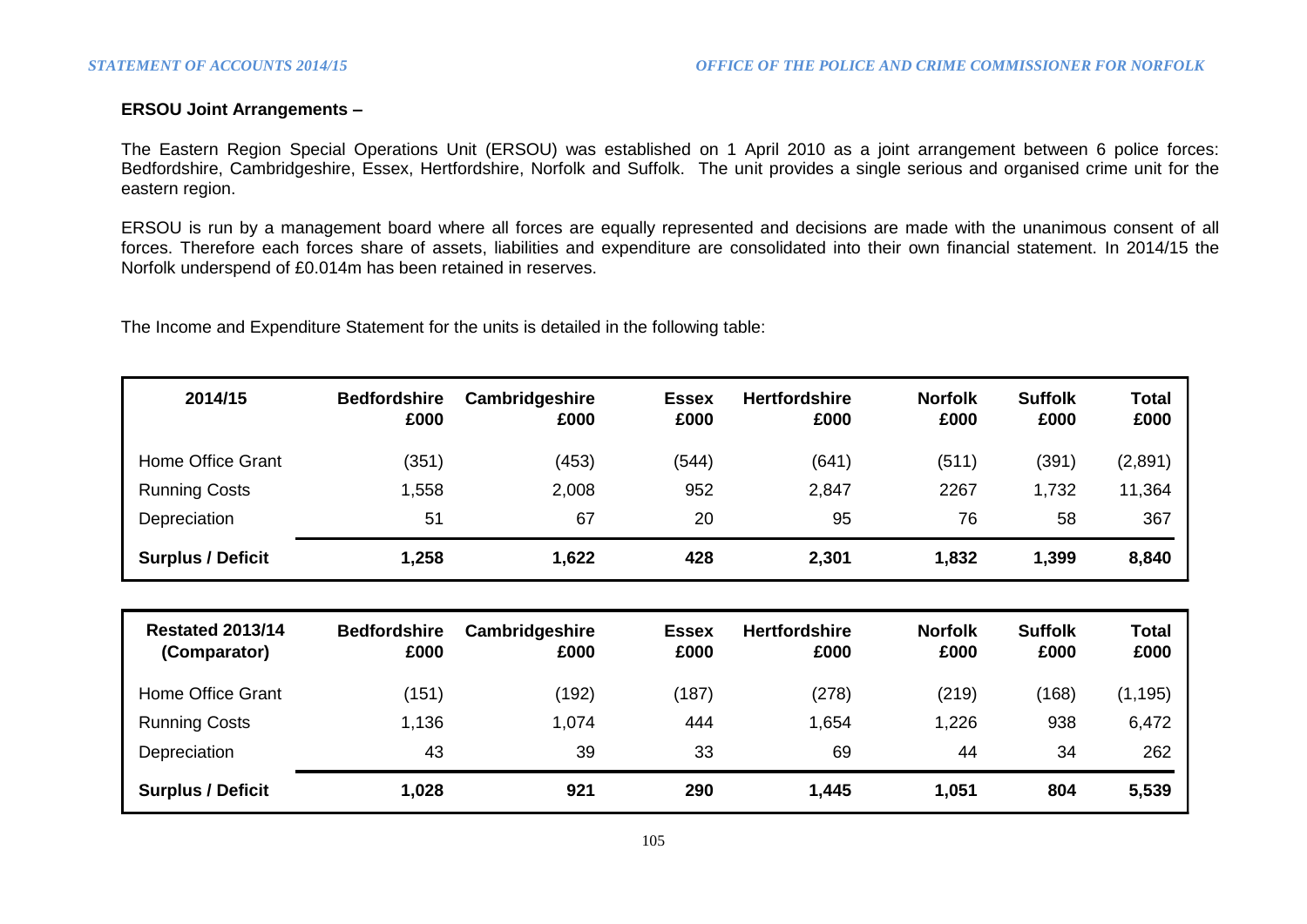#### **ERSOU Joint Arrangements –**

The Eastern Region Special Operations Unit (ERSOU) was established on 1 April 2010 as a joint arrangement between 6 police forces: Bedfordshire, Cambridgeshire, Essex, Hertfordshire, Norfolk and Suffolk. The unit provides a single serious and organised crime unit for the eastern region.

ERSOU is run by a management board where all forces are equally represented and decisions are made with the unanimous consent of all forces. Therefore each forces share of assets, liabilities and expenditure are consolidated into their own financial statement. In 2014/15 the Norfolk underspend of £0.014m has been retained in reserves.

The Income and Expenditure Statement for the units is detailed in the following table:

| 2014/15                  | <b>Bedfordshire</b><br>£000 | Cambridgeshire<br>£000 | <b>Essex</b><br>£000 | <b>Hertfordshire</b><br>£000 | <b>Norfolk</b><br>£000 | <b>Suffolk</b><br>£000 | <b>Total</b><br>£000 |
|--------------------------|-----------------------------|------------------------|----------------------|------------------------------|------------------------|------------------------|----------------------|
| Home Office Grant        | (351)                       | (453)                  | (544)                | (641)                        | (511)                  | (391)                  | (2,891)              |
| <b>Running Costs</b>     | 1,558                       | 2,008                  | 952                  | 2,847                        | 2267                   | 1,732                  | 11,364               |
| Depreciation             | 51                          | 67                     | 20                   | 95                           | 76                     | 58                     | 367                  |
| <b>Surplus / Deficit</b> | 1,258                       | 1,622                  | 428                  | 2,301                        | 1,832                  | 1,399                  | 8,840                |

| <b>Restated 2013/14</b><br>(Comparator) | <b>Bedfordshire</b><br>£000 | Cambridgeshire<br>£000 | <b>Essex</b><br>£000 | <b>Hertfordshire</b><br>£000 | <b>Norfolk</b><br>£000 | <b>Suffolk</b><br>£000 | Total<br>£000 |
|-----------------------------------------|-----------------------------|------------------------|----------------------|------------------------------|------------------------|------------------------|---------------|
| Home Office Grant                       | (151)                       | (192)                  | (187)                | (278)                        | (219)                  | (168)                  | (1, 195)      |
| <b>Running Costs</b>                    | 1,136                       | 1,074                  | 444                  | .654                         | 1,226                  | 938                    | 6,472         |
| Depreciation                            | 43                          | 39                     | 33                   | 69                           | 44                     | 34                     | 262           |
| <b>Surplus / Deficit</b>                | 1,028                       | 921                    | 290                  | 1,445                        | 1,051                  | 804                    | 5,539         |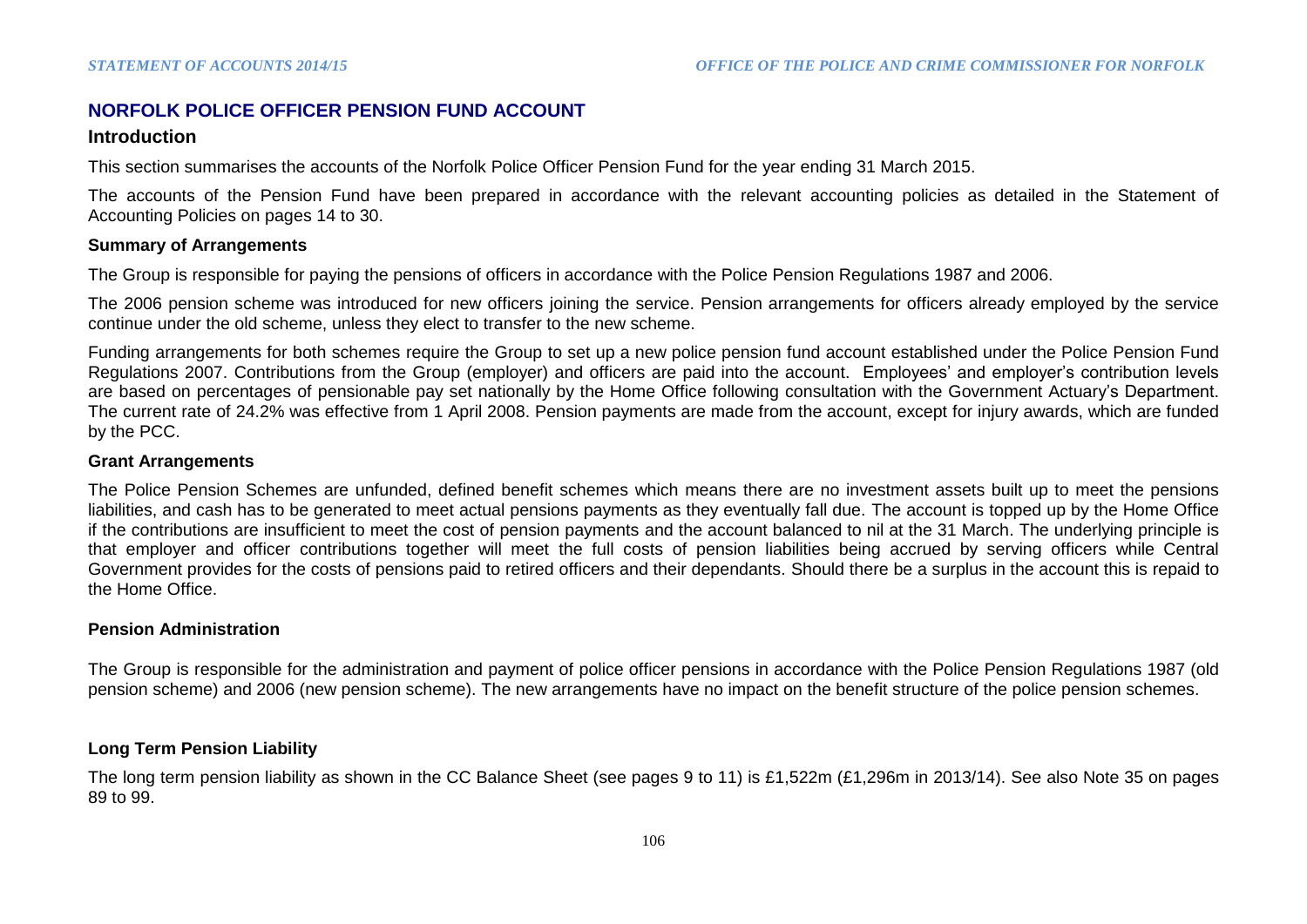## **NORFOLK POLICE OFFICER PENSION FUND ACCOUNT**

#### **Introduction**

This section summarises the accounts of the Norfolk Police Officer Pension Fund for the year ending 31 March 2015.

The accounts of the Pension Fund have been prepared in accordance with the relevant accounting policies as detailed in the Statement of Accounting Policies on pages 14 to 30.

#### **Summary of Arrangements**

The Group is responsible for paying the pensions of officers in accordance with the Police Pension Regulations 1987 and 2006.

The 2006 pension scheme was introduced for new officers joining the service. Pension arrangements for officers already employed by the service continue under the old scheme, unless they elect to transfer to the new scheme.

Funding arrangements for both schemes require the Group to set up a new police pension fund account established under the Police Pension Fund Regulations 2007. Contributions from the Group (employer) and officers are paid into the account. Employees' and employer's contribution levels are based on percentages of pensionable pay set nationally by the Home Office following consultation with the Government Actuary's Department. The current rate of 24.2% was effective from 1 April 2008. Pension payments are made from the account, except for injury awards, which are funded by the PCC.

#### **Grant Arrangements**

The Police Pension Schemes are unfunded, defined benefit schemes which means there are no investment assets built up to meet the pensions liabilities, and cash has to be generated to meet actual pensions payments as they eventually fall due. The account is topped up by the Home Office if the contributions are insufficient to meet the cost of pension payments and the account balanced to nil at the 31 March. The underlying principle is that employer and officer contributions together will meet the full costs of pension liabilities being accrued by serving officers while Central Government provides for the costs of pensions paid to retired officers and their dependants. Should there be a surplus in the account this is repaid to the Home Office.

#### **Pension Administration**

The Group is responsible for the administration and payment of police officer pensions in accordance with the Police Pension Regulations 1987 (old pension scheme) and 2006 (new pension scheme). The new arrangements have no impact on the benefit structure of the police pension schemes.

#### **Long Term Pension Liability**

The long term pension liability as shown in the CC Balance Sheet (see pages 9 to 11) is £1,522m (£1,296m in 2013/14). See also Note 35 on pages 89 to 99.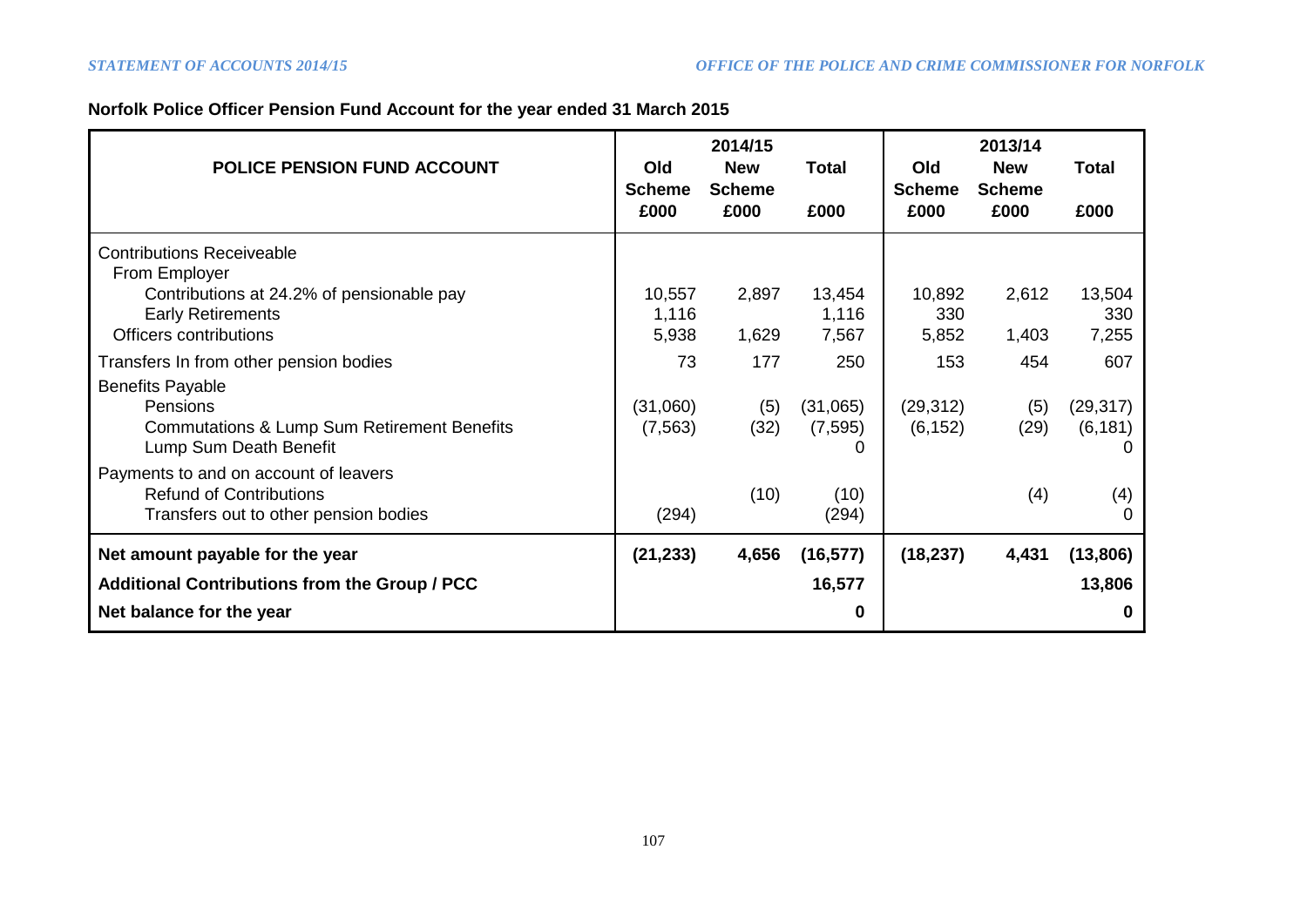# **Norfolk Police Officer Pension Fund Account for the year ended 31 March 2015**

| <b>POLICE PENSION FUND ACCOUNT</b>                                                                                      | Old<br><b>Scheme</b><br>£000 | 2014/15<br><b>New</b><br><b>Scheme</b><br>£000 | <b>Total</b><br>£000      | <b>Old</b><br><b>Scheme</b><br>£000 | 2013/14<br><b>New</b><br><b>Scheme</b><br>£000 | <b>Total</b><br>£000       |
|-------------------------------------------------------------------------------------------------------------------------|------------------------------|------------------------------------------------|---------------------------|-------------------------------------|------------------------------------------------|----------------------------|
| <b>Contributions Receiveable</b><br>From Employer                                                                       |                              |                                                |                           |                                     |                                                |                            |
| Contributions at 24.2% of pensionable pay<br><b>Early Retirements</b><br><b>Officers contributions</b>                  | 10,557<br>1,116<br>5,938     | 2,897<br>1,629                                 | 13,454<br>1,116<br>7,567  | 10,892<br>330<br>5,852              | 2,612<br>1,403                                 | 13,504<br>330<br>7,255     |
| Transfers In from other pension bodies                                                                                  | 73                           | 177                                            | 250                       | 153                                 | 454                                            | 607                        |
| <b>Benefits Payable</b><br>Pensions<br><b>Commutations &amp; Lump Sum Retirement Benefits</b><br>Lump Sum Death Benefit | (31,060)<br>(7, 563)         | (5)<br>(32)                                    | (31,065)<br>(7, 595)<br>0 | (29, 312)<br>(6, 152)               | (5)<br>(29)                                    | (29, 317)<br>(6, 181)<br>0 |
| Payments to and on account of leavers<br><b>Refund of Contributions</b><br>Transfers out to other pension bodies        | (294)                        | (10)                                           | (10)<br>(294)             |                                     | (4)                                            | (4)<br>0                   |
| Net amount payable for the year                                                                                         | (21, 233)                    | 4,656                                          | (16, 577)                 | (18, 237)                           | 4,431                                          | (13, 806)                  |
| <b>Additional Contributions from the Group / PCC</b>                                                                    |                              |                                                | 16,577                    |                                     |                                                | 13,806                     |
| Net balance for the year                                                                                                |                              |                                                | 0                         |                                     |                                                | 0                          |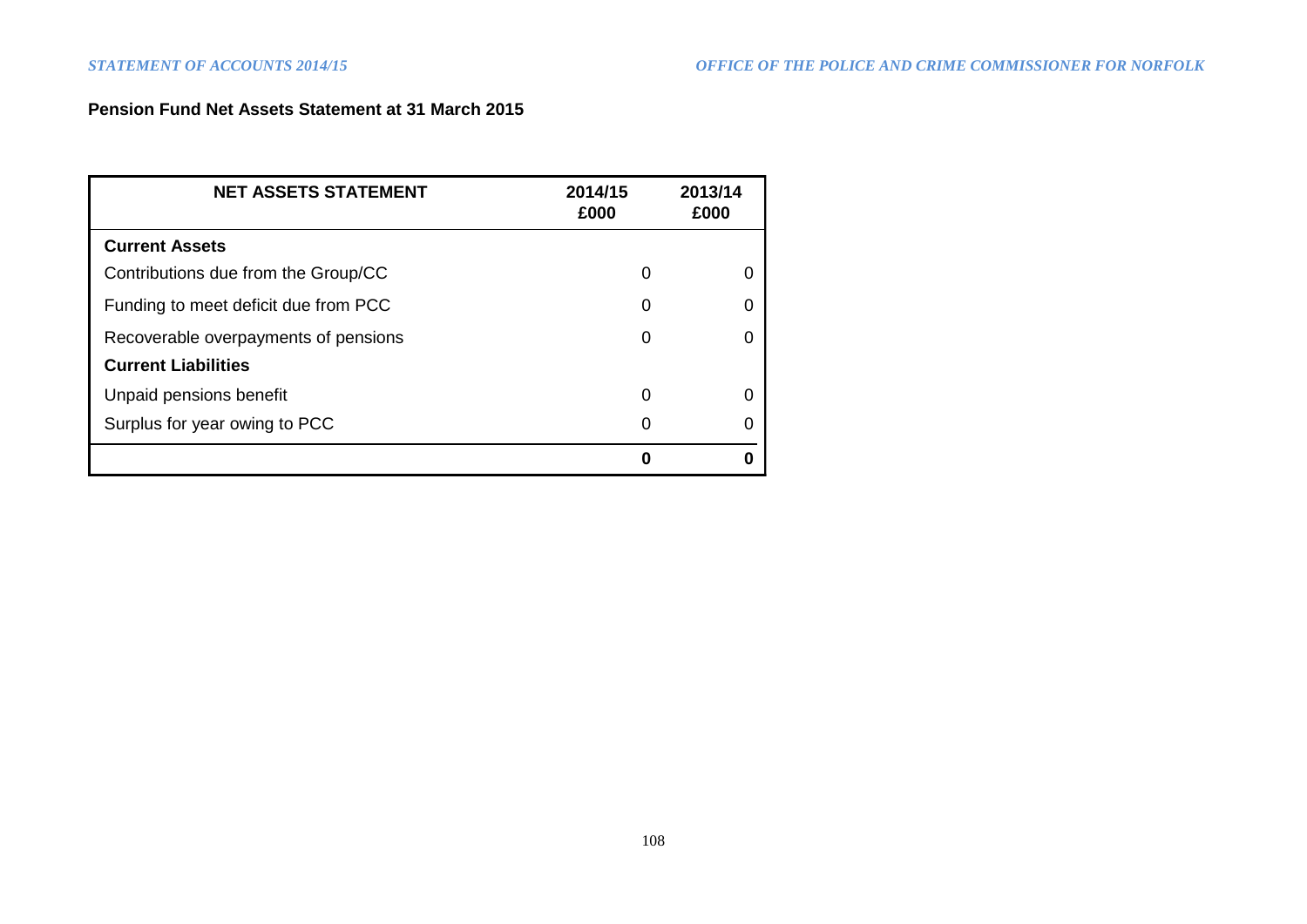# **Pension Fund Net Assets Statement at 31 March 2015**

| <b>NET ASSETS STATEMENT</b>          | 2014/15<br>£000 | 2013/14<br>£000 |
|--------------------------------------|-----------------|-----------------|
| <b>Current Assets</b>                |                 |                 |
| Contributions due from the Group/CC  | 0               |                 |
| Funding to meet deficit due from PCC | 0               |                 |
| Recoverable overpayments of pensions | 0               |                 |
| <b>Current Liabilities</b>           |                 |                 |
| Unpaid pensions benefit              | 0               |                 |
| Surplus for year owing to PCC        | O               |                 |
|                                      | N               |                 |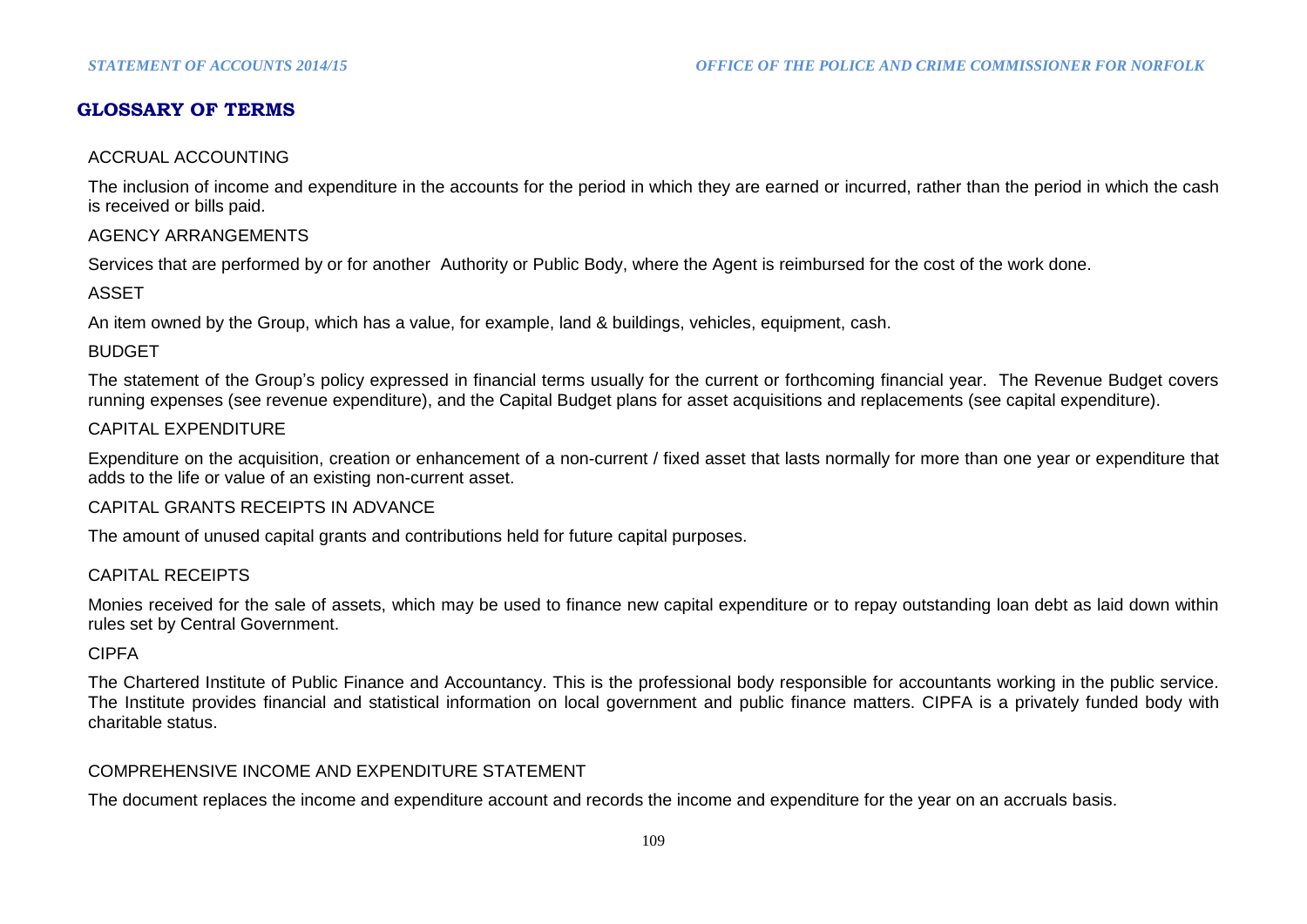# **GLOSSARY OF TERMS**

#### ACCRUAL ACCOUNTING

The inclusion of income and expenditure in the accounts for the period in which they are earned or incurred, rather than the period in which the cash is received or bills paid.

#### AGENCY ARRANGEMENTS

Services that are performed by or for another Authority or Public Body, where the Agent is reimbursed for the cost of the work done.

ASSET

An item owned by the Group, which has a value, for example, land & buildings, vehicles, equipment, cash.

#### BUDGET

The statement of the Group's policy expressed in financial terms usually for the current or forthcoming financial year. The Revenue Budget covers running expenses (see revenue expenditure), and the Capital Budget plans for asset acquisitions and replacements (see capital expenditure).

### CAPITAL EXPENDITURE

Expenditure on the acquisition, creation or enhancement of a non-current / fixed asset that lasts normally for more than one year or expenditure that adds to the life or value of an existing non-current asset.

#### CAPITAL GRANTS RECEIPTS IN ADVANCE

The amount of unused capital grants and contributions held for future capital purposes.

#### CAPITAL RECEIPTS

Monies received for the sale of assets, which may be used to finance new capital expenditure or to repay outstanding loan debt as laid down within rules set by Central Government.

#### CIPFA

The Chartered Institute of Public Finance and Accountancy. This is the professional body responsible for accountants working in the public service. The Institute provides financial and statistical information on local government and public finance matters. CIPFA is a privately funded body with charitable status.

#### COMPREHENSIVE INCOME AND EXPENDITURE STATEMENT

The document replaces the income and expenditure account and records the income and expenditure for the year on an accruals basis.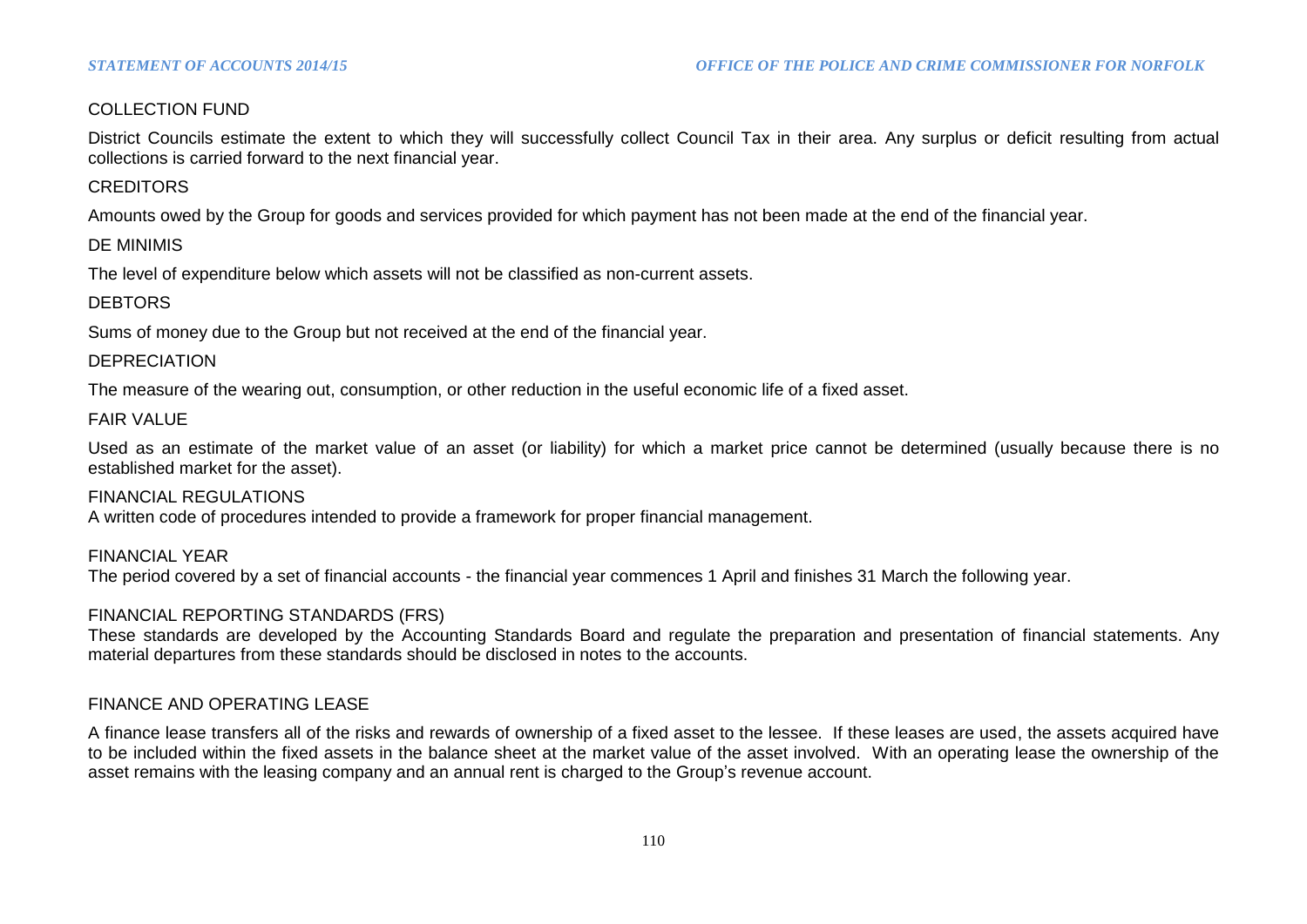## COLLECTION FUND

District Councils estimate the extent to which they will successfully collect Council Tax in their area. Any surplus or deficit resulting from actual collections is carried forward to the next financial year.

#### **CREDITORS**

Amounts owed by the Group for goods and services provided for which payment has not been made at the end of the financial year.

#### DE MINIMIS

The level of expenditure below which assets will not be classified as non-current assets.

## **DEBTORS**

Sums of money due to the Group but not received at the end of the financial year.

### DEPRECIATION

The measure of the wearing out, consumption, or other reduction in the useful economic life of a fixed asset.

#### FAIR VALUE

Used as an estimate of the market value of an asset (or liability) for which a market price cannot be determined (usually because there is no established market for the asset).

#### FINANCIAL REGULATIONS

A written code of procedures intended to provide a framework for proper financial management.

FINANCIAL YEAR The period covered by a set of financial accounts - the financial year commences 1 April and finishes 31 March the following year.

#### FINANCIAL REPORTING STANDARDS (FRS)

These standards are developed by the Accounting Standards Board and regulate the preparation and presentation of financial statements. Any material departures from these standards should be disclosed in notes to the accounts.

## FINANCE AND OPERATING LEASE

A finance lease transfers all of the risks and rewards of ownership of a fixed asset to the lessee. If these leases are used, the assets acquired have to be included within the fixed assets in the balance sheet at the market value of the asset involved. With an operating lease the ownership of the asset remains with the leasing company and an annual rent is charged to the Group's revenue account.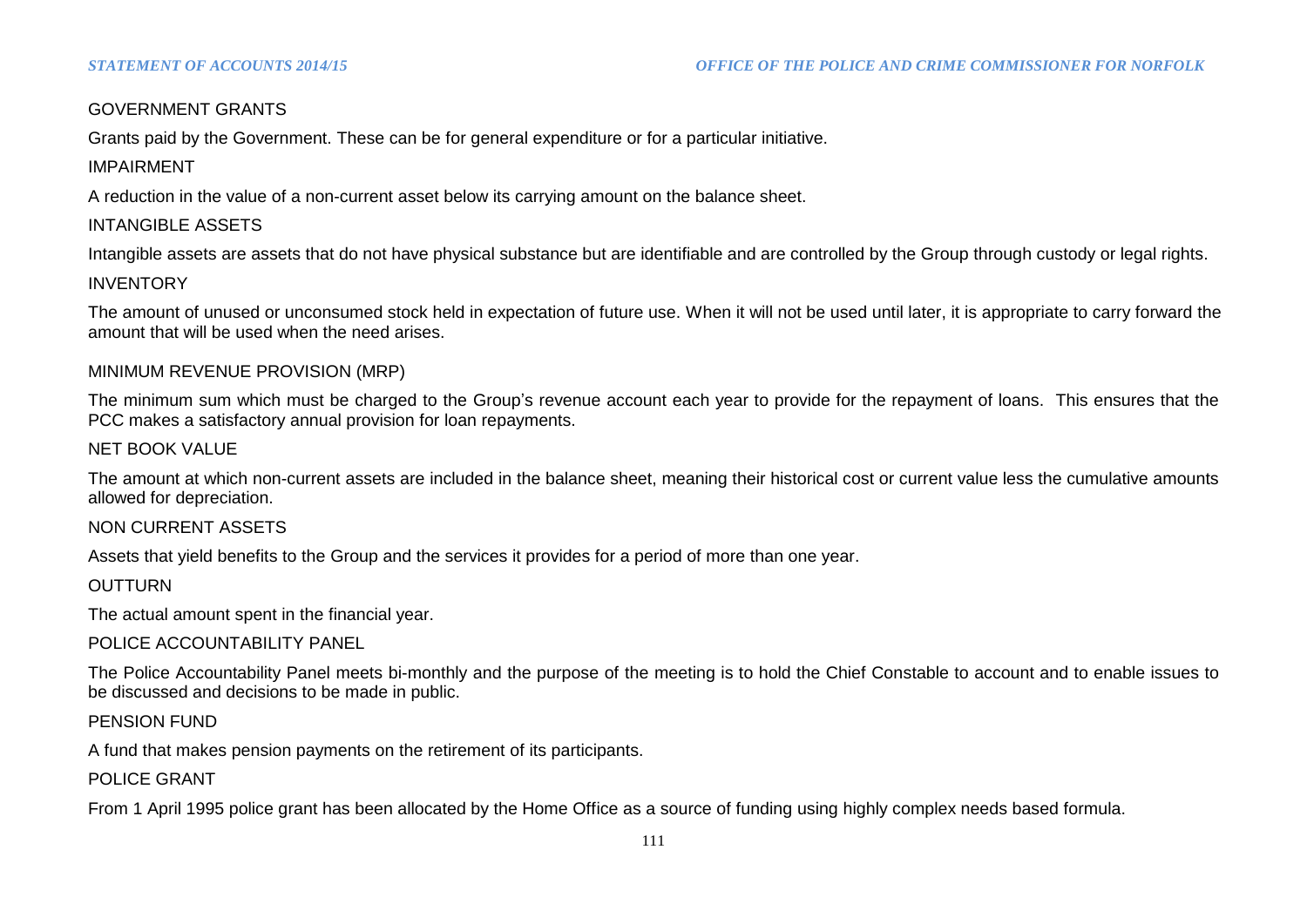## GOVERNMENT GRANTS

Grants paid by the Government. These can be for general expenditure or for a particular initiative.

# IMPAIRMENT

A reduction in the value of a non-current asset below its carrying amount on the balance sheet.

# INTANGIBLE ASSETS

Intangible assets are assets that do not have physical substance but are identifiable and are controlled by the Group through custody or legal rights.

## INVENTORY

The amount of unused or unconsumed stock held in expectation of future use. When it will not be used until later, it is appropriate to carry forward the amount that will be used when the need arises.

### MINIMUM REVENUE PROVISION (MRP)

The minimum sum which must be charged to the Group's revenue account each year to provide for the repayment of loans. This ensures that the PCC makes a satisfactory annual provision for loan repayments.

### NET BOOK VALUE

The amount at which non-current assets are included in the balance sheet, meaning their historical cost or current value less the cumulative amounts allowed for depreciation.

#### NON CURRENT ASSETS

Assets that yield benefits to the Group and the services it provides for a period of more than one year.

## **OUTTURN**

The actual amount spent in the financial year.

#### POLICE ACCOUNTABILITY PANEL

The Police Accountability Panel meets bi-monthly and the purpose of the meeting is to hold the Chief Constable to account and to enable issues to be discussed and decisions to be made in public.

## PENSION FUND

A fund that makes pension payments on the retirement of its participants.

## POLICE GRANT

From 1 April 1995 police grant has been allocated by the Home Office as a source of funding using highly complex needs based formula.